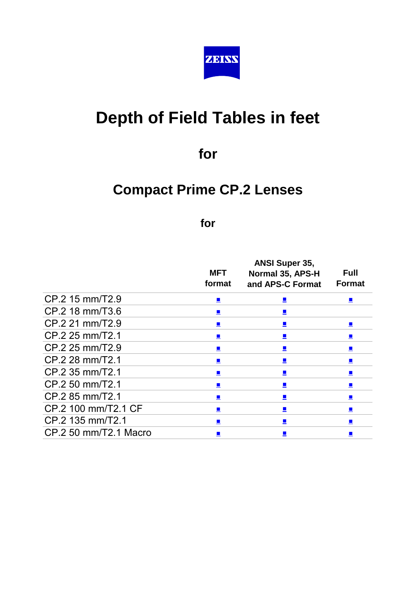

# **Depth of Field Tables in feet**

**for**

## **Compact Prime CP.2 Lenses**

#### **for**

|                       |                | <b>ANSI Super 35,</b>       |                             |
|-----------------------|----------------|-----------------------------|-----------------------------|
|                       | <b>MFT</b>     | Normal 35, APS-H            | <b>Full</b>                 |
|                       | format         | and APS-C Format            | <b>Format</b>               |
| CP.2 15 mm/T2.9       | $\blacksquare$ | $\Box$                      | $\blacksquare$              |
| CP.2 18 mm/T3.6       | $\mathcal{L}$  | $\blacksquare$              |                             |
| CP.2 21 mm/T2.9       | $\blacksquare$ |                             | $\blacksquare$              |
| CP.2 25 mm/T2.1       | $\blacksquare$ | $\blacksquare$              |                             |
| CP.2 25 mm/T2.9       | ▙              | 里                           | 드                           |
| CP.2 28 mm/T2.1       |                | $\blacksquare$              |                             |
| CP.2 35 mm/T2.1       | $\mathbf{r}$   | $\blacksquare$              | $\mathbf{r}$                |
| CP.2 50 mm/T2.1       |                | 里                           |                             |
| CP.2 85 mm/T2.1       | $\blacksquare$ | $\blacksquare$              | $\mathcal{L}^{\mathcal{A}}$ |
| CP.2 100 mm/T2.1 CF   |                | $\blacksquare$              |                             |
| CP.2 135 mm/T2.1      |                | $\mathcal{L}_{\mathcal{A}}$ |                             |
| CP.2 50 mm/T2.1 Macro |                |                             |                             |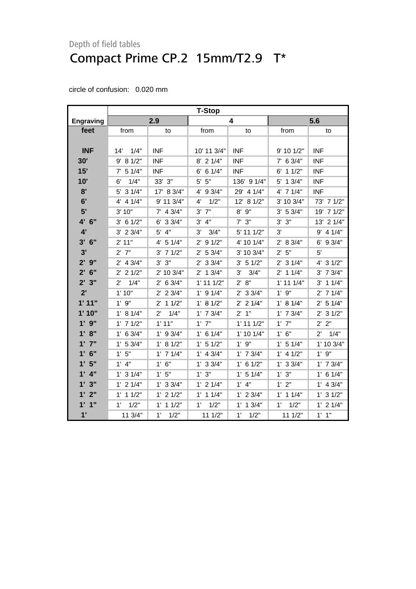<span id="page-1-0"></span>

|                    | <b>T-Stop</b>        |                      |                       |                |                |                        |
|--------------------|----------------------|----------------------|-----------------------|----------------|----------------|------------------------|
| Engraving          |                      | 2.9                  |                       | 4              |                | 5.6                    |
| feet               | from                 | to                   | from                  | to             | from           | to                     |
|                    |                      |                      |                       |                |                |                        |
| <b>INF</b>         | 1/4"<br>14'          | <b>INF</b>           | 10' 11 3/4"           | <b>INF</b>     | 9' 10 1/2"     | <b>INF</b>             |
| 30'                | 9' 8 1/2"            | <b>INF</b>           | $8'$ 2 1/4"           | <b>INF</b>     | $7'$ 6 3/4"    | INF                    |
| 15'                | 51/4"<br>$7^{\circ}$ | <b>INF</b>           | $6'$ 6 1/4"           | <b>INF</b>     | 11/2"<br>6'    | <b>INF</b>             |
| 10'                | 1/4"<br>6'           | 33' 3"               | $5'$ $5"$             | 136' 9 1/4"    | 5' 1 3/4"      | <b>INF</b>             |
| 8'                 | $5'$ 3 $1/4"$        | 17' 8 3/4"           | 4' 9 3/4"             | 29' 4 1/4"     | $4'$ 7 $1/4"$  | <b>INF</b>             |
| 6'                 | $4'$ 4 $1/4"$        | 9' 11 3/4"           | 1/2"<br>4'            | 12' 8 1/2"     | 3' 10 3/4"     | 73' 7 1/2"             |
| 5'                 | 3' 10"               | $7'$ 4 3/4"          | $3^{\prime}$<br>7"    | $8'$ $9''$     | 3' 5 3/4"      | 19' 7 1/2"             |
| $4^{\prime}$<br>6" | 6 1/2"<br>3'         | 33/4"<br>6'          | 4"<br>3'              | $7'$ 3"        | 3"<br>3'       | 21/4"<br>13'           |
| 4'                 | $3'$ 2 $3/4"$        | $5'$ 4"              | 3'<br>3/4"            | 5' 11 1/2"     | 3'             | 9' 4 1/4"              |
| 3'<br>6"           | 2' 11"               | $4'$ 5 1/4"          | $2'$ 9 $1/2"$         | 4' 10 1/4"     | 2' 8 3/4"      | $6'$ 9 3/4"            |
| 3'                 | $2'$ $7"$            | $3'$ 7 $1/2"$        | $2'$ 5 3/4"           | 3' 10 3/4"     | 2' 5''         | 5'                     |
| $2'$ $9''$         | $2'$ 4 $3/4"$        | $3'$ $3''$           | $2'$ 3 3/4"           | 3' 51/2"       | $2'$ 3 1/4"    | 4' 3 1/2"              |
| 6"<br>$2^{\prime}$ | $2'$ 2 1/2"          | 2' 10 3/4"           | 13/4"<br>$2^{\prime}$ | 3'<br>3/4"     | $2'$ 1 1/4"    | $3'$ 7 $3/4"$          |
| 2'3"               | $2^{\prime}$<br>1/4" | 2' 6 3/4"            | $1'$ 11 $1/2"$        | 2' 8''         | $1'$ 11 $1/4"$ | $3'$ 1 1/4"            |
| 2'                 | 1'10"                | $2'$ 2 3/4"          | $1'$ 9 $1/4"$         | $2'$ 3 3/4"    | $1'$ $9"$      | $2'$ 7 1/4"            |
| 1'11"              | $1'$ $9''$           | $2'$ 1 1/2"          | 1' 8 1/2"             | $2'$ 2 $1/4"$  | 1' 8 1/4"      | 5 1/4"<br>$2^{\prime}$ |
| 1'10"              | 1' 8 1/4"            | 1/4"<br>$2^{\prime}$ | $1'$ 7 $3/4"$         | 2'1"           | $1'$ 7 $3/4"$  | $2'$ 3 1/2"            |
| $1'$ $9''$         | $1'$ 7 $1/2"$        | 1'11"                | $1'$ $7"$             | $1'$ 11 $1/2"$ | $1'$ $7"$      | 2' 2"                  |
| 1' 8''             | $1'$ 6 3/4"          | $1'$ 9 $3/4"$        | 1' 6 1/4"             | $1'$ 10 $1/4"$ | 1' 6''         | 1/4"<br>$2^{\prime}$   |
| $1'$ $7''$         | 1' 53/4"             | 1' 8 1/2"            | $1'$ 5 $1/2"$         | $1'$ $9"$      | $1'$ 5 $1/4"$  | 1' 10 3/4"             |
| $1'$ 6"            | 1'5"                 | $1'$ 7 $1/4"$        | $1'$ 4 3/4"           | $1'$ 7 $3/4"$  | $1'$ 4 $1/2"$  | 1'9''                  |
| 1'5"               | $1'$ 4"              | 1' 6''               | $1'$ 3 3/4"           | $1'$ 6 $1/2"$  | 1' 3 3/4"      | $1'$ 7 $3/4"$          |
| $1'$ $4''$         | $1'$ 3 $1/4"$        | 1'5"                 | 1' 3''                | $1'$ 5 $1/4"$  | 1'3''          | $1'$ 6 $1/4"$          |
| 1'3''              | $1'$ 2 $1/4"$        | $1'$ 3 $3/4"$        | $1'$ 2 $1/4"$         | $1'$ $4"$      | $1'$ $2"$      | $1'$ 4 3/4"            |
| 2"<br>1'           | $1'$ 1 $1/2"$        | $1'$ 2 $1/2"$        | 11/4"<br>1'           | $1'$ 2 $3/4"$  | $1'$ 1 $1/4"$  | $1'$ 3 $1/2"$          |
| $1'$ $1''$         | 1/2"<br>1'           | $1'$ 1 $1/2"$        | 1/2"<br>1'            | $1'$ 1 $3/4"$  | 1'<br>1/2"     | $1'$ 2 $1/4"$          |
| 1'                 | 11 3/4"              | 1'<br>1/2"           | 111/2"                | 1'<br>1/2"     | 111/2"         | $1'$ $1''$             |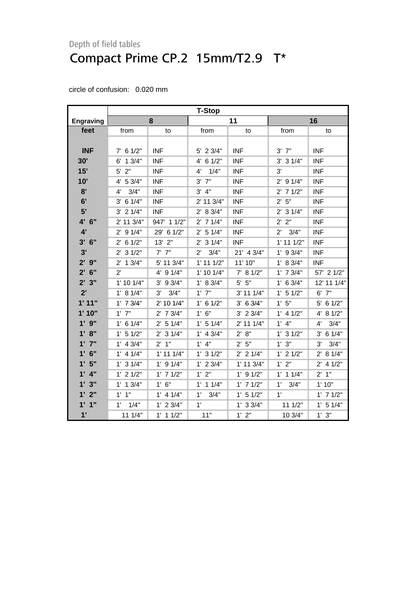|                  | <b>T-Stop</b> |                |                      |                |                |               |
|------------------|---------------|----------------|----------------------|----------------|----------------|---------------|
| <b>Engraving</b> |               | 8              |                      | 11             |                | 16            |
| feet             | from          | to             | from                 | to             | from           | to            |
|                  |               |                |                      |                |                |               |
| <b>INF</b>       | $7'$ 6 1/2"   | <b>INF</b>     | 5' 2 3/4"            | <b>INF</b>     | $3'$ $7"$      | <b>INF</b>    |
| 30'              | $6'$ 1 $3/4"$ | <b>INF</b>     | $4'$ 6 1/2"          | <b>INF</b>     | $3'$ 3 $1/4"$  | <b>INF</b>    |
| 15'              | $5'$ 2"       | <b>INF</b>     | 1/4"<br>4'           | <b>INF</b>     | 3'             | <b>INF</b>    |
| 10'              | 4' 5 3/4"     | <b>INF</b>     | $3'$ $7''$           | <b>INF</b>     | $2'$ 9 1/4"    | <b>INF</b>    |
| 8'               | 3/4"<br>4'    | <b>INF</b>     | $3'$ 4"              | <b>INF</b>     | $2'$ 7 $1/2"$  | <b>INF</b>    |
| 6'               | $3'$ 6 1/4"   | <b>INF</b>     | 2' 11 3/4"           | <b>INF</b>     | $2'$ 5"        | <b>INF</b>    |
| 5'               | $3'$ 2 $1/4"$ | <b>INF</b>     | 2' 8 3/4"            | <b>INF</b>     | $2'$ 3 1/4"    | <b>INF</b>    |
| 4' 6"            | 2' 11 3/4"    | 947' 1 1/2"    | $2'$ 7 1/4"          | <b>INF</b>     | 2' 2''         | <b>INF</b>    |
| 4'               | $2'$ 9 $1/4"$ | 29' 6 1/2"     | $2'$ 5 1/4"          | <b>INF</b>     | $2'$ $3/4"$    | <b>INF</b>    |
| 3'<br>6"         | $2'$ 6 1/2"   | $13'$ $2"$     | $2'$ 3 1/4"          | <b>INF</b>     | $1'$ 11 $1/2"$ | <b>INF</b>    |
| 3'               | $2'$ 3 $1/2"$ | $7'$ $7''$     | 3/4"<br>$2^{\prime}$ | 21' 4 3/4"     | $1'$ 9 3/4"    | <b>INF</b>    |
| $2'$ $9''$       | $2'$ 1 $3/4"$ | 5' 11 3/4"     | $1'$ 11 $1/2"$       | 11' 10"        | 1' 8 3/4"      | <b>INF</b>    |
| $2'$ 6"          | $2^{\prime}$  | 4' 9 1/4"      | $1'$ 10 $1/4"$       | 7' 81/2"       | $1'$ 7 $3/4"$  | 57' 2 1/2"    |
| 2'3"             | 1' 10 1/4"    | $3'$ 9 $3/4"$  | 1' 8 3/4"            | $5'$ $5"$      | $1'$ 6 3/4"    | 12' 11 1/4"   |
| 2'               | 1' 8 1/4"     | 3/4"<br>3'     | $1'$ $7"$            | 3' 11 1/4"     | $1'$ 5 $1/2"$  | $6'$ 7"       |
| 1'11"            | $1'$ 7 $3/4"$ | 2' 10 1/4"     | $1'$ 6 $1/2"$        | 3' 6 3/4"      | 1' 5''         | $5'$ 6 1/2"   |
| 1'10"            | $1'$ $7"$     | $2'$ 7 $3/4"$  | 1' 6''               | $3'$ 2 $3/4"$  | $1'$ 4 $1/2"$  | 4' 8 1/2"     |
| $1'$ $9''$       | $1'$ 6 $1/4"$ | 2' 5 1/4"      | $1'$ 5 $1/4"$        | 2' 11 1/4"     | $1'$ 4"        | 3/4"<br>4'    |
| 1' 8"            | $1'$ 5 $1/2"$ | $2'$ 3 1/4"    | $1'$ 4 $3/4"$        | 2' 8''         | $1'$ 3 $1/2"$  | $3'$ 6 1/4"   |
| $1'$ $7''$       | $1'$ 4 3/4"   | $2'$ 1"        | $1'$ 4"              | 2' 5''         | $1'$ $3"$      | 3/4"<br>3'    |
| $1'$ 6"          | $1'$ 4 $1/4"$ | $1'$ 11 $1/4"$ | $1'$ 3 $1/2"$        | $2'$ 2 1/4"    | $1'$ 2 $1/2"$  | 2' 8 1/4"     |
| 1'5"             | $1'$ 3 $1/4"$ | $1'$ 9 $1/4"$  | $1'$ 2 $3/4"$        | $1'$ 11 $3/4"$ | 1' 2''         | $2'$ 4 1/2"   |
| $1'$ $4"$        | $1'$ 2 $1/2"$ | $1'$ 7 $1/2"$  | $1'$ $2"$            | $1'$ 9 $1/2"$  | $1'$ 1 $1/4"$  | $2'$ 1"       |
| 1'3"             | $1'$ 1 $3/4"$ | 1' 6''         | $1'$ 1 $1/4"$        | $1'$ 7 $1/2"$  | 1'<br>3/4"     | 1'10"         |
| $1'$ $2"$        | $1'$ $1"$     | $1'$ 4 $1/4"$  | $1^{\circ}$<br>3/4"  | 1' 5 1/2"      | $1^{\circ}$    | $1'$ 7 $1/2"$ |
| 1'1''            | 1'<br>1/4"    | $1'$ 2 $3/4"$  | $1^{\prime}$         | $1'$ 3 $3/4"$  | 111/2"         | $1'$ 5 $1/4"$ |
| 1'               | 11 1/4"       | $1'$ 1 $1/2"$  | 11"                  | 1' 2''         | 10 3/4"        | 1' 3''        |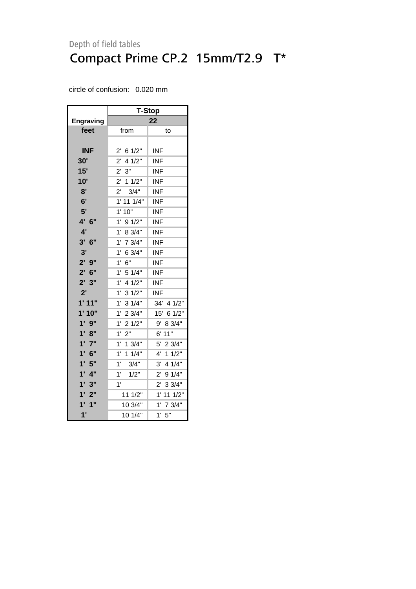|                           | <b>T-Stop</b>          |                       |  |  |  |  |
|---------------------------|------------------------|-----------------------|--|--|--|--|
| <b>Engraving</b>          | 22                     |                       |  |  |  |  |
| feet                      | from                   | to                    |  |  |  |  |
|                           |                        |                       |  |  |  |  |
| <b>INF</b>                | $2^{\prime}$<br>6 1/2" | INF                   |  |  |  |  |
| 30'                       | 4 1/2"<br>$2^{\prime}$ | <b>INF</b>            |  |  |  |  |
| 15'                       | 2' 3''                 | INF                   |  |  |  |  |
| 10'                       | 11/2"<br>$2^{\prime}$  | <b>INF</b>            |  |  |  |  |
| 8'                        | 3/4"<br>$2^{\prime}$   | <b>INF</b>            |  |  |  |  |
| 6'                        | $1'$ 11 $1/4"$         | INF                   |  |  |  |  |
| 5'                        | $1^{\circ}$<br>10"     | <b>INF</b>            |  |  |  |  |
| 4' 6"                     | 1'<br>91/2"            | <b>INF</b>            |  |  |  |  |
| 4'                        | 1'<br>8 3/4"           | <b>INF</b>            |  |  |  |  |
| $3'$ 6"                   | 7 3/4"<br>1'           | INF                   |  |  |  |  |
| 3'                        | 1'<br>6 3/4"           | INF                   |  |  |  |  |
| $2'$ $9''$                | 6"<br>1'               | <b>INF</b>            |  |  |  |  |
| $2'$ 6"                   | $1^{\circ}$<br>5 1/4"  | <b>INF</b>            |  |  |  |  |
| 2'3''                     | 4 1/2"<br>1'           | <b>INF</b>            |  |  |  |  |
| $2^{\prime}$              | 1'<br>31/2"            | <b>INF</b>            |  |  |  |  |
| 1'11"                     | 1'<br>31/4"            | 34' 4 1/2"            |  |  |  |  |
| 1'10"                     | 1'<br>23/4"            | 15' 6 1/2"            |  |  |  |  |
| $1'$ $9''$                | 1'<br>21/2"            | 8 3/4"<br>9'          |  |  |  |  |
| 1' 8''                    | 2"<br>1'               | 6' 11"                |  |  |  |  |
| 1'7''                     | 1'<br>13/4"            | 5'<br>23/4"           |  |  |  |  |
| 6"<br>1'                  | 1'<br>11/4"            | 11/2"<br>4'           |  |  |  |  |
| 1'5"                      | 1'<br>3/4"             | 4 1/4"<br>3'          |  |  |  |  |
| $1'$ $4"$                 | 1'<br>1/2"             | 91/4"<br>$2^{\prime}$ |  |  |  |  |
| 1'3''                     | 1'                     | $2^{\prime}$<br>33/4" |  |  |  |  |
| 2"<br>$1^{\circ}$         | 11 1/2"                | 1' 11 1/2"            |  |  |  |  |
| 1"<br>1'                  | 10 3/4"                | 1'<br>7 3/4"          |  |  |  |  |
| $\mathbf{1}^{\mathsf{T}}$ | 10 1/4"                | 1'<br>5"              |  |  |  |  |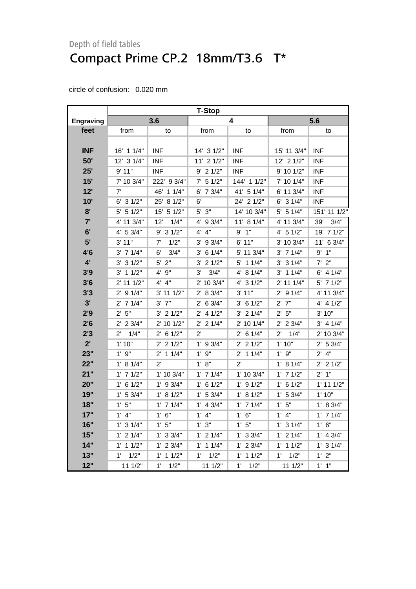<span id="page-4-0"></span>

|                  | T-Stop               |               |                     |                     |                      |                |  |
|------------------|----------------------|---------------|---------------------|---------------------|----------------------|----------------|--|
| <b>Engraving</b> |                      | 3.6           |                     | 4                   |                      | 5.6            |  |
| feet             | from                 | to            | from                | to                  | from                 | to             |  |
|                  |                      |               |                     |                     |                      |                |  |
| <b>INF</b>       | 16' 1 1/4"           | <b>INF</b>    | 14' 3 1/2"          | <b>INF</b>          | 15' 11 3/4"          | <b>INF</b>     |  |
| 50'              | 12' 3 1/4"           | <b>INF</b>    | 11' 2 1/2"          | <b>INF</b>          | 12' 2 1/2"           | <b>INF</b>     |  |
| 25'              | 9'11"                | <b>INF</b>    | $9'$ 2 1/2"         | <b>INF</b>          | 9' 10 1/2"           | <b>INF</b>     |  |
| 15'              | 7' 10 3/4"           | 222' 9 3/4"   | $7'$ 5 1/2"         | 144' 1 1/2"         | 7' 10 1/4"           | <b>INF</b>     |  |
| 12'              | 7'                   | 46' 1 1/4"    | $6'$ 7 3/4"         | 41' 5 1/4"          | 6' 11 3/4"           | <b>INF</b>     |  |
| 10'              | $6'$ 3 $1/2"$        | 25' 8 1/2"    | 6'                  | 24' 2 1/2"          | $6'$ 3 $1/4"$        | <b>INF</b>     |  |
| 8'               | $5'$ 5 1/2"          | 15' 5 1/2"    | $5'$ $3"$           | 14' 10 3/4"         | $5'$ 5 1/4"          | 151' 11 1/2"   |  |
| 7'               | 4' 11 3/4"           | 12'<br>1/4"   | 4' 9 3/4"           | 11' 8 1/4"          | 4' 11 3/4"           | 3/4"<br>39'    |  |
| 6'               | $4'$ 5 3/4"          | $9'$ 3 1/2"   | 4' 4''              | 9'1"                | 4' 5 1/2"            | 19' 7 1/2"     |  |
| 5'               | 3' 11"               | 1/2"<br>7'    | $3'$ 9 $3/4"$       | 6' 11"              | 3' 10 3/4"           | 11' 6 3/4"     |  |
| 4'6              | $3'$ 7 $1/4"$        | 3/4"<br>6'    | $3'$ 6 1/4"         | 5' 11 3/4"          | $3'$ 7 $1/4"$        | 9'1"           |  |
| $4^{\circ}$      | $3'$ 3 $1/2"$        | $5'$ 2"       | $3'$ 2 $1/2"$       | 5' 1 1/4"           | $3'$ 3 $1/4"$        | $7'$ 2"        |  |
| 3'9              | $3'$ 1 1/2"          | 4' 9"         | 3/4"<br>3'          | 4' 8 1/4"           | $3'$ 1 1/4"          | $6'$ 4 1/4"    |  |
| 3'6              | $2'$ 11 1/2"         | 4' 4"         | $2'$ 10 $3/4"$      | $4'$ 3 $1/2"$       | 2' 11 1/4"           | $5'$ 7 1/2"    |  |
| 3'3              | $2'$ 9 1/4"          | 3' 11 1/2"    | 2' 8 3/4"           | 3' 11"              | $2'$ 9 1/4"          | 4' 11 3/4"     |  |
| 3'               | $2'$ 7 1/4"          | $3'$ $7''$    | $2'$ 6 3/4"         | $3'$ 6 1/2"         | $2'$ 7"              | $4'$ 4 $1/2"$  |  |
| 2'9              | 2'5"                 | $3'$ 2 $1/2"$ | $2'$ 4 1/2"         | $3'$ 2 1/4"         | 2'5"                 | 3'10"          |  |
| 2'6              | $2'$ 2 3/4"          | 2' 10 1/2"    | $2'$ 2 1/4"         | 2' 10 1/4"          | $2'$ 2 3/4"          | $3'$ 4 1/4"    |  |
| 2'3              | $2^{\prime}$<br>1/4" | $2'$ 6 1/2"   | $2^{\prime}$        | $2'$ 6 1/4"         | $2^{\prime}$<br>1/4" | 2' 10 3/4"     |  |
| 2'               | 1'10"                | $2'$ 2 1/2"   | $1'$ 9 3/4"         | $2'$ 2 $1/2"$       | 1'10"                | $2'$ 5 3/4"    |  |
| 23"              | $1'$ $9"$            | $2'$ 1 1/4"   | $1'$ $9"$           | $2'$ 1 1/4"         | $1'$ $9"$            | $2'$ 4"        |  |
| 22"              | 1' 8 1/4"            | $2^{\prime}$  | 1' 8''              | $2^{\prime}$        | 1' 8 1/4"            | $2'$ 2 1/2"    |  |
| 21"              | $1'$ 7 $1/2"$        | 1' 10 3/4"    | $1'$ 7 $1/4"$       | 1' 10 3/4"          | $1'$ 7 $1/2"$        | $2'$ 1"        |  |
| 20"              | $1'$ 6 $1/2"$        | $1'$ 9 3/4"   | $1'$ 6 $1/2"$       | $1'$ 9 $1/2"$       | $1'$ 6 $1/2"$        | $1'$ 11 $1/2"$ |  |
| 19"              | $1'$ 5 3/4"          | 1' 8 1/2"     | $1'$ 5 3/4"         | 1' 8 1/2"           | 1' 53/4"             | 1'10"          |  |
| 18"              | 1'5"                 | $1'$ 7 $1/4"$ | $1'$ 4 3/4"         | $1'$ 7 $1/4"$       | 1'5"                 | 1' 8 3/4"      |  |
| 17"              | $1'$ $4"$            | $1'$ 6"       | $1'$ $4"$           | $1'$ 6"             | $1'$ 4"              | $1'$ 7 $1/4"$  |  |
| 16"              | $1'$ 3 $1/4"$        | 1'5''         | 1'3''               | 1'5"                | $1'$ 3 $1/4"$        | 1' 6''         |  |
| 15"              | $1'$ 2 $1/4"$        | $1'$ 3 3/4"   | $1'$ 2 $1/4"$       | $1'$ 3 $3/4"$       | $1'$ 2 $1/4"$        | $1'$ 4 3/4"    |  |
| 14"              | $1'$ 1 $1/2"$        | $1'$ 2 $3/4"$ | $1'$ 1 $1/4"$       | $1'$ 2 $3/4"$       | $1'$ 1 $1/2"$        | $1'$ 3 $1/4"$  |  |
| 13"              | $1^{\circ}$<br>1/2"  | $1'$ 1 $1/2"$ | $1^{\circ}$<br>1/2" | $1'$ 1 $1/2"$       | 1'<br>1/2"           | 1'2"           |  |
| 12"              | 11 1/2"              | 1'<br>1/2"    | 11 1/2"             | $1^{\circ}$<br>1/2" | 11 1/2"              | $1'$ $1''$     |  |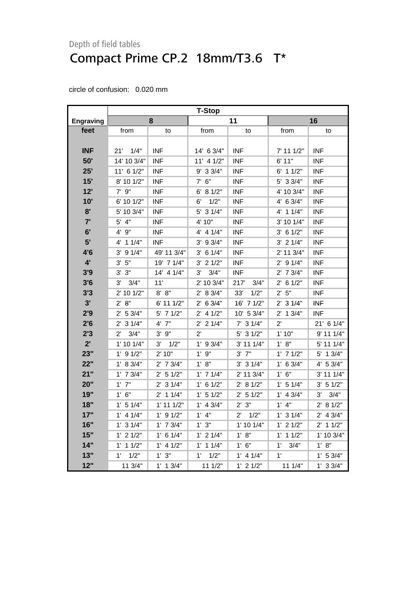|                  | <b>T-Stop</b>        |                |                     |                     |               |                |  |
|------------------|----------------------|----------------|---------------------|---------------------|---------------|----------------|--|
| <b>Engraving</b> |                      | 8              |                     | 11                  |               | 16             |  |
| feet             | from                 | to             | from                | to                  | from          | to             |  |
|                  |                      |                |                     |                     |               |                |  |
| <b>INF</b>       | $21'$ $1/4"$         | <b>INF</b>     | 14' 6 3/4"          | <b>INF</b>          | 7' 11 1/2"    | <b>INF</b>     |  |
| 50'              | 14' 10 3/4"          | <b>INF</b>     | $11'$ 4 $1/2"$      | <b>INF</b>          | 6'11"         | <b>INF</b>     |  |
| 25'              | 11' 6 1/2"           | <b>INF</b>     | $9'$ 3 3/4"         | <b>INF</b>          | $6'$ 1 1/2"   | <b>INF</b>     |  |
| 15'              | 8' 10 1/2"           | <b>INF</b>     | $7'$ 6"             | <b>INF</b>          | 5' 3 3/4"     | <b>INF</b>     |  |
| 12'              | $7'$ $9''$           | <b>INF</b>     | 6' 8 1/2"           | <b>INF</b>          | 4' 10 3/4"    | <b>INF</b>     |  |
| 10'              | 6' 10 1/2"           | <b>INF</b>     | 1/2"<br>6'          | <b>INF</b>          | $4'$ 6 3/4"   | <b>INF</b>     |  |
| 8'               | 5' 10 3/4"           | <b>INF</b>     | 5' 3 1/4"           | <b>INF</b>          | 4' 1 1/4"     | <b>INF</b>     |  |
| 7'               | $5'$ 4"              | <b>INF</b>     | 4' 10"              | <b>INF</b>          | 3' 10 1/4"    | <b>INF</b>     |  |
| 6'               | 4' 9"                | <b>INF</b>     | $4'$ 4 $1/4"$       | <b>INF</b>          | $3'$ 6 1/2"   | <b>INF</b>     |  |
| 5'               | $4'$ 1 1/4"          | <b>INF</b>     | $3'$ 9 $3/4"$       | <b>INF</b>          | $3'$ 2 $1/4"$ | <b>INF</b>     |  |
| 4'6              | $3'$ 9 $1/4"$        | 49' 11 3/4"    | $3'$ 6 1/4"         | <b>INF</b>          | 2' 11 3/4"    | <b>INF</b>     |  |
| $4^{\prime}$     | $3'$ $5"$            | 19' 7 1/4"     | $3'$ 2 $1/2"$       | <b>INF</b>          | $2'$ 9 1/4"   | <b>INF</b>     |  |
| 3'9              | 3'3''                | 14' 4 1/4"     | 3/4"<br>3'          | <b>INF</b>          | $2'$ 7 $3/4"$ | <b>INF</b>     |  |
| 3'6              | 3'<br>3/4"           | 11'            | $2'$ 10 $3/4"$      | 217'<br>3/4"        | $2'$ 6 1/2"   | <b>INF</b>     |  |
| 3'3              | 2' 10 1/2"           | 8' 8''         | 2' 8 3/4"           | 33'<br>1/2"         | 2' 5''        | <b>INF</b>     |  |
| 3'               | 2' 8''               | 6' 11 1/2"     | $2'$ 6 3/4"         | 16' 7 1/2"          | $2'$ 3 1/4"   | <b>INF</b>     |  |
| 2'9              | $2'$ 5 3/4"          | $5'$ 7 1/2"    | $2'$ 4 1/2"         | 10' 5 3/4"          | $2'$ 1 $3/4"$ | <b>INF</b>     |  |
| 2'6              | $2'$ 3 1/4"          | 4' 7"          | $2'$ 2 1/4"         | $7'$ 3 1/4"         | $2^{\prime}$  | 21' 6 1/4"     |  |
| 2'3              | $2^{\prime}$<br>3/4" | $3'$ $9''$     | $2^{\prime}$        | $5'$ 3 $1/2"$       | 1'10"         | 9' 11 1/4"     |  |
| 2'               | 1' 10 1/4"           | $3'$ $1/2"$    | $1'$ 9 3/4"         | 3' 11 1/4"          | 1' 8"         | 5' 11 1/4"     |  |
| 23"              | $1'$ 9 $1/2"$        | 2' 10"         | $1'$ $9"$           | $3'$ $7''$          | $1'$ 7 $1/2"$ | $5'$ 1 3/4"    |  |
| 22"              | 1' 8 3/4"            | 2' 7 3/4"      | 1' 8''              | $3'$ 3 $1/4"$       | $1'$ 6 3/4"   | 4' 5 3/4"      |  |
| 21"              | $1'$ 7 $3/4"$        | $2'$ 5 1/2"    | $1'$ 7 $1/4"$       | $2'$ 11 $3/4"$      | 1' 6''        | $3'$ 11 1/4"   |  |
| 20"              | $1'$ $7"$            | $2'$ 3 1/4"    | $1'$ 6 $1/2"$       | 2' 8 1/2"           | $1'$ 5 $1/4"$ | 3' 51/2"       |  |
| 19"              | $1'$ 6"              | $2'$ 1 1/4"    | $1'$ 5 $1/2"$       | $2'$ 5 1/2"         | $1'$ 4 3/4"   | 3/4"<br>3'     |  |
| 18"              | $1'$ 5 $1/4"$        | $1'$ 11 $1/2"$ | $1'$ 4 3/4"         | 2' 3''              | $1'$ 4"       | 2' 8 1/2"      |  |
| 17"              | $1'$ 4 $1/4"$        | $1'$ 9 $1/2"$  | $1'$ $4"$           | 1/2"<br>$2^{\circ}$ | $1'$ 3 $1/4"$ | $2'$ 4 3/4"    |  |
| 16"              | $1'$ 3 $1/4"$        | $1'$ 7 $3/4"$  | 1'3''               | $1'$ 10 $1/4"$      | $1'$ 2 $1/2"$ | $2'$ 1 1/2"    |  |
| 15"              | $1'$ 2 $1/2"$        | $1'$ 6 $1/4"$  | $1'$ 2 $1/4"$       | 1' 8''              | $1'$ 1 $1/2"$ | $1'$ 10 $3/4"$ |  |
| 14"              | $1'$ 1 $1/2"$        | $1'$ 4 $1/2"$  | $1'$ 1 $1/4"$       | $1'$ 6"             | 1'<br>3/4"    | 1' 8''         |  |
| 13"              | $1^{\prime}$<br>1/2" | 1' 3''         | $1^{\circ}$<br>1/2" | $1'$ 4 $1/4"$       | 1'            | 1' 5 3/4"      |  |
| 12"              | 11 3/4"              | $1'$ 1 $3/4"$  | 11 1/2"             | $1'$ 2 $1/2"$       | 111/4"        | 1' 33/4"       |  |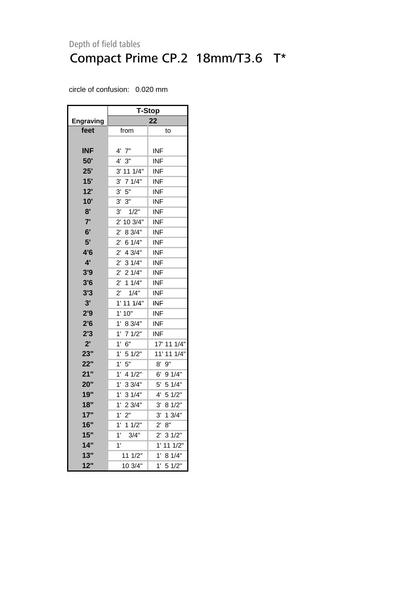|                  | <b>T-Stop</b>           |                        |  |  |  |
|------------------|-------------------------|------------------------|--|--|--|
| <b>Engraving</b> | 22                      |                        |  |  |  |
| feet             | from                    | to                     |  |  |  |
|                  |                         |                        |  |  |  |
| <b>INF</b>       | 4' 7"                   | INF                    |  |  |  |
| 50'              | 4'3''                   | <b>INF</b>             |  |  |  |
| 25'              | 3' 11 1/4"              | <b>INF</b>             |  |  |  |
| 15'              | 3'<br>71/4"             | <b>INF</b>             |  |  |  |
| 12'              | $5"$<br>3'              | <b>INF</b>             |  |  |  |
| 10'              | 3' 3''                  | <b>INF</b>             |  |  |  |
| 8'               | 3'<br>1/2"              | <b>INF</b>             |  |  |  |
| 7'               | 10 3/4"<br>$2^{\prime}$ | INF                    |  |  |  |
| 6'               | 8 3/4"<br>$2^{\prime}$  | <b>INF</b>             |  |  |  |
| 5'               | 6 1/4"<br>$2^{\prime}$  | INF                    |  |  |  |
| 4'6              | $2'$ 4 3/4"             | INF                    |  |  |  |
| 4'               | $2'$ 3 1/4"             | <b>INF</b>             |  |  |  |
| 3'9              | $2'$ 2 1/4"             | <b>INF</b>             |  |  |  |
| 3'6              | $2^{\prime}$<br>11/4"   | <b>INF</b>             |  |  |  |
| 3'3              | 1/4"<br>$2^{\prime}$    | INF                    |  |  |  |
| 3'               | 1' 11 1/4"              | <b>INF</b>             |  |  |  |
| 2'9              | 1' 10"                  | <b>INF</b>             |  |  |  |
| 2'6              | 1'<br>8 3/4"            | <b>INF</b>             |  |  |  |
| 2'3              | 1'<br>71/2"             | <b>INF</b>             |  |  |  |
| $2^{\prime}$     | 6"<br>1'                | 17' 11 1/4"            |  |  |  |
| 23"              | 1'<br>51/2"             | 11' 11 1/4"            |  |  |  |
| 22"              | 5"<br>$1^{\circ}$       | $8'$ $9''$             |  |  |  |
| 21"              | 1'<br>4 1/2"            | 6'<br>9 1/4"           |  |  |  |
| 20"              | 1' 33/4"                | 51/4"<br>5'            |  |  |  |
| 19"              | 1'<br>31/4"             | 4'<br>5 1/2"           |  |  |  |
| 18"              | 1'<br>23/4"             | 8 1/2"<br>3,           |  |  |  |
| 17"              | 2"<br>1'                | 13/4"<br>3'            |  |  |  |
| 16"              | 11/2"<br>1'             | 8"<br>$2^{\prime}$     |  |  |  |
| 15"              | 3/4"<br>1'              | 31/2"<br>$2^{\prime}$  |  |  |  |
| 14"              | 1'                      | 11 1/2"<br>$1^{\circ}$ |  |  |  |
| 13"              | 11 1/2"                 | 8 1/4"<br>1'           |  |  |  |
| 12"              | 10 3/4"                 | 5 1/2"<br>1'           |  |  |  |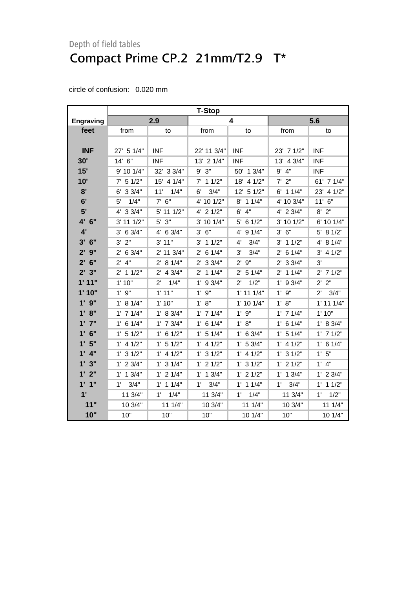<span id="page-7-0"></span>

|                    | <b>T-Stop</b>         |                      |                       |                      |               |                      |
|--------------------|-----------------------|----------------------|-----------------------|----------------------|---------------|----------------------|
| Engraving          |                       | 2.9                  |                       | 4                    |               | 5.6                  |
| feet               | from                  | to                   | from                  | to                   | from          | to                   |
|                    |                       |                      |                       |                      |               |                      |
| <b>INF</b>         | 27' 5 1/4"            | <b>INF</b>           | 22' 11 3/4"           | <b>INF</b>           | 23' 7 1/2"    | INF                  |
| 30'                | 14' 6"                | <b>INF</b>           | 13' 2 1/4"            | <b>INF</b>           | 13' 4 3/4"    | INF                  |
| 15'                | 9' 10 1/4"            | 32' 3 3/4"           | 9'<br>3"              | 50' 1 3/4"           | 9' 4"         | <b>INF</b>           |
| 10'                | $7'$ 5 1/2"           | 15' 4 1/4"           | $7'$ 1 1/2"           | 18' 4 1/2"           | $7'$ $2"$     | 61' 7 1/4"           |
| 8'                 | 33/4"<br>6'           | 11'<br>1/4"          | 3/4"<br>6'            | 12' 5 1/2"           | $6'$ 1 1/4"   | 23' 4 1/2"           |
| 6'                 | 1/4"<br>5'            | $7'$ 6"              | 4' 10 1/2"            | $8'$ 1 1/4"          | 4' 10 3/4"    | $11'$ 6"             |
| 5'                 | 4' 3 3/4"             | 5' 11 1/2"           | $4'$ 2 $1/2"$         | $6'$ 4"              | 4' 2 3/4"     | $8'$ 2"              |
| 4' 6"              | 3' 11 1/2"            | $5'$ $3"$            | 3' 10 1/4"            | 61/2"<br>5'          | 3' 10 1/2"    | 6' 10 1/4"           |
| 4'                 | $3'$ 6 $3/4"$         | 4' 6 3/4"            | $3'$ 6"               | 4' 9 1/4"            | 3' 6''        | 5' 8 1/2"            |
| $3'$ 6"            | $3'$ $2"$             | 3' 11"               | $3'$ 1 1/2"           | 3/4"<br>4'           | $3'$ 1 1/2"   | 4' 8 1/4"            |
| $2'$ $9''$         | $2'$ 6 3/4"           | 2' 11 3/4"           | $2'$ 6 1/4"           | 3'<br>3/4"           | $2'$ 6 1/4"   | $3'$ 4 $1/2"$        |
| 6"<br>$2^{\prime}$ | $2'$ 4"               | 2' 8 1/4"            | $2'$ 3 3/4"           | 2'9''                | $2'$ 3 $3/4"$ | 3'                   |
| 2'3"               | 11/2"<br>$2^{\prime}$ | $2'$ 4 $3/4"$        | 11/4"<br>$2^{\prime}$ | 2' 5 1/4"            | $2'$ 1 1/4"   | $2'$ 7 1/2"          |
| 1'11"              | 1'10"                 | $2^{\prime}$<br>1/4" | $1'$ 9 3/4"           | 1/2"<br>$2^{\prime}$ | $1'$ 9 $3/4"$ | 2' 2"                |
| 1'10"              | $1'$ $9"$             | 1'11"                | 1'9''                 | $1'$ 11 $1/4"$       | 1'9''         | $2^{\prime}$<br>3/4" |
| $1'$ $9''$         | 1' 8 1/4"             | 1'10"                | 1' 8''                | $1'$ 10 $1/4"$       | 1' 8''        | $1'$ 11 $1/4"$       |
| 1' 8''             | $1'$ 7 $1/4"$         | 1' 8 3/4"            | $1'$ 7 $1/4"$         | $1'$ $9"$            | $1'$ 7 $1/4"$ | 1'10"                |
| $1'$ $7''$         | $1'$ 6 $1/4"$         | $1'$ 7 $3/4"$        | $1'$ 6 $1/4"$         | 1' 8''               | $1'$ 6 $1/4"$ | 1' 8 3/4"            |
| $1'$ 6"            | $1'$ 5 $1/2"$         | $1'$ 6 $1/2"$        | $1'$ 5 $1/4"$         | $1'$ 6 3/4"          | $1'$ 5 $1/4"$ | $1'$ 7 $1/2"$        |
| 1'5"               | $1'$ 4 $1/2"$         | $1'$ 5 $1/2"$        | $1'$ 4 $1/2"$         | 1' 53/4"             | $1'$ 4 $1/2"$ | $1'$ 6 $1/4"$        |
| $1'$ 4"            | $1'$ 3 $1/2"$         | $1'$ 4 $1/2"$        | $1'$ 3 $1/2"$         | $1'$ 4 $1/2"$        | $1'$ 3 $1/2"$ | 1'5"                 |
| 1'3''              | $1'$ 2 3/4"           | $1'$ 3 $1/4"$        | $1'$ 2 $1/2"$         | $1'$ 3 $1/2"$        | $1'$ 2 $1/2"$ | $1'$ 4"              |
| $1'$ $2"$          | $1'$ 1 $3/4"$         | $1'$ 2 $1/4"$        | $1'$ 1 $3/4"$         | $1'$ 2 $1/2"$        | $1'$ 1 3/4"   | $1'$ 2 3/4"          |
| 1'1''              | 3/4"<br>1'            | $1'$ 1 $1/4"$        | 3/4"<br>$1^{\circ}$   | $1'$ 1 $1/4"$        | 1'<br>3/4"    | $1'$ 1 $1/2"$        |
| 1'                 | 11 3/4"               | 1/4"<br>$1^{\prime}$ | 11 3/4"               | 1/4"<br>1'           | 11 3/4"       | 1/2"<br>$1^{\circ}$  |
| 11"                | 10 3/4"               | 11 1/4"              | 10 3/4"               | 111/4"               | 10 3/4"       | 11 1/4"              |
| 10"                | 10"                   | 10"                  | 10"                   | 10 1/4"              | 10"           | 10 1/4"              |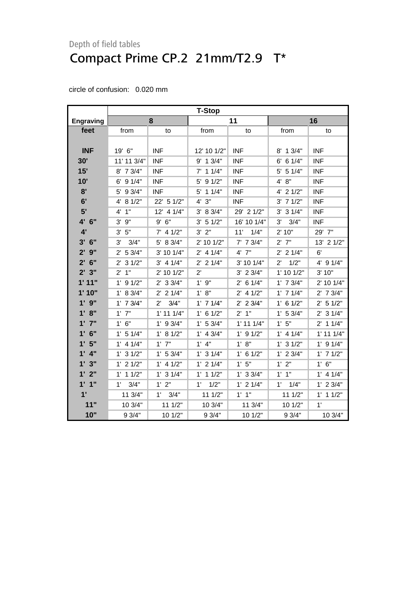|                  | <b>T-Stop</b> |                      |                     |                |                      |                |
|------------------|---------------|----------------------|---------------------|----------------|----------------------|----------------|
| <b>Engraving</b> |               | 8                    |                     | 11             |                      | 16             |
| feet             | from          | to                   | from                | to             | from                 | to             |
|                  |               |                      |                     |                |                      |                |
| <b>INF</b>       | 19' 6"        | <b>INF</b>           | 12' 10 1/2"         | <b>INF</b>     | 8' 1 3/4"            | <b>INF</b>     |
| 30'              | 11' 11 3/4"   | <b>INF</b>           | $9'$ 1 $3/4"$       | <b>INF</b>     | 6 1/4"<br>6'         | <b>INF</b>     |
| 15'              | 8' 7 3/4"     | <b>INF</b>           | $7'$ 1 1/4"         | <b>INF</b>     | 51/4"<br>5'          | <b>INF</b>     |
| 10'              | $6'$ 9 $1/4"$ | <b>INF</b>           | 5' 9 1/2"           | <b>INF</b>     | 4' 8"                | <b>INF</b>     |
| 8'               | 5' 9 3/4"     | <b>INF</b>           | $5'$ 1 1/4"         | <b>INF</b>     | 4' 2 1/2"            | <b>INF</b>     |
| 6'               | 4' 8 1/2"     | 22' 5 1/2"           | 3"<br>4'            | <b>INF</b>     | $3'$ 7 $1/2"$        | <b>INF</b>     |
| 5'               | 1"<br>4'      | 12' 4 1/4"           | 3' 8 3/4"           | 29' 2 1/2"     | $3'$ 3 $1/4"$        | <b>INF</b>     |
| 4' 6"            | 3'<br>9"      | 9' 6''               | 3' 51/2"            | 16' 10 1/4"    | 3'<br>3/4"           | <b>INF</b>     |
| 4'               | 3' 5''        | $7'$ 4 1/2"          | $3'$ $2"$           | 1/4"<br>11'    | 2' 10"               | 29' 7"         |
| $3'$ 6"          | 3/4"<br>3'    | 5' 8 3/4"            | 2' 10 1/2"          | $7'$ 7 $3/4"$  | $2'$ 7"              | 13' 2 1/2"     |
| $2'$ $9''$       | $2'$ 5 3/4"   | 3' 10 1/4"           | $2'$ 4 1/4"         | $4'$ $7"$      | $2'$ 2 1/4"          | 6'             |
| $2'$ 6"          | $2'$ 3 $1/2"$ | $3'$ 4 $1/4"$        | $2'$ 2 1/4"         | 3' 10 1/4"     | 1/2"<br>$2^{\prime}$ | 4' 9 1/4"      |
| 2'3"             | $2'$ 1"       | 2' 10 1/2"           | $2^{\prime}$        | $3'$ 2 $3/4"$  | 1' 10 1/2"           | 3' 10"         |
| 1'11"            | $1'$ 9 $1/2"$ | $2'$ 3 3/4"          | $1'$ $9"$           | $2'$ 6 1/4"    | $1'$ 7 $3/4"$        | 2' 10 1/4"     |
| 1'10"            | 1' 8 3/4"     | $2'$ 2 1/4"          | 1' 8''              | $2'$ 4 1/2"    | $1'$ 7 $1/4"$        | $2'$ 7 $3/4"$  |
| 1'9''            | $1'$ 7 $3/4"$ | 3/4"<br>$2^{\prime}$ | $1'$ 7 $1/4"$       | $2'$ 2 3/4"    | $1'$ 6 $1/2"$        | 2' 5 1/2"      |
| 1' 8''           | $1'$ $7"$     | $1'$ 11 $1/4"$       | $1'$ 6 $1/2"$       | 2'1"           | 1' 5 3/4"            | $2'$ 3 $1/4"$  |
| $1'$ $7''$       | 1' 6''        | $1'$ 9 3/4"          | 1' 53/4"            | $1'$ 11 $1/4"$ | 1'5''                | $2'$ 1 1/4"    |
| $1'$ 6"          | $1'$ 5 $1/4"$ | 1' 8 1/2"            | $1'$ 4 $3/4"$       | $1'$ 9 $1/2"$  | $1'$ 4 $1/4"$        | $1'$ 11 $1/4"$ |
| 1'5"             | $1'$ 4 $1/4"$ | $1'$ $7"$            | $1'$ 4"             | 1' 8''         | $1'$ 3 $1/2"$        | $1'$ 9 $1/4"$  |
| $1'$ 4"          | $1'$ 3 $1/2"$ | 1' 53/4"             | $1'$ 3 $1/4"$       | $1'$ 6 $1/2"$  | $1'$ 2 3/4"          | $1'$ 7 $1/2"$  |
| 1'3"             | $1'$ 2 $1/2"$ | $1'$ 4 $1/2"$        | $1'$ 2 $1/4"$       | 1'5''          | 1'2"                 | 1' 6''         |
| $1'$ $2"$        | $1'$ 1 $1/2"$ | $1'$ 3 $1/4"$        | $1'$ 1 $1/2"$       | $1'$ 3 3/4"    | $1'$ $1''$           | $1'$ 4 $1/4"$  |
| 1'1''            | 3/4"<br>1'    | $1'$ $2"$            | 1/2"<br>$1^{\circ}$ | $1'$ 2 $1/4"$  | $1^{\circ}$<br>1/4"  | $1'$ 2 3/4"    |
| 1'               | 11 3/4"       | $1^{\prime}$<br>3/4" | 111/2"              | $1'$ $1''$     | 111/2"               | $1'$ 1 $1/2"$  |
| 11"              | 10 3/4"       | 111/2"               | 10 3/4"             | 11 3/4"        | 10 1/2"              | 1'             |
| 10"              | 93/4"         | 10 1/2"              | 9 3/4"              | 10 1/2"        | 9 3/4"               | 10 3/4"        |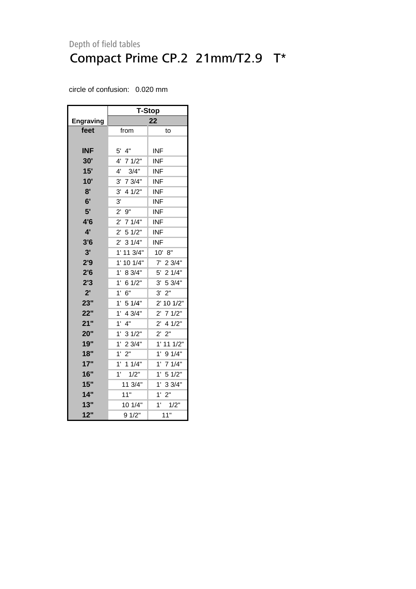|            | <b>T-Stop</b>          |                       |  |  |  |  |
|------------|------------------------|-----------------------|--|--|--|--|
| Engraving  | 22                     |                       |  |  |  |  |
| feet       | from                   | to                    |  |  |  |  |
|            |                        |                       |  |  |  |  |
| <b>INF</b> | $5'$ 4"                | <b>INF</b>            |  |  |  |  |
| 30'        | 71/2"<br>4'            | INF                   |  |  |  |  |
| 15'        | 3/4"<br>$4^{\prime}$   | <b>INF</b>            |  |  |  |  |
| 10'        | 7 3/4"<br>$3^{\prime}$ | <b>INF</b>            |  |  |  |  |
| 8'         | 3'<br>4 1/2"           | <b>INF</b>            |  |  |  |  |
| 6'         | 3'                     | <b>INF</b>            |  |  |  |  |
| 5'         | $2^{\prime}$<br>9"     | <b>INF</b>            |  |  |  |  |
| 4'6        | $2^{\prime}$<br>71/4"  | <b>INF</b>            |  |  |  |  |
| 4'         | $2^{\prime}$<br>51/2"  | <b>INF</b>            |  |  |  |  |
| 3'6        | 31/4"<br>$2^{\prime}$  | <b>INF</b>            |  |  |  |  |
| 3'         | 1'<br>11 3/4"          | 10' 8"                |  |  |  |  |
| 2'9        | $1^{\circ}$<br>10 1/4" | $7'$ 2 3/4"           |  |  |  |  |
| 2'6        | 1'<br>8 3/4"           | 5' 2 1/4"             |  |  |  |  |
| 2'3        | 1'<br>6 1/2"           | 3' 5 3/4"             |  |  |  |  |
| 2'         | 1'<br>6"               | 2"<br>3'              |  |  |  |  |
| 23"        | 1'<br>51/4"            | 2' 10 1/2"            |  |  |  |  |
| 22"        | 1'<br>4 3/4"           | $2^{\prime}$<br>71/2" |  |  |  |  |
| 21"        | 1'<br>4"               | $2'$ 4 1/2"           |  |  |  |  |
| 20"        | 1'<br>31/2"            | 2"<br>$2^{\prime}$    |  |  |  |  |
| 19"        | 1' 23/4"               | 1' 11 1/2"            |  |  |  |  |
| 18"        | $1^{\circ}$<br>2"      | 1'<br>91/4"           |  |  |  |  |
| 17"        | $1'$ 1 $1/4"$          | 1'<br>71/4"           |  |  |  |  |
| 16"        | 1'<br>1/2"             | 1'<br>51/2"           |  |  |  |  |
| 15"        | 11 3/4"                | 33/4"<br>1'           |  |  |  |  |
| 14"        | 11"                    | 2"<br>$1^{\circ}$     |  |  |  |  |
| 13"        | 10 1/4"                | 1'<br>1/2"            |  |  |  |  |
| 12"        | 91/2"                  | 11"                   |  |  |  |  |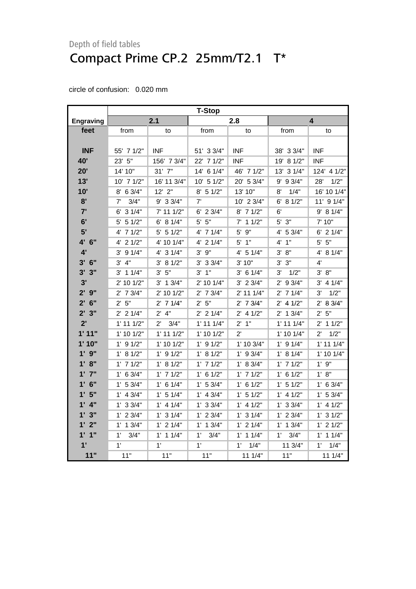<span id="page-10-0"></span>

|                                 | <b>T-Stop</b>  |                     |                |               |                |                        |
|---------------------------------|----------------|---------------------|----------------|---------------|----------------|------------------------|
| <b>Engraving</b>                |                | 2.1                 |                | 2.8           |                | 4                      |
| feet                            | from           | to                  | from           | to            | from           | to                     |
|                                 |                |                     |                |               |                |                        |
| <b>INF</b>                      | 55' 7 1/2"     | <b>INF</b>          | 51' 3 3/4"     | <b>INF</b>    | 38' 3 3/4"     | <b>INF</b>             |
| 40'                             | 23' 5"         | 156' 7 3/4"         | 22' 7 1/2"     | <b>INF</b>    | 19' 8 1/2"     | <b>INF</b>             |
| 20'                             | 14' 10"        | $31'$ $7''$         | 14' 6 1/4"     | 46' 7 1/2"    | 13' 3 1/4"     | 124' 4 1/2"            |
| 13'                             | $10'$ 7 $1/2"$ | 16' 11 3/4"         | $10'$ 5 $1/2"$ | 20' 5 3/4"    | $9'$ 9 $3/4"$  | 1/2"<br>28'            |
| 10'                             | 8' 6 3/4"      | $12'$ $2"$          | $8'$ 5 1/2"    | 13' 10"       | 1/4"<br>8'     | 16' 10 1/4"            |
| 8'                              | 3/4"<br>7'     | $9'$ 3 3/4"         | 7'             | 10' 2 3/4"    | $6'$ 8 1/2"    | $11'$ 9 $1/4"$         |
| 7'                              | $6'$ 3 $1/4"$  | 7' 11 1/2"          | $6'$ 2 3/4"    | 8' 7 1/2"     | 6'             | 9' 8 1/4"              |
| 6'                              | $5'$ 5 1/2"    | $6'$ 8 1/4"         | $5'$ $5"$      | $7'$ 1 1/2"   | $5'$ $3"$      | 7' 10"                 |
| 5'                              | $4'$ 7 $1/2"$  | $5'$ 5 $1/2"$       | $4'$ 7 $1/4"$  | 5' 9"         | 4' 5 3/4"      | $6'$ 2 1/4"            |
| 4' 6"                           | 4' 2 1/2"      | 4' 10 1/4"          | 4' 2 1/4"      | $5'$ 1"       | 4' 1''         | $5'$ $5"$              |
| 4'                              | $3'$ 9 $1/4"$  | 4' 3 1/4"           | $3'$ $9''$     | 4' 5 1/4"     | 3' 8''         | 4' 8 1/4"              |
| $3'$ 6"                         | 3' 4''         | 3' 81/2"            | $3'$ 3 $3/4"$  | 3'10"         | $3'$ $3"$      | 4'                     |
| 3'3''                           | $3'$ 1 1/4"    | 3' 5''              | $3'$ $1"$      | $3'$ 6 1/4"   | 1/2"<br>3'     | 3' 8''                 |
| 3'                              | $2'$ 10 1/2"   | $3'$ 1 $3/4"$       | 2' 10 1/4"     | $3'$ 2 $3/4"$ | $2'$ 9 $3/4"$  | $3'$ 4 1/4"            |
| $2'$ $9''$                      | $2'$ 7 $3/4"$  | 2' 10 1/2"          | $2'$ 7 $3/4"$  | $2'$ 11 1/4"  | $2'$ 7 1/4"    | 1/2"<br>3'             |
| $2'$ 6"                         | 2'5"           | $2'$ 7 1/4"         | 2' 5''         | $2'$ 7 $3/4"$ | $2'$ 4 1/2"    | 8 3/4"<br>$2^{\prime}$ |
| 2'3''                           | $2'$ 2 1/4"    | $2'$ 4"             | $2'$ 2 1/4"    | $2'$ 4 1/2"   | $2'$ 1 3/4"    | 2' 5''                 |
| 2'                              | $1'$ 11 $1/2"$ | 3/4"<br>$2^{\circ}$ | $1'$ 11 $1/4"$ | $2'$ 1"       | $1'$ 11 $1/4"$ | $2'$ 1 1/2"            |
| 1'11"                           | $1'$ 10 $1/2"$ | $1'$ 11 $1/2"$      | $1'$ 10 $1/2"$ | $2^{\prime}$  | $1'$ 10 $1/4"$ | 1/2"<br>$2^{\prime}$   |
| 1' 10"                          | $1'$ 9 $1/2"$  | 1' 10 1/2"          | $1'$ 9 $1/2"$  | 1' 10 3/4"    | $1'$ 9 $1/4"$  | $1'$ 11 $1/4"$         |
| $1'$ $9''$                      | 1' 8 1/2"      | $1'$ 9 $1/2"$       | $1'$ 8 $1/2"$  | $1'$ 9 $3/4"$ | 1' 8 1/4"      | $1'$ 10 $1/4"$         |
| 1' 8"                           | $1'$ 7 $1/2"$  | 1' 8 1/2"           | $1'$ 7 $1/2"$  | 1' 8 3/4"     | $1'$ 7 $1/2"$  | 1'9''                  |
| $1'$ $7"$                       | $1'$ 6 3/4"    | $1'$ 7 $1/2"$       | $1'$ 6 $1/2"$  | $1'$ 7 $1/2"$ | $1'$ 6 $1/2"$  | 1' 8"                  |
| 6"<br>$1^{\circ}$               | 1' 53/4"       | $1'$ 6 $1/4"$       | 1' 53/4"       | $1'$ 6 $1/2"$ | 1' 5 1/2"      | $1'$ 6 3/4"            |
| 5"<br>$\mathbf{1}^{\mathsf{r}}$ | $1'$ 4 3/4"    | $1'$ 5 $1/4"$       | $1'$ 4 3/4"    | $1'$ 5 $1/2"$ | $1'$ 4 $1/2"$  | $1'$ 5 3/4"            |
| 4"<br>1'                        | $1'$ 3 3/4"    | $1'$ 4 $1/4"$       | $1'$ 3 3/4"    | $1'$ 4 $1/2"$ | $1'$ 3 $3/4"$  | $1'$ 4 $1/2"$          |
| 3"<br>$1^{\prime}$              | $1'$ 2 $3/4"$  | $1'$ 3 $1/4"$       | $1'$ 2 $3/4"$  | 1' 3 1/4"     | $1'$ 2 $3/4"$  | $1'$ 3 $1/2"$          |
| 1'2"                            | $1'$ 1 $3/4"$  | $1'$ 2 $1/4"$       | $1'$ 1 $3/4"$  | $1'$ 2 $1/4"$ | $1'$ 1 $3/4"$  | $1'$ 2 $1/2"$          |
| $1'$ $1''$                      | 1'<br>3/4"     | $1'$ 1 $1/4"$       | 3/4"<br>1'     | $1'$ 1 $1/4"$ | 1'<br>3/4"     | $1'$ 1 $1/4"$          |
| 1'                              | 1'             | 1'                  | 1'             | 1'<br>1/4"    | 11 3/4"        | 1/4"<br>$1^{\circ}$    |
| 11"                             | 11"            | 11"                 | 11"            | 111/4"        | 11"            | 111/4"                 |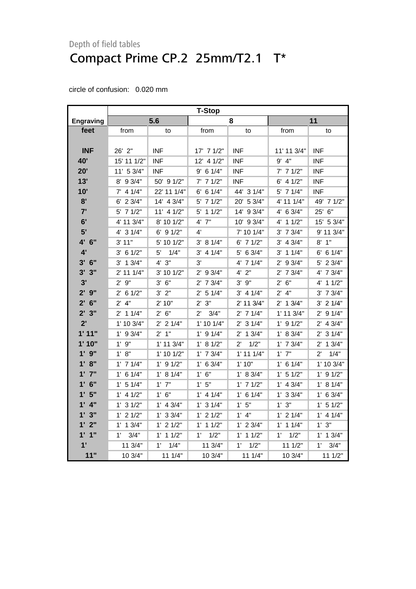|                        | <b>T-Stop</b>        |                |                      |                      |                |                      |
|------------------------|----------------------|----------------|----------------------|----------------------|----------------|----------------------|
| <b>Engraving</b>       |                      | 5.6            |                      | 8                    |                | 11                   |
| feet                   | from                 | to             | from                 | to                   | from           | to                   |
|                        |                      |                |                      |                      |                |                      |
| <b>INF</b>             | 26' 2"               | <b>INF</b>     | 17' 7 1/2"           | <b>INF</b>           | 11' 11 3/4"    | <b>INF</b>           |
| 40'                    | 15' 11 1/2"          | <b>INF</b>     | 12' 4 1/2"           | <b>INF</b>           | $9'$ 4"        | INF                  |
| 20'                    | $11'$ 5 3/4"         | INF            | $9'$ 6 1/4"          | <b>INF</b>           | $7'$ 7 1/2"    | <b>INF</b>           |
| 13'                    | 8' 9 3/4"            | 50' 9 1/2"     | $7'$ 7 $1/2"$        | <b>INF</b>           | $6'$ 4 $1/2"$  | INF                  |
| 10'                    | $7'$ 4 1/4"          | 22' 11 1/4"    | $6'$ 6 1/4"          | 44' 3 1/4"           | 5' 7 1/4"      | INF                  |
| 8'                     | $6'$ 2 3/4"          | 14' 4 3/4"     | $5'$ 7 1/2"          | 20' 5 3/4"           | 4' 11 1/4"     | 49' 7 1/2"           |
| 7'                     | $5'$ 7 1/2"          | $11'$ 4 $1/2"$ | 5' 1 1/2"            | 14' 9 3/4"           | 4' 6 3/4"      | 25' 6"               |
| 6'                     | 4' 11 3/4"           | 8' 10 1/2"     | 7"<br>4'             | 10' 9 3/4"           | $4'$ 1 $1/2"$  | 15' 5 3/4"           |
| 5'                     | 4' 3 1/4"            | $6'$ 9 $1/2"$  | 4'                   | 7' 10 1/4"           | $3'$ 7 $3/4"$  | 9' 11 3/4"           |
| 4' 6"                  | 3' 11"               | 5' 10 1/2"     | 3' 81/4"             | $6'$ 7 1/2"          | $3'$ 4 $3/4"$  | $8'$ 1"              |
| 4'                     | 3' 6 1/2"            | 1/4"<br>5'     | $3'$ 4 1/4"          | 5' 6 3/4"            | $3'$ 1 1/4"    | $6'$ 6 1/4"          |
| $3'$ 6"                | $3'$ 1 $3/4"$        | 4' 3''         | 3'                   | 4' 7 1/4"            | $2'$ 9 3/4"    | 5' 2 3/4"            |
| 3'3''                  | 2' 11 1/4"           | 3' 10 1/2"     | $2'$ 9 $3/4"$        | $4'$ $2"$            | $2'$ 7 $3/4"$  | 4' 7 3/4"            |
| 3'                     | $2'$ $9''$           | $3'$ 6"        | $2'$ 7 $3/4"$        | $3'$ $9''$           | $2'$ 6"        | 4' 1 1/2"            |
| 2'9''                  | $2'$ 6 1/2"          | 3' 2''         | 2' 5 1/4"            | $3'$ 4 1/4"          | $2'$ 4"        | $3'$ 7 $3/4"$        |
| $2'$ 6"                | $2'$ 4"              | 2' 10"         | 2' 3''               | 2' 11 3/4"           | $2'$ 1 3/4"    | $3'$ 2 $1/4"$        |
| 2'3''                  | $2'$ 1 1/4"          | 2' 6''         | 3/4"<br>$2^{\prime}$ | $2'$ 7 1/4"          | $1'$ 11 $3/4"$ | $2'$ 9 1/4"          |
| 2'                     | 1' 10 3/4"           | $2'$ 2 1/4"    | $1'$ 10 $1/4"$       | $2'$ 3 $1/4"$        | $1'$ 9 $1/2"$  | $2'$ 4 $3/4"$        |
| 1'11"                  | $1'$ 9 $3/4"$        | $2'$ 1"        | $1'$ 9 $1/4"$        | $2'$ 1 3/4"          | 1' 8 3/4"      | $2'$ 3 1/4"          |
| 1' 10"                 | $1'$ $9"$            | $1'$ 11 $3/4"$ | 1' 8 1/2"            | 1/2"<br>$2^{\prime}$ | $1'$ 7 $3/4"$  | $2'$ 1 $3/4"$        |
| $1'$ $9''$             | 1' 8''               | 1' 10 1/2"     | $1'$ 7 $3/4"$        | $1'$ 11 $1/4"$       | $1'$ $7"$      | $2^{\prime}$<br>1/4" |
| 1' 8''                 | $1'$ 7 $1/4"$        | $1'$ 9 $1/2"$  | $1'$ 6 3/4"          | 1'10"                | $1'$ 6 $1/4"$  | $1'$ 10 $3/4"$       |
| $1'$ $7"$              | $1'$ 6 $1/4"$        | 1' 8 1/4"      | 1' 6''               | 1' 8 3/4"            | $1'$ 5 $1/2"$  | $1'$ 9 $1/2"$        |
| 6"<br>$1^{\prime}$     | $1'$ 5 $1/4"$        | $1'$ $7"$      | 1'5"                 | $1'$ 7 $1/2"$        | $1'$ 4 $3/4"$  | 1' 8 1/4"            |
| 1'5"                   | $1'$ 4 $1/2"$        | $1'$ 6"        | $1'$ 4 $1/4"$        | $1'$ 6 $1/4"$        | $1'$ 3 3/4"    | $1'$ 6 3/4"          |
| $1'$ 4"                | $1'$ 3 $1/2"$        | $1'$ 4 3/4"    | $1'$ 3 $1/4"$        | 1'5"                 | 1'3"           | $1'$ 5 $1/2"$        |
| 1'3''                  | $1'$ 2 $1/2"$        | $1'$ 3 $3/4"$  | $1'$ 2 $1/2"$        | $1'$ $4"$            | $1'$ 2 $1/4"$  | $1'$ 4 $1/4"$        |
| 1' 2"                  | $1'$ 1 $3/4"$        | $1'$ 2 $1/2"$  | $1'$ 1 $1/2"$        | $1'$ 2 $3/4"$        | $1'$ 1 $1/4"$  | 1'3''                |
| $1'$ $1''$             | 3/4"<br>$1^{\prime}$ | $1'$ 1 $1/2"$  | $1^{\circ}$<br>1/2"  | $1'$ 1 $1/2"$        | 1'<br>1/2"     | $1'$ 1 $3/4"$        |
| $\mathbf{1}^{\bullet}$ | 11 3/4"              | 1'<br>1/4"     | 11 3/4"              | 1'<br>1/2"           | 11 1/2"        | 1'<br>3/4"           |
| 11"                    | 10 3/4"              | 11 1/4"        | 10 3/4"              | 111/4"               | 10 3/4"        | 111/2"               |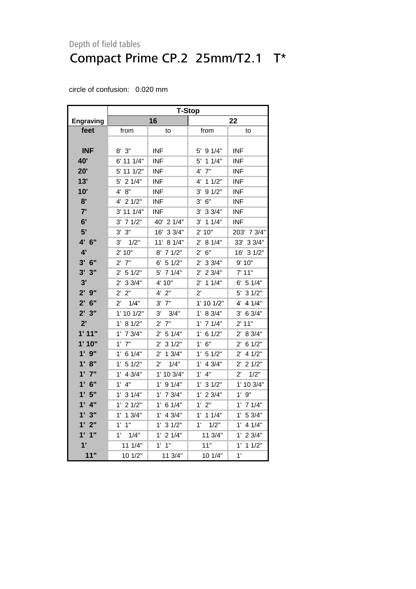|                   | <b>T-Stop</b>          |                       |                        |                       |  |
|-------------------|------------------------|-----------------------|------------------------|-----------------------|--|
| <b>Engraving</b>  | 16                     |                       | 22                     |                       |  |
| feet              | from                   | to                    | from                   | to                    |  |
|                   |                        |                       |                        |                       |  |
| <b>INF</b>        | $8'$ $3''$             | INF                   | 5' 9 1/4"              | <b>INF</b>            |  |
| 40'               | 6' 11 1/4"             | <b>INF</b>            | 5'<br>11/4"            | <b>INF</b>            |  |
| 20'               | 5' 11 1/2"             | <b>INF</b>            | $4'$ $7"$              | <b>INF</b>            |  |
| 13'               | 21/4"<br>5'            | <b>INF</b>            | 11/2"<br>4'            | <b>INF</b>            |  |
| 10'               | 8"<br>4'               | <b>INF</b>            | 3'<br>91/2"            | <b>INF</b>            |  |
| 8'                | 21/2"<br>4'            | <b>INF</b>            | 6"<br>3'               | <b>INF</b>            |  |
| 7'                | 3' 11 1/4"             | <b>INF</b>            | $3'$ 3 $3/4"$          | <b>INF</b>            |  |
| 6'                | $3'$ 7 $1/2"$          | 40' 2 1/4"            | $3'$ 1 1/4"            | INF                   |  |
| 5'                | 3' 3''                 | 16' 3 3/4"            | 2' 10"                 | 203' 7 3/4"           |  |
| 4' 6"             | 3'<br>1/2"             | 11' 8 1/4"            | 8 1/4"<br>2'           | 33/4"<br>33'          |  |
| 4'                | 2' 10"                 | 8'<br>71/2"           | 6"<br>2'               | 16' 3 1/2"            |  |
| $3'$ 6"           | $2^{\prime}$<br>7"     | 6' 51/2"              | 33/4"<br>2'            | 9' 10"                |  |
| 3'<br>3"          | $2^{\prime}$<br>51/2"  | 5' 7 1/4"             | $2'$ 2 3/4"            | 7' 11"                |  |
| 3'                | 2' 33/4"               | 4' 10"                | $2'$ 1 1/4"            | 6' 51/4"              |  |
| 2'9''             | 2"<br>$2^{\prime}$     | $4'$ $2"$             | $2^{\prime}$           | 5' 3 1/2"             |  |
| $2'$ 6"           | 1/4"<br>2'             | $3'$ $7"$             | 1' 10 1/2"             | 4' 4 1/4"             |  |
| 2'3''             | 1' 10 1/2"             | 3' 3/4"               | 1' 8 3/4"              | 3' 6 3/4"             |  |
| 2'                | 8 1/2"<br>$1^{\prime}$ | 7"<br>$2^{\prime}$    | $1'$ 7 $1/4"$          | 2' 11"                |  |
| 1'11"             | $1'$ 7 $3/4"$          | $2'$ 5 1/4"           | $1^{\prime}$<br>61/2"  | 2' 8 3/4"             |  |
| 1'10"             | $1'$ $7"$              | $2'$ 3 $1/2"$         | 6"<br>$1^{\prime}$     | $2'$ 6 1/2"           |  |
| $1'$ $9"$         | $1'$ 6 $1/4"$          | $2^{\prime}$<br>13/4" | 1' 5 1/2"              | 41/2"<br>$2^{\prime}$ |  |
| 1' 8''            | 1' 5 1/2"              | $2^{\prime}$<br>1/4"  | 4 3/4"<br>$1^{\prime}$ | 21/2"<br>$2^{\prime}$ |  |
| 1'7''             | 4 3/4"<br>$1^{\prime}$ | 1' 10 3/4"            | 4"<br>$1^{\prime}$     | 1/2"<br>$2^{\prime}$  |  |
| $1'$ 6"           | $1'$ 4"                | $1'$ 9 $1/4"$         | $1^{\prime}$<br>31/2"  | 1' 10 3/4"            |  |
| 1'5"              | $1^{\prime}$<br>31/4"  | $1'$ 7 $3/4"$         | 23/4"<br>$1^{\prime}$  | 1'9''                 |  |
| $1'$ $4"$         | 1' .<br>21/2"          | 1' .<br>6 1/4"        | $1'$ $2"$              | $1'$ 7 $1/4"$         |  |
| 3"<br>1'          | $1'$ 1 $3/4"$          | $1'$ 4 $3/4"$         | $1'$ 1 $1/4"$          | 1' 53/4"              |  |
| $1^{\circ}$<br>2" | 1"<br>$1^{\circ}$      | 1' 3 1/2"             | $1^{\circ}$<br>1/2"    | $1'$ 4 $1/4"$         |  |
| $1'$ $1''$        | $1'$ $1/4"$            | $1'$ 2 $1/4"$         | 11 3/4"                | $1'$ 2 3/4"           |  |
| 1'                | 111/4"                 | $1'$ $1''$            | 11"                    | 1'<br>11/2"           |  |
| 11"               | 10 1/2"                | 11 3/4"               | 10 1/4"                | 1'                    |  |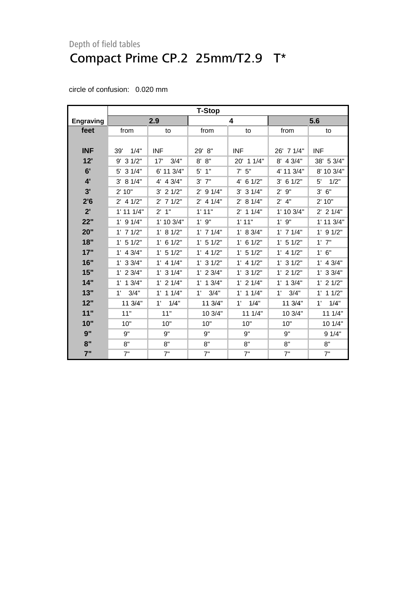<span id="page-13-0"></span>

|                  | <b>T-Stop</b>        |               |                       |               |                    |                     |  |
|------------------|----------------------|---------------|-----------------------|---------------|--------------------|---------------------|--|
| <b>Engraving</b> |                      | 2.9           |                       | 4             | 5.6                |                     |  |
| feet             | from                 | to            | from                  | to            | from               | to                  |  |
|                  |                      |               |                       |               |                    |                     |  |
| <b>INF</b>       | 1/4"<br>39'          | <b>INF</b>    | 29' 8"                | <b>INF</b>    | 26' 7 1/4"         | <b>INF</b>          |  |
| 12'              | $9'$ 3 $1/2"$        | 17'<br>3/4"   | 8'<br>8"              | 20' 1 1/4"    | 8' 4 3/4"          | 38' 5 3/4"          |  |
| 6'               | $5'$ 3 $1/4"$        | 6' 11 3/4"    | 5'<br>1"              | $7'$ 5"       | 4' 11 3/4"         | 8' 10 3/4"          |  |
| 4'               | 3' 81/4"             | 4' 4 3/4"     | $3'$ $7"$             | $4'$ 6 1/2"   | $3'$ 6 1/2"        | 5'<br>1/2"          |  |
| 3'               | 2' 10"               | $3'$ 2 $1/2"$ | 91/4"<br>$2^{\prime}$ | $3'$ 3 $1/4"$ | $2^{\prime}$<br>9" | 3'<br>6"            |  |
| 2'6              | $2'$ 4 1/2"          | $2'$ 7 1/2"   | $2'$ 4 1/4"           | 2' 8 1/4"     | $2'$ 4"            | 2' 10"              |  |
| 2'               | $1'$ 11 $1/4"$       | $2'$ 1"       | 1'11"                 | $2'$ 1 1/4"   | 1' 10 3/4"         | $2'$ 2 1/4"         |  |
| 22"              | $1'$ 9 $1/4"$        | 1' 10 3/4"    | $1^{\prime}$<br>9"    | 1'11"         | 1'9''              | 1' 11 3/4"          |  |
| 20"              | $1'$ 7 $1/2"$        | 1' 8 1/2"     | $1'$ 7 $1/4"$         | 1' 8 3/4"     | $1'$ 7 $1/4"$      | $1'$ 9 $1/2"$       |  |
| 18"              | $1'$ 5 $1/2"$        | $1'$ 6 $1/2"$ | $1'$ 5 $1/2"$         | $1'$ 6 $1/2"$ | $1'$ 5 $1/2"$      | $1'$ $7"$           |  |
| 17"              | $1'$ 4 3/4"          | $1'$ 5 $1/2"$ | $1'$ 4 $1/2"$         | $1'$ 5 $1/2"$ | $1'$ 4 $1/2"$      | 1' 6''              |  |
| 16"              | $1'$ 3 3/4"          | $1'$ 4 $1/4"$ | $1'$ 3 $1/2"$         | $1'$ 4 $1/2"$ | $1'$ 3 $1/2"$      | $1'$ 4 3/4"         |  |
| 15"              | $1'$ 2 $3/4"$        | $1'$ 3 $1/4"$ | $1'$ 2 $3/4"$         | $1'$ 3 $1/2"$ | $1'$ 2 $1/2"$      | $1'$ 3 3/4"         |  |
| 14"              | $1'$ 1 $3/4"$        | $1'$ 2 $1/4"$ | $1'$ 1 $3/4"$         | $1'$ 2 $1/4"$ | 13/4"<br>1'        | $1'$ 2 $1/2"$       |  |
| 13"              | 3/4"<br>$1^{\prime}$ | $1'$ 1 $1/4"$ | 3/4"<br>$1^{\circ}$   | $1'$ 1 $1/4"$ | 1'<br>3/4"         | $1'$ 1 $1/2"$       |  |
| 12"              | 11 3/4"              | 1'<br>1/4"    | 11 3/4"               | 1/4"<br>1'    | 11 3/4"            | 1/4"<br>$1^{\circ}$ |  |
| 11"              | 11"                  | 11"           | 10 3/4"               | 111/4"        | 10 3/4"            | 11 1/4"             |  |
| 10"              | 10"                  | 10"           | 10"                   | 10"           | 10"                | 10 1/4"             |  |
| 9"               | 9"                   | 9"            | 9"                    | 9"            | 9"                 | 9 1/4"              |  |
| 8"               | 8"                   | 8"            | 8"                    | 8"            | 8"                 | 8"                  |  |
| 7"               | 7"                   | 7"            | 7"                    | 7"            | 7"                 | 7"                  |  |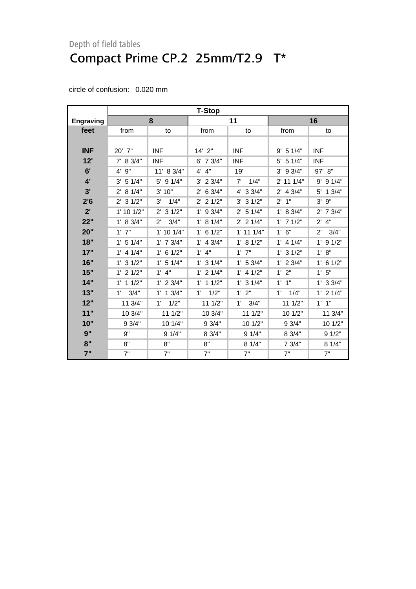| circle of confusion: | $0.020$ mm |
|----------------------|------------|
|                      |            |

|                  | <b>T-Stop</b> |                      |                     |                |                    |                      |  |
|------------------|---------------|----------------------|---------------------|----------------|--------------------|----------------------|--|
| <b>Engraving</b> |               | 8                    |                     | 11             |                    | 16                   |  |
| feet             | from          | to                   | from                | to             | from               | to                   |  |
|                  |               |                      |                     |                |                    |                      |  |
| <b>INF</b>       | 20' 7"        | <b>INF</b>           | $14'$ 2"            | <b>INF</b>     | $9'$ 5 1/4"        | <b>INF</b>           |  |
| 12"              | $7'$ 8 3/4"   | <b>INF</b>           | $6'$ 7 3/4"         | <b>INF</b>     | 5 1/4"<br>5'       | <b>INF</b>           |  |
| 6'               | 9"<br>4'      | 11' 8 3/4"           | $4'$ $4"$           | 19'            | 3' 9 3/4"          | 97' 8"               |  |
| $4^{\circ}$      | 3' 51/4"      | 5' 9 1/4"            | $3'$ 2 $3/4"$       | 7'<br>1/4"     | 2' 11 1/4"         | 91/4"<br>9'          |  |
| 3'               | $2'$ 8 1/4"   | 3'10"                | $2'$ 6 3/4"         | 4' 3 3/4"      | $2'$ 4 3/4"        | 13/4"<br>5'          |  |
| 2'6              | $2'$ 3 $1/2"$ | 3'<br>1/4"           | $2'$ 2 1/2"         | $3'$ 3 $1/2"$  | 1"<br>$2^{\prime}$ | 3'<br>9"             |  |
| 2'               | 1' 10 1/2"    | $2'$ 3 1/2"          | $1'$ 9 3/4"         | $2'$ 5 1/4"    | 1' 8 3/4"          | $2'$ 7 $3/4"$        |  |
| 22"              | 1' 8 3/4"     | $2^{\prime}$<br>3/4" | 1' 8 1/4"           | $2'$ 2 1/4"    | $1'$ 7 $1/2"$      | 4"<br>$2^{\prime}$   |  |
| 20"              | $1'$ $7"$     | $1'$ 10 $1/4"$       | $1'$ 6 $1/2"$       | $1'$ 11 $1/4"$ | $1'$ 6"            | 3/4"<br>$2^{\prime}$ |  |
| 18"              | $1'$ 5 $1/4"$ | $1'$ 7 $3/4"$        | $1'$ 4 3/4"         | 1' 8 1/2"      | $1'$ 4 $1/4"$      | $1'$ 9 $1/2"$        |  |
| 17"              | $1'$ 4 $1/4"$ | $1'$ 6 $1/2"$        | $1'$ 4"             | $1'$ $7"$      | $1'$ 3 $1/2"$      | 1' 8''               |  |
| 16"              | $1'$ 3 $1/2"$ | $1'$ 5 $1/4"$        | $1'$ 3 $1/4"$       | 1' 53/4"       | $1'$ 2 $3/4"$      | $1'$ 6 $1/2"$        |  |
| 15"              | $1'$ 2 $1/2"$ | $1'$ 4"              | $1'$ 2 $1/4"$       | $1'$ 4 $1/2"$  | 1'2"               | 1'5"                 |  |
| 14"              | 11/2"<br>1'   | $1'$ 2 $3/4"$        | $1'$ 1 $1/2"$       | $1'$ 3 $1/4"$  | $1'$ $1''$         | $1'$ 3 3/4"          |  |
| 13"              | 3/4"<br>1'    | $1'$ 1 $3/4"$        | 1/2"<br>$1^{\circ}$ | 1'2"           | 1'<br>1/4"         | $1'$ 2 $1/4"$        |  |
| 12"              | 11 3/4"       | 1/2"<br>1'           | 11 1/2"             | 3/4"<br>1'     | 11 1/2"            | $1'$ $1''$           |  |
| 11"              | 10 3/4"       | 11 1/2"              | 10 3/4"             | 11 1/2"        | 10 1/2"            | 11 3/4"              |  |
| 10"              | 9 3/4"        | 10 1/4"              | 9 3/4"              | 10 1/2"        | 9 3/4"             | 10 1/2"              |  |
| 9"               | 9"            | 91/4"                | 83/4"               | 91/4"          | 8 3/4"             | 91/2"                |  |
| 8"               | 8"            | 8"                   | 8"                  | 81/4"          | 7 3/4"             | 8 1/4"               |  |
| 7"               | 7"            | 7"                   | 7"                  | 7"             | 7"                 | 7"                   |  |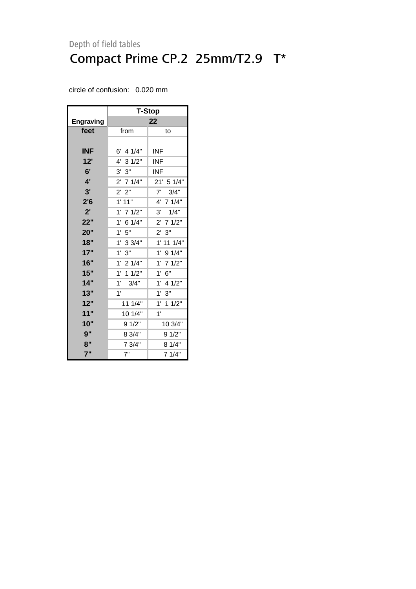|                  | T-Stop              |               |  |  |
|------------------|---------------------|---------------|--|--|
| <b>Engraving</b> |                     | 22            |  |  |
| feet             | from                | to            |  |  |
|                  |                     |               |  |  |
| <b>INF</b>       | $6'$ 4 1/4"         | INF           |  |  |
| 12'              | 4' 3 1/2"           | INF.          |  |  |
| 6'               | 3' 3''              | INF           |  |  |
| 4'               | 2' 7 1/4"           | 21' 5 1/4"    |  |  |
| 3'               | 2' 2"               | 3/4"<br>7'    |  |  |
| 2'6              | 1'11"               | 4' 7 1/4"     |  |  |
| 2'               | $1'$ 7 $1/2"$       | 3'<br>1/4"    |  |  |
| 22"              | 1'<br>6 1/4"        | $2'$ 7 1/2"   |  |  |
| 20"              | $1^{\circ}$<br>$5"$ | 2' 3''        |  |  |
| 18"              | 1'<br>33/4"         | 1' 11 1/4"    |  |  |
| 17"              | 1'<br>3"            | $1'$ 9 $1/4"$ |  |  |
| 16"              | 1'<br>21/4"         | $1'$ 7 $1/2"$ |  |  |
| 15"              | 1'<br>11/2"         | 1' 6''        |  |  |
| 14"              | 1'<br>3/4"          | $1'$ 4 $1/2"$ |  |  |
| 13"              | 1'                  | 1'3''         |  |  |
| 12"              | 11 1/4"             | $1'$ 1 $1/2"$ |  |  |
| 11"              | 10 1/4"             | 1'            |  |  |
| 10"              | 9 1/2"              | 10 3/4"       |  |  |
| 9"               | 8 3/4"              | 9 1/2"        |  |  |
| 8"               | 7 3/4"              | 8 1/4"        |  |  |
| 7"               | 7"                  | 7 1/4"        |  |  |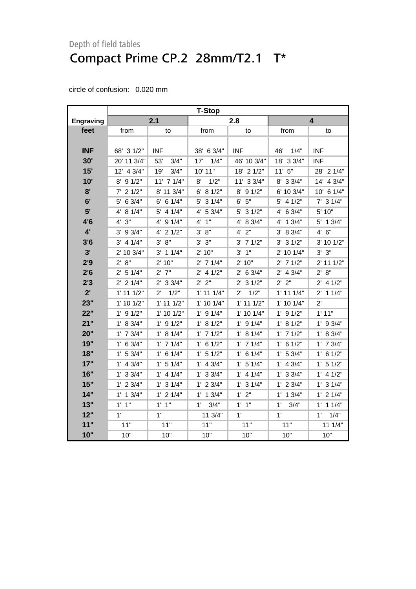<span id="page-16-0"></span>

|                  |                | <b>T-Stop</b>        |                      |                      |                |                     |  |
|------------------|----------------|----------------------|----------------------|----------------------|----------------|---------------------|--|
| <b>Engraving</b> |                | 2.1                  |                      | 2.8                  |                | 4                   |  |
| feet             | from           | to                   | from                 | to                   | from           | to                  |  |
|                  |                |                      |                      |                      |                |                     |  |
| <b>INF</b>       | 68' 3 1/2"     | <b>INF</b>           | 38' 6 3/4"           | <b>INF</b>           | 1/4"<br>46'    | <b>INF</b>          |  |
| 30'              | 20' 11 3/4"    | 53'<br>3/4"          | 17'<br>1/4"          | 46' 10 3/4"          | 18' 3 3/4"     | <b>INF</b>          |  |
| 15'              | 12' 4 3/4"     | 19'<br>3/4"          | 10' 11"              | 18' 2 1/2"           | 11'5''         | 28' 2 1/4"          |  |
| 10'              | $8'$ 9 $1/2"$  | $11'$ 7 $1/4"$       | 1/2"<br>8'           | 11' 3 3/4"           | 8' 3 3/4"      | 14' 4 3/4"          |  |
| 8'               | $7'$ 2 $1/2"$  | 8' 11 3/4"           | 6' 8 1/2"            | 8' 9 1/2"            | 6' 10 3/4"     | 10' 6 1/4"          |  |
| 6'               | 5' 6 3/4"      | $6'$ 6 1/4"          | 5' 3 1/4"            | 6' 5''               | $5'$ 4 $1/2"$  | $7'$ 3 1/4"         |  |
| 5'               | 4' 8 1/4"      | $5'$ 4 1/4"          | 4' 5 3/4"            | 5' 3 1/2"            | 4' 6 3/4"      | 5' 10"              |  |
| 4'6              | 4'3''          | 4' 9 1/4"            | 4' 1''               | 4' 8 3/4"            | 4' 1 3/4"      | 5' 1 3/4"           |  |
| $4^{\prime}$     | $3'$ 9 $3/4"$  | 4' 2 1/2"            | 3'<br>8"             | $4'$ $2"$            | 3' 8 3/4"      | 4' 6''              |  |
| 3'6              | $3'$ 4 $1/4"$  | 3' 8''               | 3'3''                | $3'$ 7 $1/2"$        | $3'$ 3 $1/2"$  | 3' 10 1/2"          |  |
| 3'               | 2' 10 3/4"     | $3'$ 1 1/4"          | 2' 10"               | $3'$ 1"              | 2' 10 1/4"     | 3' 3''              |  |
| 2'9              | 2' 8''         | 2' 10"               | $2'$ 7 1/4"          | 2'10"                | $2'$ 7 $1/2"$  | 2' 11 1/2"          |  |
| 2'6              | 2' 5 1/4"      | $2'$ $7"$            | $2'$ 4 1/2"          | $2'$ 6 3/4"          | $2'$ 4 $3/4"$  | 2' 8''              |  |
| 2'3              | $2'$ 2 1/4"    | $2'$ 3 3/4"          | 2' 2"                | $2'$ 3 1/2"          | 2' 2''         | $2'$ 4 $1/2"$       |  |
| 2'               | $1'$ 11 $1/2"$ | 1/2"<br>$2^{\prime}$ | $1'$ 11 $1/4"$       | 1/2"<br>$2^{\prime}$ | $1'$ 11 $1/4"$ | $2'$ 1 1/4"         |  |
| 23"              | $1'$ 10 $1/2"$ | $1'$ 11 $1/2"$       | $1'$ 10 $1/4"$       | $1'$ 11 $1/2"$       | $1'$ 10 $1/4"$ | $2^{\prime}$        |  |
| 22"              | $1'$ 9 $1/2"$  | $1'$ 10 $1/2"$       | $1'$ 9 $1/4"$        | $1'$ 10 $1/4"$       | $1'$ 9 $1/2"$  | 1'11"               |  |
| 21"              | 1' 8 3/4"      | $1'$ 9 $1/2"$        | 1' 8 1/2"            | $1'$ 9 $1/4"$        | 1' 8 1/2"      | $1'$ 9 $3/4"$       |  |
| 20"              | $1'$ 7 $3/4"$  | 1' 8 1/4"            | $1'$ 7 $1/2"$        | 1' 8 1/4"            | $1'$ 7 $1/2"$  | 1' 8 3/4"           |  |
| 19"              | $1'$ 6 3/4"    | $1'$ 7 $1/4"$        | $1'$ 6 $1/2"$        | $1'$ 7 $1/4"$        | $1'$ 6 $1/2"$  | $1'$ 7 $3/4"$       |  |
| 18"              | 1' 53/4"       | $1'$ 6 $1/4"$        | $1'$ 5 $1/2"$        | $1'$ 6 $1/4"$        | 1' 53/4"       | $1'$ 6 $1/2"$       |  |
| 17"              | $1'$ 4 3/4"    | $1'$ 5 $1/4"$        | $1'$ 4 3/4"          | $1'$ 5 $1/4"$        | $1'$ 4 $3/4"$  | $1'$ 5 $1/2"$       |  |
| 16"              | 1' 33/4"       | $1'$ 4 $1/4"$        | $1'$ 3 3/4"          | $1'$ 4 $1/4"$        | $1'$ 3 $3/4"$  | $1'$ 4 $1/2"$       |  |
| 15"              | $1'$ 2 3/4"    | $1'$ 3 $1/4"$        | $1'$ 2 3/4"          | $1'$ 3 $1/4"$        | $1'$ 2 3/4"    | $1'$ 3 $1/4"$       |  |
| 14"              | $1'$ 1 $3/4"$  | $1'$ 2 $1/4"$        | $1'$ 1 $3/4"$        | 1'2"                 | $1'$ 1 $3/4"$  | $1'$ 2 $1/4"$       |  |
| 13"              | $1'$ $1"$      | $1'$ $1''$           | 3/4"<br>$1^{\prime}$ | $1'$ $1"$            | 1'<br>3/4"     | $1'$ 1 $1/4"$       |  |
| 12"              | 1'             | 1'                   | 11 3/4"              | 1'                   | 1'             | $1^{\circ}$<br>1/4" |  |
| 11"              | 11"            | 11"                  | 11"                  | 11"                  | 11"            | 11 1/4"             |  |
| 10"              | 10"            | 10"                  | 10"                  | 10"                  | 10"            | 10"                 |  |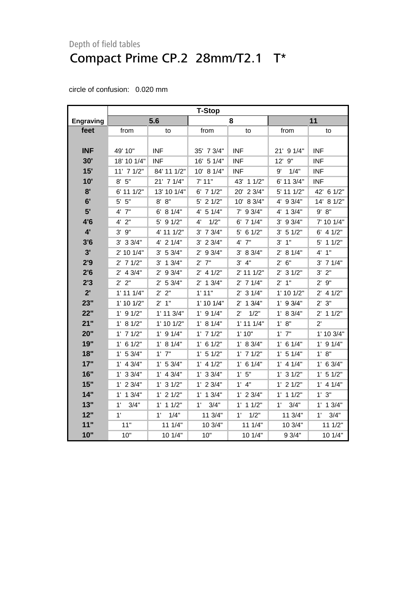|                  | <b>T-Stop</b>  |                |                |                      |                |                     |
|------------------|----------------|----------------|----------------|----------------------|----------------|---------------------|
| <b>Engraving</b> |                | 5.6            |                | 8                    |                | 11                  |
| feet             | from           | to             | from           | to                   | from           | to                  |
|                  |                |                |                |                      |                |                     |
| <b>INF</b>       | 49' 10"        | <b>INF</b>     | 35' 7 3/4"     | <b>INF</b>           | 21' 9 1/4"     | <b>INF</b>          |
| 30'              | 18' 10 1/4"    | <b>INF</b>     | 16' 5 1/4"     | <b>INF</b>           | 12' 9"         | <b>INF</b>          |
| 15'              | $11'$ 7 $1/2"$ | 84' 11 1/2"    | 10' 8 1/4"     | <b>INF</b>           | 1/4"<br>9'     | <b>INF</b>          |
| 10'              | 8' 5''         | 21' 7 1/4"     | 7' 11"         | 43' 1 1/2"           | 6' 11 3/4"     | <b>INF</b>          |
| 8'               | 6' 11 1/2"     | 13' 10 1/4"    | $6'$ 7 $1/2"$  | 20' 2 3/4"           | 5' 11 1/2"     | 42' 6 1/2"          |
| 6'               | $5'$ $5"$      | 8' 8''         | $5'$ 2 1/2"    | 10' 8 3/4"           | 4' 9 3/4"      | 14' 8 1/2"          |
| 5'               | $4'$ $7"$      | 6' 8 1/4"      | 4' 5 1/4"      | 9 3/4"<br>7'         | 4' 1 3/4"      | 8"<br>9'            |
| 4'6              | $4'$ $2"$      | 5' 9 1/2"      | 1/2"<br>4'     | $6'$ 7 1/4"          | $3'$ 9 $3/4"$  | 7' 10 1/4"          |
| 4'               | 9"<br>3'       | 4' 11 1/2"     | $3'$ 7 $3/4"$  | $5'$ 6 1/2"          | 3' 51/2"       | $6'$ 4 $1/2"$       |
| 3'6              | $3'$ 3 $3/4"$  | $4'$ 2 $1/4"$  | $3'$ 2 $3/4"$  | $4'$ $7"$            | $3'$ 1"        | 5' 1 1/2"           |
| 3'               | 2' 10 1/4"     | 3' 5 3/4"      | $2'$ 9 $3/4"$  | 3' 8 3/4"            | 2' 8 1/4"      | 4' 1''              |
| 2'9              | $2'$ 7 1/2"    | $3'$ 1 $3/4"$  | $2'$ 7"        | 3' 4''               | 2' 6''         | $3'$ 7 $1/4"$       |
| 2'6              | $2'$ 4 3/4"    | $2'$ 9 $3/4"$  | $2'$ 4 1/2"    | 2' 11 1/2"           | $2'$ 3 1/2"    | 3'<br>2"            |
| 2'3              | 2' 2''         | 2' 53/4"       | $2'$ 1 $3/4"$  | $2'$ 7 1/4"          | 2' 1''         | 9"<br>$2^{\prime}$  |
| 2'               | $1'$ 11 $1/4"$ | 2' 2''         | 1'11"          | $2'$ 3 1/4"          | $1'$ 10 $1/2"$ | $2'$ 4 1/2"         |
| 23"              | $1'$ 10 $1/2"$ | 2' 1''         | $1'$ 10 $1/4"$ | $2'$ 1 3/4"          | $1'$ 9 3/4"    | 3"<br>$2^{\prime}$  |
| 22"              | $1'$ 9 $1/2"$  | $1'$ 11 $3/4"$ | $1'$ 9 $1/4"$  | 1/2"<br>$2^{\prime}$ | 1' 8 3/4"      | $2'$ 1 1/2"         |
| 21"              | 1' 8 1/2"      | 1' 10 1/2"     | 1' 8 1/4"      | $1'$ 11 $1/4"$       | 1' 8''         | $2^{\prime}$        |
| 20"              | $1'$ 7 $1/2"$  | $1'$ 9 $1/4"$  | $1'$ 7 $1/2"$  | 1'10"                | $1'$ $7"$      | 1' 10 3/4"          |
| 19"              | $1'$ 6 $1/2"$  | 1' 8 1/4"      | $1'$ 6 $1/2"$  | 1' 8 3/4"            | $1'$ 6 1/4"    | $1'$ 9 $1/4"$       |
| 18"              | 1' 53/4"       | $1'$ $7"$      | $1'$ 5 $1/2"$  | $1'$ 7 $1/2"$        | 1' 5 1/4"      | 1' 8''              |
| 17"              | $1'$ 4 $3/4"$  | 1' 53/4"       | $1'$ 4 $1/2"$  | $1'$ 6 $1/4"$        | $1'$ 4 $1/4"$  | $1'$ 6 3/4"         |
| 16"              | 1' 33/4"       | $1'$ 4 3/4"    | 1' 33/4"       | 1'5''                | 1' 3 1/2"      | $1'$ 5 $1/2"$       |
| 15"              | $1'$ 2 $3/4"$  | $1'$ 3 $1/2"$  | $1'$ 2 $3/4"$  | $1'$ $4"$            | $1'$ 2 $1/2"$  | $1'$ 4 $1/4"$       |
| 14"              | $1'$ 1 $3/4"$  | $1'$ 2 $1/2"$  | $1'$ 1 $3/4"$  | $1'$ 2 $3/4"$        | $1'$ 1 $1/2"$  | 1'3''               |
| 13"              | 1'<br>3/4"     | $1'$ 1 $1/2"$  | 3/4"<br>1'     | $1'$ 1 $1/2"$        | 1'<br>3/4"     | $1'$ 1 $3/4"$       |
| 12"              | 1'             | 1/4"<br>1'     | 11 3/4"        | 1/2"<br>$1^{\circ}$  | 11 3/4"        | 3/4"<br>$1^{\circ}$ |
| 11"              | 11"            | 11 1/4"        | 10 3/4"        | 11 1/4"              | 10 3/4"        | 111/2"              |
| 10"              | 10"            | 10 1/4"        | 10"            | 10 1/4"              | 9 3/4"         | 10 1/4"             |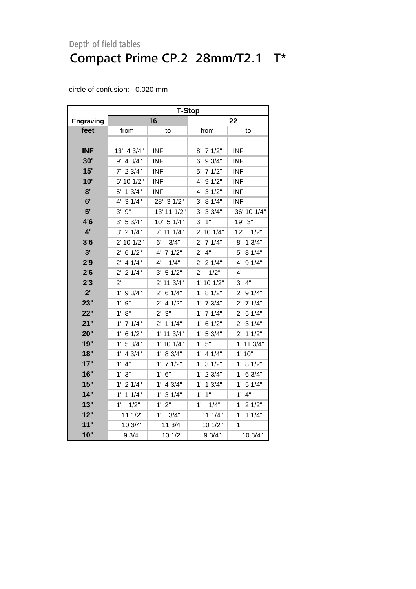|                  | <b>T-Stop</b>         |                        |                       |                        |  |  |
|------------------|-----------------------|------------------------|-----------------------|------------------------|--|--|
| <b>Engraving</b> |                       | 16                     | 22                    |                        |  |  |
| feet             | from                  | to                     | from                  | to                     |  |  |
|                  |                       |                        |                       |                        |  |  |
| <b>INF</b>       | 13' 4 3/4"            | <b>INF</b>             | 8' 7 1/2"             | <b>INF</b>             |  |  |
| 30'              | 4 3/4"<br>9'          | <b>INF</b>             | 9 3/4"<br>6'          | <b>INF</b>             |  |  |
| 15'              | $7'$ 2 3/4"           | <b>INF</b>             | 71/2"<br>5'           | <b>INF</b>             |  |  |
| 10'              | 5' 10 1/2"            | <b>INF</b>             | 91/2"<br>4'           | <b>INF</b>             |  |  |
| 8'               | 13/4"<br>5'           | <b>INF</b>             | 31/2"<br>4'           | <b>INF</b>             |  |  |
| 6'               | 31/4"<br>4'           | 28' 3 1/2"             | 8 1/4"<br>3'          | <b>INF</b>             |  |  |
| 5'               | 9"<br>3'              | 13' 11 1/2"            | 33/4"<br>3'           | 36' 10 1/4"            |  |  |
| 4'6              | 5 3/4"<br>3'          | 10' 5 1/4"             | 1"<br>3'              | 19' 3"                 |  |  |
| 4'               | 21/4"<br>3'           | 7' 11 1/4"             | 2' 10 1/4"            | 12'<br>1/2"            |  |  |
| 3'6              | 2' 10 1/2"            | 6'<br>3/4"             | 71/4"<br>$2^{\prime}$ | 8' 1 3/4"              |  |  |
| 3'               | 61/2"<br>2'           | $4^{\prime}$<br>71/2"  | 4"<br>2'              | 8 1/4"<br>5'           |  |  |
| 2'9              | 4 1/4"<br>2'          | 1/4"<br>4'             | 21/4"<br>2'           | 4'<br>91/4"            |  |  |
| 2'6              | 21/4"<br>$2^{\prime}$ | 3' 51/2"               | 1/2"<br>2'            | $4^{\prime}$           |  |  |
| 2'3              | $2^{\prime}$          | 2' 11 3/4"             | $1'$ 10 $1/2"$        | 3' 4''                 |  |  |
| 2'               | $1'$ 9 3/4"           | 6 1/4"<br>2'           | 8 1/2"<br>1'          | $2'$ 9 1/4"            |  |  |
| 23"              | 1'9''                 | $2^{\prime}$<br>4 1/2" | 7 3/4"<br>1'          | $2'$ 7 1/4"            |  |  |
| 22"              | 1' 8''                | 2' 3''                 | 71/4"<br>$1^{\circ}$  | 2' 5 1/4"              |  |  |
| 21"              | $1'$ 7 $1/4"$         | $2^{\prime}$<br>11/4"  | 6 1/2"<br>1'          | 31/4"<br>$2^{\prime}$  |  |  |
| 20"              | 6 1/2"<br>$1^{\circ}$ | 1' 11 3/4"             | 5 3/4"<br>1'          | $2^{\prime}$<br>11/2"  |  |  |
| 19"              | 5 3/4"<br>1'          | 1' 10 1/4"             | 5"<br>1'              | 1' 11 3/4"             |  |  |
| 18"              | 4 3/4"<br>1'          | 1' 8 3/4"              | $1^{\circ}$<br>4 1/4" | 1'10"                  |  |  |
| 17"              | $1^{\circ}$<br>4"     | 1'<br>71/2"            | 31/2"<br>1'           | 1' 8 1/2"              |  |  |
| 16"              | 1'3''                 | 6"<br>1'               | 23/4"<br>1'           | $1'$ 6 3/4"            |  |  |
| 15"              | $1^{\circ}$<br>21/4"  | $1^{\circ}$<br>4 3/4"  | 13/4"<br>1' .         | $1^{\prime}$<br>5 1/4" |  |  |
| 14"              | $1'$ 1 $1/4"$         | $1'$ 3 $1/4"$          | 1'<br>1"              | 1'<br>4"               |  |  |
| 13"              | 1/2"<br>1'            | 2"<br>1'               | 1/4"<br>1'            | $1'$ 2 $1/2"$          |  |  |
| 12"              | 11 1/2"               | 1' 3/4"                | 11 1/4"               | $1'$ 1 $1/4"$          |  |  |
| 11"              | 10 3/4"               | 11 3/4"                | 10 1/2"               | 1'                     |  |  |
| 10"              | 9 3/4"                | 10 1/2"                | 9 3/4"                | 10 3/4"                |  |  |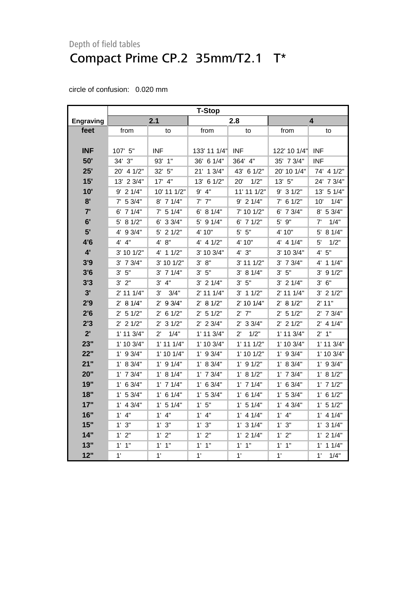<span id="page-19-0"></span>

|                  | <b>T-Stop</b>      |                        |                   |                      |                |                       |
|------------------|--------------------|------------------------|-------------------|----------------------|----------------|-----------------------|
| <b>Engraving</b> |                    | 2.1                    |                   | 2.8                  |                | 4                     |
| feet             | from               | to                     | from              | to                   | from           | to                    |
|                  |                    |                        |                   |                      |                |                       |
| <b>INF</b>       | 107' 5"            | <b>INF</b>             | 133' 11 1/4"      | <b>INF</b>           | 122' 10 1/4"   | <b>INF</b>            |
| 50'              | 34' 3"             | 93' 1"                 | 36' 6 1/4"        | 364' 4"              | 35' 7 3/4"     | <b>INF</b>            |
| 25'              | 20' 4 1/2"         | 32' 5"                 | 21' 1 3/4"        | 43' 6 1/2"           | 20' 10 1/4"    | 74' 4 1/2"            |
| 15'              | 13' 2 3/4"         | 17' 4"                 | 13' 6 1/2"        | 1/2"<br>20'          | 13' 5"         | 24' 7 3/4"            |
| 10'              | $9'$ 2 1/4"        | 10' 11 1/2"            | $9'$ 4"           | 11' 11 1/2"          | $9'$ 3 1/2"    | 13' 5 1/4"            |
| 8'               | $7'$ 5 3/4"        | $8'$ 7 1/4"            | $7'$ $7''$        | $9'$ 2 1/4"          | $7'$ 6 1/2"    | 1/4"<br>10'           |
| 7'               | $6'$ 7 1/4"        | $7'$ 5 1/4"            | 6' 81/4"          | 7' 10 1/2"           | $6'$ 7 $3/4"$  | 8' 5 3/4"             |
| 6'               | $5'$ 8 1/2"        | 33/4"<br>6'            | 5' 9 1/4"         | $6'$ 7 $1/2"$        | 5' 9"          | 1/4"<br>7'            |
| 5'               | 4' 9 3/4"          | 21/2"<br>5'            | 4' 10"            | $5'$ $5"$            | 4' 10"         | 8 1/4"<br>5'          |
| 4'6              | $4'$ $4"$          | 4' 8''                 | $4'$ 4 $1/2"$     | 4' 10"               | $4'$ 4 $1/4"$  | 5'<br>1/2"            |
| $4^{\prime}$     | 3' 10 1/2"         | $4'$ 1 1/2"            | 3' 10 3/4"        | 4'3''                | 3' 10 3/4"     | 5"<br>4'              |
| 3'9              | 3' 7 3/4"          | 3' 10 1/2"             | 3' 8''            | $3'$ 11 $1/2"$       | $3'$ 7 $3/4"$  | 4'<br>11/4"           |
| 3'6              | 3' 5''             | $3'$ 7 $1/4"$          | 5"<br>3'          | 3' 8 1/4"            | 3' 5''         | 3'<br>91/2"           |
| 3'3              | 3'2"               | 3' 4''                 | $3'$ 2 1/4"       | 3' 5''               | $3'$ 2 $1/4"$  | 3' 6''                |
| 3'               | $2'$ 11 1/4"       | 3'<br>3/4"             | 2' 11 1/4"        | $3'$ 1 1/2"          | 2' 11 1/4"     | $3'$ 2 1/2"           |
| 2'9              | 2' 8 1/4"          | $2'$ 9 $3/4"$          | 2' 8 1/2"         | $2'$ 10 1/4"         | 2' 8 1/2"      | 2' 11"                |
| 2'6              | $2'$ 5 1/2"        | 6 1/2"<br>$2^{\prime}$ | $2'$ 5 1/2"       | $2'$ $7"$            | 2' 5 1/2"      | 2' 7 3/4"             |
| 2'3              | $2'$ 2 1/2"        | 31/2"<br>$2^{\prime}$  | $2'$ 2 3/4"       | $2'$ 3 3/4"          | $2'$ 2 1/2"    | $2'$ 4 1/4"           |
| $2^{\prime}$     | $1'$ 11 $3/4"$     | $2^{\prime}$<br>1/4"   | $1'$ 11 $3/4"$    | $2^{\prime}$<br>1/2" | $1'$ 11 $3/4"$ | $2'$ 1"               |
| 23"              | 1' 10 3/4"         | $1'$ 11 $1/4"$         | 1' 10 3/4"        | $1'$ 11 $1/2"$       | 1' 10 3/4"     | 1' 11 3/4"            |
| 22"              | $1'$ 9 3/4"        | 1' 10 1/4"             | $1'$ 9 $3/4"$     | $1'$ 10 $1/2"$       | $1'$ 9 $3/4"$  | 1' 10 3/4"            |
| 21"              | 1' 8 3/4"          | $1'$ 9 $1/4"$          | 1' 8 3/4"         | $1'$ 9 $1/2"$        | 1' 8 3/4"      | $1'$ 9 $3/4"$         |
| 20"              | $1'$ 7 $3/4"$      | 1' 8 1/4"              | $1'$ 7 $3/4"$     | 1' 8 1/2"            | $1'$ 7 $3/4"$  | 1' 8 1/2"             |
| 19"              | $1'$ 6 3/4"        | $1'$ 7 $1/4"$          | $1'$ 6 3/4"       | $1'$ 7 $1/4"$        | $1'$ 6 3/4"    | $1'$ 7 $1/2"$         |
| 18"              | $1'$ 5 3/4"        | $1'$ 6 $1/4"$          | $1'$ 5 3/4"       | $1'$ 6 $1/4"$        | 1' 53/4"       | $1'$ 6 $1/2"$         |
| 17"              | $1'$ 4 3/4"        | $1'$ 5 $1/4"$          | 1'5"              | $1'$ 5 $1/4"$        | $1'$ 4 3/4"    | $1'$ 5 $1/2"$         |
| 16"              | $1'$ 4"            | $1'$ 4"                | $1'$ 4"           | $1'$ 4 $1/4"$        | $1'$ 4"        | $1'$ 4 $1/4"$         |
| 15"              | 1'3''              | 1'3''                  | 1'3''             | $1'$ 3 $1/4"$        | 1'3''          | $1'$ 3 $1/4"$         |
| 14"              | 2"<br>$1^{\prime}$ | 1'2"                   | 1'<br>2"          | $1'$ 2 $1/4"$        | 1'2"           | $1'$ 2 $1/4"$         |
| 13"              | 1"<br>1'           | 1"<br>1'               | 1"<br>$1^{\circ}$ | $1'$ $1''$           | 1"<br>1'       | 11/4"<br>$1^{\prime}$ |
| 12"              | 1'                 | 1'                     | 1'                | 1'                   | 1'             | 1'<br>1/4"            |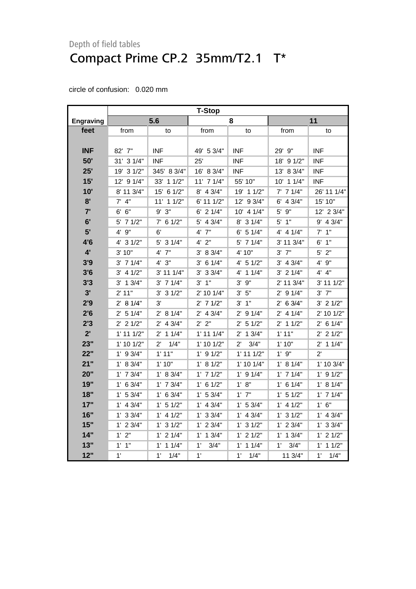|                  | <b>T-Stop</b>  |                      |                |                      |                |                      |  |
|------------------|----------------|----------------------|----------------|----------------------|----------------|----------------------|--|
| <b>Engraving</b> |                | 5.6                  | 8              |                      | 11             |                      |  |
| feet             | from           | to                   | from           | to                   | from           | to                   |  |
|                  |                |                      |                |                      |                |                      |  |
| <b>INF</b>       | 82' 7"         | <b>INF</b>           | 49' 5 3/4"     | <b>INF</b>           | 29' 9"         | <b>INF</b>           |  |
| 50'              | 31' 3 1/4"     | <b>INF</b>           | 25'            | <b>INF</b>           | 18' 9 1/2"     | <b>INF</b>           |  |
| 25'              | 19' 3 1/2"     | 345' 8 3/4"          | 16' 8 3/4"     | <b>INF</b>           | 13' 8 3/4"     | <b>INF</b>           |  |
| 15'              | 12' 9 1/4"     | 33' 1 1/2"           | $11'$ 7 $1/4"$ | 55' 10"              | $10'$ 1 $1/4"$ | <b>INF</b>           |  |
| 10'              | 8' 11 3/4"     | 15' 6 1/2"           | 8' 4 3/4"      | 19' 1 1/2"           | $7'$ 7 $1/4"$  | 26' 11 1/4"          |  |
| 8'               | $7'$ 4"        | 11' 1 1/2"           | 6' 11 1/2"     | 12' 9 3/4"           | $6'$ 4 3/4"    | 15' 10"              |  |
| 7'               | 6' 6''         | $9'$ $3"$            | $6'$ 2 $1/4"$  | 10' 4 1/4"           | $5'$ 9"        | 12' 2 3/4"           |  |
| 6'               | 5' 7 1/2"      | $7'$ 6 1/2"          | $5'$ 4 3/4"    | 8' 3 1/4"            | $5'$ 1"        | $9'$ 4 $3/4"$        |  |
| 5'               | 4' 9"          | 6'                   | $4'$ $7"$      | $6'$ 5 1/4"          | $4'$ 4 $1/4"$  | 1"<br>7'             |  |
| 4'6              | 4' 3 1/2"      | $5'$ 3 1/4"          | $4'$ $2"$      | $5'$ 7 1/4"          | 3' 11 3/4"     | 1"<br>6'             |  |
| 4'               | 3' 10"         | 4' 7"                | 3' 8 3/4"      | 4' 10"               | $3'$ $7''$     | $5'$ 2"              |  |
| 3'9              | $3'$ 7 $1/4"$  | 4'3''                | $3'$ 6 1/4"    | $4'$ 5 1/2"          | $3'$ 4 $3/4"$  | 4' 9"                |  |
| 3'6              | $3'$ 4 $1/2"$  | 3' 11 1/4"           | $3'$ 3 $3/4"$  | 4' 1 1/4"            | $3'$ 2 1/4"    | 4' 4''               |  |
| 3'3              | $3'$ 1 $3/4"$  | $3'$ 7 $1/4"$        | $3'$ 1"        | $3'$ $9''$           | 2' 11 3/4"     | $3'$ 11 $1/2"$       |  |
| 3'               | 2' 11"         | $3'$ 3 $1/2"$        | 2' 10 1/4"     | $3'$ $5"$            | $2'$ 9 $1/4"$  | $3'$ $7''$           |  |
| 2'9              | 2' 8 1/4"      | 3'                   | $2'$ 7 1/2"    | 3' 1''               | 2' 6 3/4"      | $3'$ 2 $1/2"$        |  |
| 2'6              | $2'$ 5 1/4"    | 2' 8 1/4"            | $2'$ 4 3/4"    | $2'$ 9 1/4"          | $2'$ 4 1/4"    | 2' 10 1/2"           |  |
| 2'3              | $2'$ 2 1/2"    | $2'$ 4 $3/4"$        | 2' 2"          | 2' 5 1/2"            | $2'$ 1 1/2"    | $2'$ 6 1/4"          |  |
| $2^{\prime}$     | $1'$ 11 $1/2"$ | $2'$ 1 1/4"          | $1'$ 11 $1/4"$ | $2'$ 1 $3/4"$        | 1'11"          | $2'$ 2 1/2"          |  |
| 23"              | $1'$ 10 $1/2"$ | $2^{\prime}$<br>1/4" | $1'$ 10 $1/2"$ | $2^{\prime}$<br>3/4" | 1'10"          | $2'$ 1 1/4"          |  |
| 22"              | $1'$ 9 $3/4"$  | 1'11"                | $1'$ 9 $1/2"$  | $1'$ 11 $1/2"$       | $1'$ $9"$      | $2^{\prime}$         |  |
| 21"              | 1' 8 3/4"      | 1'10"                | 1' 8 1/2"      | $1'$ 10 $1/4"$       | 1' 8 1/4"      | 1' 10 3/4"           |  |
| 20"              | $1'$ 7 $3/4"$  | 1' 8 3/4"            | $1'$ 7 $1/2"$  | $1'$ 9 $1/4"$        | $1'$ 7 $1/4"$  | $1'$ 9 $1/2"$        |  |
| 19"              | $1'$ 6 3/4"    | $1'$ 7 $3/4"$        | $1'$ 6 $1/2"$  | 1' 8"                | $1'$ 6 $1/4"$  | 1' 8 1/4"            |  |
| 18"              | 1' 53/4"       | 1' 6 3/4"            | 1' 53/4"       | $1'$ $7"$            | $1'$ 5 $1/2"$  | $1'$ 7 $1/4"$        |  |
| 17"              | $1'$ 4 $3/4"$  | $1'$ 5 $1/2"$        | $1'$ 4 $3/4"$  | 1' 53/4"             | $1'$ 4 $1/2"$  | 1' 6''               |  |
| 16"              | $1'$ 3 3/4"    | $1'$ 4 $1/2"$        | $1'$ 3 3/4"    | $1'$ 4 $3/4"$        | $1'$ 3 $1/2"$  | $1'$ 4 $3/4"$        |  |
| 15"              | $1'$ 2 $3/4"$  | $1'$ 3 $1/2"$        | $1'$ 2 $3/4"$  | $1'$ 3 $1/2"$        | $1'$ 2 $3/4"$  | $1'$ 3 $3/4"$        |  |
| 14"              | 1'2"           | $1'$ 2 $1/4"$        | $1'$ 1 3/4"    | $1'$ 2 $1/2"$        | $1'$ 1 $3/4"$  | $1'$ 2 $1/2"$        |  |
| 13"              | $1'$ $1''$     | $1'$ 1 $1/4"$        | 1'<br>3/4"     | $1'$ 1 $1/4"$        | 1'<br>3/4"     | $1^{\circ}$<br>11/2" |  |
| 12"              | 1'             | 1'<br>1/4"           | 1'             | 1'<br>1/4"           | 11 3/4"        | 1'<br>1/4"           |  |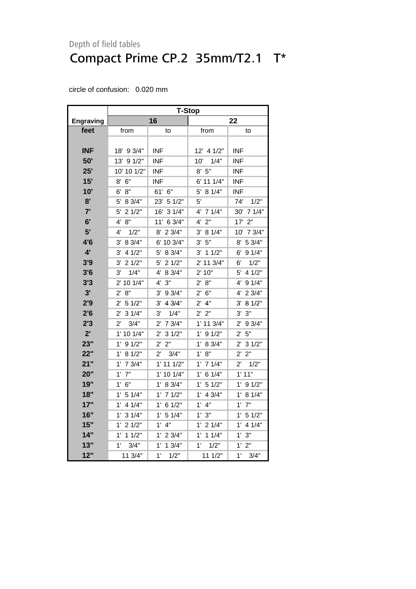|                  | <b>T-Stop</b>          |                       |                        |                        |  |  |
|------------------|------------------------|-----------------------|------------------------|------------------------|--|--|
| <b>Engraving</b> |                        | 16                    |                        | 22                     |  |  |
| feet             | from                   | to                    | from                   | to                     |  |  |
|                  |                        |                       |                        |                        |  |  |
| INF              | 18' 9 3/4"             | <b>INF</b>            | 12' 4 1/2"             | <b>INF</b>             |  |  |
| 50'              | 13' 9 1/2"             | INF                   | 10'<br>1/4"            | <b>INF</b>             |  |  |
| 25'              | 10' 10 1/2"            | <b>INF</b>            | 8' 5''                 | <b>INF</b>             |  |  |
| 15'              | 6"<br>8'               | <b>INF</b>            | 6' 11 1/4"             | <b>INF</b>             |  |  |
| 10'              | 8"<br>6'               | 61' 6"                | 5' 8 1/4"              | INF.                   |  |  |
| 8'               | 5'<br>8 3/4"           | 23' 5 1/2"            | 5'                     | 1/2"<br>74'            |  |  |
| 7'               | 21/2"<br>5'            | 16'<br>31/4"          | 4' 7 1/4"              | 30' 7 1/4"             |  |  |
| 6'               | 8"<br>4'               | 11' 6 3/4"            | 2"<br>4'               | 17'<br>2"              |  |  |
| 5'               | 1/2"<br>4'             | 8'<br>23/4"           | 3'<br>8 1/4"           | 7 3/4"<br>10'          |  |  |
| 4'6              | 8 3/4"<br>3'           | 6' 10 3/4"            | 5"<br>3'               | 5 3/4"<br>8'           |  |  |
| 4'               | 4 1/2"<br>3'           | 5'<br>8 3/4"          | 3'<br>11/2"            | 91/4"<br>6'            |  |  |
| 3'9              | 21/2"<br>3'            | $5^{\circ}$<br>21/2"  | 2' 11 3/4"             | 1/2"<br>6'             |  |  |
| 3'6              | 1/4"<br>3'             | 4'<br>8 3/4"          | 2' 10"                 | $5^{\circ}$<br>4 1/2"  |  |  |
| 3'3              | 2' 10 1/4"             | 4' 3''                | 2' 8''                 | 4' 9 1/4"              |  |  |
| 3'               | 8"<br>$2^{\prime}$     | $3'$ 9 $3/4"$         | 6"<br>$2^{\prime}$     | 4' 2 3/4"              |  |  |
| 2'9              | 5 1/2"<br>$2^{\prime}$ | $3'$ 4 $3/4"$         | 4"<br>$2^{\prime}$     | 3'<br>8 1/2"           |  |  |
| 2'6              | 31/4"<br>2'            | 1/4"<br>3'            | 2"<br>$2^{\prime}$     | $3'$ $3''$             |  |  |
| 2'3              | 3/4"<br>$2^{\prime}$   | 7 3/4"<br>2'          | 1' 11 3/4"             | 9 3/4"<br>$2^{\prime}$ |  |  |
| 2'               | 1' 10 1/4"             | 2'<br>31/2"           | 1'<br>91/2"            | 2'5"                   |  |  |
| 23"              | 91/2"<br>1'            | 2' 2''                | $1^{\prime}$<br>8 3/4" | $2'$ 3 1/2"            |  |  |
| 22"              | 1' 8 1/2"              | $2^{\prime}$<br>3/4"  | 8"<br>$1^{\prime}$     | 2' 2"                  |  |  |
| 21"              | $1'$ 7 $3/4"$          | $1'$ 11 $1/2"$        | 71/4"<br>$1^{\prime}$  | $2^{\prime}$<br>1/2"   |  |  |
| 20"              | $1'$ $7"$              | 1' 10 1/4"            | 6 1/4"<br>$1^{\prime}$ | 1'11"                  |  |  |
| 19"              | $1'$ 6"                | 1'<br>8 3/4"          | 51/2"<br>1'            | $1'$ 9 $1/2"$          |  |  |
| 18"              | $1^{\prime}$<br>5 1/4" | 1'<br>71/2"           | 4 3/4"<br>1'           | 1'<br>8 1/4"           |  |  |
| 17"              | 1'<br>4 1/4"           | 1'<br>61/2"           | 4"<br>1'               | $1^{\circ}$<br>7"      |  |  |
| 16"              | 1'<br>31/4"            | $1^{\circ}$<br>5 1/4" | 1'3''                  | $1'$ 5 $1/2"$          |  |  |
| 15"              | 21/2"<br>$1^{\circ}$   | 1'<br>4"              | $1'$ 2 $1/4"$          | $1'$ 4 $1/4"$          |  |  |
| 14"              | $1'$ 1 $1/2"$          | 1'<br>23/4"           | $1'$ 1 $1/4"$          | 1'3''                  |  |  |
| 13"              | 1'<br>3/4"             | 1'<br>13/4"           | 1'<br>1/2"             | 2"<br>$1^{\circ}$      |  |  |
| 12"              | 11 3/4"                | 1'<br>1/2"            | 11 1/2"                | $1^{\circ}$<br>3/4"    |  |  |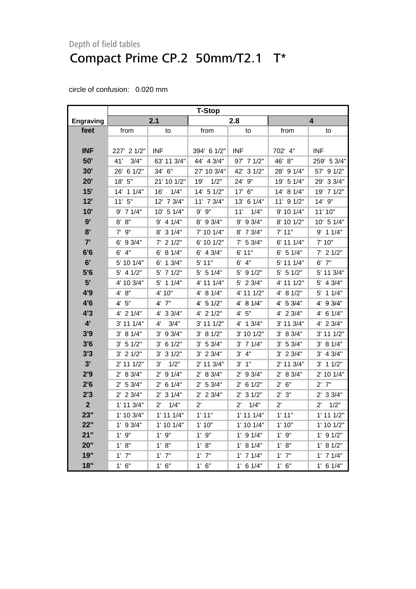<span id="page-22-0"></span>

|                  | <b>T-Stop</b>  |                      |               |                      |                |                      |
|------------------|----------------|----------------------|---------------|----------------------|----------------|----------------------|
| <b>Engraving</b> |                | 2.1                  |               | 2.8                  |                | 4                    |
| feet             | from           | to                   | from          | to                   | from           | to                   |
|                  |                |                      |               |                      |                |                      |
| <b>INF</b>       | 227' 2 1/2"    | <b>INF</b>           | 394' 6 1/2"   | <b>INF</b>           | 702' 4"        | <b>INF</b>           |
| 50'              | 3/4"<br>41'    | 63' 11 3/4"          | 44' 4 3/4"    | 97' 7 1/2"           | 46' 8"         | 259' 5 3/4"          |
| 30'              | 26' 6 1/2"     | 34' 6"               | 27' 10 3/4"   | 42' 3 1/2"           | 28' 9 1/4"     | 57' 9 1/2"           |
| 20'              | $18'$ 5"       | 21' 10 1/2"          | 1/2"<br>19'   | 24' 9"               | 19' 5 1/4"     | 29' 3 3/4"           |
| 15'              | 14' 1 1/4"     | 16'<br>1/4"          | 14' 5 1/2"    | 17' 6"               | 14' 8 1/4"     | 19' 7 1/2"           |
| 12'              | 11'5''         | 12' 7 3/4"           | 11' 7 3/4"    | 13' 6 1/4"           | 11' 9 1/2"     | 14' 9"               |
| 10'              | $9'$ 7 1/4"    | 10' 5 1/4"           | $9'$ $9''$    | 11'<br>1/4"          | 9' 10 1/4"     | 11'10"               |
| 9'               | 8' 8''         | $9'$ 4 1/4"          | 8' 9 3/4"     | 9' 9 3/4"            | 8' 10 1/2"     | $10'$ 5 $1/4"$       |
| 8'               | $7'$ $9''$     | 8' 3 1/4"            | 7' 10 1/4"    | 8' 7 3/4"            | 7' 11"         | $9'$ 1 1/4"          |
| 7'               | 6' 9 3/4"      | $7'$ 2 1/2"          | 6' 10 1/2"    | $7'$ 5 3/4"          | 6' 11 1/4"     | 7' 10"               |
| 6'6              | $6'$ $4"$      | 6' 8 1/4"            | $6'$ 4 3/4"   | 6' 11"               | $6'$ 5 1/4"    | $7'$ 2 1/2"          |
| 6'               | 5' 10 1/4"     | 6'<br>13/4"          | 5' 11"        | $6'$ 4"              | 5' 11 1/4"     | $6'$ $7''$           |
| 5'6              | $5'$ 4 1/2"    | 71/2"<br>5'          | $5'$ 5 1/4"   | $5'$ 9 $1/2"$        | 5' 51/2"       | 5' 11 3/4"           |
| 5'               | 4' 10 3/4"     | $5'$ 1 1/4"          | 4' 11 1/4"    | 5' 2 3/4"            | 4' 11 1/2"     | $5'$ 4 $3/4"$        |
| 4'9              | 4' 8"          | 4' 10"               | 4' 8 1/4"     | 4' 11 1/2"           | 4' 8 1/2"      | $5'$ 1 1/4"          |
| 4'6              | 4'5''          | 4' 7"                | $4'$ 5 1/2"   | 4' 8 1/4"            | 4' 5 3/4"      | 4' 9 3/4"            |
| 4'3              | $4'$ 2 1/4"    | 4' 3 3/4"            | 4' 2 1/2"     | 4' 5''               | 4' 2 3/4"      | 4' 6 1/4"            |
| $4^{\prime}$     | 3' 11 1/4"     | $4^{\prime}$<br>3/4" | 3' 11 1/2"    | 4' 1 3/4"            | 3' 11 3/4"     | 4' 2 3/4"            |
| 3'9              | 3' 81/4"       | $3'$ 9 $3/4"$        | 3' 81/2"      | 3' 10 1/2"           | 3' 8 3/4"      | $3'$ 11 1/2"         |
| 3'6              | 3' 51/2"       | 3' 6 1/2"            | 3' 53/4"      | $3'$ 7 1/4"          | 3' 5 3/4"      | 3' 8 1/4"            |
| 3'3              | $3'$ 2 $1/2"$  | $3'$ 3 $1/2"$        | $3'$ 2 $3/4"$ | 3' 4''               | $3'$ 2 $3/4"$  | $3'$ 4 $3/4"$        |
| 3'               | $2'$ 11 1/2"   | 1/2"<br>3'           | 2' 11 3/4"    | $3'$ $1''$           | $2'$ 11 $3/4"$ | $3'$ 1 1/2"          |
| 2'9              | 2' 8 3/4"      | $2'$ 9 1/4"          | 2' 8 3/4"     | 2' 9 3/4"            | 2' 8 3/4"      | 2' 10 1/4"           |
| 2'6              | 2' 53/4"       | $2'$ 6 1/4"          | $2'$ 5 3/4"   | $2'$ 6 1/2"          | 2' 6''         | $2'$ 7"              |
| 2'3              | $2'$ 2 3/4"    | $2'$ 3 1/4"          | $2'$ 2 3/4"   | $2'$ 3 1/2"          | 2' 3''         | $2'$ 3 3/4"          |
| $\overline{2}$   | $1'$ 11 $3/4"$ | $2^{\prime}$<br>1/4" | $2^{\prime}$  | 1/4"<br>$2^{\prime}$ | $2^{\prime}$   | 1/2"<br>$2^{\prime}$ |
| 23"              | 1' 10 3/4"     | $1'$ 11 $1/4"$       | 1'11"         | $1'$ 11 $1/4"$       | 1'11"          | $1'$ 11 $1/2"$       |
| 22"              | $1'$ 9 $3/4"$  | $1'$ 10 $1/4"$       | 1'10"         | $1'$ 10 $1/4"$       | 1'10"          | $1'$ 10 $1/2"$       |
| 21"              | $1'$ $9"$      | $1'$ $9"$            | $1'$ $9"$     | $1'$ 9 $1/4"$        | 1'9''          | $1'$ 9 $1/2"$        |
| 20"              | 1' 8''         | 1' 8''               | 1' 8''        | 1' 8 1/4"            | 1' 8''         | 1' 8 1/2"            |
| 19"              | $1'$ $7"$      | $1'$ $7"$            | $1'$ $7"$     | $1'$ 7 $1/4"$        | $1'$ $7"$      | $1'$ 7 $1/4"$        |
| 18"              | $1'$ 6"        | 1' 6''               | $1'$ 6"       | $1'$ 6 $1/4"$        | 1' 6''         | $1'$ 6 $1/4"$        |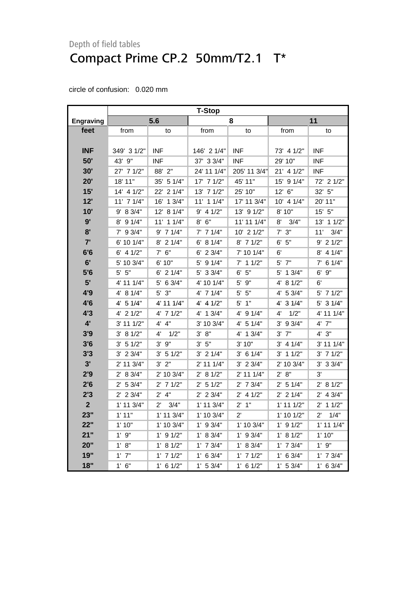|                  | <b>T-Stop</b>  |                      |                |               |                |                      |  |
|------------------|----------------|----------------------|----------------|---------------|----------------|----------------------|--|
| <b>Engraving</b> |                | 5.6                  |                | 8             |                | 11                   |  |
| feet             | from           | to                   | from           | to            | from           | to                   |  |
|                  |                |                      |                |               |                |                      |  |
| <b>INF</b>       | 349' 3 1/2"    | <b>INF</b>           | 146' 2 1/4"    | <b>INF</b>    | 73' 4 1/2"     | <b>INF</b>           |  |
| 50'              | 43' 9"         | <b>INF</b>           | 37' 3 3/4"     | <b>INF</b>    | 29' 10"        | INF                  |  |
| 30'              | 27' 7 1/2"     | 88' 2"               | 24' 11 1/4"    | 205' 11 3/4"  | $21'$ 4 $1/2"$ | INF                  |  |
| 20'              | 18' 11"        | 35' 5 1/4"           | $17'$ 7 $1/2"$ | 45' 11"       | 15' 9 1/4"     | 72' 2 1/2"           |  |
| 15'              | 14' 4 1/2"     | 22' 2 1/4"           | 13' 7 1/2"     | 25' 10"       | 12' 6"         | 32' 5"               |  |
| 12'              | 11' 7 1/4"     | 16' 1 3/4"           | $11'$ 1 $1/4"$ | 17' 11 3/4"   | 10' 4 1/4"     | 20' 11"              |  |
| 10'              | 9' 8 3/4"      | 12' 8 1/4"           | $9'$ 4 1/2"    | 13' 9 1/2"    | 8' 10"         | $15'$ 5"             |  |
| 9'               | 8' 9 1/4"      | 11' 1 1/4"           | $8'$ $6''$     | 11' 11 1/4"   | 8'<br>3/4"     | 13' 1 1/2"           |  |
| 8'               | $7'$ 9 3/4"    | $9'$ 7 1/4"          | $7'$ 7 1/4"    | 10' 2 1/2"    | $7'$ 3"        | 3/4"<br>11'          |  |
| 7'               | 6' 10 1/4"     | $8'$ 2 1/4"          | 6' 8 1/4"      | $8'$ 7 1/2"   | $6'$ 5"        | $9'$ 2 1/2"          |  |
| 6'6              | $6'$ 4 $1/2"$  | $7'$ 6"              | $6'$ 2 3/4"    | 7' 10 1/4"    | 6'             | $8'$ 4 1/4"          |  |
| 6'               | 5' 10 3/4"     | 6' 10"               | 5' 9 1/4"      | $7'$ 1 1/2"   | 5' 7"          | $7'$ 6 1/4"          |  |
| 5'6              | $5'$ $5"$      | $6'$ 2 1/4"          | 5' 3 3/4"      | $6'$ 5"       | 13/4"<br>5'    | $6'$ $9''$           |  |
| 5'               | 4' 11 1/4"     | $5'$ 6 3/4"          | 4' 10 1/4"     | $5'$ $9''$    | $4'$ 8 1/2"    | 6'                   |  |
| 4'9              | 4' 8 1/4"      | $5'$ $3"$            | $4'$ 7 1/4"    | $5'$ 5"       | 4' 5 3/4"      | $5'$ 7 1/2"          |  |
| 4'6              | $4'$ 5 1/4"    | 4' 11 1/4"           | $4'$ 4 $1/2"$  | $5'$ 1"       | 31/4"<br>4'    | 5' 3 1/4"            |  |
| 4'3              | $4'$ 2 $1/2"$  | 4' 7 1/2"            | $4'$ 1 $3/4"$  | 4' 9 1/4"     | 4'<br>1/2"     | 4' 11 1/4"           |  |
| $4^{\prime}$     | $3'$ 11 $1/2"$ | 4' 4''               | 3' 10 3/4"     | 4' 5 1/4"     | 3'<br>93/4"    | $4'$ $7"$            |  |
| 3'9              | 3' 8 1/2"      | 4'<br>1/2"           | 3' 8''         | 4' 1 3/4"     | $3'$ $7''$     | 4'3''                |  |
| 3'6              | $3'$ 5 1/2"    | $3'$ $9''$           | 3'5''          | 3'10"         | $3'$ 4 1/4"    | 3' 11 1/4"           |  |
| 3'3              | $3'$ 2 $3/4"$  | $3'$ 5 1/2"          | $3'$ 2 1/4"    | $3'$ 6 1/4"   | $3'$ 1 1/2"    | $3'$ 7 $1/2"$        |  |
| 3'               | 2' 11 3/4"     | $3'$ $2"$            | 2' 11 1/4"     | $3'$ 2 $3/4"$ | $2'$ 10 $3/4"$ | $3'$ 3 $3/4"$        |  |
| 2'9              | 2' 8 3/4"      | 2' 10 3/4"           | 2' 8 1/2"      | 2' 11 1/4"    | 2' 8''         | 3'                   |  |
| 2'6              | 2' 53/4"       | $2'$ 7 1/2"          | $2'$ 5 1/2"    | 2' 7 3/4"     | $2'$ 5 1/4"    | 2' 8 1/2"            |  |
| 2'3              | $2'$ 2 3/4"    | $2'$ 4"              | $2'$ 2 3/4"    | $2'$ 4 1/2"   | $2'$ 2 1/4"    | $2'$ 4 3/4"          |  |
| $\mathbf{2}$     | $1'$ 11 $3/4"$ | $2^{\prime}$<br>3/4" | 1' 11 3/4"     | $2'$ 1"       | $1'$ 11 $1/2"$ | $2'$ 1 1/2"          |  |
| 23"              | 1'11"          | $1'$ 11 $3/4"$       | $1'$ 10 $3/4"$ | $2^{\prime}$  | $1'$ 10 $1/2"$ | 1/4"<br>$2^{\prime}$ |  |
| 22"              | 1'10"          | 1' 10 3/4"           | $1'$ 9 3/4"    | 1' 10 3/4"    | $1'$ 9 $1/2"$  | $1'$ 11 $1/4"$       |  |
| 21"              | $1'$ 9"        | $1'$ 9 $1/2"$        | $1'$ 8 3/4"    | $1'$ 9 3/4"   | 1' 8 1/2"      | 1'10"                |  |
| 20"              | 1' 8''         | 1' 8 1/2"            | $1'$ 7 $3/4"$  | 1' 8 3/4"     | $1'$ 7 $3/4"$  | $1'$ $9"$            |  |
| 19"              | $1'$ $7"$      | $1'$ 7 $1/2"$        | $1'$ 6 3/4"    | $1'$ 7 $1/2"$ | $1'$ 6 3/4"    | $1'$ 7 $3/4"$        |  |
| 18"              | 1' 6''         | $1'$ 6 $1/2"$        | 1' 53/4"       | $1'$ 6 $1/2"$ | 1' 53/4"       | $1'$ 6 3/4"          |  |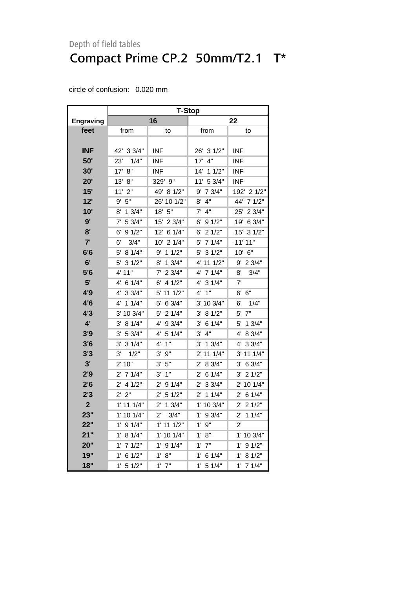|                  | <b>T-Stop</b>          |                          |                       |                       |  |  |  |
|------------------|------------------------|--------------------------|-----------------------|-----------------------|--|--|--|
| <b>Engraving</b> |                        | 16                       |                       | 22                    |  |  |  |
| feet             | from                   | to                       | from                  | to                    |  |  |  |
|                  |                        |                          |                       |                       |  |  |  |
| INF              | 42' 3 3/4"             | <b>INF</b>               | 26' 3 1/2"            | <b>INF</b>            |  |  |  |
| 50'              | 23'<br>1/4"            | <b>INF</b>               | 4"<br>17'             | INF                   |  |  |  |
| 30'              | 8"<br>17'              | <b>INF</b>               | 14' 1 1/2"            | <b>INF</b>            |  |  |  |
| 20'              | 13' 8"                 | 329' 9"                  | 11' 5 3/4"            | <b>INF</b>            |  |  |  |
| 15'              | 2"<br>11'              | 49' 8 1/2"               | 7 3/4"<br>9'          | 192' 2 1/2"           |  |  |  |
| 12'              | 5"<br>9'               | 26' 10 1/2"              | 4"<br>8'              | 44'<br>71/2"          |  |  |  |
| 10'              | 13/4"<br>8'            | 5"<br>18'                | 4"<br>7'              | 25'<br>23/4"          |  |  |  |
| 9'               | 5 3/4"<br>7'           | 15'<br>2 3/4"            | 9 1/2"<br>6'          | 19'<br>6 3/4"         |  |  |  |
| 8'               | 91/2"<br>6'            | 12'<br>6 1/4"            | 21/2"<br>6'           | 15'<br>31/2"          |  |  |  |
| 7'               | 3/4"<br>6'             | 21/4"<br>10'             | 71/4"<br>5'           | 11' 11"               |  |  |  |
| 6'6              | 8 1/4"<br>5'           | 11/2"<br>9'              | 31/2"<br>5'           | 10' 6"                |  |  |  |
| 6'               | 5'<br>31/2"            | 13/4"<br>8'              | 4' 11 1/2"            | 23/4"<br>9'           |  |  |  |
| 5'6              | 4' 11"                 | 7'<br>2 3/4"             | 4'<br>7 1/4"          | 8'<br>3/4"            |  |  |  |
| 5'               | 6 1/4"<br>4'           | 4 1/2"<br>6'             | 31/4"<br>4'           | 7'                    |  |  |  |
| 4'9              | 33/4"<br>4'            | 5' 11 1/2"               | 1"<br>4'              | 6"<br>6'              |  |  |  |
| 4'6              | 4'<br>11/4"            | 5'<br>6 3/4"             | 3'<br>10 3/4"         | 6'<br>1/4"            |  |  |  |
| 4'3              | 3' 10 3/4"             | 5'<br>21/4"              | 3,<br>8 1/2"          | 7"<br>5'              |  |  |  |
| 4'               | 3'<br>81/4"            | 9 3/4"<br>4'             | 3'<br>6 1/4"          | 5'<br>13/4"           |  |  |  |
| 3'9              | 5 3/4"<br>3'           | 4'<br>5 1/4"             | 4"<br>3'              | 4'<br>8 3/4"          |  |  |  |
| 3'6              | 31/4"<br>3'            | 1"<br>4'                 | 13/4"<br>3'           | 33/4"<br>4'           |  |  |  |
| 3'3              | 3'<br>1/2"             | $9^{\overline{1}}$<br>3' | 111/4"<br>2'          | 3' 11 1/4"            |  |  |  |
| 3'               | 2' 10"                 | 5"<br>3'                 | 8 3/4"<br>2'          | 6 3/4"<br>3'          |  |  |  |
| 2'9              | 71/4"<br>$2^{\prime}$  | 3'<br>1"                 | 6 1/4"<br>2'          | 3'<br>21/2"           |  |  |  |
| 2'6              | $2^{\prime}$<br>4 1/2" | $2^{\prime}$<br>91/4"    | 2'<br>33/4"           | 2' 10 1/4"            |  |  |  |
| 2'3              | 2"<br>$2^{\prime}$     | $2^{\prime}$<br>5 1/2"   | 11/4"<br>$2^{\prime}$ | 61/4"<br>$2^{\prime}$ |  |  |  |
| $\overline{2}$   | $1'$ 11 $1/4"$         | $2^{\prime}$<br>13/4"    | 1' 10 3/4"            | $2^{\prime}$<br>21/2" |  |  |  |
| 23"              | 1' 10 1/4"             | $2^{\prime}$<br>3/4"     | 1'<br>93/4"           | $2^{\prime}$<br>11/4" |  |  |  |
| 22"              | $1^{\prime}$<br>91/4"  | $1'$ 11 $1/2"$           | 9"<br>1'              | $2^{\prime}$          |  |  |  |
| 21"              | 8 1/4"<br>1'           | 1' 10 1/4"               | 8"<br>1'              | 1' 10 3/4"            |  |  |  |
| 20"              | 1'<br>71/2"            | 1'<br>9 1/4"             | $7^{\circ}$<br>1'     | 1'<br>91/2"           |  |  |  |
| 19"              | 1'<br>61/2"            | 8"<br>1'                 | 1'<br>61/4"           | 1'<br>81/2"           |  |  |  |
| 18"              | 1'<br>5 1/2"           | 1'<br>7"                 | 1'<br>5 1/4"          | 1'<br>71/4"           |  |  |  |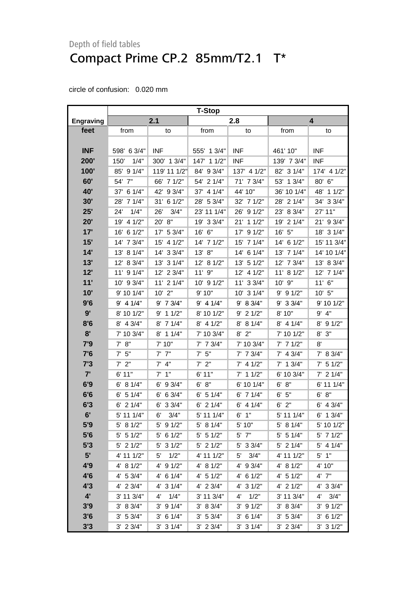<span id="page-25-0"></span>

|                  | <b>T-Stop</b>     |                       |                   |               |               |                     |  |
|------------------|-------------------|-----------------------|-------------------|---------------|---------------|---------------------|--|
| <b>Engraving</b> |                   | 2.1                   |                   | 2.8           | 4             |                     |  |
| feet             | from              | to                    | from              | to            | from          | to                  |  |
|                  |                   |                       |                   |               |               |                     |  |
| <b>INF</b>       | 598' 6 3/4"       | <b>INF</b>            | 555' 1 3/4"       | <b>INF</b>    | 461' 10"      | <b>INF</b>          |  |
| 200'             | 1/4"<br>150'      | 300' 1 3/4"           | 147' 1 1/2"       | <b>INF</b>    | 139' 7 3/4"   | <b>INF</b>          |  |
| 100'             | 85' 9 1/4"        | 119' 11 1/2"          | 84' 9 3/4"        | 137' 4 1/2"   | 82' 3 1/4"    | 174' 4 1/2"         |  |
| 60'              | 54' 7"            | 66' 7 1/2"            | 54' 2 1/4"        | 71' 7 3/4"    | 53' 1 3/4"    | 80' 6"              |  |
| 40'              | 37' 6 1/4"        | 42' 9 3/4"            | 37' 4 1/4"        | 44' 10"       | 36' 10 1/4"   | 48'<br>11/2"        |  |
| 30'              | 28' 7 1/4"        | 31' 6 1/2"            | 28' 5 3/4"        | 32' 7 1/2"    | 28' 2 1/4"    | 34' 3 3/4"          |  |
| 25'              | 1/4"<br>24'       | 26'<br>3/4"           | 23' 11 1/4"       | 26' 9 1/2"    | 23' 8 3/4"    | 27' 11"             |  |
| 20'              | 19' 4 1/2"        | 20' 8"                | 19' 3 3/4"        | 21' 1 1/2"    | 19' 2 1/4"    | 9 3/4"<br>21'       |  |
| 17'              | 16' 6 1/2"        | 17' 5 3/4"            | 16' 6"            | 17' 9 1/2"    | 16' 5"        | 18' 3 1/4"          |  |
| 15'              | 14' 7 3/4"        | 15' 4 1/2"            | 14' 7 1/2"        | 15' 7 1/4"    | 14' 6 1/2"    | 15' 11 3/4"         |  |
| 14'              | 13' 8 1/4"        | 14' 3 3/4"            | 13' 8"            | 14' 6 1/4"    | 13' 7 1/4"    | 14' 10 1/4"         |  |
| 13'              | 12' 8 3/4"        | 13' 3 1/4"            | 12' 8 1/2"        | 13' 5 1/2"    | 12' 7 3/4"    | 13' 8 3/4"          |  |
| 12'              | 11' 9 1/4"        | 12' 2 3/4"            | 11' 9"            | 12' 4 1/2"    | 11' 8 1/2"    | 12' 7 1/4"          |  |
| 11'              | 10' 9 3/4"        | $11'$ 2 $1/4"$        | $10'$ 9 $1/2"$    | 11' 3 3/4"    | 10' 9"        | $11'$ 6"            |  |
| 10'              | 9' 10 1/4"        | $10'$ $2"$            | 9'10"             | 10' 3 1/4"    | $9'$ 9 1/2"   | 10' 5"              |  |
| 9'6              | $9'$ 4 1/4"       | $9'$ 7 $3/4"$         | $9'$ 4 1/4"       | 9' 8 3/4"     | $9'$ 3 3/4"   | 9' 10 1/2"          |  |
| 9'               | 8' 10 1/2"        | 11/2"<br>9'           | 8' 10 1/2"        | $9'$ 2 1/2"   | 8' 10"        | 4"<br>9'            |  |
| 8'6              | 8' 4 3/4"         | 8' 7 1/4"             | $8'$ 4 1/2"       | 8' 8 1/4"     | 8' 4 1/4"     | 8' 9 1/2"           |  |
| 8'               | 7' 10 3/4"        | $8'$ 1 1/4"           | 7' 10 3/4"        | $8'$ $2"$     | 7' 10 1/2"    | 3"<br>8'            |  |
| 7'9              | 8"<br>$7^{\circ}$ | 7' 10"                | $7'$ 7 $3/4"$     | 7' 10 3/4"    | $7'$ 7 1/2"   | 8'                  |  |
| 7'6              | $7'$ 5"           | $7'$ $7''$            | 5"<br>$7^{\circ}$ | $7'$ 7 $3/4"$ | $7'$ 4 3/4"   | 7' 8 3/4"           |  |
| 7'3              | $7'$ 2"           | $7'$ 4"               | 2"<br>7'          | $7'$ 4 $1/2"$ | $7'$ 1 3/4"   | $7'$ 5 1/2"         |  |
| 7'               | 6' 11"            | $7'$ 1"               | 6'11"             | $7'$ 1 1/2"   | 6' 10 3/4"    | $7'$ 2 1/4"         |  |
| 6'9              | 6' 8 1/4"         | 9 3/4"<br>6'          | 6' 8''            | 6' 10 1/4"    | 8"<br>6'      | 6' 11 1/4"          |  |
| 6'6              | $6'$ 5 1/4"       | 6 3/4"<br>6'          | $6'$ 5 1/4"       | $6'$ 7 1/4"   | $6'$ $5"$     | 6' 8''              |  |
| 6'3              | $6'$ 2 1/4"       | 33/4"<br>6'           | $6'$ 2 $1/4"$     | $6'$ 4 1/4"   | $6'$ $2"$     | $6'$ 4 3/4"         |  |
| 6'               | 5' 11 1/4"        | 6'<br>3/4"            | 5' 11 1/4"        | 1"<br>6'      | 5' 11 1/4"    | $6'$ 1 $3/4"$       |  |
| 5'9              | 5' 8 1/2"         | 5' 9 1/2"             | 5' 8 1/4"         | 5' 10"        | 5' 8 1/4"     | 5' 10 1/2"          |  |
| 5'6              | $5'$ 5 $1/2"$     | $5'$ 6 1/2"           | $5'$ 5 1/2"       | $5'$ $7"$     | $5'$ 5 1/4"   | $5'$ 7 $1/2"$       |  |
| 5'3              | $5'$ 2 $1/2"$     | $5'$ 3 $1/2"$         | $5'$ 2 1/2"       | 5' 3 3/4"     | 5' 2 1/4"     | $5'$ 4 1/4"         |  |
| 5'               | 4' 11 1/2"        | 1/2"<br>5'            | 4' 11 1/2"        | 3/4"<br>5'    | 4' 11 1/2"    | $5'$ 1"             |  |
| 4'9              | 4' 8 1/2"         | 91/2"<br>$4^{\prime}$ | 4' 8 1/2"         | $4'$ 9 3/4"   | 4' 8 1/2"     | 4' 10"              |  |
| 4'6              | 4' 5 3/4"         | $4'$ 6 1/4"           | $4'$ 5 1/2"       | $4'$ 6 1/2"   | $4'$ 5 1/2"   | $4'$ $7"$           |  |
| 4'3              | 4' 2 3/4"         | $4'$ 3 $1/4"$         | $4'$ 2 3/4"       | 4' 3 1/2"     | $4'$ 2 $1/2"$ | 4' 3 3/4"           |  |
| $4^{\prime}$     | 3' 11 3/4"        | 1/4"<br>4'            | 3' 11 3/4"        | 1/2"<br>4'    | 3' 11 3/4"    | $4^{\circ}$<br>3/4" |  |
| 3'9              | 3' 8 3/4"         | $3'$ 9 $1/4"$         | 3' 8 3/4"         | $3'$ 9 $1/2"$ | 3' 8 3/4"     | $3'$ 9 $1/2"$       |  |
| 3'6              | 3' 5 3/4"         | $3'$ 6 1/4"           | 3' 5 3/4"         | $3'$ 6 1/4"   | 3' 5 3/4"     | $3'$ 6 1/2"         |  |
| 3'3              | $3'$ 2 $3/4"$     | $3'$ 3 $1/4"$         | $3'$ 2 $3/4"$     | $3'$ 3 $1/4"$ | $3'$ 2 $3/4"$ | 3' 31/2"            |  |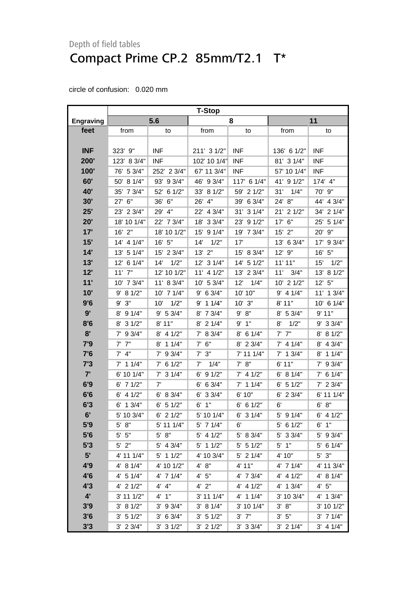|                  | <b>T-Stop</b> |               |                   |               |               |                |  |
|------------------|---------------|---------------|-------------------|---------------|---------------|----------------|--|
| <b>Engraving</b> |               | 5.6           |                   | 8             |               | 11             |  |
| feet             | from          | to            | from              | to            | from          | to             |  |
|                  |               |               |                   |               |               |                |  |
| <b>INF</b>       | 323' 9"       | <b>INF</b>    | 211' 3 1/2"       | <b>INF</b>    | 136' 6 1/2"   | <b>INF</b>     |  |
| 200'             | 123' 8 3/4"   | <b>INF</b>    | 102' 10 1/4"      | <b>INF</b>    | 81' 3 1/4"    | <b>INF</b>     |  |
| 100'             | 76' 5 3/4"    | 252' 2 3/4"   | 67' 11 3/4"       | <b>INF</b>    | 57' 10 1/4"   | <b>INF</b>     |  |
| 60'              | 50' 8 1/4"    | 93' 9 3/4"    | 46' 9 3/4"        | 117' 6 1/4"   | 41' 9 1/2"    | 174' 4"        |  |
| 40'              | 35' 7 3/4"    | 52' 6 1/2"    | 33' 8 1/2"        | 59' 2 1/2"    | 31'<br>1/4"   | 70' 9"         |  |
| 30'              | 27' 6"        | 36' 6"        | 26'<br>4"         | 39' 6 3/4"    | 24' 8"        | 44' 4 3/4"     |  |
| 25'              | 23' 2 3/4"    | 29' 4"        | 4 3/4"<br>22'     | 31' 3 1/4"    | 21' 2 1/2"    | 34' 2 1/4"     |  |
| 20'              | 18' 10 1/4"   | 22' 7 3/4"    | 18' 3 3/4"        | 23' 9 1/2"    | 17' 6"        | 25' 5 1/4"     |  |
| 17'              | 16' 2"        | 18' 10 1/2"   | 15' 9 1/4"        | 19' 7 3/4"    | $15'$ 2"      | 20' 9"         |  |
| 15'              | 14' 4 1/4"    | 16' 5"        | 14'<br>1/2"       | 17'           | 13' 6 3/4"    | 17' 9 3/4"     |  |
| 14'              | 13' 5 1/4"    | 15' 2 3/4"    | $13'$ $2"$        | 15' 8 3/4"    | 12' 9"        | 16' 5"         |  |
| 13'              | 12' 6 1/4"    | 14'<br>1/2"   | 12' 3 1/4"        | 14' 5 1/2"    | 11'11"        | 1/2"<br>15'    |  |
| 12'              | $11'$ $7"$    | 12' 10 1/2"   | $11'$ 4 $1/2"$    | 13' 2 3/4"    | 11'<br>3/4"   | 13' 8 1/2"     |  |
| 11'              | 10' 7 3/4"    | 11' 8 3/4"    | 10' 5 3/4"        | 12'<br>1/4"   | 10' 2 1/2"    | 12' 5''        |  |
| 10'              | 9' 8 1/2"     | 10' 7 1/4"    | $9'$ 6 3/4"       | 10' 10"       | $9'$ 4 1/4"   | 11' 1 3/4"     |  |
| 9'6              | 9' 3''        | 1/2"<br>10'   | $9'$ 1 1/4"       | $10'$ $3"$    | 8' 11"        | $10'$ 6 $1/4"$ |  |
| 9'               | $8'$ 9 1/4"   | 9' 5 3/4"     | 8' 7 3/4"         | 9' 8''        | 8' 5 3/4"     | 9'11"          |  |
| 8'6              | 31/2"<br>8'   | 8' 11"        | 8' 2 1/4"         | 1"<br>9'      | 8'<br>1/2"    | 9' 3 3/4"      |  |
| 8'               | $7'$ 9 3/4"   | $8'$ 4 1/2"   | 7' 8 3/4"         | 6 1/4"<br>8'  | $7'$ $7''$    | 8' 8 1/2"      |  |
| 7'9              | $7'$ $7''$    | $8'$ 1 1/4"   | 6"<br>$7^{\circ}$ | 8' 2 3/4"     | $7'$ 4 1/4"   | 8' 4 3/4"      |  |
| 7'6              | $7'$ 4"       | 7' 9 3/4"     | $7'$ 3"           | 7' 11 1/4"    | $7'$ 1 3/4"   | $8'$ 1 1/4"    |  |
| 7'3              | $7'$ 1 1/4"   | $7'$ 6 1/2"   | 1/4"<br>7'        | 7' 8''        | 6'11"         | $7'$ 9 3/4"    |  |
| 7'               | 6' 10 1/4"    | $7'$ 3 $1/4"$ | $6'$ 9 $1/2"$     | $7'$ 4 1/2"   | 6' 8 1/4"     | $7'$ 6 1/4"    |  |
| 6'9              | $6'$ 7 $1/2"$ | 7'            | $6'$ 6 3/4"       | $7'$ 1 1/4"   | $6'$ 5 1/2"   | $7'$ 2 3/4"    |  |
| 6'6              | $6'$ 4 $1/2"$ | 6' 8 3/4"     | 6' 3 3/4"         | 6' 10"        | $6'$ 2 3/4"   | 6' 11 1/4"     |  |
| 6'3              | 13/4"<br>6'   | $6'$ 5 1/2"   | $6'$ 1"           | 6' 6 1/2"     | 6'            | 6' 8''         |  |
| 6'               | 5' 10 3/4"    | $6'$ 2 $1/2"$ | 5' 10 1/4"        | $6'$ 3 $1/4"$ | $5'$ 9 $1/4"$ | $6'$ 4 $1/2"$  |  |
| 5'9              | 5' 8''        | 5' 11 1/4"    | 5' 7 1/4"         | 6'            | $5'$ 6 1/2"   | 6'1''          |  |
| 5'6              | $5'$ $5"$     | $5' 8"$       | $5'$ 4 1/2"       | 5' 8 3/4"     | 5' 3 3/4"     | 5' 9 3/4"      |  |
| 5'3              | $5'$ 2"       | $5'$ 4 3/4"   | $5'$ 1 1/2"       | $5'$ 5 1/2"   | $5'$ 1"       | $5'$ 6 1/4"    |  |
| 5'               | 4' 11 1/4"    | $5'$ 1 1/2"   | 4' 10 3/4"        | $5'$ 2 $1/4"$ | 4' 10"        | $5'$ $3"$      |  |
| 4'9              | 4' 8 1/4"     | 4' 10 1/2"    | 4' 8''            | 4' 11"        | 4' 7 1/4"     | 4' 11 3/4"     |  |
| 4'6              | 4' 5 1/4"     | 4' 7 1/4"     | 4' 5''            | 4' 7 3/4"     | $4'$ 4 $1/2"$ | 4' 8 1/4"      |  |
| 4'3              | $4'$ 2 $1/2"$ | 4' 4"         | $4'$ 2"           | $4'$ 4 $1/2"$ | 4' 1 3/4"     | 4' 5''         |  |
| $4^{\prime}$     | 3' 11 1/2"    | 4' 1''        | $3'$ 11 1/4"      | $4'$ 1 1/4"   | 3' 10 3/4"    | 4' 1 3/4"      |  |
| 3'9              | 3' 8 1/2"     | $3'$ 9 $3/4"$ | 3' 8 1/4"         | 3' 10 1/4"    | 3' 8''        | 3' 10 1/2"     |  |
| 3'6              | 3' 51/2"      | 3' 6 3/4"     | 3' 51/2"          | $3'$ $7''$    | $3'$ 5"       | $3'$ 7 1/4"    |  |
| 3'3              | $3'$ 2 $3/4"$ | $3'$ 3 $1/2"$ | $3'$ 2 $1/2"$     | $3'$ 3 $3/4"$ | $3'$ 2 1/4"   | $3'$ 4 1/4"    |  |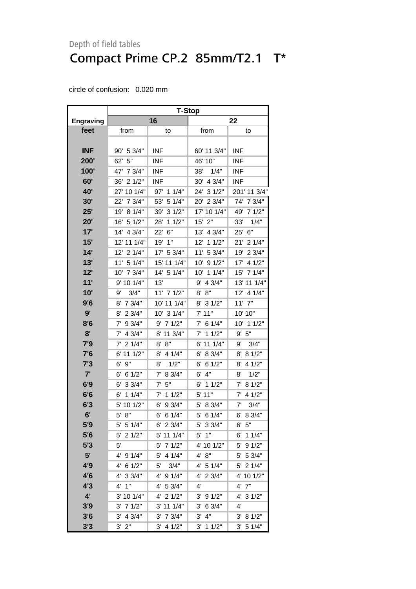|                  | <b>T-Stop</b> |               |                        |               |  |  |
|------------------|---------------|---------------|------------------------|---------------|--|--|
| <b>Engraving</b> |               | 16            |                        | 22            |  |  |
| feet             | from          | to            | from                   | to            |  |  |
|                  |               |               |                        |               |  |  |
| <b>INF</b>       | 90' 5 3/4"    | <b>INF</b>    | 60' 11 3/4"            | <b>INF</b>    |  |  |
| <b>200'</b>      | 62' 5"        | <b>INF</b>    | 46' 10"                | INF           |  |  |
| 100'             | 47' 7 3/4"    | <b>INF</b>    | 38'<br>1/4"            | <b>INF</b>    |  |  |
| 60'              | 21/2"<br>36'  | <b>INF</b>    | 4 3/4"<br>30'          | <b>INF</b>    |  |  |
| 40'              | 27' 10 1/4"   | 97'<br>11/4"  | 24' 3 1/2"             | 201' 11 3/4"  |  |  |
| 30'              | 22' 7 3/4"    | 53'<br>5 1/4" | 20' 2 3/4"             | 74' 7 3/4"    |  |  |
| 25'              | 19'<br>81/4"  | 39'<br>31/2"  | 17' 10 1/4"            | 49'<br>71/2"  |  |  |
| 20'              | 16' 5 1/2"    | 28'<br>11/2"  | 15'<br>2"              | 33'<br>1/4"   |  |  |
| 17'              | 14' 4 3/4"    | 6"<br>22'     | 13' 4 3/4"             | 25'<br>6"     |  |  |
| 15'              | 12' 11 1/4"   | 19'<br>1"     | 11/2"<br>12'           | 21'<br>21/4"  |  |  |
| 14'              | 12' 2 1/4"    | 5 3/4"<br>17' | 11' 5 3/4"             | 19'<br>2 3/4" |  |  |
| 13'              | 11' 5 1/4"    | 15' 11 1/4"   | 91/2"<br>10'           | 17'<br>4 1/2" |  |  |
| 12'              | 10' 7 3/4"    | 14' 5 1/4"    | 10' 1 1/4"             | 71/4"<br>15'  |  |  |
| 11'              | 9' 10 1/4"    | 13'           | 4 3/4"<br>9'           | 13' 11 1/4"   |  |  |
| 10'              | 9'<br>3/4"    | 11' 7 1/2"    | 8'<br>8"               | 12' 4 1/4"    |  |  |
| 9'6              | 7 3/4"<br>8'  | 10' 11 1/4"   | $8'$ 3 1/2"            | $11'$ $7"$    |  |  |
| 9'               | 23/4"<br>8'   | 10' 3 1/4"    | 7' 11"                 | 10' 10"       |  |  |
| 8'6              | 9 3/4"<br>7'  | $9'$ 7 1/2"   | $7'$ 6 1/4"            | 10' 1 1/2"    |  |  |
| 8'               | 4 3/4"<br>7'  | 8' 11 3/4"    | 11/2"<br>7'            | 9' 5''        |  |  |
| 7'9              | 21/4"<br>7'   | 8'<br>8"      | 6' 11 1/4"             | 9'<br>3/4"    |  |  |
| 7'6              | 111/2"<br>6'  | 8' 4 1/4"     | 8 3/4"<br>6'           | 8 1/2"<br>8'  |  |  |
| 7'3              | 6'<br>9"      | 1/2"<br>8'    | 6 1/2"<br>6'           | 8'<br>4 1/2"  |  |  |
| 7'               | 6 1/2"<br>6'  | 8 3/4"<br>7'  | 4"<br>6'               | 8'<br>1/2"    |  |  |
| 6'9              | 33/4"<br>6'   | 7'<br>5"      | 11/2"<br>6'            | 7'<br>81/2"   |  |  |
| 6'6              | 11/4"<br>6'   | 11/2"<br>7'   | 5' 11"                 | 4 1/2"<br>7'  |  |  |
| 6'3              | 5' 10 1/2"    | 9 3/4"<br>6'  | 5'<br>8 3/4"           | 3/4"<br>7'    |  |  |
| 6'               | 5'<br>8"      | 6'<br>6 1/4"  | 5' 6 1/4"              | 6' 8 3/4"     |  |  |
| 5'9              | 5' 5 1/4"     | $6'$ 2 3/4"   | 5' 3 3/4"              | 6' 5''        |  |  |
| 5'6              | $5'$ 2 1/2"   | 5' 11 1/4"    | $5'$ 1"                | $6'$ 1 1/4"   |  |  |
| 5'3              | 5'            | $5'$ 7 $1/2"$ | 4' 10 1/2"             | 5' 9 1/2"     |  |  |
| 5'               | 91/4"<br>4'   | 5'<br>4 1/4"  | 4' 8''                 | 5' 5 3/4"     |  |  |
| 4'9              | 6 1/2"<br>4'  | 3/4"<br>5'    | 4' 5 1/4"              | 5' 2 1/4"     |  |  |
| 4'6              | 33/4"<br>4'   | 4' 9 1/4"     | 4' 2 3/4"              | 4' 10 1/2"    |  |  |
| 4'3              | $4'$ 1"       | 4' 53/4"      | 4'                     | 4' 7"         |  |  |
| 4'               | 3' 10 1/4"    | $4'$ 2 $1/2"$ | $3'$ 9 $1/2"$          | 4' 3 1/2"     |  |  |
| 3'9              | $3'$ 7 $1/2"$ | $3'$ 11 1/4"  | 6 3/4"<br>$3^{\prime}$ | 4'            |  |  |
| 3'6              | $3'$ 4 $3/4"$ | $3'$ 7 $3/4"$ | 3' 4''                 | 3' 81/2"      |  |  |
| 3'3              | $3'$ $2"$     | $3'$ 4 1/2"   | $3'$ 1 1/2"            | 3' 5 1/4"     |  |  |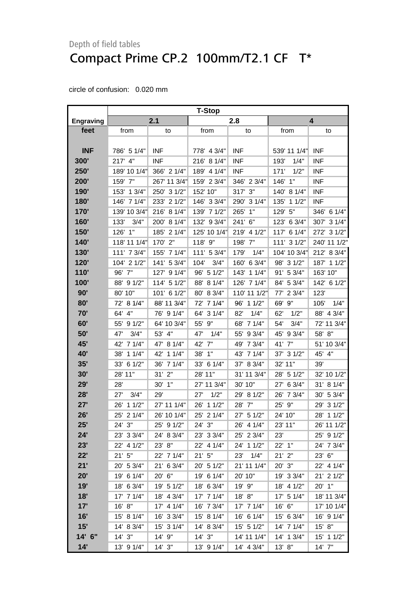<span id="page-28-0"></span>

|                  | <b>T-Stop</b> |              |               |              |               |                |  |
|------------------|---------------|--------------|---------------|--------------|---------------|----------------|--|
| <b>Engraving</b> |               | 2.1          |               | 2.8          |               | 4              |  |
| feet             | from          | to           | from          | to           | from          | to             |  |
|                  |               |              |               |              |               |                |  |
| <b>INF</b>       | 786' 5 1/4"   | <b>INF</b>   | 778' 4 3/4"   | <b>INF</b>   | 539' 11 1/4"  | <b>INF</b>     |  |
| 300'             | 217' 4"       | <b>INF</b>   | 216' 8 1/4"   | <b>INF</b>   | 193'<br>1/4"  | <b>INF</b>     |  |
| 250'             | 189' 10 1/4"  | 366' 2 1/4"  | 189' 4 1/4"   | <b>INF</b>   | 171'<br>1/2"  | <b>INF</b>     |  |
| 200'             | 159' 7"       | 267' 11 3/4" | 159' 2 3/4"   | 346' 2 3/4"  | 146' 1"       | <b>INF</b>     |  |
| 190'             | 153' 1 3/4"   | 250' 3 1/2"  | 152' 10"      | 317' 3"      | 140' 8 1/4"   | <b>INF</b>     |  |
| 180'             | 146' 7 1/4"   | 233' 2 1/2"  | 146' 3 3/4"   | 290' 3 1/4"  | 135'<br>11/2" | <b>INF</b>     |  |
| <b>170'</b>      | 139' 10 3/4"  | 216' 8 1/4"  | 139' 7 1/2"   | 1"<br>265'   | 5"<br>129'    | 346' 6 1/4"    |  |
| 160'             | 3/4"<br>133'  | 200' 8 1/4"  | 132' 9 3/4"   | 241' 6"      | 123' 6 3/4"   | 307' 3 1/4"    |  |
| 150'             | 1"<br>126'    | 185' 2 1/4"  | 125' 10 1/4"  | 219' 4 1/2"  | 117' 6 1/4"   | 272' 3 1/2"    |  |
| 140'             | 118' 11 1/4"  | 170' 2"      | 118' 9"       | 198' 7"      | 111' 3 1/2"   | 240' 11 1/2"   |  |
| <b>130'</b>      | 111' 7 3/4"   | 155' 7 1/4"  | 111' 5 3/4"   | 179'<br>1/4" | 104' 10 3/4"  | 212' 8 3/4"    |  |
| 120'             | 104' 2 1/2"   | 141' 5 3/4"  | 3/4"<br>104'  | 160' 6 3/4"  | 98' 3 1/2"    | 187' 1 1/2"    |  |
| 110'             | 96' 7"        | 127' 9 1/4"  | 96' 5 1/2"    | 143' 1 1/4"  | 91' 5 3/4"    | 163' 10"       |  |
| 100'             | 88' 9 1/2"    | 114' 5 1/2"  | 8 1/4"<br>88' | 126' 7 1/4"  | 84' 5 3/4"    | 142' 6 1/2"    |  |
| 90'              | 80' 10"       | 101' 6 1/2"  | 8 3/4"<br>80' | 110' 11 1/2" | 23/4"<br>77'  | 123'           |  |
| 80'              | 72' 8 1/4"    | 88' 11 3/4"  | 72' 7 1/4"    | 96' 1 1/2"   | 69' 9"        | 1/4"<br>105'   |  |
| 70'              | 64' 4"        | 76' 9 1/4"   | 64' 3 1/4"    | 82'<br>1/4"  | 62'<br>1/2"   | 88' 4 3/4"     |  |
| 60'              | 91/2"<br>55'  | 64' 10 3/4"  | 55' 9"        | 68' 7 1/4"   | 54'<br>3/4"   | 72' 11 3/4"    |  |
| 50'              | 3/4"<br>47'   | 53' 4"       | 1/4"<br>47'   | 55' 9 3/4"   | 45' 9 3/4"    | 58' 8"         |  |
| 45'              | 42' 7 1/4"    | 47' 8 1/4"   | 7"<br>42'     | 49' 7 3/4"   | 41' 7"        | 51' 10 3/4"    |  |
| <b>40'</b>       | 11/4"<br>38'  | 42' 1 1/4"   | 1"<br>38'     | 43' 7 1/4"   | 37' 3 1/2"    | 45' 4"         |  |
| 35'              | 61/2"<br>33'  | 36' 7 1/4"   | 6 1/4"<br>33' | 37' 8 3/4"   | 32' 11"       | 39'            |  |
| 30'              | 28' 11"       | $31'$ $2"$   | 28' 11"       | 31' 11 3/4"  | 28' 5 1/2"    | 32' 10 1/2"    |  |
| 29'              | 28'           | 30' 1"       | 27' 11 3/4"   | 30' 10"      | 27' 6 3/4"    | 31' 8 1/4"     |  |
| 28'              | 3/4"<br>27'   | 29'          | 1/2"<br>27'   | 29' 8 1/2"   | 26' 7 3/4"    | 5 3/4"<br>30'  |  |
| 27'              | 11/2"<br>26'  | 27' 11 1/4"  | 11/2"<br>26'  | 28' 7"       | 25' 9"        | 31/2"<br>29'   |  |
| 26'              | 25' 2 1/4"    | 26' 10 1/4"  | 25' 2 1/4"    | 27' 5 1/2"   | 24' 10"       | 11/2"<br>28'   |  |
| 25'              | 24' 3"        | 25' 9 1/2"   | 24' 3"        | 26' 4 1/4"   | 23' 11"       | 26' 11 1/2"    |  |
| 24'              | 23' 3 3/4"    | 24' 8 3/4"   | 23' 3 3/4"    | 25' 2 3/4"   | 23'           | 25' 9 1/2"     |  |
| 23'              | 22' 4 1/2"    | 23' 8"       | 22' 4 1/4"    | 24' 1 1/2"   | 22' 1"        | 24' 7 3/4"     |  |
| 22'              | 21'5''        | 22' 7 1/4"   | 21'5''        | 1/4"<br>23'  | $21'$ $2"$    | 23' 6"         |  |
| 21'              | 20' 5 3/4"    | 21' 6 3/4"   | 20' 5 1/2"    | 21' 11 1/4"  | $20'$ $3"$    | 22' 4 1/4"     |  |
| 20'              | 19' 6 1/4"    | 20' 6"       | 19' 6 1/4"    | 20' 10"      | 19' 3 3/4"    | $21'$ 2 $1/2"$ |  |
| 19'              | 18' 6 3/4"    | 19' 5 1/2"   | 18' 6 3/4"    | 19' 9"       | 18' 4 1/2"    | 20' 1"         |  |
| 18'              | 17' 7 1/4"    | 18' 4 3/4"   | 17' 7 1/4"    | 18' 8"       | 17' 5 1/4"    | 18' 11 3/4"    |  |
| 17'              | 16' 8"        | 17' 4 1/4"   | 16' 7 3/4"    | 17' 7 1/4"   | 16' 6"        | 17' 10 1/4"    |  |
| 16'              | 15' 8 1/4"    | 16' 3 3/4"   | 15' 8 1/4"    | 16' 6 1/4"   | 15' 6 3/4"    | 16' 9 1/4"     |  |
| 15'              | 14' 8 3/4"    | 15' 3 1/4"   | 14' 8 3/4"    | 15' 5 1/2"   | 14' 7 1/4"    | 15' 8"         |  |
| 14' 6"           | $14'$ 3"      | 14' 9"       | 14'3''        | 14' 11 1/4"  | 14' 1 3/4"    | 15' 1 1/2"     |  |
| 14'              | 13' 9 1/4"    | $14'$ $3''$  | 13' 9 1/4"    | 14' 4 3/4"   | 13' 8"        | 14' 7"         |  |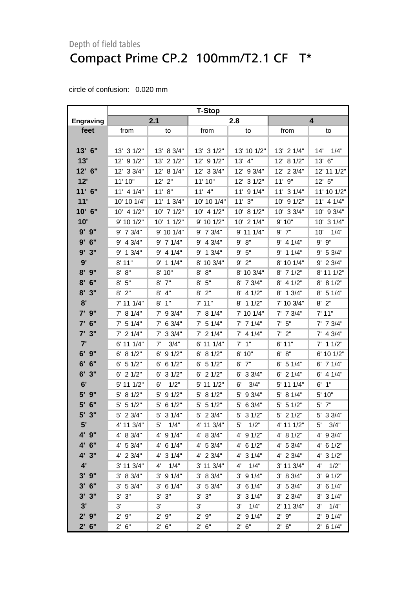|                    | <b>T-Stop</b>         |                      |                |               |                |               |
|--------------------|-----------------------|----------------------|----------------|---------------|----------------|---------------|
| <b>Engraving</b>   |                       | 2.1                  |                | 2.8           |                | 4             |
| feet               | from                  | to                   | from           | to            | from           | to            |
|                    |                       |                      |                |               |                |               |
| 13' 6"             | 13' 3 1/2"            | 13' 8 3/4"           | 13' 3 1/2"     | 13' 10 1/2"   | 13' 2 1/4"     | 14'<br>1/4"   |
| 13'                | 12' 9 1/2"            | 13' 2 1/2"           | 91/2"<br>12'   | 13' 4"        | 12' 8 1/2"     | 13' 6''       |
| 12' 6"             | 12' 3 3/4"            | 12' 8 1/4"           | 12' 3 3/4"     | 12' 9 3/4"    | 12' 2 3/4"     | 12' 11 1/2"   |
| 12'                | 11' 10"               | $12'$ $2"$           | 11' 10"        | 12' 3 1/2"    | 11' 9"         | 12'5''        |
| 11' 6"             | $11'$ 4 $1/4"$        | 11' 8''              | $11'$ 4"       | 11' 9 1/4"    | 11' 3 1/4"     | 11' 10 1/2"   |
| 11'                | 10' 10 1/4"           | 11' 1 3/4"           | 10' 10 1/4"    | 11'3''        | 10' 9 1/2"     | 11' 4 1/4"    |
| 10' 6"             | $10'$ 4 $1/2"$        | 10' 7 1/2"           | $10'$ 4 $1/2"$ | 10' 8 1/2"    | $10'$ 3 $3/4"$ | 10' 9 3/4"    |
| 10'                | 9' 10 1/2"            | 10' 1 1/2"           | 9' 10 1/2"     | 10' 2 1/4"    | 9' 10"         | 31/4"<br>10'  |
| 9' 9"              | 9' 7 3/4"             | 9' 10 1/4"           | 9' 7 3/4"      | 9' 11 1/4"    | $9'$ $7"$      | 10'<br>1/4"   |
| 9'<br>6"           | 9' 4 3/4"             | $9'$ 7 1/4"          | $9'$ 4 $3/4"$  | 9' 8''        | $9'$ 4 1/4"    | $9'$ $9"$     |
| 3"<br>9'           | $9'$ 1 3/4"           | $9'$ 4 1/4"          | $9'$ 1 $3/4"$  | 9'5''         | $9'$ 1 1/4"    | 9' 5 3/4"     |
| 9'                 | $8'$ 11"              | $9'$ 1 1/4"          | 8' 10 3/4"     | $9'$ $2"$     | 8' 10 1/4"     | 9' 2 3/4"     |
| 8'<br>9"           | 8"<br>8'              | 8' 10"               | 8"<br>8'       | 8' 10 3/4"    | 71/2"<br>8'    | 8' 11 1/2"    |
| 8'<br>6"           | 5"<br>8'              | $8'$ $7''$           | 5"<br>8'       | 8' 7 3/4"     | $8'$ 4 $1/2"$  | 8' 8 1/2"     |
| 8'<br>3"           | 2"<br>8'              | $8'$ 4"              | $8'$ 2"        | 8' 4 1/2"     | 8' 1 3/4"      | $8'$ 5 1/4"   |
| 8'                 | 7' 11 1/4"            | $8'$ 1"              | 7'11"          | 11/2"<br>8'   | 7' 10 3/4"     | $8'$ 2"       |
| 7' 9"              | 7' 8 1/4"             | $7'$ 9 3/4"          | 7' 8 1/4"      | 7' 10 1/4"    | $7'$ 7 $3/4"$  | 7' 11"        |
| 6"<br>7'           | 5 1/4"<br>$7^{\circ}$ | $7'$ 6 3/4"          | $7'$ 5 1/4"    | $7'$ 7 1/4"   | $7'$ 5"        | $7'$ 7 $3/4"$ |
| $7'$ 3"            | $7'$ 2 1/4"           | $7'$ 3 3/4"          | $7'$ 2 1/4"    | $7'$ 4 1/4"   | $7'$ $2"$      | $7'$ 4 3/4"   |
| 7'                 | 6' 11 1/4"            | 7'<br>3/4"           | 6' 11 1/4"     | 1"<br>7'      | 6' 11"         | $7'$ 1 1/2"   |
| $6'$ $9''$         | 6' 8 1/2"             | 91/2"<br>6'          | 6' 8 1/2"      | 6'10"         | 6' 8''         | 6' 10 1/2"    |
| 6"<br>6'           | $6'$ 5 $1/2"$         | 61/2"<br>6'          | $6'$ 5 1/2"    | $6'$ $7"$     | 5 1/4"<br>6'   | $6'$ 7 1/4"   |
| 6'<br>3"           | $6'$ 2 $1/2"$         | 31/2"<br>6'          | $6'$ 2 $1/2"$  | 33/4"<br>6'   | $6'$ 2 1/4"    | $6'$ 4 $1/4"$ |
| 6'                 | 5' 11 1/2"            | 6'<br>1/2"           | 5' 11 1/2"     | 6'<br>3/4"    | 5' 11 1/4"     | $6'$ 1"       |
| 9"<br>5'           | 5' 8 1/2"             | 91/2"<br>5'          | 5' 8 1/2"      | 9 3/4"<br>5'  | 8 1/4"<br>5'   | 5' 10"        |
| 5'<br>6"           | $5'$ 5 1/2"           | 5'<br>61/2"          | $5'$ 5 1/2"    | 63/4"<br>5'   | $5'$ 5 1/2"    | $5'$ $7"$     |
| 5' 3"              | 23/4"<br>5'           | 5'<br>31/4"          | 5' 2 3/4"      | 31/2"<br>5'   | 21/2"<br>5'    | 5' 3 3/4"     |
| 5'                 | 4' 11 3/4"            | 1/4"<br>5'           | 4' 11 3/4"     | 1/2"<br>5'    | 4' 11 1/2"     | 3/4"<br>5'    |
| 4' 9"              | 4' 8 3/4"             | 4' 9 1/4"            | 4' 8 3/4"      | 4' 9 1/2"     | 4' 8 1/2"      | 4' 9 3/4"     |
| 4'6''              | 4' 53/4"              | $4'$ 6 1/4"          | $4'$ 5 3/4"    | $4'$ 6 1/2"   | 4' 5 3/4"      | $4'$ 6 1/2"   |
| 4' 3"              | 4' 2 3/4"             | 4' 3 1/4"            | $4'$ 2 3/4"    | 4' 3 1/4"     | $4'$ 2 3/4"    | 4' 3 1/2"     |
| 4'                 | 3' 11 3/4"            | 1/4"<br>$4^{\prime}$ | 3' 11 3/4"     | 1/4"<br>4'    | 3' 11 3/4"     | 1/2"<br>4'    |
| $3'$ $9''$         | 3' 8 3/4"             | $3'$ 9 $1/4"$        | 3' 8 3/4"      | $3'$ 9 $1/4"$ | 3' 8 3/4"      | $3'$ 9 $1/2"$ |
| $3'$ 6"            | 3' 5 3/4"             | $3'$ 6 1/4"          | 3' 5 3/4"      | $3'$ 6 1/4"   | 3' 5 3/4"      | $3'$ 6 $1/4"$ |
| $3'$ $3''$         | 3' 3''                | 3' 3''               | 3'3''          | $3'$ 3 $1/4"$ | $3'$ 2 $3/4"$  | $3'$ 3 $1/4"$ |
| 3'                 | 3'                    | 3'                   | 3'             | 1/4"<br>3'    | 2' 11 3/4"     | 3'<br>1/4"    |
| 9"<br>$2^{\prime}$ | $2'$ $9''$            | $2'$ $9''$           | $2'$ $9"$      | $2'$ 9 1/4"   | 2'9''          | $2'$ 9 1/4"   |
| $2'$ 6"            | 2' 6''                | 2' 6''               | 2' 6''         | $2'$ 6"       | 2' 6''         | $2'$ 6 1/4"   |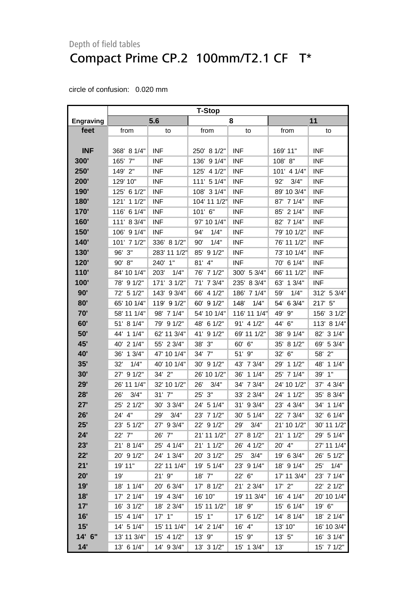|                  | <b>T-Stop</b>  |              |               |              |              |               |
|------------------|----------------|--------------|---------------|--------------|--------------|---------------|
| <b>Engraving</b> |                | 5.6          |               | 8            | 11           |               |
| feet             | from           | to           | from          | to           | from         | to            |
|                  |                |              |               |              |              |               |
| <b>INF</b>       | 368' 8 1/4"    | <b>INF</b>   | 250' 8 1/2"   | <b>INF</b>   | 169' 11"     | <b>INF</b>    |
| 300'             | 165' 7"        | <b>INF</b>   | 136' 9 1/4"   | <b>INF</b>   | 108' 8"      | <b>INF</b>    |
| 250'             | 149' 2"        | <b>INF</b>   | 125' 4 1/2"   | <b>INF</b>   | 101' 4 1/4"  | <b>INF</b>    |
| 200'             | 129' 10"       | <b>INF</b>   | 111' 5 1/4"   | <b>INF</b>   | 92'<br>3/4"  | <b>INF</b>    |
| 190'             | 125' 6 1/2"    | <b>INF</b>   | 108' 3 1/4"   | <b>INF</b>   | 89' 10 3/4"  | <b>INF</b>    |
| 180'             | 121' 1 1/2"    | <b>INF</b>   | 104' 11 1/2"  | <b>INF</b>   | 87' 7 1/4"   | <b>INF</b>    |
| 170'             | 116'<br>6 1/4" | <b>INF</b>   | 101' 6"       | <b>INF</b>   | 85' 2 1/4"   | <b>INF</b>    |
| 160'             | 111' 8 3/4"    | <b>INF</b>   | 97' 10 1/4"   | <b>INF</b>   | 82' 7 1/4"   | <b>INF</b>    |
| 150'             | 106' 9 1/4"    | <b>INF</b>   | 1/4"<br>94'   | <b>INF</b>   | 79' 10 1/2"  | <b>INF</b>    |
| 140'             | 101' 7 1/2"    | 336' 8 1/2"  | 1/4"<br>90'   | <b>INF</b>   | 76' 11 1/2"  | <b>INF</b>    |
| <b>130'</b>      | 96' 3"         | 283' 11 1/2" | 91/2"<br>85'  | <b>INF</b>   | 73' 10 1/4"  | <b>INF</b>    |
| 120'             | 90' 8"         | 240' 1"      | 4"<br>81'     | <b>INF</b>   | 70' 6 1/4"   | <b>INF</b>    |
| 110'             | 84' 10 1/4"    | 203'<br>1/4" | 71/2"<br>76'  | 300' 5 3/4"  | 66' 11 1/2"  | <b>INF</b>    |
| 100'             | 78' 9 1/2"     | 171' 3 1/2"  | 71' 7 3/4"    | 235' 8 3/4"  | 63' 1 3/4"   | <b>INF</b>    |
| 90'              | 72' 5 1/2"     | 143' 9 3/4"  | 4 1/2"<br>66' | 186' 7 1/4"  | 59'<br>1/4"  | 312' 5 3/4"   |
| 80'              | 65' 10 1/4"    | 119' 9 1/2"  | 60' 9 1/2"    | 148'<br>1/4" | 54' 6 3/4"   | 217' 5"       |
| 70'              | 58' 11 1/4"    | 98' 7 1/4"   | 54' 10 1/4"   | 116' 11 1/4" | 49'<br>9"    | 156' 3 1/2"   |
| 60'              | 51' 8 1/4"     | 79' 9 1/2"   | 6 1/2"<br>48' | 91' 4 1/2"   | 44'<br>6"    | 113' 8 1/4"   |
| 50'              | 44' 1 1/4"     | 62' 11 3/4"  | 41'<br>91/2"  | 69' 11 1/2"  | 91/4"<br>38' | 82' 3 1/4"    |
| 45'              | 21/4"<br>40'   | 55' 2 3/4"   | 3"<br>38'     | 60' 6"       | 35' 8 1/2"   | 5 3/4"<br>69' |
| <b>40'</b>       | 13/4"<br>36'   | 47' 10 1/4"  | 34' 7"        | 51' 9"       | 32' 6"       | 2"<br>58'     |
| 35'              | 1/4"<br>32'    | 40' 10 1/4"  | 91/2"<br>30'  | 43' 7 3/4"   | 29' 1 1/2"   | 11/4"<br>48'  |
| 30'              | 91/2"<br>27'   | 34' 2"       | 26' 10 1/2"   | 36' 1 1/4"   | 25' 7 1/4"   | 1"<br>39'     |
| 29'              | 26' 11 1/4"    | 32' 10 1/2"  | 26'<br>3/4"   | 34' 7 3/4"   | 24' 10 1/2"  | 4 3/4"<br>37' |
| 28'              | 3/4"<br>26'    | 31' 7"       | 3"<br>25'     | 33' 2 3/4"   | 24' 1 1/2"   | 8 3/4"<br>35' |
| 27'              | 21/2"<br>25'   | 30' 3 3/4"   | 51/4"<br>24'  | 31' 9 3/4"   | 23' 4 3/4"   | 11/4"<br>34'  |
| 26'              | 24' 4"         | 29'<br>3/4"  | 23' 7 1/2"    | 30' 5 1/4"   | 22' 7 3/4"   | 6 1/4"<br>32' |
| 25'              | 23' 5 1/2"     | 27' 9 3/4"   | 22' 9 1/2"    | 3/4"<br>29'  | 21' 10 1/2"  | 30' 11 1/2"   |
| 24'              | 22' 7"         | 26' 7"       | 21' 11 1/2"   | 27' 8 1/2"   | 21' 1 1/2"   | 29' 5 1/4"    |
| 23'              | 21' 8 1/4"     | 25' 4 1/4"   | 21' 1 1/2"    | 26' 4 1/2"   | 20' 4"       | 27' 11 1/4"   |
| 22'              | 20' 9 1/2"     | 24' 1 3/4"   | 20' 3 1/2"    | 25'<br>3/4"  | 19' 6 3/4"   | 26' 5 1/2"    |
| 21'              | 19' 11"        | 22' 11 1/4"  | 19' 5 1/4"    | 23' 9 1/4"   | 18' 9 1/4"   | 1/4"<br>25'   |
| 20'              | 19'            | $21'$ $9''$  | 18' 7"        | 22' 6"       | 17' 11 3/4"  | 23' 7 1/4"    |
| 19'              | 18' 1 1/4"     | 20' 6 3/4"   | 17' 8 1/2"    | 21' 2 3/4"   | $17'$ $2"$   | 22' 2 1/2"    |
| 18'              | 17' 2 1/4"     | 19' 4 3/4"   | 16' 10"       | 19' 11 3/4"  | 16' 4 1/4"   | 20' 10 1/4"   |
| 17'              | 16' 3 1/2"     | 18' 2 3/4"   | 15' 11 1/2"   | 18' 9"       | 15' 6 1/4"   | 19' 6"        |
| 16'              | 15' 4 1/4"     | $17'$ $1''$  | $15'$ $1"$    | 17' 6 1/2"   | 14' 8 1/4"   | 18' 2 1/4"    |
| 15'              | 14' 5 1/4"     | 15' 11 1/4"  | 14' 2 1/4"    | 16' 4"       | 13' 10"      | 16' 10 3/4"   |
| 14' 6"           | 13' 11 3/4"    | 15' 4 1/2"   | 13' 9"        | 15' 9"       | 13' 5"       | 16' 3 1/4"    |
| 14'              | 13' 6 1/4"     | 14' 9 3/4"   | 13' 3 1/2"    | 15' 1 3/4"   | 13'          | 15' 7 1/2"    |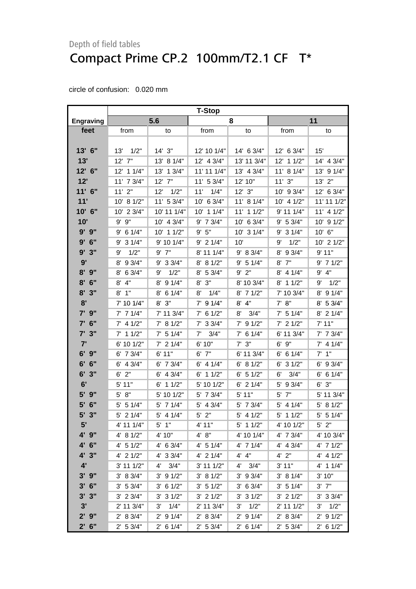|                  | <b>T-Stop</b>  |                      |                     |                      |                |               |  |
|------------------|----------------|----------------------|---------------------|----------------------|----------------|---------------|--|
| <b>Engraving</b> |                | 5.6                  |                     | 8                    | 11             |               |  |
| feet             | from           | to                   | from                | to                   | from           | to            |  |
|                  |                |                      |                     |                      |                |               |  |
| $13'$ 6"         | 13'<br>1/2"    | $14'$ 3"             | 12' 10 1/4"         | $14'$ 6 3/4"         | 12' 6 3/4"     | 15'           |  |
| 13'              | 12' 7"         | 13' 8 1/4"           | 12' 4 3/4"          | 13' 11 3/4"          | 12' 1 1/2"     | 14' 4 3/4"    |  |
| 12' 6"           | 12' 1 1/4"     | 13' 1 3/4"           | 11' 11 1/4"         | 13' 4 3/4"           | 11' 8 1/4"     | 13' 9 1/4"    |  |
| 12'              | 11' 7 3/4"     | $12'$ $7''$          | 11' 5 3/4"          | 12' 10"              | 11'3''         | $13'$ $2"$    |  |
| 11' 6"           | $11'$ 2"       | 12'<br>1/2"          | 1/4"<br>11'         | $12'$ $3"$           | 10' 9 3/4"     | 12' 6 3/4"    |  |
| 11'              | 10' 8 1/2"     | 11' 5 3/4"           | 10' 6 3/4"          | 11' 8 1/4"           | 10' 4 1/2"     | 11' 11 1/2"   |  |
| 10' 6"           | 10' 2 3/4"     | 10' 11 1/4"          | 11/4"<br>10'        | 11' 1 1/2"           | 9' 11 1/4"     | 11' 4 1/2"    |  |
| 10'              | $9'$ $9"$      | 10' 4 3/4"           | $9'$ 7 $3/4"$       | 10' 6 3/4"           | 9' 5 3/4"      | 10' 9 1/2"    |  |
| 9' 9"            | $9'$ 6 1/4"    | 10' 1 1/2"           | 9' 5''              | 10' 3 1/4"           | $9'$ 3 1/4"    | 10' 6"        |  |
| $9'$ 6"          | 9' 3 1/4"      | 9' 10 1/4"           | $9'$ 2 1/4"         | 10'                  | 1/2"<br>9'     | 10' 2 1/2"    |  |
| 3"<br>9'         | 9'<br>1/2"     | $9'$ $7"$            | 8' 11 1/4"          | 9' 8 3/4"            | 9 3/4"<br>8'   | 9'11"         |  |
| 9'               | 8' 9 3/4"      | $9'$ 3 3/4"          | 8' 8 1/2"           | 9' 5 1/4"            | 7"<br>8'       | $9'$ 7 1/2"   |  |
| $8'$ $9''$       | 8' 6 3/4"      | 1/2"<br>9'           | 8' 5 3/4"           | $9'$ $2"$            | 8' 4 1/4"      | 9' 4"         |  |
| $8'$ 6"          | 4"<br>8'       | 8' 9 1/4"            | $8'$ $3''$          | 8' 10 3/4"           | 8' 1 1/2"      | 1/2"<br>9'    |  |
| 8'3''            | 1"<br>8'       | $8'$ 6 1/4"          | 1/4"<br>8'          | $8'$ 7 1/2"          | 7' 10 3/4"     | 8' 9 1/4"     |  |
| 8'               | 7' 10 1/4"     | $8'$ $3''$           | $7'$ 9 1/4"         | $8'$ 4"              | 7' 8''         | 8' 5 3/4"     |  |
| 7' 9"            | $7'$ 7 1/4"    | 7' 11 3/4"           | $7'$ 6 1/2"         | 3/4"<br>8'           | $7'$ 5 1/4"    | $8'$ 2 1/4"   |  |
| 6"<br>7'         | $7'$ 4 1/2"    | 7' 8 1/2"            | $7'$ 3 3/4"         | 91/2"<br>7'          | $7'$ 2 1/2"    | 7' 11"        |  |
| 7'3''            | $7'$ 1 1/2"    | $7'$ 5 1/4"          | $7^{\circ}$<br>3/4" | $7'$ 6 1/4"          | 6' 11 3/4"     | $7'$ 7 $3/4"$ |  |
| 7'               | 6' 10 1/2"     | $7'$ 2 1/4"          | 6' 10"              | $7'$ $3''$           | $6'$ $9''$     | $7'$ 4 1/4"   |  |
| $6'$ $9''$       | 6' 7 3/4"      | 6'11"                | $6'$ $7''$          | 6' 11 3/4"           | $6'$ 6 1/4"    | $7'$ 1"       |  |
| 6' 6''           | $6'$ 4 3/4"    | $6'$ 7 $3/4"$        | $6'$ 4 1/4"         | 6' 8 1/2"            | $6'$ 3 $1/2"$  | $6'$ 9 3/4"   |  |
| $6'$ 3"          | $6'$ 2"        | $6'$ 4 3/4"          | $6'$ 1 1/2"         | $6'$ 5 1/2"          | 6'<br>3/4"     | $6'$ 6 1/4"   |  |
| 6'               | $5'$ 11"       | $6'$ 1 1/2"          | 5' 10 1/2"          | $6'$ 2 1/4"          | 5'<br>9 3/4"   | $6'$ $3''$    |  |
| 5'<br>9"         | 5' 8''         | 5' 10 1/2"           | $5'$ 7 $3/4"$       | 5' 11"               | 7"<br>5'       | 5' 11 3/4"    |  |
| 5' 6"            | $5'$ 5 1/4"    | 5' 7 1/4"            | $5'$ 4 3/4"         | 5' 7 3/4"            | $5'$ 4 1/4"    | 5' 8 1/2"     |  |
| 5' 3"            | $5'$ 2 1/4"    | $5'$ 4 1/4"          | $5'$ 2"             | $5'$ 4 1/2"          | $5'$ 1 1/2"    | $5'$ 5 1/4"   |  |
| 5'               | 4' 11 1/4"     | $5'$ 1"              | 4' 11"              | $5'$ 1 1/2"          | 4' 10 1/2"     | $5'$ 2"       |  |
| 4' 9"            | 4' 8 1/2"      | 4' 10"               | 4' 8''              | 4' 10 1/4"           | 4' 7 3/4"      | 4' 10 3/4"    |  |
| 4' 6"            | $4'$ 5 1/2"    | $4'$ 6 3/4"          | $4'$ 5 1/4"         | $4'$ 7 $1/4"$        | 4' 4 3/4"      | 4' 7 1/2"     |  |
| 4' 3"            | 4' 2 1/2"      | 4' 3 3/4"            | $4'$ 2 1/4"         | 4' 4"                | $4'$ 2"        | $4'$ 4 1/2"   |  |
| 4'               | $3'$ 11 $1/2"$ | 3/4"<br>$4^{\prime}$ | 3' 11 1/2"          | 3/4"<br>$4^{\prime}$ | 3' 11"         | $4'$ 1 $1/4"$ |  |
| $3'$ $9''$       | 3' 8 3/4"      | $3'$ 9 $1/2"$        | 3' 81/2"            | $3'$ 9 $3/4"$        | 3' 8 1/4"      | 3' 10"        |  |
| $3'$ 6"          | 3' 5 3/4"      | $3'$ 6 1/2"          | 3' 51/2"            | 3' 6 3/4"            | 3' 5 1/4"      | $3'$ $7''$    |  |
| 3'3''            | $3'$ 2 $3/4"$  | $3'$ 3 $1/2"$        | $3'$ 2 $1/2"$       | $3'$ 3 $1/2"$        | $3'$ 2 $1/2"$  | $3'$ 3 $3/4"$ |  |
| 3'               | 2' 11 3/4"     | 3'<br>1/4"           | 2' 11 3/4"          | 1/2"<br>3'           | $2'$ 11 $1/2"$ | 1/2"<br>3'    |  |
| $2'$ $9''$       | 2' 8 3/4"      | $2'$ 9 1/4"          | 2' 8 3/4"           | $2'$ 9 1/4"          | 2' 8 3/4"      | $2'$ 9 1/2"   |  |
| $2'$ 6"          | 2' 53/4"       | $2'$ 6 1/4"          | 2' 5 3/4"           | $2'$ 6 1/4"          | 2' 53/4"       | $2'$ 6 1/2"   |  |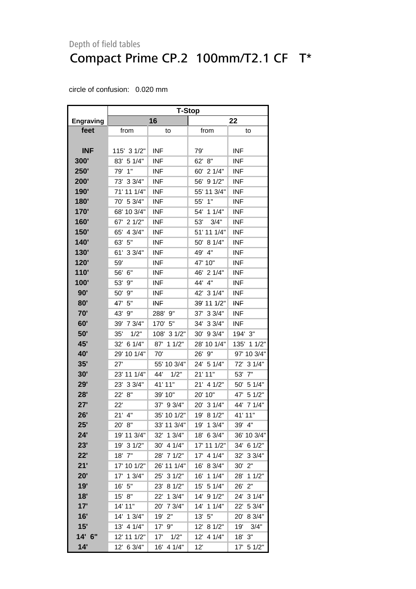|                  | <b>T-Stop</b> |               |               |                        |  |  |
|------------------|---------------|---------------|---------------|------------------------|--|--|
| <b>Engraving</b> |               | 16            |               | 22                     |  |  |
| feet             | from          | to            | from          | to                     |  |  |
|                  |               |               |               |                        |  |  |
| <b>INF</b>       | 115' 3 1/2"   | <b>INF</b>    | 79'           | <b>INF</b>             |  |  |
| 300'             | 83' 5 1/4"    | <b>INF</b>    | 62' 8"        | <b>INF</b>             |  |  |
| <b>250'</b>      | 79'<br>1"     | <b>INF</b>    | 60' 2 1/4"    | <b>INF</b>             |  |  |
| 200'             | 73' 3 3/4"    | <b>INF</b>    | 56' 9 1/2"    | <b>INF</b>             |  |  |
| 190'             | 71' 11 1/4"   | <b>INF</b>    | 55' 11 3/4"   | <b>INF</b>             |  |  |
| <b>180'</b>      | 70' 5 3/4"    | <b>INF</b>    | 55' 1"        | <b>INF</b>             |  |  |
| 170'             | 68' 10 3/4"   | <b>INF</b>    | 54' 1 1/4"    | <b>INF</b>             |  |  |
| 160'             | 67' 2 1/2"    | <b>INF</b>    | 53'<br>3/4"   | <b>INF</b>             |  |  |
| 150'             | 65' 4 3/4"    | <b>INF</b>    | 51' 11 1/4"   | <b>INF</b>             |  |  |
| 140'             | 63' 5"        | <b>INF</b>    | 50' 8 1/4"    | <b>INF</b>             |  |  |
| <b>130'</b>      | 61' 3 3/4"    | <b>INF</b>    | 49' 4"        | <b>INF</b>             |  |  |
| 120'             | 59'           | <b>INF</b>    | 47' 10"       | <b>INF</b>             |  |  |
| 110'             | 56' 6"        | <b>INF</b>    | 46' 2 1/4"    | <b>INF</b>             |  |  |
| 100'             | 53' 9"        | <b>INF</b>    | 44' 4"        | <b>INF</b>             |  |  |
| 90'              | 50' 9"        | <b>INF</b>    | 42' 3 1/4"    | <b>INF</b>             |  |  |
| 80'              | 47' 5"        | <b>INF</b>    | 39' 11 1/2"   | <b>INF</b>             |  |  |
| 70'              | 43' 9"        | 288' 9"       | 37' 3 3/4"    | <b>INF</b>             |  |  |
| 60'              | 39' 7 3/4"    | 170' 5"       | 34' 3 3/4"    | <b>INF</b>             |  |  |
| 50'              | 35'<br>1/2"   | 108' 3 1/2"   | 30' 9 3/4"    | 194' 3"                |  |  |
| 45'              | 32' 6 1/4"    | 87' 1 1/2"    | 28' 10 1/4"   | 135' 1 1/2"            |  |  |
| 40'              | 29' 10 1/4"   | 70'           | 26' 9"        | 97' 10 3/4"            |  |  |
| 35'              | 27'           | 55' 10 3/4"   | 24' 5 1/4"    | 72' 3 1/4"             |  |  |
| 30'              | 23' 11 1/4"   | 44' 1/2"      | 21' 11"       | 53' 7"                 |  |  |
| 29'              | 23' 3 3/4"    | 41' 11"       | 21' 4 1/2"    | 50' 5 1/4"             |  |  |
| 28'              | 22' 8"        | 39' 10"       | 20' 10"       | 47' 5 1/2"             |  |  |
| 27'              | 22'           | 37' 9 3/4"    | 20' 3 1/4"    | 44' 7 1/4"             |  |  |
| 26'              | $21'$ 4"      | 35' 10 1/2"   | 19' 8 1/2"    | 41' 11"                |  |  |
| 25'              | 20' 8"        | 33' 11 3/4"   | 19' 1 3/4"    | 39' 4"                 |  |  |
| 24'              | 19' 11 3/4"   | 32' 1 3/4"    | 18' 6 3/4"    | 36' 10 3/4"            |  |  |
| 23'              | 19' 3 1/2"    | 30' 4 1/4"    | 17' 11 1/2"   | 34' 6 1/2"             |  |  |
| 22'              | 18' 7"        | 28' 7 1/2"    | 41/4"<br>17'  | 32'<br>33/4"           |  |  |
| 21'              | 17' 10 1/2"   | 26' 11 1/4"   | 8 3/4"<br>16' | 30'<br>2"              |  |  |
| 20'              | 17'<br>13/4"  | 25'<br>31/2"  | 16'<br>11/4"  | 28'<br>11/2"           |  |  |
| 19'              | 16' 5"        | 23' 8 1/2"    | 15' 5 1/4"    | 26'<br>2"              |  |  |
| 18'              | 15' 8"        | 22'<br>13/4"  | 14' 9 1/2"    | 24' 3 1/4"             |  |  |
| 17'              | 14' 11"       | 20' 7 3/4"    | 14' 1 1/4"    | 22'<br>5 3/4"          |  |  |
| 16'              | 14' 1 3/4"    | 2"<br>19'     | 13' 5''       | 8 3/4"<br>$20^{\circ}$ |  |  |
| 15'              | 13' 4 1/4"    | 17'<br>9"     | 12'<br>8 1/2" | 19'<br>3/4"            |  |  |
| 14' 6"           | 12' 11 1/2"   | 17'<br>1/2"   | 12' 4 1/4"    | 18' 3"                 |  |  |
| 14'              | 12' 6 3/4"    | 4 1/4"<br>16' | 12'           | 17' 5 1/2"             |  |  |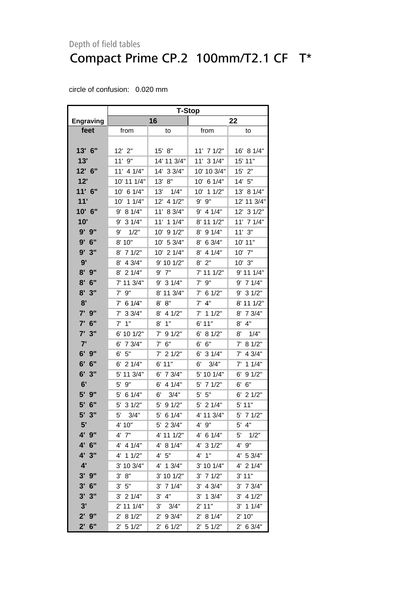|                  | <b>T-Stop</b>         |                      |               |               |  |  |
|------------------|-----------------------|----------------------|---------------|---------------|--|--|
| <b>Engraving</b> |                       | 16                   |               | 22            |  |  |
| feet             | from                  | to                   | from          | to            |  |  |
|                  |                       |                      |               |               |  |  |
| 13' 6"           | 12' 2"                | 15' 8''              | 11' 7 1/2"    | 16' 8 1/4"    |  |  |
| 13'              | $11'$ $9"$            | 14' 11 3/4"          | 11' 3 1/4"    | 15' 11"       |  |  |
| 12' 6"           | 11' 4 1/4"            | 14' 3 3/4"           | 10' 10 3/4"   | $15'$ $2"$    |  |  |
| 12'              | 10' 11 1/4"           | 13' 8''              | 10' 6 1/4"    | 14' 5"        |  |  |
| $11'$ 6"         | 10' 6 1/4"            | 13'<br>1/4"          | 10' 1 1/2"    | 13' 8 1/4"    |  |  |
| 11'              | 10' 1 1/4"            | 12' 4 1/2"           | 9"<br>9'      | 12' 11 3/4"   |  |  |
| 10' 6"           | 8 1/4"<br>9'          | 11'<br>8 3/4"        | 9'<br>4 1/4"  | 12' 3 1/2"    |  |  |
| 10'              | 9' 3 1/4"             | 11' 1 1/4"           | 8' 11 1/2"    | 11' 7 1/4"    |  |  |
| 9' 9"            | 1/2"<br>9'            | 10' 9 1/2"           | 9 1/4"<br>8'  | 11'3''        |  |  |
| 9'<br>6"         | 8' 10"                | 10' 5 3/4"           | 6 3/4"<br>8'  | 10' 11"       |  |  |
| 3"<br>9'         | $8'$ 7 1/2"           | 10' 2 1/4"           | 4 1/4"<br>8'  | $10'$ $7"$    |  |  |
| 9'               | 4 3/4"<br>8'          | 9' 10 1/2"           | $8'$ 2"       | $10'$ $3"$    |  |  |
| $8'$ $9''$       | 21/4"<br>8'           | $9'$ $7"$            | 7' 11 1/2"    | 9' 11 1/4"    |  |  |
| $8'$ 6"          | 7' 11 3/4"            | 9' 3 1/4"            | $7'$ $9''$    | $9'$ 7 1/4"   |  |  |
| 8'<br>3"         | $7'$ 9"               | 8' 11 3/4"           | $7'$ 6 1/2"   | $9'$ 3 1/2"   |  |  |
| 8'               | 6 1/4"<br>$7^{\circ}$ | 8'<br>8"             | $7'$ 4"       | 8' 11 1/2"    |  |  |
| 7' 9"            | $7'$ 3 3/4"           | $8'$ 4 1/2"          | $7'$ 1 1/2"   | 8' 7 3/4"     |  |  |
| 7' 6"            | $7'$ 1"               | 1"<br>8'             | 6' 11"        | 4"<br>8'      |  |  |
| 3"<br>7'         | 6' 10 1/2"            | 7'<br>91/2"          | 6'<br>81/2"   | 8'<br>1/4"    |  |  |
| 7'               | 7 3/4"<br>6'          | 6"<br>7'             | 6"<br>6'      | 7' 8 1/2"     |  |  |
| $6'$ $9''$       | 5"<br>6'              | $7'$ 2 1/2"          | 6'<br>31/4"   | $7'$ 4 3/4"   |  |  |
| 6' 6''           | $6'$ 2 1/4"           | $6'$ 11"             | 3/4"<br>6'    | $7'$ 1 1/4"   |  |  |
| 6'3''            | 5' 11 3/4"            | 7 3/4"<br>6'         | 5' 10 1/4"    | $6'$ 9 $1/2"$ |  |  |
| 6'               | 9"<br>5'              | $6'$ 4 $1/4"$        | 71/2"<br>5'   | 6' 6"         |  |  |
| 5' 9"            | 6 1/4"<br>5'          | 6'<br>3/4"           | 5"<br>5'      | $6'$ 2 1/2"   |  |  |
| 5'<br>6"         | 5'<br>31/2"           | $5^{\circ}$<br>91/2" | 5'<br>21/4"   | $5'$ 11"      |  |  |
| 5' 3"            | 5'<br>3/4"            | 5'<br>6 1/4"         | 4' 11 3/4"    | $5'$ 7 1/2"   |  |  |
| 5'               | 4' 10"                | 5' 2 3/4"            | 4' 9"         | $5'$ 4"       |  |  |
| 4' 9"            | 4' 7"                 | 4' 11 1/2"           | 4' 6 1/4"     | 5'<br>1/2"    |  |  |
| 4' 6"            | 4' 4 1/4"             | 4' 8 1/4"            | 4' 3 1/2"     | 4' 9"         |  |  |
| 4' 3"            | 4' 1 1/2"             | 4' 5''               | 4' 1''        | 4' 5 3/4"     |  |  |
| 4'               | 3' 10 3/4"            | 4' 1 3/4"            | 3' 10 1/4"    | 4' 2 1/4"     |  |  |
| $3'$ $9''$       | 3' 8''                | 3' 10 1/2"           | 71/2"<br>3'   | 3' 11"        |  |  |
| $3'$ 6"          | 3' 5''                | $3'$ 7 $1/4"$        | $3'$ 4 $3/4"$ | $3'$ 7 $3/4"$ |  |  |
| 3'3''            | $3'$ 2 1/4"           | $3'$ 4"              | $3'$ 1 $3/4"$ | $3'$ 4 $1/2"$ |  |  |
| 3'               | 2' 11 1/4"            | 3/4"<br>3'           | $2'$ 11"      | $3'$ 1 1/4"   |  |  |
| $2'$ $9''$       | 2' 8 1/2"             | 2' 9 3/4"            | 2' 8 1/4"     | 2' 10"        |  |  |
| $2'$ 6"          | $2'$ 5 1/2"           | $2'$ 6 1/2"          | $2'$ 5 1/2"   | $2'$ 6 3/4"   |  |  |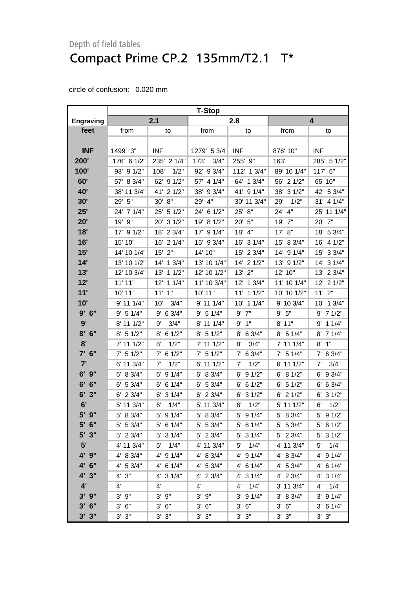<span id="page-34-0"></span>

|                  | <b>T-Stop</b> |               |               |                      |             |               |  |
|------------------|---------------|---------------|---------------|----------------------|-------------|---------------|--|
| <b>Engraving</b> |               | 2.1           |               | 2.8                  |             | 4             |  |
| feet             | from          | to            | from          | to                   | from        | to            |  |
|                  |               |               |               |                      |             |               |  |
| <b>INF</b>       | 1499' 3"      | <b>INF</b>    | 1279' 5 3/4"  | <b>INF</b>           | 876' 10"    | <b>INF</b>    |  |
| 200'             | 176' 6 1/2"   | 235' 2 1/4"   | 3/4"<br>173'  | 255' 9"              | 163'        | 285' 5 1/2"   |  |
| 100'             | 93' 9 1/2"    | 1/2"<br>108'  | 92' 9 3/4"    | 112' 1 3/4"          | 89' 10 1/4" | 117' 6"       |  |
| 60'              | 57' 8 3/4"    | 62' 9 1/2"    | 4 1/4"<br>57' | 64' 1 3/4"           | 56' 2 1/2"  | 65' 10"       |  |
| 40'              | 38' 11 3/4"   | 41' 2 1/2"    | 38'<br>93/4"  | 41' 9 1/4"           | 38' 3 1/2"  | 42' 5 3/4"    |  |
| 30'              | 29' 5"        | 30' 8"        | 4"<br>29'     | 30' 11 3/4"          | 1/2"<br>29' | 31' 4 1/4"    |  |
| 25'              | 24' 7 1/4"    | 25' 5 1/2"    | 61/2"<br>24'  | 8"<br>25'            | 24'<br>4"   | 25' 11 1/4"   |  |
| 20'              | 19' 9"        | 31/2"<br>20'  | 8 1/2"<br>19' | 20' 5"               | 19'<br>7"   | 20' 7"        |  |
| 18'              | 17' 9 1/2"    | 18' 2 3/4"    | 91/4"<br>17'  | 18' 4"               | 8"<br>17'   | 18' 5 3/4"    |  |
| 16'              | 15' 10"       | 16' 2 1/4"    | 15' 9 3/4"    | 16' 3 1/4"           | 15' 8 3/4"  | 16' 4 1/2"    |  |
| 15'              | 14' 10 1/4"   | $15'$ 2"      | 14' 10"       | 15' 2 3/4"           | 14' 9 1/4"  | 33/4"<br>15'  |  |
| 14'              | 13' 10 1/2"   | 14' 1 3/4"    | 13' 10 1/4"   | 14' 2 1/2"           | 13' 9 1/2"  | 14' 3 1/4"    |  |
| 13'              | 12' 10 3/4"   | 11/2"<br>13'  | 12' 10 1/2"   | 13' 2"               | 12' 10"     | 13' 2 3/4"    |  |
| 12'              | 11'11"        | 12' 1 1/4"    | 11' 10 3/4"   | 12' 1 3/4"           | 11' 10 1/4" | 12' 2 1/2"    |  |
| 11'              | 10' 11"       | $11'$ $1"$    | 10' 11"       | 11' 1 1/2"           | 10' 10 1/2" | 11'2"         |  |
| 10'              | 9' 11 1/4"    | 10'<br>3/4"   | 9' 11 1/4"    | 10' 1 1/4"           | 9' 10 3/4"  | 13/4"<br>10'  |  |
| 9'6''            | 9' 5 1/4"     | $9'$ 6 3/4"   | 9' 5 1/4"     | $9'$ $7"$            | 9' 5''      | $9'$ 7 1/2"   |  |
| 9'               | 8' 11 1/2"    | 3/4"<br>9'    | 8' 11 1/4"    | 9'1"                 | 8'11"       | 11/4"<br>9'   |  |
| 8'<br>6"         | $8'$ 5 1/2"   | 61/2"<br>8'   | $8'$ 5 1/2"   | 6 3/4"<br>8'         | 8' 5 1/4"   | 8' 7 1/4"     |  |
| 8'               | 7' 11 1/2"    | 1/2"<br>8'    | 7' 11 1/2"    | 3/4"<br>8'           | 7' 11 1/4"  | 1"<br>8'      |  |
| $7'$ 6"          | 51/2"<br>7'   | $7'$ 6 1/2"   | $7'$ 5 1/2"   | $7'$ 6 3/4"          | $7'$ 5 1/4" | $7'$ 6 3/4"   |  |
| 7'               | 6' 11 3/4"    | 1/2"<br>7'    | 6' 11 1/2"    | 1/2"<br>7'           | 6' 11 1/2"  | 3/4"<br>7'    |  |
| 9"<br>6'         | 6' 8 3/4"     | 91/4"<br>6'   | 6' 8 3/4"     | 91/2"<br>6'          | 81/2"<br>6' | 9 3/4"<br>6'  |  |
| 6"<br>6'         | $6'$ 5 3/4"   | 6 1/4"<br>6'  | $6'$ 5 3/4"   | $6'$ 6 1/2"          | 51/2"<br>6' | $6'$ 6 3/4"   |  |
| 6'<br>3"         | $6'$ 2 3/4"   | 31/4"<br>6'   | $6'$ 2 3/4"   | $6'$ 3 $1/2"$        | 21/2"<br>6' | 31/2"<br>6'   |  |
| 6'               | 5' 11 3/4"    | 1/4"<br>6'    | 5' 11 3/4"    | 1/2"<br>6'           | 5' 11 1/2"  | 1/2"<br>6'    |  |
| 5' 9"            | 8 3/4"<br>5'  | 5' 9 1/4"     | 5' 8 3/4"     | 5' 9 1/4"            | 5' 8 3/4"   | 5' 9 1/2"     |  |
| $5'$ 6"          | $5'$ 5 3/4"   | $5'$ 6 1/4"   | 5' 5 3/4"     | $5'$ 6 1/4"          | $5'$ 5 3/4" | 5' 6 1/2"     |  |
| $5'$ 3"          | 5' 2 3/4"     | $5'$ 3 1/4"   | $5'$ 2 3/4"   | 5' 3 1/4"            | $5'$ 2 3/4" | $5'$ 3 $1/2"$ |  |
| 5'               | 4' 11 3/4"    | 1/4"<br>5'    | 4' 11 3/4"    | 1/4"<br>5'           | 4' 11 3/4"  | 5'<br>1/4"    |  |
| 4' 9"            | 4' 8 3/4"     | $4'$ 9 $1/4"$ | 4' 8 3/4"     | 4' 9 1/4"            | 4' 8 3/4"   | 4' 9 1/4"     |  |
| 4' 6"            | 4' 5 3/4"     | 4' 6 1/4"     | 4' 5 3/4"     | $4'$ 6 1/4"          | 4' 53/4"    | 4' 6 1/4"     |  |
| 4'3''            | 4'3''         | 4' 3 1/4"     | 4' 2 3/4"     | 4' 3 1/4"            | $4'$ 2 3/4" | 4' 3 1/4"     |  |
| 4'               | $4^{\prime}$  | 4'            | 4'            | 1/4"<br>$4^{\prime}$ | 3' 11 3/4"  | 4'<br>1/4"    |  |
| $3'$ $9''$       | $3'$ $9''$    | $3'$ $9''$    | 3'9''         | $3'$ 9 $1/4"$        | 3' 8 3/4"   | $3'$ 9 $1/4"$ |  |
| $3'$ 6"          | $3'$ $6''$    | $3'$ $6''$    | $3'$ $6''$    | 3' 6''               | 3' 6''      | $3'$ 6 1/4"   |  |
| 3'3''            | 3' 3''        | $3'$ $3"$     | $3'$ $3"$     | $3'$ $3"$            | $3'$ $3"$   | $3'$ $3"$     |  |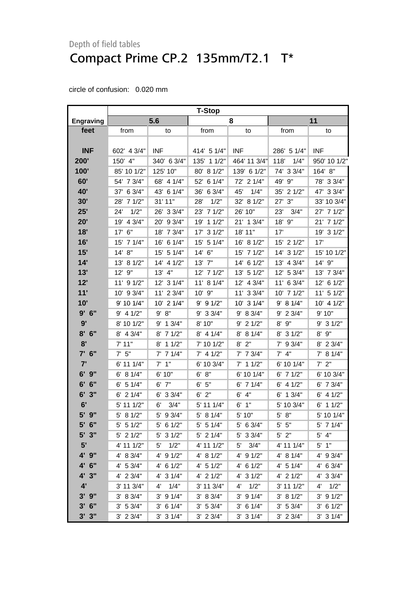|                  | <b>T-Stop</b> |               |               |               |               |                      |  |
|------------------|---------------|---------------|---------------|---------------|---------------|----------------------|--|
| <b>Engraving</b> | 5.6           |               | 8             |               | 11            |                      |  |
| feet             | from          | to            | from          | to            | from          | to                   |  |
|                  |               |               |               |               |               |                      |  |
| <b>INF</b>       | 602' 4 3/4"   | <b>INF</b>    | 414' 5 1/4"   | <b>INF</b>    | 286' 5 1/4"   | <b>INF</b>           |  |
| 200'             | 150' 4"       | 340' 6 3/4"   | 135' 1 1/2"   | 464' 11 3/4"  | 118'<br>1/4"  | 950' 10 1/2"         |  |
| 100'             | 85' 10 1/2"   | 125' 10"      | 80' 8 1/2"    | 139' 6 1/2"   | 74' 3 3/4"    | 164' 8"              |  |
| 60'              | 54' 7 3/4"    | 68' 4 1/4"    | 61/4"<br>52'  | 72' 2 1/4"    | 49' 9"        | 78' 3 3/4"           |  |
| 40'              | 37' 6 3/4"    | 43' 6 1/4"    | 6 3/4"<br>36' | 45'<br>1/4"   | 35' 2 1/2"    | 47' 3 3/4"           |  |
| 30'              | 28' 7 1/2"    | 31' 11"       | 1/2"<br>28'   | 32' 8 1/2"    | 3"<br>27'     | 33' 10 3/4"          |  |
| 25'              | 1/2"<br>24'   | 26' 3 3/4"    | 71/2"<br>23'  | 26' 10"       | 23'<br>3/4"   | 27' 7 1/2"           |  |
| 20'              | 19' 4 3/4"    | 20' 9 3/4"    | 11/2"<br>19'  | 21' 1 3/4"    | 18' 9"        | 21' 7 1/2"           |  |
| 18'              | 17' 6"        | 18' 7 3/4"    | 31/2"<br>17'  | 18' 11"       | 17'           | 19' 3 1/2"           |  |
| 16'              | 15' 7 1/4"    | 16' 6 1/4"    | 5 1/4"<br>15' | 16' 8 1/2"    | 15' 2 1/2"    | 17'                  |  |
| 15'              | 14' 8''       | 15' 5 1/4"    | 14' 6"        | 15' 7 1/2"    | 14' 3 1/2"    | 15' 10 1/2"          |  |
| 14'              | 13' 8 1/2"    | 14' 4 1/2"    | 13' 7"        | 14' 6 1/2"    | 13' 4 3/4"    | 14' 9"               |  |
| 13'              | 12' 9"        | 13' 4"        | 12' 7 1/2"    | 13' 5 1/2"    | 12' 5 3/4"    | 13' 7 3/4"           |  |
| 12'              | 11' 9 1/2"    | 12' 3 1/4"    | 11' 8 1/4"    | 12' 4 3/4"    | 11' 6 3/4"    | 12' 6 1/2"           |  |
| 11'              | 10' 9 3/4"    | 11' 2 3/4"    | 10'<br>9"     | 11' 3 3/4"    | 10' 7 1/2"    | 11' 5 1/2"           |  |
| 10'              | 9' 10 1/4"    | 10' 2 1/4"    | $9'$ 9 1/2"   | 10' 3 1/4"    | 9' 8 1/4"     | 10' 4 1/2"           |  |
| $9'$ 6"          | $9'$ 4 1/2"   | 9' 8''        | 9' 3 3/4"     | 9' 8 3/4"     | $9'$ 2 3/4"   | 9' 10"               |  |
| 9'               | 8' 10 1/2"    | $9'$ 1 $3/4"$ | 8' 10"        | $9'$ 2 1/2"   | 9"<br>8'      | $9'$ 3 $1/2"$        |  |
| 8'<br>6"         | 8' 4 3/4"     | 71/2"<br>8'   | $8'$ 4 1/4"   | 8' 8 1/4"     | 8' 3 1/2"     | 9"<br>8'             |  |
| 8'               | 7' 11"        | 11/2"<br>8'   | 7' 10 1/2"    | 2"<br>8'      | 9 3/4"<br>7'  | 8' 2 3/4"            |  |
| $7'$ 6"          | $7'$ 5"       | $7'$ 7 1/4"   | $7'$ 4 1/2"   | $7'$ 7 $3/4"$ | $7'$ 4"       | 7' 8 1/4"            |  |
| 7'               | 6' 11 1/4"    | $7'$ 1"       | 6' 10 3/4"    | $7'$ 1 1/2"   | 6' 10 1/4"    | $7'$ 2"              |  |
| $6'$ $9''$       | 6' 8 1/4"     | 6' 10"        | 6' 8''        | 6' 10 1/4"    | $6'$ 7 1/2"   | 6' 10 3/4"           |  |
| 6"<br>6'         | $6'$ 5 1/4"   | $6'$ $7''$    | 6' 5''        | $6'$ 7 1/4"   | $6'$ 4 $1/2"$ | $6'$ 7 $3/4"$        |  |
| 6'<br>3"         | $6'$ 2 $1/4"$ | 6' 3 3/4"     | $6'$ 2"       | $6'$ $4"$     | $6'$ 1 3/4"   | $6'$ 4 $1/2"$        |  |
| 6'               | 5' 11 1/2"    | 3/4"<br>6'    | 5' 11 1/4"    | 1"<br>6'      | 5' 10 3/4"    | $6'$ 1 1/2"          |  |
| 5' 9"            | 5' 8 1/2"     | 5' 9 3/4"     | 5' 8 1/4"     | 5' 10"        | 5' 8"         | 5' 10 1/4"           |  |
| 5' 6"            | $5'$ 5 1/2"   | $5'$ 6 1/2"   | $5'$ 5 1/4"   | 5' 6 3/4"     | $5'$ $5"$     | $5'$ 7 1/4"          |  |
| $5'$ 3"          | $5'$ 2 1/2"   | $5'$ 3 1/2"   | $5'$ 2 1/4"   | 5' 3 3/4"     | $5'$ $2"$     | $5'$ 4"              |  |
| 5'               | 4' 11 1/2"    | 1/2"<br>5'    | 4' 11 1/2"    | 3/4"<br>5'    | 4' 11 1/4"    | $5'$ 1"              |  |
| 4' 9"            | 4' 8 3/4"     | 4' 9 1/2"     | 4' 8 1/2"     | 4' 9 1/2"     | 4' 8 1/4"     | 4' 9 3/4"            |  |
| 4' 6"            | 4' 53/4"      | 4' 6 1/2"     | $4'$ 5 1/2"   | $4'$ 6 $1/2"$ | 4' 5 1/4"     | $4'$ 6 3/4"          |  |
| 4' 3"            | 4' 2 3/4"     | 4' 3 1/4"     | $4'$ 2 $1/2"$ | $4'$ 3 $1/2"$ | $4'$ 2 $1/2"$ | 4' 3 3/4"            |  |
| 4'               | 3' 11 3/4"    | 1/4"<br>4'    | 3' 11 3/4"    | 1/2"<br>4'    | 3' 11 1/2"    | $4^{\prime}$<br>1/2" |  |
| $3'$ $9''$       | 3' 8 3/4"     | $3'$ 9 $1/4"$ | 3' 8 3/4"     | $3'$ 9 $1/4"$ | 3' 8 1/2"     | $3'$ 9 $1/2"$        |  |
| $3'$ 6"          | 3' 5 3/4"     | $3'$ 6 1/4"   | 3' 5 3/4"     | $3'$ 6 1/4"   | 3' 5 3/4"     | $3'$ 6 1/2"          |  |
| $3'$ $3''$       | $3'$ 2 $3/4"$ | $3'$ 3 $1/4"$ | $3'$ 2 $3/4"$ | $3'$ 3 $1/4"$ | $3'$ 2 $3/4"$ | $3'$ 3 $1/4"$        |  |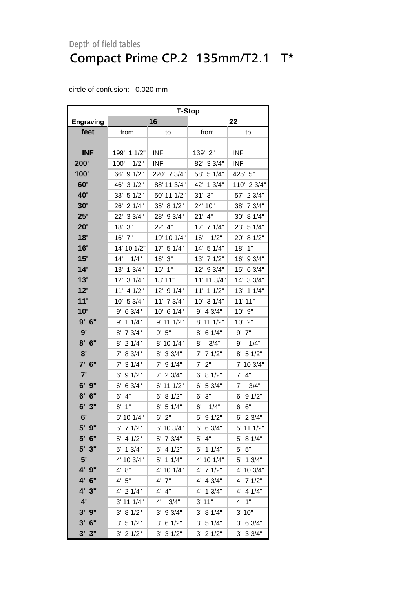|                  | <b>T-Stop</b> |               |               |               |  |  |  |
|------------------|---------------|---------------|---------------|---------------|--|--|--|
| <b>Engraving</b> |               | 16            | 22            |               |  |  |  |
| feet             | from          | to            | from          | to            |  |  |  |
|                  |               |               |               |               |  |  |  |
| <b>INF</b>       | 199' 1 1/2"   | <b>INF</b>    | 139' 2"       | <b>INF</b>    |  |  |  |
| 200'             | 1/2"<br>100'  | <b>INF</b>    | 82' 3 3/4"    | <b>INF</b>    |  |  |  |
| 100'             | 91/2"<br>66'  | 220' 7 3/4"   | 5 1/4"<br>58' | 425' 5"       |  |  |  |
| 60'              | 46'<br>31/2"  | 88' 11 3/4"   | 42'<br>13/4"  | 110' 2 3/4"   |  |  |  |
| 40'              | 51/2"<br>33'  | 50' 11 1/2"   | 31'3''        | 23/4"<br>57'  |  |  |  |
| 30'              | 21/4"<br>26'  | 35'<br>81/2"  | 24' 10"       | 7 3/4"<br>38' |  |  |  |
| 25'              | 22'<br>33/4"  | 28'<br>93/4"  | $21'$ 4"      | 8 1/4"<br>30' |  |  |  |
| 20'              | 3"<br>18'     | 22'<br>4"     | 17' 7 1/4"    | 23'<br>5 1/4" |  |  |  |
| 18'              | 16'<br>7"     | 19' 10 1/4"   | 1/2"<br>16'   | 20'<br>81/2"  |  |  |  |
| 16'              | 14' 10 1/2"   | 17'<br>5 1/4" | 14'<br>5 1/4" | 1"<br>18'     |  |  |  |
| 15'              | 1/4"<br>14'   | 3"<br>16'     | 13'<br>71/2"  | 16'<br>9 3/4" |  |  |  |
| 14'              | 13'<br>13/4"  | 15'<br>1"     | 12'<br>9 3/4" | 6 3/4"<br>15' |  |  |  |
| 13'              | 12'<br>31/4"  | 13' 11"       | 11' 11 3/4"   | 14'<br>33/4"  |  |  |  |
| 12'              | 11'<br>4 1/2" | 12' 9 1/4"    | 11'<br>11/2"  | 13'<br>11/4"  |  |  |  |
| 11'              | 5 3/4"<br>10' | 11'<br>73/4"  | 31/4"<br>10'  | 11' 11"       |  |  |  |
| 10'              | 6 3/4"<br>9'  | 10' 6 1/4"    | 9'<br>4 3/4"  | 9"<br>10'     |  |  |  |
| 9'<br>6"         | 9'<br>11/4"   | 9' 11 1/2"    | 8' 11 1/2"    | $10'$ $2"$    |  |  |  |
| 9'               | 7 3/4"<br>8'  | 9' 5''        | 6 1/4"<br>8'  | $9'$ $7"$     |  |  |  |
| 6"<br>8'         | 2 1/4"<br>8'  | 8' 10 1/4"    | 3/4"<br>8'    | 9'<br>1/4"    |  |  |  |
| 8'               | 8 3/4"<br>7'  | 33/4"<br>8'   | 71/2"<br>7'   | 51/2"<br>8'   |  |  |  |
| 6"<br>7'         | 31/4"<br>7'   | 91/4"<br>7'   | 2"<br>7'      | 7' 10 3/4"    |  |  |  |
| 7'               | 91/2"<br>6'   | 23/4"<br>7'   | 8 1/2"<br>6'  | 4"<br>7'      |  |  |  |
| 6'<br>9"         | 6 3/4"<br>6'  | 6' 11 1/2"    | 5 3/4"<br>6'  | 3/4"<br>7'    |  |  |  |
| 6"<br>6'         | 4"<br>6'      | 81/2"<br>6'   | 3"<br>6'      | 91/2"<br>6'   |  |  |  |
| 6'<br>3"         | 6'<br>1"      | 5 1/4"<br>6'  | 6'<br>1/4"    | 6"<br>6'      |  |  |  |
| 6'               | 5' 10 1/4"    | 6'<br>2"      | 5'<br>91/2"   | 6'<br>23/4"   |  |  |  |
| $5'$ $9''$       | 5' 7 1/2"     | 5' 10 3/4"    | 5' 6 3/4"     | 5' 11 1/2"    |  |  |  |
| $5'$ 6"          | $5'$ 4 1/2"   | 5' 7 3/4"     | $5'$ 4"       | 5' 8 1/4"     |  |  |  |
| 5' 3"            | $5'$ 1 3/4"   | $5'$ 4 1/2"   | 5' 1 1/4"     | $5'$ 5"       |  |  |  |
| 5'               | 4' 10 3/4"    | 5' 1 1/4"     | 4' 10 1/4"    | 5' 1 3/4"     |  |  |  |
| 4' 9"            | 4' 8''        | 4' 10 1/4"    | $4'$ 7 $1/2"$ | 4' 10 3/4"    |  |  |  |
| 4' 6"            | 4'5"          | $4'$ $7''$    | 4' 4 3/4"     | 4' 7 1/2"     |  |  |  |
| 4' 3"            | 4' 2 1/4"     | 4' 4"         | 4' 1 3/4"     | $4'$ 4 $1/4"$ |  |  |  |
| 4'               | $3'$ 11 1/4"  | 4'<br>3/4"    | 3' 11"        | 4'1''         |  |  |  |
| $3'$ $9''$       | 3' 8 1/2"     | $3'$ 9 $3/4"$ | 3' 8 1/4"     | 3'10"         |  |  |  |
| $3'$ 6"          | 3' 51/2"      | $3'$ 6 1/2"   | 3' 5 1/4"     | $3'$ 6 $3/4"$ |  |  |  |
| 3'3''            | $3'$ 2 $1/2"$ | $3'$ 3 $1/2"$ | $3'$ 2 $1/2"$ | $3'$ 3 $3/4"$ |  |  |  |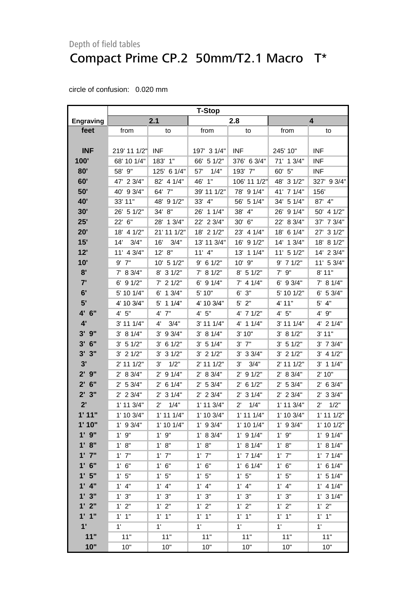|                  | <b>T-Stop</b>  |                       |               |                       |                |                      |  |
|------------------|----------------|-----------------------|---------------|-----------------------|----------------|----------------------|--|
| <b>Engraving</b> |                | 2.1                   |               | 2.8                   |                | 4                    |  |
| feet             | from           | to                    | from          | to                    | from           | to                   |  |
|                  |                |                       |               |                       |                |                      |  |
| <b>INF</b>       | 219' 11 1/2"   | <b>INF</b>            | 197' 3 1/4"   | <b>INF</b>            | 245' 10"       | <b>INF</b>           |  |
| 100'             | 68' 10 1/4"    | 183'<br>1"            | 66' 5 1/2"    | 376' 6 3/4"           | 71' 1 3/4"     | <b>INF</b>           |  |
| 80'              | 58' 9"         | 125' 6 1/4"           | 1/4"<br>57'   | 193' 7"               | 60' 5"         | <b>INF</b>           |  |
| 60'              | 47' 2 3/4"     | 82' 4 1/4"            | 1"<br>46'     | 106' 11 1/2"          | 48' 3 1/2"     | 327' 9 3/4"          |  |
| 50'              | 40' 9 3/4"     | 64' 7"                | 39' 11 1/2"   | 78' 9 1/4"            | 41' 7 1/4"     | 156'                 |  |
| <b>40'</b>       | 33' 11"        | 48' 9 1/2"            | 33' 4"        | 56' 5 1/4"            | 34' 5 1/4"     | 87' 4"               |  |
| 30'              | 26' 5 1/2"     | 34' 8"                | 26' 1 1/4"    | 38' 4"                | 26' 9 1/4"     | 50' 4 1/2"           |  |
| 25'              | 22' 6"         | 28' 1 3/4"            | 22' 2 3/4"    | 30' 6"                | 22' 8 3/4"     | 7 3/4"<br>37'        |  |
| 20'              | 18' 4 1/2"     | 21' 11 1/2"           | 18' 2 1/2"    | 23' 4 1/4"            | 18' 6 1/4"     | 31/2"<br>27'         |  |
| 15'              | 3/4"<br>14'    | 16'<br>3/4"           | 13' 11 3/4"   | 16' 9 1/2"            | 14' 1 3/4"     | 81/2"<br>18'         |  |
| 12'              | 11' 4 3/4"     | 12' 8''               | $11'$ 4"      | 13' 1 1/4"            | $11'$ 5 $1/2"$ | 14' 2 3/4"           |  |
| 10'              | $9'$ 7"        | 10' 5 1/2"            | $9'$ 6 1/2"   | 10' 9"                | $9'$ 7 1/2"    | 11' 5 3/4"           |  |
| 8'               | 7' 8 3/4"      | 8' 3 1/2"             | 7' 8 1/2"     | $8'$ 5 1/2"           | $7'$ $9''$     | 8'11"                |  |
| 7'               | 6' 9 1/2"      | $7'$ 2 1/2"           | $6'$ 9 1/4"   | $7'$ 4 1/4"           | 6' 9 3/4"      | 7' 8 1/4"            |  |
| 6'               | 5' 10 1/4"     | $6'$ 1 $3/4"$         | 5' 10"        | 3"<br>6'              | 5' 10 1/2"     | $6'$ 5 3/4"          |  |
| 5'               | 4' 10 3/4"     | $5'$ 1 1/4"           | 4' 10 3/4"    | $5'$ 2"               | 4' 11"         | $5'$ 4"              |  |
| 4' 6"            | 4' 5''         | 4' 7"                 | 4' 5''        | 4' 7 1/2"             | 4' 5''         | 4' 9"                |  |
| 4'               | $3'$ 11 1/4"   | 3/4"<br>4'            | 3' 11 1/4"    | 4' 1 1/4"             | 3' 11 1/4"     | $4'$ 2 $1/4"$        |  |
| $3'$ $9''$       | 3' 8 1/4"      | $3'$ 9 $3/4"$         | 3' 8 1/4"     | 3'10"                 | 3' 8 1/2"      | 3' 11"               |  |
| $3'$ 6"          | $3'$ 5 1/2"    | 61/2"<br>3'           | 3' 51/4"      | $3'$ $7''$            | 3' 51/2"       | $3'$ 7 $3/4"$        |  |
| 3'<br>3"         | $3'$ 2 $1/2"$  | $3'$ 3 $1/2"$         | $3'$ 2 $1/2"$ | $3'$ 3 $3/4"$         | $3'$ 2 $1/2"$  | $3'$ 4 $1/2"$        |  |
| 3'               | $2'$ 11 1/2"   | 1/2"<br>3'            | 2' 11 1/2"    | 3/4"<br>3'            | 2' 11 1/2"     | $3'$ 1 1/4"          |  |
| 2'9''            | 2' 8 3/4"      | 91/4"<br>$2^{\prime}$ | 2' 8 3/4"     | 91/2"<br>$2^{\prime}$ | 2' 8 3/4"      | 2'10"                |  |
| $2'$ 6"          | 2' 53/4"       | $2'$ 6 1/4"           | 2' 53/4"      | $2'$ 6 1/2"           | 2' 53/4"       | $2'$ 6 3/4"          |  |
| 2'3''            | $2'$ 2 3/4"    | $2'$ 3 1/4"           | $2'$ 2 3/4"   | $2'$ 3 1/4"           | $2'$ 2 3/4"    | $2'$ 3 3/4"          |  |
| 2'               | $1'$ 11 $3/4"$ | 1/4"<br>$2^{\prime}$  | 1' 11 3/4"    | $2^{\prime}$<br>1/4"  | $1'$ 11 $3/4"$ | 1/2"<br>$2^{\prime}$ |  |
| 1'11"            | 1' 10 3/4"     | $1'$ 11 $1/4"$        | 1' 10 3/4"    | $1'$ 11 $1/4"$        | 1' 10 3/4"     | $1'$ 11 $1/2"$       |  |
| 1'10"            | $1'$ 9 $3/4"$  | $1'$ 10 1/4"          | $1'$ 9 3/4"   | $1'$ 10 $1/4"$        | $1'$ 9 3/4"    | 1' 10 1/2"           |  |
| $1'$ $9''$       | $1'$ $9"$      | $1'$ $9"$             | 1' 8 3/4"     | $1'$ 9 $1/4"$         | 1'9''          | $1'$ 9 $1/4"$        |  |
| 1' 8''           | 1' 8"          | 1' 8''                | 1' 8''        | 1' 8 1/4"             | 1' 8''         | 1' 8 1/4"            |  |
| $1'$ $7''$       | $1'$ $7"$      | $1'$ $7"$             | $1'$ $7"$     | $1'$ 7 $1/4"$         | $1'$ $7"$      | $1'$ 7 $1/4"$        |  |
| $1'$ 6"          | 1' 6''         | 1' 6''                | 1' 6''        | $1'$ 6 $1/4"$         | 1' 6''         | $1'$ 6 $1/4"$        |  |
| 1'5"             | 1'5''          | 1'5"                  | 1'5"          | 1'5"                  | 1'5"           | $1'$ 5 $1/4"$        |  |
| $1'$ 4"          | $1'$ 4"        | $1'$ 4"               | $1'$ 4"       | $1'$ 4"               | $1'$ 4"        | $1'$ 4 $1/4"$        |  |
| 1'3''            | 1' 3''         | 1' 3''                | 1'3''         | 1'3''                 | 1' 3''         | $1'$ 3 $1/4"$        |  |
| 1'2"             | 1'2"           | 1'2"                  | 1'2''         | 1' 2''                | 1' 2''         | 1'2"                 |  |
| 1'1''            | $1'$ $1''$     | $1'$ $1''$            | $1'$ $1"$     | $1'$ $1''$            | $1'$ $1"$      | $1'$ $1"$            |  |
| 1'               | 1'             | 1'                    | $1^{\circ}$   | 1'                    | 1'             | $1^{\circ}$          |  |
| 11"              | 11"            | 11"                   | 11"           | 11"                   | 11"            | 11"                  |  |
| 10"              | 10"            | 10"                   | 10"           | 10"                   | 10"            | 10"                  |  |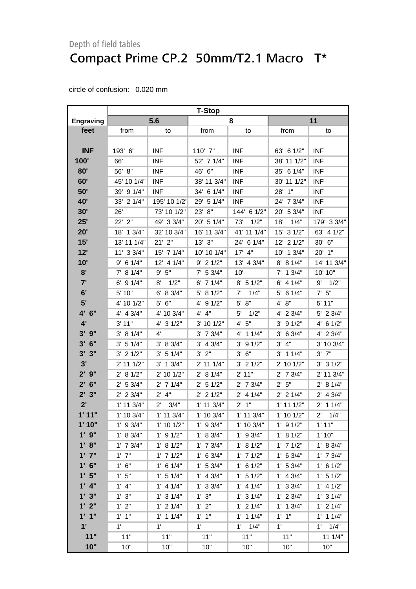|                  | <b>T-Stop</b>  |                      |                |                |                |                      |  |
|------------------|----------------|----------------------|----------------|----------------|----------------|----------------------|--|
| <b>Engraving</b> |                | 5.6                  |                | 8              |                | 11                   |  |
| feet             | from           | to                   | from           | to             | from           | to                   |  |
|                  |                |                      |                |                |                |                      |  |
| <b>INF</b>       | 193' 6"        | <b>INF</b>           | 110' 7"        | <b>INF</b>     | 63' 6 1/2"     | <b>INF</b>           |  |
| 100'             | 66'            | <b>INF</b>           | 52' 7 1/4"     | <b>INF</b>     | 38' 11 1/2"    | <b>INF</b>           |  |
| 80'              | 56' 8"         | <b>INF</b>           | 46' 6"         | <b>INF</b>     | 35' 6 1/4"     | <b>INF</b>           |  |
| 60'              | 45' 10 1/4"    | <b>INF</b>           | 38' 11 3/4"    | <b>INF</b>     | 30' 11 1/2"    | <b>INF</b>           |  |
| 50'              | 39' 9 1/4"     | <b>INF</b>           | 34' 6 1/4"     | <b>INF</b>     | 28' 1"         | <b>INF</b>           |  |
| 40'              | 33' 2 1/4"     | 195' 10 1/2"         | 29' 5 1/4"     | <b>INF</b>     | 24' 7 3/4"     | <b>INF</b>           |  |
| 30'              | 26'            | 73' 10 1/2"          | 23' 8"         | 144' 6 1/2"    | 20' 5 3/4"     | <b>INF</b>           |  |
| 25'              | 22' 2"         | 49' 3 3/4"           | 20' 5 1/4"     | 73'<br>1/2"    | 1/4"<br>18'    | 179' 3 3/4"          |  |
| 20'              | 18' 1 3/4"     | 32' 10 3/4"          | 16' 11 3/4"    | 41' 11 1/4"    | 15' 3 1/2"     | 63' 4 1/2"           |  |
| 15'              | 13' 11 1/4"    | $21'$ $2"$           | $13'$ $3''$    | 24' 6 1/4"     | 12' 2 1/2"     | 30' 6"               |  |
| 12'              | 11' 3 3/4"     | 15' 7 1/4"           | 10' 10 1/4"    | $17'$ 4"       | 10' 1 3/4"     | 20' 1"               |  |
| 10'              | $9'$ 6 1/4"    | 12' 4 1/4"           | $9'$ 2 1/2"    | 13' 4 3/4"     | 8' 8 1/4"      | 14' 11 3/4"          |  |
| 8'               | 7' 8 1/4"      | 9' 5''               | $7'$ 5 3/4"    | 10'            | $7'$ 1 3/4"    | 10' 10"              |  |
| 7'               | $6'$ 9 $1/4"$  | 1/2"<br>8'           | $6'$ 7 1/4"    | $8'$ 5 1/2"    | $6'$ 4 1/4"    | $9'$ $1/2"$          |  |
| 6'               | 5' 10"         | 6' 8 3/4"            | 5' 8 1/2"      | 7'<br>1/4"     | $5'$ 6 1/4"    | $7'$ 5"              |  |
| 5'               | 4' 10 1/2"     | 5' 6"                | $4'$ 9 $1/2"$  | $5'$ $8"$      | 4' 8''         | 5' 11"               |  |
| 4' 6"            | $4'$ 4 $3/4"$  | 4' 10 3/4"           | $4'$ $4"$      | 5'<br>1/2"     | 4' 2 3/4"      | 5' 2 3/4"            |  |
| 4'               | 3' 11"         | $4'$ 3 $1/2"$        | 3' 10 1/2"     | 4' 5''         | $3'$ 9 $1/2"$  | 4' 6 1/2"            |  |
| $3'$ $9''$       | 3' 8 1/4"      | $4^{\prime}$         | $3'$ 7 $3/4"$  | $4'$ 1 1/4"    | $3'$ 6 $3/4"$  | 4' 2 3/4"            |  |
| $3'$ 6"          | 3' 5 1/4"      | 3' 8 3/4"            | $3'$ 4 $3/4"$  | $3'$ 9 $1/2"$  | 3' 4''         | 3' 10 3/4"           |  |
| 3'3''            | $3'$ 2 $1/2"$  | 3' 5 1/4"            | $3'$ $2"$      | 3' 6''         | $3'$ 1 1/4"    | $3'$ $7''$           |  |
| 3'               | 2' 11 1/2"     | $3'$ 1 $3/4"$        | 2' 11 1/4"     | $3'$ 2 $1/2"$  | 2' 10 1/2"     | $3'$ 3 $1/2"$        |  |
| $2'$ $9''$       | 2' 8 1/2"      | 2' 10 1/2"           | 2' 8 1/4"      | 2' 11"         | $2'$ 7 $3/4"$  | 2' 11 3/4"           |  |
| $2'$ 6"          | 2' 53/4"       | $2'$ 7 1/4"          | $2'$ 5 1/2"    | $2'$ 7 $3/4"$  | 2' 5''         | 2' 8 1/4"            |  |
| 2'3''            | $2'$ 2 3/4"    | $2'$ 4"              | $2'$ 2 1/2"    | $2'$ 4 1/4"    | $2'$ 2 1/4"    | $2'$ 4 $3/4"$        |  |
| 2'               | $1'$ 11 $3/4"$ | 3/4"<br>$2^{\prime}$ | $1'$ 11 $3/4"$ | $2'$ 1"        | $1'$ 11 $1/2"$ | $2'$ 1 1/4"          |  |
| 1'11"            | 1' 10 3/4"     | 1' 11 3/4"           | 1' 10 3/4"     | $1'$ 11 $3/4"$ | 1' 10 1/2"     | $2^{\prime}$<br>1/4" |  |
| 1'10"            | $1'$ 9 $3/4"$  | 1' 10 1/2"           | $1'$ 9 3/4"    | 1' 10 3/4"     | $1'$ 9 $1/2"$  | 1'11"                |  |
| $1'$ $9"$        | 1' 8 3/4"      | $1'$ 9 $1/2"$        | 1' 8 3/4"      | $1'$ 9 $3/4"$  | 1' 8 1/2"      | 1'10"                |  |
| 1' 8''           | $1'$ 7 $3/4"$  | 1' 8 1/2"            | $1'$ 7 $3/4"$  | 1' 8 1/2"      | $1'$ 7 $1/2"$  | 1' 8 3/4"            |  |
| $1'$ $7''$       | $1'$ $7"$      | $1'$ 7 $1/2"$        | $1'$ 6 3/4"    | $1'$ 7 $1/2"$  | $1'$ 6 3/4"    | $1'$ 7 $3/4"$        |  |
| $1'$ 6"          | 1' 6''         | $1'$ 6 $1/4"$        | 1' 53/4"       | $1'$ 6 $1/2"$  | 1' 5 3/4"      | $1'$ 6 $1/2"$        |  |
| 1'5"             | 1'5"           | $1'$ 5 $1/4"$        | $1'$ 4 3/4"    | 1' 5 1/2"      | $1'$ 4 $3/4"$  | $1'$ 5 $1/2"$        |  |
| $1'$ 4"          | $1'$ 4"        | $1'$ 4 $1/4"$        | $1'$ 3 3/4"    | $1'$ 4 $1/4"$  | 1' 3 3/4"      | $1'$ 4 $1/2"$        |  |
| 1'3''            | 1' 3''         | $1'$ 3 $1/4"$        | 1'3''          | $1'$ 3 $1/4"$  | $1'$ 2 $3/4"$  | $1'$ 3 $1/4"$        |  |
| 1'2"             | 1'2"           | $1'$ 2 $1/4"$        | 1' 2''         | $1'$ 2 $1/4"$  | $1'$ 1 $3/4"$  | $1'$ 2 $1/4"$        |  |
| 1'1''            | $1'$ $1''$     | $1'$ 1 $1/4"$        | $1'$ $1''$     | $1'$ 1 $1/4"$  | $1'$ $1''$     | $1'$ 1 $1/4"$        |  |
| 1'               | 1'             | 1'                   | 1'             | 1/4"<br>1'     | $1^{\circ}$    | 1/4"<br>1'           |  |
| 11"              | 11"            | 11"                  | 11"            | 11"            | 11"            | 11 1/4"              |  |
| 10"              | 10"            | 10"                  | 10"            | 10"            | 10"            | 10"                  |  |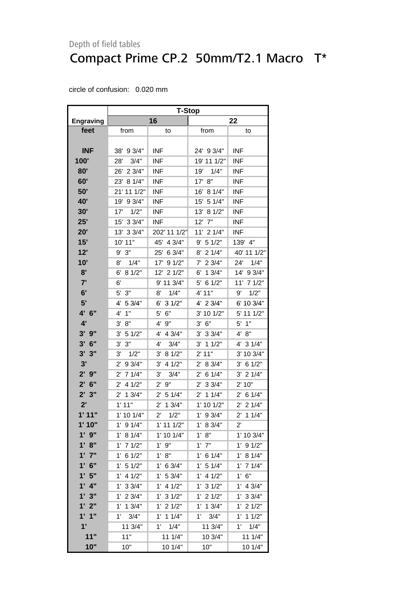|                    | <b>T-Stop</b>          |                       |                        |                       |  |  |  |
|--------------------|------------------------|-----------------------|------------------------|-----------------------|--|--|--|
| <b>Engraving</b>   |                        | 16                    |                        | 22                    |  |  |  |
| feet               | from                   | to                    | from                   | to                    |  |  |  |
|                    |                        |                       |                        |                       |  |  |  |
| <b>INF</b>         | 38' 9 3/4"             | <b>INF</b>            | 24' 9 3/4"             | <b>INF</b>            |  |  |  |
| 100'               | 3/4"<br>28'            | <b>INF</b>            | 19' 11 1/2"            | <b>INF</b>            |  |  |  |
| 80'                | 26' 2 3/4"             | <b>INF</b>            | 19'<br>1/4"            | <b>INF</b>            |  |  |  |
| 60'                | 23' 8 1/4"             | <b>INF</b>            | 17'<br>8"              | <b>INF</b>            |  |  |  |
| 50'                | 21' 11 1/2"            | <b>INF</b>            | 8 1/4"<br>16'          | <b>INF</b>            |  |  |  |
| 40'                | 19' 9 3/4"             | <b>INF</b>            | 15' 5 1/4"             | <b>INF</b>            |  |  |  |
| <b>30'</b>         | 1/2"<br>17'            | <b>INF</b>            | 13'<br>81/2"           | <b>INF</b>            |  |  |  |
| 25'                | 15' 3 3/4"             | <b>INF</b>            | 7"<br>12'              | <b>INF</b>            |  |  |  |
| 20'                | 13' 3 3/4"             | 202' 11 1/2"          | 11' 2 1/4"             | <b>INF</b>            |  |  |  |
| 15'                | 10' 11"                | 45'<br>4 3/4"         | 5 1/2"<br>9'           | 139' 4"               |  |  |  |
| 12'                | 9'3''                  | 25'<br>6 3/4"         | 21/4"<br>8'            | 40' 11 1/2"           |  |  |  |
| 10'                | 1/4"<br>8'             | 17'<br>91/2"          | 7'<br>23/4"            | 24'<br>1/4"           |  |  |  |
| 8'                 | 6' 8 1/2"              | 12' 2 1/2"            | 6'<br>13/4"            | 14' 9 3/4"            |  |  |  |
| 7'                 | 6'                     | 9' 11 3/4"            | 5' 6 1/2"              | 11' 7 1/2"            |  |  |  |
| 6'                 | $5'$ $3"$              | 1/4"<br>8'            | 4' 11"                 | 1/2"<br>9'            |  |  |  |
| 5'                 | 5 3/4"<br>4'           | 6'<br>31/2"           | 4' 2 3/4"              | 6' 10 3/4"            |  |  |  |
| 4' 6"              | 4'<br>1"               | 5' 6"                 | 3' 10 1/2"             | 5' 11 1/2"            |  |  |  |
| $4^{\prime}$       | 8"<br>3'               | 4' 9"                 | 3' 6''                 | $5'$ 1"               |  |  |  |
| $3'$ $9''$         | 3'<br>5 1/2"           | 4' 4 3/4"             | $3'$ 3 $3/4"$          | 4' 8''                |  |  |  |
| 6"<br>3'           | 3'<br>3"               | 4'<br>3/4"            | $3'$ 1 1/2"            | 4' 3 1/4"             |  |  |  |
| 3'<br>3"           | 1/2"<br>3'             | 81/2"<br>3'           | 2' 11"                 | 3' 10 3/4"            |  |  |  |
| 3'                 | 93/4"<br>$2^{\prime}$  | 4 1/2"<br>3'          | $2^{\prime}$<br>8 3/4" | $3'$ 6 1/2"           |  |  |  |
| $2'$ $9''$         | 71/4"<br>$2^{\prime}$  | 3'<br>3/4"            | 6 1/4"<br>$2^{\prime}$ | $3'$ 2 1/4"           |  |  |  |
| $2^{\prime}$<br>6" | 4 1/2"<br>$2^{\prime}$ | 9"<br>$2^{\prime}$    | 33/4"<br>$2^{\prime}$  | 2' 10"                |  |  |  |
| $2^{\prime}$<br>3" | $2'$ 1 $3/4"$          | $2'$ 5 1/4"           | $2^{\prime}$<br>11/4"  | $2'$ 6 1/4"           |  |  |  |
| 2'                 | 1'11"                  | 13/4"<br>$2^{\prime}$ | 1' 10 1/2"             | $2'$ 2 1/4"           |  |  |  |
| 1'11"              | 1' 10 1/4"             | $2^{\prime}$<br>1/2"  | $1'$ 9 3/4"            | $2'$ 1 1/4"           |  |  |  |
| 1' 10"             | $1'$ 9 $1/4"$          | $1'$ 11 $1/2"$        | 1' 8 3/4"              | $2^{\prime}$          |  |  |  |
| $1'$ $9"$          | 8 1/4"<br>1'           | 1' 10 1/4"            | 8"<br>1' .             | 1' 10 3/4"            |  |  |  |
| 1' 8"              | 71/2"<br>1' .          | $1'$ $9"$             | $1'$ $7"$              | $1'$ 9 $1/2"$         |  |  |  |
| $1'$ $7''$         | 61/2"<br>$1^{\prime}$  | 1' 8''                | $1'$ 6 $1/4"$          | 1' 8 1/4"             |  |  |  |
| 6"                 | 51/2"<br>$1^{\prime}$  | $1'$ 6 3/4"           | $1'$ 5 $1/4"$          | $1'$ 7 $1/4"$         |  |  |  |
| 1'5"               | 4 1/2"<br>1'           | 1' 53/4"              | 4 1/2"<br>$1^{\prime}$ | $1'$ 6"               |  |  |  |
| 4"                 | 33/4"<br>1'            | $1^{\circ}$<br>4 1/2" | 31/2"<br>$1^{\prime}$  | $1'$ 4 $3/4"$         |  |  |  |
| 1'3"               | 23/4"<br>$1^{\prime}$  | $1'$ 3 $1/2"$         | 21/2"<br>1'            | 1' 33/4"              |  |  |  |
| 1'2"               | $1'$ 1 $3/4"$          | 21/2"<br>1'           | 13/4"<br>$1^{\circ}$   | $1'$ 2 $1/2"$         |  |  |  |
| 1'1''              | 3/4"<br>$1^{\circ}$    | 11/4"<br>$1^{\circ}$  | $1^{\prime}$<br>3/4"   | $1^{\prime}$<br>11/2" |  |  |  |
| 1'                 | 11 3/4"                | 1'<br>1/4"            | 11 3/4"                | 1/4"<br>$1^{\circ}$   |  |  |  |
| 11"                | 11"                    | 111/4"                | 10 3/4"                | 111/4"                |  |  |  |
| 10"                | 10"                    | 10 1/4"               | 10"                    | 10 1/4"               |  |  |  |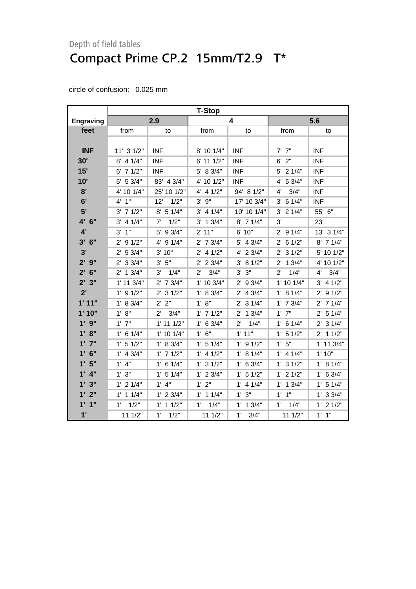|                    | <b>T-Stop</b>         |                      |                      |                       |                      |                |  |
|--------------------|-----------------------|----------------------|----------------------|-----------------------|----------------------|----------------|--|
| Engraving          |                       | 2.9                  |                      | 4                     |                      | 5.6            |  |
| feet               | from                  | to                   | from                 | to                    | from                 | to             |  |
|                    |                       |                      |                      |                       |                      |                |  |
| <b>INF</b>         | 11' 3 1/2"            | <b>INF</b>           | 8' 10 1/4"           | <b>INF</b>            | $7'$ $7''$           | <b>INF</b>     |  |
| 30'                | $8'$ 4 1/4"           | <b>INF</b>           | $6'$ 11 $1/2"$       | <b>INF</b>            | $6'$ 2"              | <b>INF</b>     |  |
| 15'                | $6'$ 7 $1/2"$         | <b>INF</b>           | 5' 8 3/4"            | <b>INF</b>            | $5'$ 2 1/4"          | <b>INF</b>     |  |
| 10'                | 5' 5 3/4"             | 83' 4 3/4"           | 4' 10 1/2"           | <b>INF</b>            | 4' 5 3/4"            | <b>INF</b>     |  |
| 8'                 | 4' 10 1/4"            | 25' 10 1/2"          | $4'$ 4 $1/2"$        | 94' 8 1/2"            | 4'<br>3/4"           | <b>INF</b>     |  |
| 6'                 | 4'1''                 | 12'<br>1/2"          | $3'$ $9''$           | 17' 10 3/4"           | $3'$ 6 1/4"          | <b>INF</b>     |  |
| 5'                 | $3'$ 7 $1/2"$         | $8'$ 5 1/4"          | $3'$ 4 1/4"          | 10' 10 1/4"           | $3'$ 2 $1/4"$        | 55' 6"         |  |
| 4' 6"              | 4 1/4"<br>3'          | 1/2"<br>7'           | $3'$ 1 $3/4"$        | 8' 7 1/4"             | 3'                   | 23'            |  |
| 4'                 | 1"<br>3'              | 5' 9 3/4"            | 2' 11"               | 6' 10"                | $2'$ 9 1/4"          | 13' 3 1/4"     |  |
| 3'<br>6"           | 91/2"<br>$2^{\prime}$ | 4' 9 1/4"            | $2'$ 7 $3/4"$        | 5' 4 3/4"             | $2'$ 6 1/2"          | 8' 7 1/4"      |  |
| 3'                 | 2' 53/4"              | 3' 10"               | $2'$ 4 $1/2"$        | 4' 2 3/4"             | $2'$ 3 1/2"          | 5' 10 1/2"     |  |
| $2'$ $9''$         | $2'$ 3 3/4"           | 3' 5''               | $2'$ 2 3/4"          | 3' 81/2"              | $2'$ 1 3/4"          | 4' 10 1/2"     |  |
| $2^{\prime}$<br>6" | $2'$ 1 $3/4"$         | 3'<br>1/4"           | 3/4"<br>$2^{\prime}$ | 3"<br>3'              | 1/4"<br>$2^{\prime}$ | 3/4"<br>4'     |  |
| 2'3"               | $1'$ 11 $3/4"$        | $2'$ 7 $3/4"$        | 1' 10 3/4"           | 93/4"<br>$2^{\prime}$ | $1'$ 10 $1/4"$       | $3'$ 4 $1/2"$  |  |
| 2'                 | $1'$ 9 $1/2"$         | 31/2"<br>2'          | 1' 8 3/4"            | $2'$ 4 3/4"           | 1' 8 1/4"            | $2'$ 9 1/2"    |  |
| 1'11"              | 1' 8 3/4"             | 2' 2"                | 1' 8''               | $2'$ 3 $1/4"$         | $1'$ 7 $3/4"$        | $2'$ 7 1/4"    |  |
| 1'10"              | 1' 8''                | 3/4"<br>$2^{\prime}$ | $1'$ 7 $1/2"$        | $2'$ 1 $3/4"$         | $1'$ $7"$            | $2'$ 5 1/4"    |  |
| $1'$ $9''$         | $1'$ $7"$             | $1'$ 11 $1/2"$       | $1'$ 6 3/4"          | 1/4"<br>$2^{\prime}$  | $1'$ 6 $1/4"$        | $2'$ 3 1/4"    |  |
| 1' 8''             | 1' 6 1/4"             | $1'$ 10 $1/4"$       | 1' 6''               | 1'11"                 | $1'$ 5 $1/2"$        | $2'$ 1 1/2"    |  |
| $1'$ $7''$         | $1'$ 5 $1/2"$         | 1' 8 3/4"            | $1'$ 5 $1/4"$        | $1'$ 9 $1/2"$         | 1'5''                | $1'$ 11 $3/4"$ |  |
| $1'$ 6"            | $1'$ 4 $3/4"$         | $1'$ 7 $1/2"$        | $1'$ 4 $1/2"$        | 1' 8 1/4"             | $1'$ 4 $1/4"$        | 1'10"          |  |
| 1'5"               | $1'$ 4"               | $1'$ 6 $1/4"$        | $1'$ 3 $1/2"$        | $1'$ 6 3/4"           | $1'$ 3 $1/2"$        | 1' 8 1/4"      |  |
| $1'$ $4"$          | 1'3''                 | $1'$ 5 $1/4"$        | $1'$ 2 3/4"          | $1'$ 5 $1/2"$         | $1'$ 2 $1/2"$        | $1'$ 6 3/4"    |  |
| 1'3''              | $1'$ 2 $1/4"$         | $1'$ $4"$            | 1'2"                 | $1'$ 4 $1/4"$         | $1'$ 1 $3/4"$        | $1'$ 5 $1/4"$  |  |
| $1'$ $2"$          | $1'$ 1 $1/4"$         | $1'$ 2 $3/4"$        | $1'$ 1 $1/4"$        | 1' 3''                | $1'$ $1''$           | $1'$ 3 3/4"    |  |
| $1'$ $1''$         | 1/2"<br>1'            | $1'$ 1 $1/2"$        | 1/4"<br>$1^{\prime}$ | $1'$ 1 $3/4"$         | $1^{\circ}$<br>1/4"  | $1'$ 2 $1/2"$  |  |
| 1'                 | 111/2"                | 1'<br>1/2"           | 111/2"               | 1'<br>3/4"            | 111/2"               | $1'$ $1''$     |  |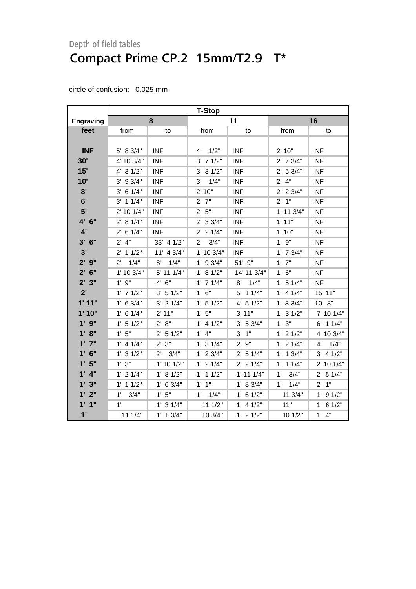|                  | <b>T-Stop</b>        |                      |                      |                |                      |               |  |
|------------------|----------------------|----------------------|----------------------|----------------|----------------------|---------------|--|
| <b>Engraving</b> |                      | 8                    |                      | 11             |                      | 16            |  |
| feet             | from                 | to                   | from                 | to             | from                 | to            |  |
|                  |                      |                      |                      |                |                      |               |  |
| <b>INF</b>       | $5'$ 8 3/4"          | <b>INF</b>           | 1/2"<br>4'           | <b>INF</b>     | 2' 10"               | <b>INF</b>    |  |
| 30'              | 4' 10 3/4"           | <b>INF</b>           | $3'$ 7 $1/2"$        | <b>INF</b>     | $2'$ 7 $3/4"$        | <b>INF</b>    |  |
| 15'              | $4'$ 3 $1/2"$        | <b>INF</b>           | $3'$ 3 $1/2"$        | <b>INF</b>     | 2' 5 3/4"            | <b>INF</b>    |  |
| 10'              | $3'$ 9 $3/4"$        | <b>INF</b>           | 3'<br>1/4"           | <b>INF</b>     | $2'$ 4"              | <b>INF</b>    |  |
| 8'               | $3'$ 6 $1/4"$        | <b>INF</b>           | 2'10"                | <b>INF</b>     | $2'$ 2 3/4"          | <b>INF</b>    |  |
| 6'               | $3'$ 1 $1/4"$        | <b>INF</b>           | $2'$ $7"$            | <b>INF</b>     | 2' 1''               | <b>INF</b>    |  |
| 5'               | 2' 10 1/4"           | <b>INF</b>           | 2'5"                 | <b>INF</b>     | 1' 11 3/4"           | <b>INF</b>    |  |
| 4' 6"            | 2' 8 1/4"            | <b>INF</b>           | $2'$ 3 3/4"          | <b>INF</b>     | 1'11"                | <b>INF</b>    |  |
| 4'               | $2'$ 6 1/4"          | <b>INF</b>           | $2'$ 2 1/4"          | <b>INF</b>     | 1'10"                | <b>INF</b>    |  |
| 3'<br>6"         | $2^{\prime}$<br>4"   | 33' 4 1/2"           | 3/4"<br>$2^{\prime}$ | <b>INF</b>     | 1'9''                | <b>INF</b>    |  |
| 3'               | $2'$ 1 1/2"          | 11' 4 3/4"           | 1' 10 3/4"           | <b>INF</b>     | $1'$ 7 $3/4"$        | <b>INF</b>    |  |
| $2'$ 9"          | $2^{\prime}$<br>1/4" | 1/4"<br>8'           | $1'$ 9 3/4"          | 51' 9"         | $1'$ $7"$            | <b>INF</b>    |  |
| $2'$ 6"          | 1' 10 3/4"           | 5' 11 1/4"           | 1' 8 1/2"            | 14' 11 3/4"    | 1' 6''               | <b>INF</b>    |  |
| 2'3"             | $1'$ $9"$            | 4' 6''               | $1'$ 7 $1/4"$        | 8'<br>1/4"     | $1'$ 5 $1/4"$        | <b>INF</b>    |  |
| 2'               | $1'$ 7 $1/2"$        | 3' 51/2"             | 1' 6''               | 5' 1 1/4"      | $1'$ 4 $1/4"$        | 15' 11"       |  |
| 1'11"            | 1' 6 3/4"            | $3'$ 2 $1/4"$        | $1'$ 5 $1/2"$        | $4'$ 5 1/2"    | $1'$ 3 3/4"          | 10' 8''       |  |
| 1'10"            | $1'$ 6 $1/4"$        | 2' 11"               | 1'5"                 | 3' 11"         | $1'$ 3 $1/2"$        | 7' 10 1/4"    |  |
| $1'$ $9''$       | $1'$ 5 $1/2"$        | 2' 8''               | $1'$ 4 $1/2"$        | 3' 5 3/4"      | 1'3"                 | $6'$ 1 1/4"   |  |
| 1' 8''           | 1'5"                 | $2'$ 5 1/2"          | $1'$ 4"              | $3'$ 1"        | $1'$ 2 $1/2"$        | 4' 10 3/4"    |  |
| $1'$ $7''$       | $1'$ 4 $1/4"$        | 2' 3''               | $1'$ 3 $1/4"$        | 2'9''          | $1'$ 2 $1/4"$        | 1/4"<br>4'    |  |
| $1'$ 6"          | $1'$ 3 $1/2"$        | $2^{\prime}$<br>3/4" | $1'$ 2 $3/4"$        | $2'$ 5 1/4"    | $1'$ 1 $3/4"$        | $3'$ 4 $1/2"$ |  |
| 1'5"             | 1'3''                | 1' 10 1/2"           | $1'$ 2 $1/4"$        | $2'$ 2 1/4"    | $1'$ 1 $1/4"$        | 2' 10 1/4"    |  |
| $1'$ 4"          | $1'$ 2 $1/4"$        | 1' 8 1/2"            | $1'$ 1 $1/2"$        | $1'$ 11 $1/4"$ | 3/4"<br>1'           | $2'$ 5 1/4"   |  |
| 1'3''            | $1'$ 1 $1/2"$        | $1'$ 6 3/4"          | $1'$ $1"$            | 1' 8 3/4"      | 1/4"<br>$1^{\prime}$ | 2'1"          |  |
| 1'2"             | 1'<br>3/4"           | 1' 5''               | $1'$ $1/4"$          | $1'$ 6 $1/2"$  | 11 3/4"              | $1'$ 9 $1/2"$ |  |
| $1'$ $1''$       | 1'                   | $1'$ 3 $1/4"$        | 11 1/2"              | $1'$ 4 $1/2"$  | 11"                  | $1'$ 6 $1/2"$ |  |
| 1'               | 11 1/4"              | $1'$ 1 $3/4"$        | 10 3/4"              | $1'$ 2 $1/2"$  | 10 1/2"              | $1'$ 4"       |  |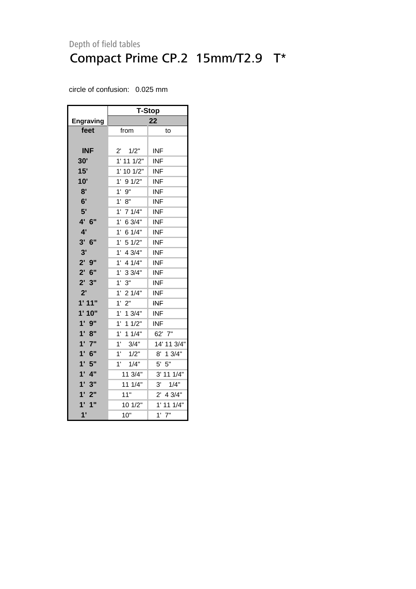|            | T-Stop                |                |  |  |  |  |
|------------|-----------------------|----------------|--|--|--|--|
| Engraving  |                       | 22             |  |  |  |  |
| feet       | from                  | to             |  |  |  |  |
|            |                       |                |  |  |  |  |
| <b>INF</b> | $2^{\prime}$<br>1/2"  | INF            |  |  |  |  |
| 30'        | $1'$ 11 $1/2"$        | INF            |  |  |  |  |
| 15'        | $1'$ 10 $1/2"$        | <b>INF</b>     |  |  |  |  |
| 10'        | 1'<br>91/2"           | <b>INF</b>     |  |  |  |  |
| 8'         | 1'<br>9"              | <b>INF</b>     |  |  |  |  |
| 6'         | 1' 8"                 | <b>INF</b>     |  |  |  |  |
| 5'         | 1'<br>7 1/4"          | <b>INF</b>     |  |  |  |  |
| 4' 6"      | 1' 6 3/4"             | <b>INF</b>     |  |  |  |  |
| 4'         | 61/4"<br>1'           | <b>INF</b>     |  |  |  |  |
| 3' 6''     | 1'<br>5 1/2"          | <b>INF</b>     |  |  |  |  |
| 3'         | $1^{\circ}$<br>4 3/4" | INF            |  |  |  |  |
| 2'9''      | 4 1/4"<br>1'          | <b>INF</b>     |  |  |  |  |
| $2'$ 6"    | 33/4"<br>$1^{\circ}$  | <b>INF</b>     |  |  |  |  |
| 2'3''      | 3"<br>1'              | <b>INF</b>     |  |  |  |  |
| 2'         | 1'<br>21/4"           | <b>INF</b>     |  |  |  |  |
| 1'11"      | 2"<br>1'              | INF            |  |  |  |  |
| 1'10"      | 1'<br>13/4"           | <b>INF</b>     |  |  |  |  |
| $1'$ $9"$  | $1^{\circ}$<br>11/2"  | INF            |  |  |  |  |
| 1' 8''     | 1'<br>11/4"           | 62' 7"         |  |  |  |  |
| $1'$ $7"$  | 1'<br>3/4"            | 14' 11 3/4"    |  |  |  |  |
| $1'$ 6"    | 1'<br>1/2"            | 13/4"<br>8'    |  |  |  |  |
| 1'5"       | 1/4"<br>1'            | 5"<br>5'       |  |  |  |  |
| $1'$ $4"$  | 11 3/4"               | 3' 11 1/4"     |  |  |  |  |
| 1'3''      | 11 1/4"               | 3'<br>1/4"     |  |  |  |  |
| 1'2"       | 11"                   | $2'$ 4 3/4"    |  |  |  |  |
| 1'<br>1"   | 10 1/2"               | $1'$ 11 $1/4"$ |  |  |  |  |
| 1'         | 10"                   | $1'$ $7"$      |  |  |  |  |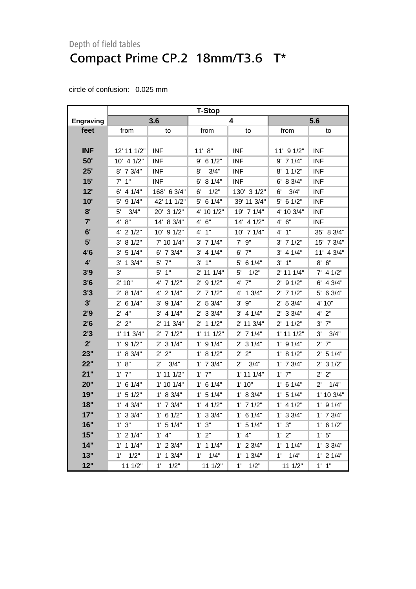|                  | <b>T-Stop</b>      |                      |                |                      |                |                       |  |
|------------------|--------------------|----------------------|----------------|----------------------|----------------|-----------------------|--|
| <b>Engraving</b> |                    | 3.6                  |                | 4                    |                | 5.6                   |  |
| feet             | from               | to                   | from           | to                   | from           | to                    |  |
|                  |                    |                      |                |                      |                |                       |  |
| INF              | 12' 11 1/2"        | <b>INF</b>           | 11' 8''        | <b>INF</b>           | 11' 9 1/2"     | <b>INF</b>            |  |
| 50'              | 10' 4 1/2"         | <b>INF</b>           | $9'$ 6 1/2"    | <b>INF</b>           | 9' 7 1/4"      | <b>INF</b>            |  |
| 25'              | $8'$ 7 $3/4"$      | <b>INF</b>           | 8'<br>3/4"     | <b>INF</b>           | $8'$ 1 1/2"    | <b>INF</b>            |  |
| 15'              | $7'$ 1"            | <b>INF</b>           | 6' 8 1/4"      | <b>INF</b>           | 6' 8 3/4"      | <b>INF</b>            |  |
| 12'              | $6'$ 4 1/4"        | 168' 6 3/4"          | 1/2"<br>6'     | 130' 3 1/2"          | 6'<br>3/4"     | <b>INF</b>            |  |
| 10'              | 5' 9 1/4"          | 42' 11 1/2"          | $5'$ 6 1/4"    | 39' 11 3/4"          | $5'$ 6 1/2"    | <b>INF</b>            |  |
| 8'               | 3/4"<br>5'         | 20' 3 1/2"           | 4' 10 1/2"     | 19' 7 1/4"           | 4' 10 3/4"     | <b>INF</b>            |  |
| 7'               | 4' 8"              | 14' 8 3/4"           | 4' 6''         | 14' 4 1/2"           | 4' 6''         | <b>INF</b>            |  |
| 6'               | $4'$ 2 $1/2"$      | 10' 9 1/2"           | 4'1''          | $10'$ 7 $1/4"$       | $4'$ 1"        | 35' 8 3/4"            |  |
| 5'               | 81/2"<br>3'        | 7' 10 1/4"           | $3'$ 7 $1/4"$  | $7'$ $9''$           | $3'$ 7 1/2"    | 15' 7 3/4"            |  |
| 4'6              | 3' 51/4"           | $6'$ 7 $3/4"$        | 3' 4 1/4"      | $6'$ $7''$           | 3' 4 1/4"      | 11' 4 3/4"            |  |
| $4^{\prime}$     | $3'$ 1 $3/4"$      | $5'$ $7"$            | $3'$ 1"        | 5' 6 1/4"            | $3'$ 1"        | $8'$ $6''$            |  |
| 3'9              | 3'                 | $5'$ 1"              | $2'$ 11 1/4"   | 5'<br>1/2"           | 2' 11 1/4"     | $7'$ 4 1/2"           |  |
| 3'6              | 2' 10"             | 4' 7 1/2"            | $2'$ 9 1/2"    | 4' 7"                | 2' 9 1/2"      | $6'$ 4 3/4"           |  |
| 3'3              | 2' 8 1/4"          | 4' 2 1/4"            | $2'$ 7 $1/2"$  | 4' 1 3/4"            | $2'$ 7 1/2"    | 5' 6 3/4"             |  |
| 3'               | $2'$ 6 1/4"        | $3'$ 9 $1/4"$        | 2' 53/4"       | $3'$ $9''$           | 2' 53/4"       | 4' 10"                |  |
| 2'9              | 4"<br>$2^{\prime}$ | $3'$ 4 1/4"          | $2'$ 3 3/4"    | $3'$ 4 1/4"          | $2'$ 3 3/4"    | 4' 2"                 |  |
| 2'6              | $2'$ $2"$          | 2' 11 3/4"           | $2'$ 1 1/2"    | 2' 11 3/4"           | $2'$ 1 1/2"    | $3'$ $7''$            |  |
| 2'3              | $1'$ 11 $3/4"$     | $2'$ 7 1/2"          | $1'$ 11 $1/2"$ | $2'$ 7 1/4"          | $1'$ 11 $1/2"$ | 3'<br>3/4"            |  |
| 2'               | $1'$ 9 $1/2"$      | $2'$ 3 1/4"          | $1'$ 9 $1/4"$  | $2'$ 3 1/4"          | $1'$ 9 $1/4"$  | $2'$ 7"               |  |
| 23"              | 1' 8 3/4"          | $2'$ $2"$            | 1' 8 1/2"      | 2' 2"                | 1' 8 1/2"      | $2'$ 5 1/4"           |  |
| 22"              | 1' 8''             | 3/4"<br>$2^{\prime}$ | $1'$ 7 $3/4"$  | 3/4"<br>$2^{\prime}$ | $1'$ 7 $3/4"$  | $2^{\prime}$<br>31/2" |  |
| 21"              | $1'$ $7"$          | $1'$ 11 $1/2"$       | $1'$ $7"$      | $1'$ 11 $1/4"$       | $1'$ $7"$      | 2' 2"                 |  |
| 20"              | 1' 6 1/4"          | $1'$ 10 $1/4"$       | $1'$ 6 1/4"    | 1'10"                | $1'$ 6 1/4"    | $2^{\prime}$<br>1/4"  |  |
| 19"              | $1'$ 5 $1/2"$      | 1' 8 3/4"            | $1'$ 5 $1/4"$  | 1' 8 3/4"            | $1'$ 5 $1/4"$  | 1' 10 3/4"            |  |
| 18"              | $1'$ 4 3/4"        | $1'$ 7 $3/4"$        | $1'$ 4 $1/2"$  | $1'$ 7 $1/2"$        | $1'$ 4 $1/2"$  | $1'$ 9 $1/4"$         |  |
| 17"              | $1'$ 3 3/4"        | $1'$ 6 $1/2"$        | $1'$ 3 3/4"    | $1'$ 6 $1/4"$        | $1'$ 3 $3/4"$  | $1'$ 7 $3/4"$         |  |
| 16"              | 3"<br>$1^{\prime}$ | $1'$ 5 $1/4"$        | 1' 3''         | $1'$ 5 $1/4"$        | 1'3''          | $1'$ 6 $1/2"$         |  |
| 15"              | $1'$ 2 $1/4"$      | $1'$ 4"              | 1'2"           | $1'$ 4"              | 1'2"           | 1'5''                 |  |
| 14"              | $1'$ 1 $1/4"$      | $1'$ 2 $3/4"$        | $1'$ 1 $1/4"$  | $1'$ 2 $3/4"$        | $1'$ 1 $1/4"$  | $1'$ 3 3/4"           |  |
| 13"              | 1/2"<br>1'         | $1'$ 1 $3/4"$        | 1/4"<br>1'     | 1'<br>1.3/4"         | 1/4"<br>1'     | $1'$ 2 $1/4"$         |  |
| 12"              | 11 1/2"            | 1'<br>1/2"           | 11 1/2"        | 1'<br>1/2"           | 11 1/2"        | $1'$ $1''$            |  |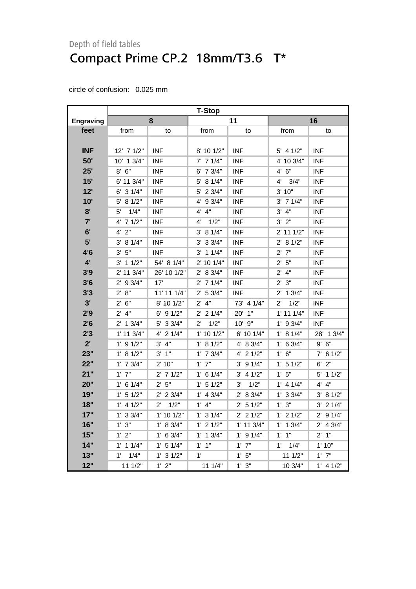|                  | <b>T-Stop</b>        |                      |                      |                |                      |               |  |
|------------------|----------------------|----------------------|----------------------|----------------|----------------------|---------------|--|
| <b>Engraving</b> |                      | 8                    |                      | 11             | 16                   |               |  |
| feet             | from                 | to                   | from                 | to             | from                 | to            |  |
|                  |                      |                      |                      |                |                      |               |  |
| <b>INF</b>       | 12' 7 1/2"           | <b>INF</b>           | 8' 10 1/2"           | <b>INF</b>     | $5'$ 4 1/2"          | <b>INF</b>    |  |
| 50'              | 10' 1 3/4"           | <b>INF</b>           | $7'$ 7 1/4"          | <b>INF</b>     | 4' 10 3/4"           | INF           |  |
| 25'              | $8'$ $6''$           | <b>INF</b>           | $6'$ 7 $3/4"$        | <b>INF</b>     | 4' 6''               | <b>INF</b>    |  |
| 15'              | $6'$ 11 $3/4"$       | <b>INF</b>           | 5' 8 1/4"            | <b>INF</b>     | 4'<br>3/4"           | <b>INF</b>    |  |
| 12'              | $6'$ 3 $1/4"$        | <b>INF</b>           | 5' 2 3/4"            | <b>INF</b>     | 3'10"                | <b>INF</b>    |  |
| 10'              | $5'$ 8 1/2"          | <b>INF</b>           | 4' 9 3/4"            | <b>INF</b>     | $3'$ 7 $1/4"$        | <b>INF</b>    |  |
| 8'               | 5'<br>1/4"           | <b>INF</b>           | 4' 4"                | <b>INF</b>     | $3'$ 4"              | <b>INF</b>    |  |
| 7'               | 4' 7 1/2"            | <b>INF</b>           | 4'<br>1/2"           | <b>INF</b>     | 3'2"                 | <b>INF</b>    |  |
| 6'               | $4'$ $2"$            | <b>INF</b>           | 3' 8 1/4"            | <b>INF</b>     | 2' 11 1/2"           | <b>INF</b>    |  |
| 5'               | $3'$ 8 1/4"          | <b>INF</b>           | $3'$ 3 $3/4"$        | <b>INF</b>     | 2' 8 1/2"            | <b>INF</b>    |  |
| 4'6              | 3' 5''               | <b>INF</b>           | $3'$ 1 1/4"          | <b>INF</b>     | $2'$ 7"              | <b>INF</b>    |  |
| 4'               | $3'$ 1 1/2"          | 54' 8 1/4"           | 2' 10 1/4"           | <b>INF</b>     | 2'5"                 | <b>INF</b>    |  |
| 3'9              | $2'$ 11 $3/4"$       | 26' 10 1/2"          | 2' 8 3/4"            | <b>INF</b>     | $2'$ 4"              | <b>INF</b>    |  |
| 3'6              | $2'$ 9 3/4"          | 17'                  | $2'$ 7 1/4"          | <b>INF</b>     | 2'3''                | <b>INF</b>    |  |
| 3'3              | 2' 8''               | 11' 11 1/4"          | 2' 53/4"             | <b>INF</b>     | $2'$ 1 3/4"          | <b>INF</b>    |  |
| 3'               | 2' 6''               | 8' 10 1/2"           | $2'$ 4"              | 73' 4 1/4"     | 1/2"<br>$2^{\prime}$ | <b>INF</b>    |  |
| 2'9              | $2'$ 4"              | $6'$ 9 $1/2"$        | $2'$ 2 1/4"          | 20' 1"         | $1'$ 11 $1/4"$       | <b>INF</b>    |  |
| 2'6              | $2'$ 1 $3/4"$        | 5' 3 3/4"            | $2^{\prime}$<br>1/2" | $10'$ $9''$    | $1'$ 9 3/4"          | <b>INF</b>    |  |
| 2'3              | $1'$ 11 $3/4"$       | 4' 2 1/4"            | 1' 10 1/2"           | 6' 10 1/4"     | 1' 8 1/4"            | 28' 1 3/4"    |  |
| 2'               | $1'$ 9 $1/2"$        | 3' 4''               | 1' 8 1/2"            | 4' 8 3/4"      | $1'$ 6 3/4"          | 9' 6''        |  |
| 23"              | 1' 8 1/2"            | $3'$ 1"              | $1'$ 7 $3/4"$        | 4' 2 1/2"      | 1' 6''               | $7'$ 6 1/2"   |  |
| 22"              | $1'$ 7 $3/4"$        | 2' 10"               | $1'$ $7"$            | $3'$ 9 1/4"    | $1'$ 5 $1/2"$        | $6'$ $2"$     |  |
| 21"              | $1'$ $7"$            | $2'$ 7 1/2"          | $1'$ 6 $1/4"$        | $3'$ 4 1/2"    | 1'5"                 | $5'$ 1 1/2"   |  |
| 20"              | $1'$ 6 $1/4"$        | 2'5"                 | $1'$ 5 $1/2"$        | 1/2"<br>3'     | $1'$ 4 $1/4"$        | 4' 4''        |  |
| 19"              | $1'$ 5 $1/2"$        | $2'$ 2 3/4"          | $1'$ 4 $3/4"$        | 2' 8 3/4"      | $1'$ 3 3/4"          | 3' 81/2"      |  |
| 18"              | $1'$ 4 $1/2"$        | 1/2"<br>$2^{\prime}$ | $1'$ 4"              | $2'$ 5 1/2"    | 1'3''                | $3'$ 2 $1/4"$ |  |
| 17"              | $1'$ 3 3/4"          | $1'$ 10 $1/2"$       | $1'$ 3 $1/4"$        | $2'$ 2 1/2"    | $1'$ 2 $1/2"$        | $2'$ 9 1/4"   |  |
| 16"              | 1'3''                | 1' 8 3/4"            | $1'$ 2 $1/2"$        | $1'$ 11 $3/4"$ | $1'$ 1 $3/4"$        | $2'$ 4 3/4"   |  |
| 15"              | 1'2"                 | $1'$ 6 3/4"          | $1'$ 1 $3/4"$        | $1'$ 9 $1/4"$  | $1'$ $1''$           | 2'1"          |  |
| 14"              | $1'$ 1 $1/4"$        | $1'$ 5 $1/4"$        | $1'$ $1''$           | $1'$ $7"$      | $1^{\circ}$<br>1/4"  | 1'10"         |  |
| 13"              | 1/4"<br>$1^{\prime}$ | $1'$ 3 $1/2"$        | 1'                   | 1'5"           | 111/2"               | $1'$ $7"$     |  |
| 12"              | 11 1/2"              | 1' 2''               | 11 1/4"              | 1'3''          | 10 3/4"              | $1'$ 4 $1/2"$ |  |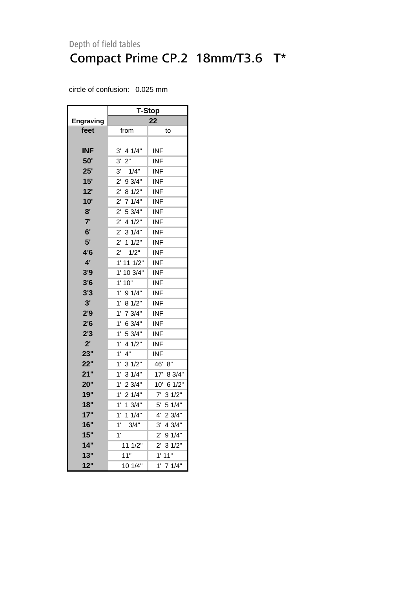|                  | <b>T-Stop</b>          |                       |  |  |  |  |
|------------------|------------------------|-----------------------|--|--|--|--|
| <b>Engraving</b> | 22                     |                       |  |  |  |  |
| feet             | from                   | to                    |  |  |  |  |
|                  |                        |                       |  |  |  |  |
| <b>INF</b>       | 3'<br>4 1/4"           | INF                   |  |  |  |  |
| 50'              | 3,<br>2"               | INF                   |  |  |  |  |
| 25'              | 3'<br>1/4"             | <b>INF</b>            |  |  |  |  |
| 15'              | $2^{\prime}$<br>9 3/4" | <b>INF</b>            |  |  |  |  |
| 12'              | 8 1/2"<br>$2^{\prime}$ | INF                   |  |  |  |  |
| 10'              | 71/4"<br>$2^{\prime}$  | INF                   |  |  |  |  |
| 8'               | $2^{\prime}$<br>5 3/4" | <b>INF</b>            |  |  |  |  |
| 7'               | 41/2"<br>$2^{\prime}$  | INF                   |  |  |  |  |
| 6'               | 31/4"<br>$2^{\prime}$  | <b>INF</b>            |  |  |  |  |
| 5'               | 11/2"<br>$2^{\prime}$  | INF                   |  |  |  |  |
| 4'6              | $2^{\prime}$<br>1/2"   | INF                   |  |  |  |  |
| 4'               | $1'$ 11 $1/2"$         | <b>INF</b>            |  |  |  |  |
| 3'9              | 1'<br>10 3/4"          | INF                   |  |  |  |  |
| 3'6              | 1' 10"                 | <b>INF</b>            |  |  |  |  |
| 3'3              | 1'<br>91/4"            | INF                   |  |  |  |  |
| 3'               | $1^{\circ}$<br>8 1/2"  | <b>INF</b>            |  |  |  |  |
| 2'9              | $1'$ 7 $3/4"$          | <b>INF</b>            |  |  |  |  |
| 2'6              | 1'<br>6 3/4"           | <b>INF</b>            |  |  |  |  |
| 2'3              | 5 3/4"<br>1'           | <b>INF</b>            |  |  |  |  |
| $2^{\prime}$     | 1'<br>4 1/2"           | INF                   |  |  |  |  |
| 23"              | 4"<br>1'               | INF                   |  |  |  |  |
| 22"              | 1'<br>31/2"            | 46' 8"                |  |  |  |  |
| 21"              | 31/4"<br>1'            | 8 3/4"<br>17'         |  |  |  |  |
| 20"              | 1'<br>23/4"            | 10' 6 1/2"            |  |  |  |  |
| 19"              | 1'<br>21/4"            | 31/2"<br>$7^{\circ}$  |  |  |  |  |
| 18"              | 1'<br>13/4"            | 5'<br>51/4"           |  |  |  |  |
| 17"              | 11/4"<br>1'            | 23/4"<br>4'           |  |  |  |  |
| 16"              | 1'<br>3/4"             | 4 3/4"<br>3'          |  |  |  |  |
| 15"              | 1'                     | 91/4"<br>2'           |  |  |  |  |
| 14"              | 11 1/2"                | 31/2"<br>$2^{\prime}$ |  |  |  |  |
| 13"              | 11"                    | 1'11"                 |  |  |  |  |
| 12"              | 10 1/4"                | 7 1/4"<br>1'          |  |  |  |  |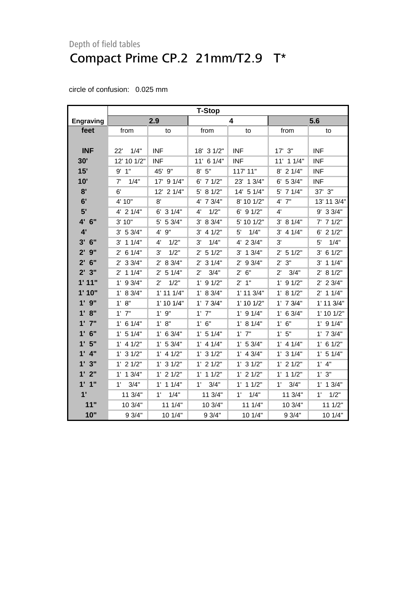|                  | <b>T-Stop</b>        |                      |                      |                    |                      |                     |  |
|------------------|----------------------|----------------------|----------------------|--------------------|----------------------|---------------------|--|
| <b>Engraving</b> |                      | 2.9                  |                      | 4                  |                      | 5.6                 |  |
| feet             | from                 | to                   | from                 | to                 | from                 | to                  |  |
|                  |                      |                      |                      |                    |                      |                     |  |
| <b>INF</b>       | 22'<br>1/4"          | <b>INF</b>           | 18' 3 1/2"           | <b>INF</b>         | $17'$ $3''$          | INF                 |  |
| 30'              | 12' 10 1/2"          | <b>INF</b>           | 11' 6 1/4"           | <b>INF</b>         | $11'$ 1 $1/4"$       | <b>INF</b>          |  |
| 15'              | $9'$ 1"              | 45' 9"               | 8' 5''               | 117' 11"           | $8'$ 2 1/4"          | <b>INF</b>          |  |
| 10'              | 7'<br>1/4"           | 17' 9 1/4"           | $6'$ 7 $1/2"$        | 23' 1 3/4"         | $6'$ 5 3/4"          | <b>INF</b>          |  |
| 8'               | 6'                   | 12' 2 1/4"           | 5' 8 1/2"            | 14' 5 1/4"         | 5' 7 1/4"            | 37' 3"              |  |
| 6'               | 4' 10"               | 8'                   | 4' 7 3/4"            | 8' 10 1/2"         | $4'$ $7"$            | 13' 11 3/4"         |  |
| 5'               | $4'$ 2 $1/4"$        | $6'$ 3 $1/4"$        | 1/2"<br>4'           | $6'$ 9 $1/2"$      | 4'                   | 9' 3 3/4"           |  |
| 4' 6"            | 3' 10"               | 5' 5 3/4"            | 3' 8 3/4"            | 5' 10 1/2"         | 3' 8 1/4"            | $7'$ 7 1/2"         |  |
| 4'               | 3' 53/4"             | 4' 9"                | $3'$ 4 $1/2"$        | 1/4"<br>5'         | $3'$ 4 1/4"          | $6'$ 2 1/2"         |  |
| $3'$ 6"          | $3'$ 1 1/4"          | 1/2"<br>4'           | 1/4"<br>3'           | 4' 2 3/4"          | 3'                   | 1/4"<br>5'          |  |
| $2'$ 9"          | $2'$ 6 1/4"          | 1/2"<br>3'           | $2'$ 5 1/2"          | $3'$ 1 $3/4"$      | $2'$ 5 1/2"          | $3'$ 6 1/2"         |  |
| $2'$ 6"          | $2'$ 3 3/4"          | 2' 8 3/4"            | $2'$ 3 1/4"          | $2'$ 9 3/4"        | $2'$ $3"$            | $3'$ 1 1/4"         |  |
| 2'3''            | $2'$ 1 1/4"          | $2'$ 5 1/4"          | $2^{\prime}$<br>3/4" | 6"<br>$2^{\prime}$ | $2^{\prime}$<br>3/4" | 2' 8 1/2"           |  |
| 1'11"            | $1'$ 9 3/4"          | 1/2"<br>$2^{\prime}$ | $1'$ 9 $1/2"$        | 2'1"               | $1'$ 9 $1/2"$        | $2'$ 2 3/4"         |  |
| 1'10"            | 1' 8 3/4"            | $1'$ 11 $1/4"$       | 1' 8 3/4"            | 1' 11 3/4"         | 1' 8 1/2"            | $2'$ 1 1/4"         |  |
| $1'$ $9''$       | 1' 8''               | $1'$ 10 $1/4"$       | $1'$ 7 $3/4"$        | $1'$ 10 $1/2"$     | $1'$ 7 $3/4"$        | $1'$ 11 $3/4"$      |  |
| 1' 8''           | $1'$ $7"$            | $1'$ $9"$            | $1'$ $7"$            | $1'$ 9 $1/4"$      | $1'$ 6 3/4"          | 1' 10 1/2"          |  |
| $1'$ $7''$       | $1'$ 6 $1/4"$        | 1' 8''               | 1' 6''               | 1' 8 1/4"          | 1' 6''               | $1'$ 9 $1/4"$       |  |
| $1'$ 6"          | $1'$ 5 $1/4"$        | $1'$ 6 3/4"          | $1'$ 5 $1/4"$        | $1'$ $7"$          | 1'5"                 | $1'$ 7 $3/4"$       |  |
| 1'5"             | $1'$ 4 $1/2"$        | 1' 53/4"             | $1'$ 4 $1/4"$        | 1' 53/4"           | $1'$ 4 $1/4"$        | $1'$ 6 $1/2"$       |  |
| $1'$ 4"          | $1'$ 3 $1/2"$        | $1'$ 4 $1/2"$        | $1'$ 3 $1/2"$        | $1'$ 4 3/4"        | $1'$ 3 $1/4"$        | $1'$ 5 $1/4"$       |  |
| 1'3''            | $1'$ 2 $1/2"$        | $1'$ 3 $1/2"$        | $1'$ 2 $1/2"$        | $1'$ 3 $1/2"$      | $1'$ 2 $1/2"$        | $1'$ 4"             |  |
| $1'$ $2"$        | $1'$ 1 $3/4"$        | $1'$ 2 $1/2"$        | $1'$ 1 $1/2"$        | $1'$ 2 $1/2"$      | $1'$ 1 $1/2"$        | 1'3''               |  |
| 1'1''            | 3/4"<br>$1^{\prime}$ | $1'$ 1 $1/4"$        | $1^{\prime}$<br>3/4" | $1'$ 1 $1/2"$      | 1'<br>3/4"           | $1'$ 1 $3/4"$       |  |
| 1'               | 11 3/4"              | 1/4"<br>$1^{\circ}$  | 11 3/4"              | 1/4"<br>1'         | 11 3/4"              | 1/2"<br>$1^{\circ}$ |  |
| 11"              | 10 3/4"              | 111/4"               | 10 3/4"              | 11 1/4"            | 10 3/4"              | 11 1/2"             |  |
| 10"              | 9 3/4"               | 10 1/4"              | 9 3/4"               | 10 1/4"            | 93/4"                | 10 1/4"             |  |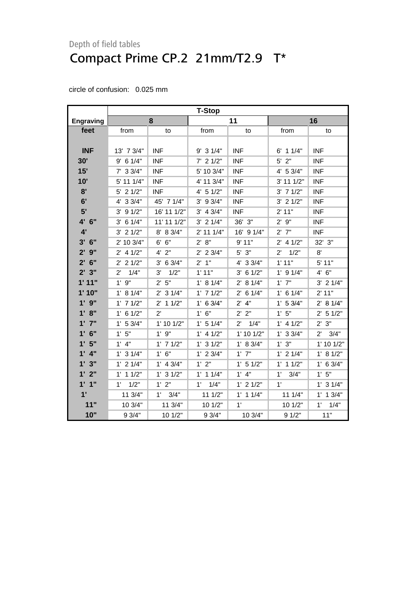|                  | <b>T-Stop</b>        |                      |               |                      |                      |                      |  |
|------------------|----------------------|----------------------|---------------|----------------------|----------------------|----------------------|--|
| <b>Engraving</b> |                      | 8                    |               | 11                   |                      | 16                   |  |
| feet             | from                 | to                   | from          | to                   | from                 | to                   |  |
|                  |                      |                      |               |                      |                      |                      |  |
| <b>INF</b>       | 13' 7 3/4"           | <b>INF</b>           | $9'$ 3 1/4"   | <b>INF</b>           | $6'$ 1 1/4"          | <b>INF</b>           |  |
| 30'              | $9'$ 6 1/4"          | <b>INF</b>           | $7'$ 2 1/2"   | <b>INF</b>           | $5'$ 2"              | <b>INF</b>           |  |
| 15'              | $7'$ 3 3/4"          | <b>INF</b>           | 5' 10 3/4"    | <b>INF</b>           | 4' 5 3/4"            | <b>INF</b>           |  |
| 10'              | 5' 11 1/4"           | <b>INF</b>           | 4' 11 3/4"    | <b>INF</b>           | 3' 11 1/2"           | <b>INF</b>           |  |
| 8'               | $5'$ 2 $1/2"$        | <b>INF</b>           | $4'$ 5 $1/2"$ | <b>INF</b>           | $3'$ 7 $1/2"$        | <b>INF</b>           |  |
| 6'               | 4' 3 3/4"            | 45' 7 1/4"           | $3'$ 9 $3/4"$ | <b>INF</b>           | $3'$ 2 $1/2"$        | <b>INF</b>           |  |
| 5'               | $3'$ 9 $1/2"$        | 16' 11 1/2"          | $3'$ 4 $3/4"$ | <b>INF</b>           | 2' 11"               | <b>INF</b>           |  |
| 4' 6"            | 6 1/4"<br>3'         | 11' 11 1/2"          | $3'$ 2 $1/4"$ | 36' 3"               | 2'9''                | <b>INF</b>           |  |
| 4'               | $3'$ 2 $1/2"$        | 8' 8 3/4"            | $2'$ 11 1/4"  | 16' 9 1/4"           | $2'$ $7"$            | <b>INF</b>           |  |
| $3'$ 6"          | 2' 10 3/4"           | 6' 6"                | 2' 8''        | 9'11"                | $2'$ 4 1/2"          | 32' 3"               |  |
| $2'$ $9''$       | $2'$ 4 1/2"          | $4'$ $2"$            | $2'$ 2 3/4"   | $5'$ $3"$            | 1/2"<br>$2^{\prime}$ | 8'                   |  |
| $2'$ 6"          | $2'$ 2 1/2"          | $3'$ 6 $3/4"$        | $2'$ 1"       | 4' 3 3/4"            | 1'11"                | $5'$ 11"             |  |
| 2'3"             | 1/4"<br>$2^{\prime}$ | 1/2"<br>3'           | 1'11"         | $3'$ 6 $1/2"$        | $1'$ 9 $1/4"$        | 4' 6''               |  |
| 1'11"            | $1'$ $9"$            | 2' 5''               | 1' 8 1/4"     | 2' 8 1/4"            | $1'$ $7"$            | $3'$ 2 $1/4"$        |  |
| 1'10"            | 1' 8 1/4"            | $2'$ 3 1/4"          | $1'$ 7 $1/2"$ | $2'$ 6 1/4"          | $1'$ 6 $1/4"$        | 2' 11"               |  |
| $1'$ $9''$       | $1'$ 7 $1/2"$        | $2'$ 1 1/2"          | 1' 6 3/4"     | $2'$ 4"              | 1' 53/4"             | 2' 8 1/4"            |  |
| 1' 8''           | $1'$ 6 $1/2"$        | $2^{\prime}$         | 1' 6''        | 2' 2''               | 1'5"                 | $2'$ 5 1/2"          |  |
| $1'$ $7''$       | $1'$ 5 3/4"          | $1'$ 10 $1/2"$       | $1'$ 5 $1/4"$ | $2^{\prime}$<br>1/4" | $1'$ 4 $1/2"$        | 2' 3''               |  |
| $1'$ 6"          | 1'5"                 | 1'9''                | $1'$ 4 $1/2"$ | $1'$ 10 $1/2"$       | 1' 33/4"             | $2^{\prime}$<br>3/4" |  |
| 1'5"             | $1'$ $4"$            | $1'$ 7 $1/2"$        | $1'$ 3 $1/2"$ | 1' 8 3/4"            | 1' 3''               | 1' 10 1/2"           |  |
| $1'$ 4"          | $1'$ 3 $1/4"$        | 1' 6''               | $1'$ 2 3/4"   | $1'$ $7"$            | $1'$ 2 $1/4"$        | 1' 8 1/2"            |  |
| 1'3''            | $1'$ 2 $1/4"$        | $1'$ 4 $3/4"$        | 1' 2''        | $1'$ 5 $1/2"$        | $1'$ 1 $1/2"$        | $1'$ 6 3/4"          |  |
| $1'$ $2"$        | $1'$ 1 $1/2"$        | $1'$ 3 $1/2"$        | $1'$ 1 $1/4"$ | $1'$ 4"              | 1'<br>3/4"           | 1'5''                |  |
| 1'1''            | 1/2"<br>1'           | 1'2"                 | 1/4"<br>1'    | $1'$ 2 $1/2"$        | 1'                   | $1'$ 3 $1/4"$        |  |
| 1'               | 11 3/4"              | $1^{\prime}$<br>3/4" | 111/2"        | $1'$ 1 $1/4"$        | 111/4"               | $1'$ 1 $3/4"$        |  |
| 11"              | 10 3/4"              | 11 3/4"              | 10 1/2"       | 1'                   | 10 1/2"              | $1^{\circ}$<br>1/4"  |  |
| 10"              | 93/4"                | 10 1/2"              | 9 3/4"        | 10 3/4"              | 91/2"                | 11"                  |  |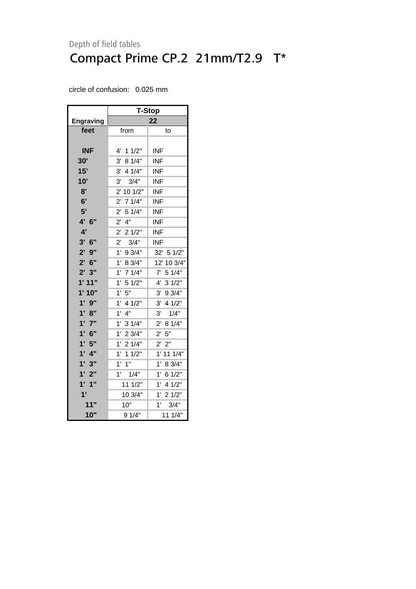|                   | <b>T-Stop</b>           |                        |  |  |  |
|-------------------|-------------------------|------------------------|--|--|--|
| <b>Engraving</b>  |                         | 22                     |  |  |  |
| feet              | from                    | to                     |  |  |  |
|                   |                         |                        |  |  |  |
| <b>INF</b>        | 4'<br>11/2"             | INF                    |  |  |  |
| 30'               | 8 1/4"<br>3'            | INF                    |  |  |  |
| 15'               | 3'<br>4 1/4"            | <b>INF</b>             |  |  |  |
| 10'               | 3/4"<br>3'              | <b>INF</b>             |  |  |  |
| 8'                | $2^{\prime}$<br>10 1/2" | <b>INF</b>             |  |  |  |
| 6'                | 71/4"<br>$2^{\prime}$   | INF                    |  |  |  |
| 5'                | $2^{\prime}$<br>51/4"   | <b>INF</b>             |  |  |  |
| 4' 6"             | 4"<br>$2^{\prime}$      | <b>INF</b>             |  |  |  |
| 4'                | $2^{\prime}$<br>21/2"   | <b>INF</b>             |  |  |  |
| $3'$ 6"           | $2^{\prime}$<br>3/4"    | <b>INF</b>             |  |  |  |
| $2'$ $9''$        | $1^{\circ}$<br>9 3/4"   | 32' 5 1/2"             |  |  |  |
| $2'$ 6"           | 1'<br>8 3/4"            | 12' 10 3/4"            |  |  |  |
| 2'3"              | $1'$ 7 $1/4"$           | 7'<br>5 1/4"           |  |  |  |
| 1'11"             | 51/2"<br>1'             | 31/2"<br>4'            |  |  |  |
| 1'10"             | 1'<br>5"                | 93/4"<br>3'            |  |  |  |
| 1'<br>9"          | 1'<br>4 1/2"            | $3^{\prime}$<br>4 1/2" |  |  |  |
| 1' 8''            | 1'<br>4"                | 3'<br>1/4"             |  |  |  |
| $1'$ $7"$         | 1'<br>31/4"             | 81/4"<br>$2^{\prime}$  |  |  |  |
| 6"<br>1'          | 1'<br>23/4"             | 2' 5''                 |  |  |  |
| 1'5"              | 1'<br>21/4"             | $2^{\prime}$<br>2"     |  |  |  |
| $1^{\circ}$<br>4" | 1'<br>11/2"             | $1^{\circ}$<br>11 1/4" |  |  |  |
| 1'3"              | 1'<br>1"                | 1'<br>8 3/4"           |  |  |  |
| $1'$ 2"           | $1'$ $1/4"$             | 1'<br>6 1/2"           |  |  |  |
| $1'$ $1''$        | 11 1/2"                 | 1'<br>4 1/2"           |  |  |  |
| 1'                | 10 3/4"                 | $1^{\prime}$<br>21/2"  |  |  |  |
| 11"               | 10"                     | 1'<br>3/4"             |  |  |  |
| 10"               | 9 1/4"                  | 111/4"                 |  |  |  |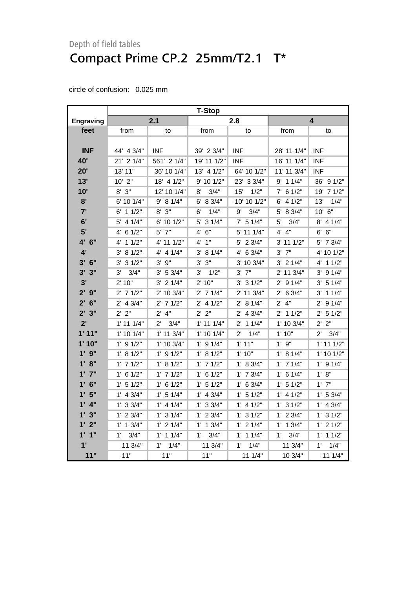|                                 | <b>T-Stop</b>        |                      |                     |                      |                     |                      |
|---------------------------------|----------------------|----------------------|---------------------|----------------------|---------------------|----------------------|
| <b>Engraving</b>                |                      | 2.1                  |                     | 2.8                  |                     | 4                    |
| feet                            | from                 | to                   | from                | to                   | from                | to                   |
|                                 |                      |                      |                     |                      |                     |                      |
| <b>INF</b>                      | 44' 4 3/4"           | <b>INF</b>           | 39' 2 3/4"          | <b>INF</b>           | 28' 11 1/4"         | <b>INF</b>           |
| 40'                             | 21' 2 1/4"           | 561' 2 1/4"          | 19' 11 1/2"         | <b>INF</b>           | 16' 11 1/4"         | <b>INF</b>           |
| 20'                             | 13' 11"              | 36' 10 1/4"          | 13' 4 1/2"          | 64' 10 1/2"          | 11' 11 3/4"         | <b>INF</b>           |
| 13'                             | $10'$ $2"$           | 18' 4 1/2"           | 9' 10 1/2"          | 23' 3 3/4"           | $9'$ 1 1/4"         | 36' 9 1/2"           |
| 10'                             | $8'$ $3''$           | 12' 10 1/4"          | 3/4"<br>8'          | 15'<br>1/2"          | $7'$ 6 1/2"         | 19' 7 1/2"           |
| 8'                              | 6' 10 1/4"           | 9' 8 1/4"            | 6' 8 3/4"           | 10' 10 1/2"          | $6'$ 4 $1/2"$       | 1/4"<br>13'          |
| 7'                              | $6'$ 1 1/2"          | $8'$ $3''$           | 6'<br>1/4"          | 9'<br>3/4"           | 5' 8 3/4"           | 10' 6"               |
| 6'                              | $5'$ 4 1/4"          | 6' 10 1/2"           | $5'$ 3 $1/4"$       | $7'$ 5 1/4"          | 5'<br>3/4"          | $8'$ 4 1/4"          |
| 5'                              | $4'$ 6 1/2"          | $5'$ $7"$            | 6"<br>4'            | 5' 11 1/4"           | 4' 4"               | 6' 6''               |
| $4^{\prime}$<br>6"              | $4'$ 1 1/2"          | 4' 11 1/2"           | 4' 1"               | $5'$ 2 3/4"          | 3' 11 1/2"          | 5' 7 3/4"            |
| 4'                              | 3' 81/2"             | $4'$ 4 $1/4"$        | 3' 81/4"            | 4' 6 3/4"            | $3'$ $7''$          | 4' 10 1/2"           |
| $3'$ 6"                         | $3'$ 3 $1/2"$        | $3'$ $9''$           | 3'3''               | 3' 10 3/4"           | $3'$ 2 1/4"         | 4' 1 1/2"            |
| $3'$ $3''$                      | 3'<br>3/4"           | $3'$ 5 $3/4"$        | 3'<br>1/2"          | $3'$ $7''$           | 2' 11 3/4"          | $3'$ 9 $1/4"$        |
| 3'                              | 2' 10"               | $3'$ 2 1/4"          | 2'10"               | $3'$ 3 $1/2"$        | $2'$ 9 1/4"         | $3'$ 5 1/4"          |
| $2'$ $9''$                      | $2'$ 7 1/2"          | 2' 10 3/4"           | $2'$ 7 1/4"         | 2' 11 3/4"           | $2'$ 6 3/4"         | $3'$ 1 1/4"          |
| $2'$ 6"                         | $2'$ 4 $3/4"$        | $2'$ 7 1/2"          | $2'$ 4 1/2"         | 2' 8 1/4"            | $2'$ 4"             | $2'$ 9 1/4"          |
| 2'3''                           | 2' 2"                | $2'$ 4"              | 2' 2"               | $2'$ 4 3/4"          | $2'$ 1 1/2"         | $2'$ 5 1/2"          |
| 2'                              | $1'$ 11 $1/4"$       | $2^{\prime}$<br>3/4" | $1'$ 11 $1/4"$      | $2'$ 1 1/4"          | 1' 10 3/4"          | 2' 2"                |
| 1'11"                           | $1'$ 10 $1/4"$       | $1'$ 11 $3/4"$       | $1'$ 10 $1/4"$      | $2^{\prime}$<br>1/4" | 1'10"               | 3/4"<br>$2^{\prime}$ |
| 1' 10"                          | $1'$ 9 $1/2"$        | 1' 10 3/4"           | $1'$ 9 $1/4"$       | 1'11"                | $1'$ $9"$           | $1'$ 11 $1/2"$       |
| $1'$ $9''$                      | 1' 8 1/2"            | $1'$ 9 $1/2"$        | $1'$ 8 $1/2"$       | 1'10"                | $1'$ 8 $1/4"$       | $1'$ 10 $1/2"$       |
| 1'8"                            | $1'$ 7 $1/2"$        | 1' 8 1/2"            | $1'$ 7 $1/2"$       | 1' 8 3/4"            | $1'$ 7 $1/4"$       | $1'$ 9 $1/4"$        |
| $1'$ $7"$                       | $1'$ 6 $1/2"$        | $1'$ 7 $1/2"$        | $1'$ 6 $1/2"$       | $1'$ 7 $3/4"$        | $1'$ 6 $1/4"$       | 1' 8''               |
| 6"<br>1'                        | $1'$ 5 $1/2"$        | $1'$ 6 $1/2"$        | $1'$ 5 $1/2"$       | $1'$ 6 3/4"          | $1'$ 5 $1/2"$       | $1'$ $7"$            |
| 5"<br>$\mathbf{1}^{\mathsf{r}}$ | $1'$ 4 3/4"          | $1'$ 5 $1/4"$        | $1'$ 4 3/4"         | $1'$ 5 $1/2"$        | $1'$ 4 $1/2"$       | 1' 53/4"             |
| 4"<br>$\mathbf{1}$              | 1' 33/4"             | $1'$ 4 $1/4"$        | $1'$ 3 3/4"         | $1'$ 4 $1/2"$        | 1' 3 1/2"           | $1'$ 4 $3/4"$        |
| 3"<br>1'                        | $1'$ 2 $3/4"$        | $1'$ 3 $1/4"$        | $1'$ 2 3/4"         | 1' 3 1/2"            | $1'$ 2 $3/4"$       | $1'$ 3 $1/2"$        |
| 1'2"                            | $1'$ 1 $3/4"$        | $1'$ 2 $1/4"$        | $1'$ 1 $3/4"$       | $1'$ 2 $1/4"$        | $1'$ 1 $3/4"$       | $1'$ 2 $1/2"$        |
| 1'1''                           | 3/4"<br>$1^{\prime}$ | $1'$ 1 $1/4"$        | $1^{\circ}$<br>3/4" | $1'$ 1 $1/4"$        | $1^{\circ}$<br>3/4" | $1'$ 1 $1/2"$        |
| $\mathbf{1}^{\mathsf{r}}$       | 11 3/4"              | 1'<br>1/4"           | 11 3/4"             | 1'<br>1/4"           | 11 3/4"             | 1/4"<br>$1^{\circ}$  |
| 11"                             | 11"                  | 11"                  | 11"                 | 111/4"               | 10 3/4"             | 11 1/4"              |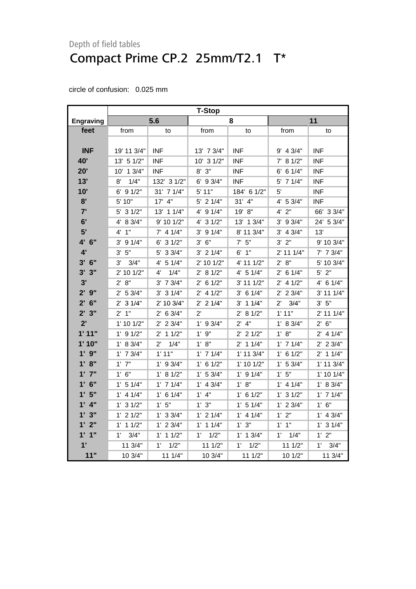|                        | <b>T-Stop</b>        |                      |               |                |                      |                     |  |
|------------------------|----------------------|----------------------|---------------|----------------|----------------------|---------------------|--|
| <b>Engraving</b>       |                      | 5.6                  |               | 8              |                      | 11                  |  |
| feet                   | from                 | to                   | from          | to             | from                 | to                  |  |
|                        |                      |                      |               |                |                      |                     |  |
| <b>INF</b>             | 19' 11 3/4"          | <b>INF</b>           | 13' 7 3/4"    | <b>INF</b>     | 9' 4 3/4"            | <b>INF</b>          |  |
| 40'                    | 13' 5 1/2"           | INF                  | 10' 3 1/2"    | <b>INF</b>     | $7'$ 8 1/2"          | INF                 |  |
| 20'                    | 10' 1 3/4"           | <b>INF</b>           | $8'$ $3''$    | <b>INF</b>     | $6'$ 6 1/4"          | <b>INF</b>          |  |
| 13'                    | 1/4"<br>8'           | 132' 3 1/2"          | 6' 9 3/4"     | <b>INF</b>     | 5' 7 1/4"            | <b>INF</b>          |  |
| 10'                    | $6'$ 9 $1/2"$        | 31' 7 1/4"           | 5' 11"        | 184' 6 1/2"    | 5'                   | INF                 |  |
| 8'                     | 5' 10"               | $17'$ 4"             | $5'$ 2 1/4"   | $31'$ $4"$     | 4' 5 3/4"            | INF                 |  |
| 7'                     | $5'$ 3 $1/2"$        | 13' 1 1/4"           | $4'$ 9 $1/4"$ | 19' 8"         | $4'$ $2"$            | 66' 3 3/4"          |  |
| 6'                     | 4' 8 3/4"            | 9' 10 1/2"           | $4'$ 3 $1/2"$ | 13' 1 3/4"     | $3'$ 9 $3/4"$        | 24' 5 3/4"          |  |
| 5'                     | 4' 1''               | $7'$ 4 1/4"          | $3'$ 9 $1/4"$ | 8' 11 3/4"     | $3'$ 4 $3/4"$        | 13'                 |  |
| 4' 6"                  | $3'$ 9 $1/4"$        | $6'$ 3 $1/2"$        | 3' 6''        | $7'$ 5"        | 3' 2''               | 9' 10 3/4"          |  |
| 4'                     | 3' 5''               | 5' 3 3/4"            | $3'$ 2 1/4"   | $6'$ 1"        | 2' 11 1/4"           | $7'$ 7 $3/4"$       |  |
| $3'$ 6"                | 3'<br>3/4"           | 4' 5 1/4"            | $2'$ 10 1/2"  | 4' 11 1/2"     | 2' 8''               | 5' 10 3/4"          |  |
| 3'3''                  | 2' 10 1/2"           | 1/4"<br>4'           | 2' 8 1/2"     | 4' 5 1/4"      | $2'$ 6 1/4"          | $5'$ 2"             |  |
| 3'                     | 2' 8''               | $3'$ 7 $3/4"$        | $2'$ 6 1/2"   | 3' 11 1/2"     | $2'$ 4 1/2"          | $4'$ 6 1/4"         |  |
| $2'$ $9''$             | 2' 53/4"             | $3'$ 3 $1/4"$        | $2'$ 4 1/2"   | $3'$ 6 1/4"    | $2'$ 2 $3/4"$        | 3' 11 1/4"          |  |
| $2'$ 6"                | $2'$ 3 $1/4"$        | 2' 10 3/4"           | $2'$ 2 1/4"   | $3'$ 1 1/4"    | 3/4"<br>$2^{\prime}$ | $3'$ 5"             |  |
| 2'3"                   | $2'$ 1"              | $2'$ 6 3/4"          | $2^{\prime}$  | 2' 8 1/2"      | 1'11"                | $2'$ 11 1/4"        |  |
| 2'                     | $1'$ 10 $1/2"$       | $2'$ 2 $3/4"$        | $1'$ 9 3/4"   | $2'$ 4"        | 1' 8 3/4"            | 2' 6''              |  |
| 1'11"                  | $1'$ 9 $1/2"$        | $2'$ 1 1/2"          | 1'9''         | $2'$ 2 1/2"    | 1' 8''               | $2'$ 4 1/4"         |  |
| 1'10"                  | 1' 8 3/4"            | $2^{\prime}$<br>1/4" | 1' 8''        | $2'$ 1 1/4"    | $1'$ 7 $1/4"$        | $2'$ 2 3/4"         |  |
| $1'$ $9''$             | $1'$ 7 $3/4"$        | 1'11"                | $1'$ 7 $1/4"$ | $1'$ 11 $3/4"$ | $1'$ 6 $1/2"$        | $2'$ 1 1/4"         |  |
| 1' 8''                 | $1'$ $7"$            | $1'$ 9 3/4"          | $1'$ 6 $1/2"$ | $1'$ 10 $1/2"$ | 1' 53/4"             | $1'$ 11 $3/4"$      |  |
| $1'$ $7"$              | 1' 6''               | 1' 8 1/2"            | 1' 53/4"      | $1'$ 9 $1/4"$  | 1'5''                | $1'$ 10 $1/4"$      |  |
| $1'$ 6"                | $1'$ 5 $1/4"$        | $1'$ 7 $1/4"$        | $1'$ 4 3/4"   | 1' 8''         | $1'$ 4 $1/4"$        | 1' 8 3/4"           |  |
| 1'5"                   | $1'$ 4 $1/4"$        | $1'$ 6 $1/4"$        | $1'$ 4"       | $1'$ 6 $1/2"$  | $1'$ 3 $1/2"$        | $1'$ 7 $1/4"$       |  |
| $1'$ 4"                | $1'$ 3 $1/2"$        | 1'5''                | 1' 3''        | 1' 5 1/4"      | $1'$ 2 $3/4"$        | 1' 6''              |  |
| 1'3''                  | $1'$ 2 $1/2"$        | $1'$ 3 3/4"          | $1'$ 2 $1/4"$ | $1'$ 4 $1/4"$  | 1'2"                 | $1'$ 4 3/4"         |  |
| 1'2"                   | $1'$ 1 $1/2"$        | $1'$ 2 $3/4"$        | $1'$ 1 $1/4"$ | 1' 3''         | $1'$ $1''$           | $1'$ 3 $1/4"$       |  |
| 1'1''                  | 3/4"<br>$1^{\prime}$ | $1'$ 1 $1/2"$        | 1'<br>1/2"    | $1'$ 1 $3/4"$  | $1'$ $1/4"$          | 1'2"                |  |
| $\mathbf{1}^{\bullet}$ | 11 3/4"              | 1'<br>1/2"           | 11 1/2"       | 1'<br>1/2"     | 11 1/2"              | $1^{\circ}$<br>3/4" |  |
| 11"                    | 10 3/4"              | 11 1/4"              | 10 3/4"       | 11 1/2"        | 10 1/2"              | 11 3/4"             |  |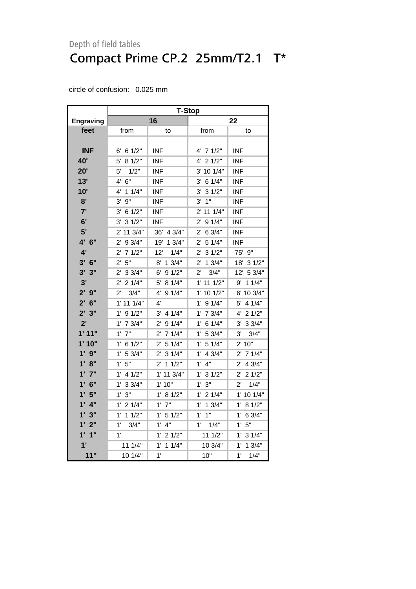|                   | T-Stop                 |                       |                        |                        |  |  |
|-------------------|------------------------|-----------------------|------------------------|------------------------|--|--|
| <b>Engraving</b>  |                        | 16                    |                        | 22                     |  |  |
| feet              | from                   | to                    | from                   | to                     |  |  |
|                   |                        |                       |                        |                        |  |  |
| <b>INF</b>        | $6'$ 6 1/2"            | <b>INF</b>            | 4' 7 1/2"              | <b>INF</b>             |  |  |
| 40'               | 5'<br>81/2"            | <b>INF</b>            | 4' 2 1/2"              | <b>INF</b>             |  |  |
| 20'               | 5'<br>1/2"             | <b>INF</b>            | 3' 10 1/4"             | <b>INF</b>             |  |  |
| 13'               | 6"<br>4'               | <b>INF</b>            | $3'$ 6 1/4"            | <b>INF</b>             |  |  |
| 10'               | 11/4"<br>4'            | <b>INF</b>            | 31/2"<br>3'            | <b>INF</b>             |  |  |
| 8'                | 9"<br>3'               | <b>INF</b>            | 1"<br>3'               | <b>INF</b>             |  |  |
| 7'                | 61/2"<br>3'            | <b>INF</b>            | 2' 11 1/4"             | <b>INF</b>             |  |  |
| 6'                | 31/2"<br>3'            | <b>INF</b>            | 91/4"<br>2'            | <b>INF</b>             |  |  |
| 5'                | 2' 11 3/4"             | 36' 4 3/4"            | 6 3/4"<br>$2^{\prime}$ | <b>INF</b>             |  |  |
| 4' 6"             | 9 3/4"<br>2'           | 13/4"<br>19'          | 5 1/4"<br>2'           | <b>INF</b>             |  |  |
| 4'                | 71/2"<br>$2^{\prime}$  | 12'<br>1/4"           | 31/2"<br>2'            | 75' 9"                 |  |  |
| $3'$ 6"           | 5"<br>$2^{\prime}$     | 8'<br>13/4"           | 13/4"<br>2'            | 18'<br>31/2"           |  |  |
| 3'<br>3"          | $2^{\prime}$<br>33/4"  | 91/2"<br>6'           | 3/4"<br>2'             | 12'<br>5 3/4"          |  |  |
| 3'                | $2'$ 2 1/4"            | 81/4"<br>5'           | $1'$ 11 $1/2"$         | 9' 1 1/4"              |  |  |
| $2'$ $9''$        | $2^{\prime}$<br>3/4"   | 4'<br>91/4"           | $1'$ 10 $1/2"$         | 6' 10 3/4"             |  |  |
| $2'$ 6"           | $1'$ 11 $1/4"$         | $4^{\prime}$          | $1'$ 9 $1/4"$          | 5' 4 1/4"              |  |  |
| 2'3''             | 91/2"<br>1'            | $3'$ 4 $1/4"$         | 7 3/4"<br>1'           | 4' 2 1/2"              |  |  |
| 2'                | $1'$ 7 $3/4"$          | $2'$ 9 1/4"           | 6 1/4"<br>$1^{\prime}$ | $3'$ 3 $3/4"$          |  |  |
| 1'11"             | $1'$ $7"$              | 71/4"<br>$2^{\prime}$ | 5 3/4"<br>1'           | 3'<br>3/4"             |  |  |
| 1'10"             | 61/2"<br>$1^{\prime}$  | 51/4"<br>$2^{\prime}$ | 51/4"<br>$1^{\prime}$  | 2' 10"                 |  |  |
| $1'$ $9''$        | 5 3/4"<br>1'           | $2'$ 3 1/4"           | 4 3/4"<br>$1^{\circ}$  | $2'$ 7 1/4"            |  |  |
| 1' 8''            | 5"<br>1'               | $2^{\prime}$<br>11/2" | 4"<br>1'               | $2'$ 4 3/4"            |  |  |
| 1'7''             | 4 1/2"<br>$1^{\prime}$ | 1' 11 3/4"            | $1^{\circ}$<br>31/2"   | 21/2"<br>$2^{\prime}$  |  |  |
| $1'$ 6"           | 33/4"<br>$1^{\prime}$  | 1'10"                 | 3"<br>1'               | 1/4"<br>$2^{\prime}$   |  |  |
| 1'5"              | 3"<br>1'               | 1' 8 1/2"             | 1'<br>21/4"            | 1' 10 1/4"             |  |  |
| $1'$ 4"           | 21/4"<br>1'            | $1'$ $7"$             | 13/4"<br>1' .          | $1^{\prime}$<br>8 1/2" |  |  |
| $1^{\circ}$<br>3" | $1'$ 1 $1/2"$          | 1' 5 1/2"             | $1'$ $1''$             | $1^{\prime}$<br>6 3/4" |  |  |
| 2"<br>1'          | 1'<br>3/4"             | 1'<br>4"              | $1^{\circ}$<br>1/4"    | 1'5"                   |  |  |
| 1'1''             | 1'                     | $1'$ 2 $1/2"$         | 11 1/2"                | $1'$ 3 $1/4"$          |  |  |
| 1'                | 11 1/4"                | 1'<br>11/4"           | 10 3/4"                | 13/4"<br>1'            |  |  |
| 11"               | 10 1/4"                | 1'                    | 10"                    | 1'<br>1/4"             |  |  |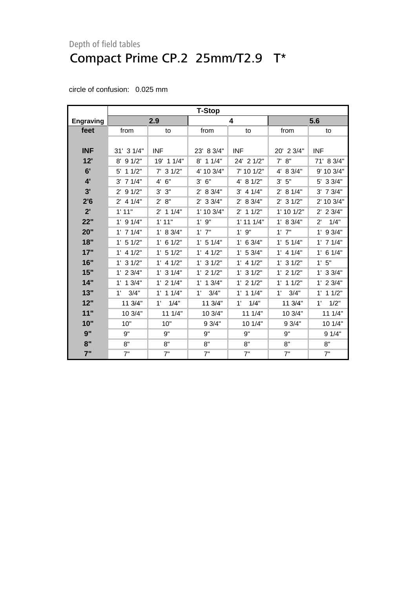|                  | <b>T-Stop</b>  |               |                      |                |               |                      |  |  |
|------------------|----------------|---------------|----------------------|----------------|---------------|----------------------|--|--|
| <b>Engraving</b> |                | 2.9           |                      | 4              |               | 5.6                  |  |  |
| feet             | from           | to            | from                 | to             | from          | to                   |  |  |
|                  |                |               |                      |                |               |                      |  |  |
| <b>INF</b>       | $31'$ 3 $1/4"$ | <b>INF</b>    | 23' 8 3/4"           | <b>INF</b>     | 20' 2 3/4"    | <b>INF</b>           |  |  |
| 12'              | 91/2"<br>8'    | 19' 1 1/4"    | 8' 1 1/4"            | 24' 2 1/2"     | 7' 8''        | 71' 8 3/4"           |  |  |
| 6'               | $5'$ 1 1/2"    | $7'$ 3 1/2"   | 4' 10 3/4"           | 7' 10 1/2"     | 4' 8 3/4"     | 9' 10 3/4"           |  |  |
| 4'               | $3'$ 7 1/4"    | 4' 6''        | 6"<br>3'             | 4' 8 1/2"      | 5"<br>3'      | 5' 3 3/4"            |  |  |
| 3'               | $2'$ 9 $1/2"$  | 3'3''         | 2' 8 3/4"            | $3'$ 4 1/4"    | 2' 8 1/4"     | $3'$ 7 $3/4"$        |  |  |
| 2'6              | $2'$ 4 1/4"    | 2' 8''        | $2'$ 3 3/4"          | 2' 8 3/4"      | $2'$ 3 1/2"   | 2' 10 3/4"           |  |  |
| 2'               | 1'11"          | $2'$ 1 1/4"   | $1'$ 10 $3/4"$       | $2'$ 1 1/2"    | 1' 10 1/2"    | $2'$ 2 3/4"          |  |  |
| 22"              | $1'$ 9 $1/4"$  | 1'11"         | 9"<br>$1^{\prime}$   | $1'$ 11 $1/4"$ | 1' 8 3/4"     | $2^{\prime}$<br>1/4" |  |  |
| 20"              | $1'$ 7 $1/4"$  | 1' 8 3/4"     | $1'$ $7"$            | $1'$ $9"$      | $1'$ $7"$     | 9 3/4"<br>1'         |  |  |
| 18"              | $1'$ 5 $1/2"$  | $1'$ 6 $1/2"$ | $1'$ 5 $1/4"$        | $1'$ 6 3/4"    | $1'$ 5 $1/4"$ | $1'$ 7 $1/4"$        |  |  |
| 17"              | $1'$ 4 $1/2"$  | $1'$ 5 $1/2"$ | $1'$ 4 $1/2"$        | 1' 53/4"       | $1'$ 4 $1/4"$ | $1'$ 6 $1/4"$        |  |  |
| 16"              | $1'$ 3 $1/2"$  | $1'$ 4 $1/2"$ | $1'$ 3 $1/2"$        | $1'$ 4 $1/2"$  | $1'$ 3 $1/2"$ | 1'5"                 |  |  |
| 15"              | $1'$ 2 $3/4"$  | $1'$ 3 $1/4"$ | $1'$ 2 $1/2"$        | $1'$ 3 $1/2"$  | $1'$ 2 $1/2"$ | $1'$ 3 3/4"          |  |  |
| 14"              | $1'$ 1 $3/4"$  | $1'$ 2 $1/4"$ | $1'$ 1 $3/4"$        | $1'$ 2 $1/2"$  | 11/2"<br>1'   | $1'$ 2 $3/4"$        |  |  |
| 13"              | 3/4"<br>1'     | $1'$ 1 $1/4"$ | 3/4"<br>$1^{\prime}$ | $1'$ 1 $1/4"$  | 1'<br>3/4"    | $1'$ 1 $1/2"$        |  |  |
| 12"              | 11 3/4"        | 1/4"<br>1'    | 11 3/4"              | 1/4"<br>1'     | 11 3/4"       | 1/2"<br>1'           |  |  |
| 11"              | 10 3/4"        | 111/4"        | 10 3/4"              | 11 1/4"        | 10 3/4"       | 11 1/4"              |  |  |
| 10"              | 10"            | 10"           | 9 3/4"               | 10 1/4"        | 93/4"         | 10 1/4"              |  |  |
| 9"               | 9"             | 9"            | 9"                   | 9"             | 9"            | 91/4"                |  |  |
| 8"               | 8"             | 8"            | 8"                   | 8"             | 8"            | 8"                   |  |  |
| 7"               | 7"             | 7"            | 7"                   | 7"             | 7"            | 7"                   |  |  |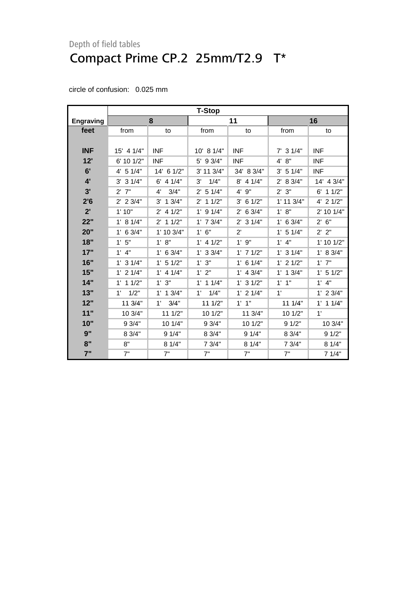|                  | <b>T-Stop</b>        |                       |                       |               |                |                    |  |  |
|------------------|----------------------|-----------------------|-----------------------|---------------|----------------|--------------------|--|--|
| <b>Engraving</b> |                      | 8                     |                       | 11            | 16             |                    |  |  |
| feet             | from                 | to                    | from                  | to            | from           | to                 |  |  |
|                  |                      |                       |                       |               |                |                    |  |  |
| <b>INF</b>       | 15' 4 1/4"           | <b>INF</b>            | 10' 8 1/4"            | <b>INF</b>    | $7'$ 3 $1/4"$  | <b>INF</b>         |  |  |
| 12'              | 6' 10 1/2"           | <b>INF</b>            | 5' 9 3/4"             | <b>INF</b>    | 4' 8''         | <b>INF</b>         |  |  |
| 6'               | 4' 5 1/4"            | 14' 6 1/2"            | 3' 11 3/4"            | 34' 8 3/4"    | 3' 51/4"       | <b>INF</b>         |  |  |
| 4'               | $3'$ 3 $1/4"$        | $6'$ 4 1/4"           | 3'<br>1/4"            | $8'$ 4 1/4"   | 2' 8 3/4"      | 14' 4 3/4"         |  |  |
| 3'               | $2'$ 7"              | 4'<br>3/4"            | 51/4"<br>$2^{\prime}$ | 4' 9"         | 2'3''          | $6'$ 1 1/2"        |  |  |
| 2'6              | $2'$ 2 3/4"          | 3'<br>13/4"           | $2'$ 1 1/2"           | $3'$ 6 1/2"   | $1'$ 11 $3/4"$ | 4' 2 1/2"          |  |  |
| 2'               | 1'10"                | 41/2"<br>$2^{\prime}$ | $1'$ 9 $1/4"$         | $2'$ 6 3/4"   | 1' 8''         | 2' 10 1/4"         |  |  |
| 22"              | 1' 8 1/4"            | 11/2"<br>$2^{\prime}$ | $1'$ 7 $3/4"$         | $2'$ 3 1/4"   | $1'$ 6 3/4"    | 6"<br>$2^{\prime}$ |  |  |
| 20"              | $1'$ 6 3/4"          | 1' 10 3/4"            | $1'$ 6"               | $2^{\prime}$  | $1'$ 5 $1/4"$  | 2' 2''             |  |  |
| 18"              | 1'5"                 | 1' 8''                | $1'$ 4 $1/2"$         | 1'9''         | $1'$ 4"        | 1' 10 1/2"         |  |  |
| 17"              | $1'$ 4"              | $1'$ 6 3/4"           | $1'$ 3 3/4"           | $1'$ 7 $1/2"$ | $1'$ 3 $1/4"$  | 1' 8 3/4"          |  |  |
| 16"              | $1'$ 3 $1/4"$        | $1'$ 5 $1/2"$         | 1'3''                 | $1'$ 6 $1/4"$ | $1'$ 2 $1/2"$  | $1'$ $7"$          |  |  |
| 15"              | $1'$ 2 $1/4"$        | $1'$ 4 $1/4"$         | 1' 2"                 | $1'$ 4 3/4"   | $1'$ 1 $3/4"$  | $1'$ 5 $1/2"$      |  |  |
| 14"              | $1'$ 1 $1/2"$        | 1'3''                 | $1'$ 1 $1/4"$         | $1'$ 3 $1/2"$ | $1'$ $1"$      | $1'$ 4"            |  |  |
| 13"              | 1/2"<br>$1^{\prime}$ | $1'$ 1 $3/4"$         | 1/4"<br>$1^{\prime}$  | $1'$ 2 $1/4"$ | 1'             | $1'$ 2 $3/4"$      |  |  |
| 12"              | 11 3/4"              | 3/4"<br>1'            | 11 1/2"               | $1'$ $1''$    | 11 1/4"        | $1'$ 1 $1/4"$      |  |  |
| 11"              | 10 3/4"              | 11 1/2"               | 10 1/2"               | 11 3/4"       | 10 1/2"        | 1'                 |  |  |
| 10"              | 9 3/4"               | 10 1/4"               | 9 3/4"                | 10 1/2"       | 91/2"          | 10 3/4"            |  |  |
| 9"               | 8 3/4"               | 91/4"                 | 8 3/4"                | 91/4"         | 8 3/4"         | 91/2"              |  |  |
| 8"               | 8"                   | 81/4"                 | 7 3/4"                | 8 1/4"        | 7 3/4"         | 8 1/4"             |  |  |
| 7"               | 7"                   | 7"                    | 7"                    | 7"            | 7"             | 7 1/4"             |  |  |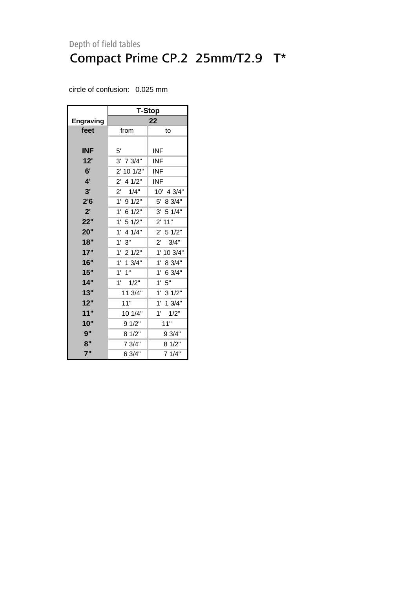|                  | <b>T-Stop</b>          |                     |  |  |  |  |
|------------------|------------------------|---------------------|--|--|--|--|
| <b>Engraving</b> | 22                     |                     |  |  |  |  |
| feet             | from                   | to                  |  |  |  |  |
|                  |                        |                     |  |  |  |  |
| <b>INF</b>       | 5'                     | INF                 |  |  |  |  |
| 12'              | $3'$ 7 $3/4"$          | INF                 |  |  |  |  |
| 6'               | 2' 10 1/2"             | <b>INF</b>          |  |  |  |  |
| 4'               | $2^{\prime}$<br>4 1/2" | INF                 |  |  |  |  |
| 3'               | $2^{\prime}$<br>1/4"   | 10' 4 3/4"          |  |  |  |  |
| 2'6              | 1'<br>91/2"            | 5' 8 3/4"           |  |  |  |  |
| 2'               | 1'<br>61/2"            | 3' 5 1/4"           |  |  |  |  |
| 22"              | 1'<br>5 1/2"           | 2' 11"              |  |  |  |  |
| 20"              | 1'<br>4 1/4"           | $2'$ 5 1/2"         |  |  |  |  |
| 18"              | 1'<br>3"               | 2' 3/4"             |  |  |  |  |
| 17"              | $1'$ 2 $1/2"$          | 1' 10 3/4"          |  |  |  |  |
| 16"              | $1'$ 1 3/4"            | 1'<br>8 3/4"        |  |  |  |  |
| 15"              | $1'$ $1''$             | $1'$ 6 3/4"         |  |  |  |  |
| 14"              | 1'<br>1/2"             | 1'5"                |  |  |  |  |
| 13"              | 11 3/4"                | 1' 3 1/2"           |  |  |  |  |
| 12"              | 11"                    | 1'<br>13/4"         |  |  |  |  |
| 11"              | 10 1/4"                | $1^{\circ}$<br>1/2" |  |  |  |  |
| 10"              | 9 1/2"                 | 11"                 |  |  |  |  |
| 9"               | 8 1/2"                 | 9 3/4"              |  |  |  |  |
| 8"               | 7 3/4"                 | 8 1/2"              |  |  |  |  |
| 7"               | 6 3/4"                 | 7 1/4"              |  |  |  |  |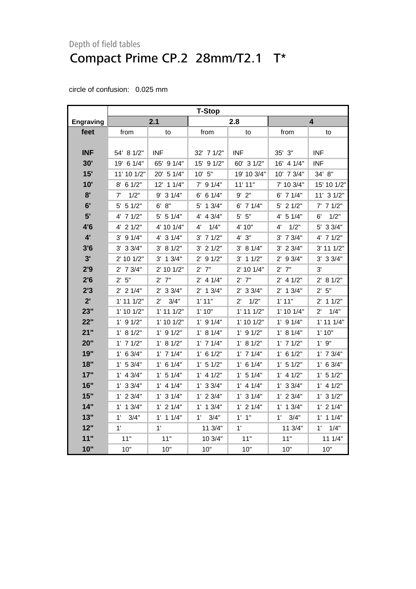|                  | <b>T-Stop</b>  |                      |               |                      |                     |                      |
|------------------|----------------|----------------------|---------------|----------------------|---------------------|----------------------|
| <b>Engraving</b> |                | 2.1                  |               | 2.8                  |                     | 4                    |
| feet             | from           | to                   | from          | to                   | from                | to                   |
|                  |                |                      |               |                      |                     |                      |
| <b>INF</b>       | 54' 8 1/2"     | <b>INF</b>           | 32' 7 1/2"    | <b>INF</b>           | 35' 3"              | <b>INF</b>           |
| 30'              | 19' 6 1/4"     | 65' 9 1/4"           | 15' 9 1/2"    | 60' 3 1/2"           | 16' 4 1/4"          | <b>INF</b>           |
| 15'              | 11' 10 1/2"    | 20' 5 1/4"           | 10' 5''       | 19' 10 3/4"          | 10' 7 3/4"          | 34' 8"               |
| 10'              | $8'$ 6 1/2"    | 12' 1 1/4"           | $7'$ 9 1/4"   | 11' 11"              | 7' 10 3/4"          | 15' 10 1/2"          |
| 8'               | 1/2"<br>7'     | $9'$ 3 1/4"          | $6'$ 6 1/4"   | $9'$ $2"$            | 6' 7 1/4"           | 11' 3 1/2"           |
| 6'               | $5'$ 5 1/2"    | 6' 8''               | 5' 1 3/4"     | $6'$ 7 1/4"          | $5'$ 2 1/2"         | $7'$ 7 $1/2"$        |
| 5'               | 4' 7 1/2"      | $5'$ 5 1/4"          | 4' 4 3/4"     | $5'$ $5"$            | 4' 5 1/4"           | 1/2"<br>6'           |
| 4'6              | $4'$ 2 $1/2"$  | 4' 10 1/4"           | 1/4"<br>4'    | 4' 10"               | 1/2"<br>4'          | 5' 3 3/4"            |
| $4^{\prime}$     | $3'$ 9 1/4"    | 4' 3 1/4"            | $3'$ 7 $1/2"$ | 4'3''                | $3'$ 7 $3/4"$       | 4' 7 1/2"            |
| 3'6              | $3'$ 3 $3/4"$  | 3' 8 1/2"            | $3'$ 2 $1/2"$ | 3' 81/4"             | $3'$ 2 $3/4"$       | 3' 11 1/2"           |
| 3'               | 2' 10 1/2"     | $3'$ 1 $3/4"$        | $2'$ 9 1/2"   | $3'$ 1 1/2"          | $2'$ 9 3/4"         | $3'$ 3 $3/4"$        |
| 2'9              | $2'$ 7 $3/4"$  | 2' 10 1/2"           | $2'$ $7"$     | 2' 10 1/4"           | $2'$ 7"             | 3'                   |
| 2'6              | 2'5"           | $2'$ 7"              | $2'$ 4 1/4"   | $2'$ $7"$            | $2'$ 4 1/2"         | 2' 8 1/2"            |
| 2'3              | $2'$ 2 1/4"    | $2'$ 3 3/4"          | $2'$ 1 3/4"   | $2'$ 3 3/4"          | $2'$ 1 3/4"         | 2' 5''               |
| 2'               | $1'$ 11 $1/2"$ | $2^{\prime}$<br>3/4" | 1'11"         | 1/2"<br>$2^{\prime}$ | 1'11"               | $2'$ 1 1/2"          |
| 23"              | $1'$ 10 $1/2"$ | $1'$ 11 $1/2"$       | 1'10"         | $1'$ 11 $1/2"$       | 1' 10 1/4"          | 1/4"<br>$2^{\prime}$ |
| 22"              | $1'$ 9 $1/2"$  | 1' 10 1/2"           | $1'$ 9 $1/4"$ | 1' 10 1/2"           | $1'$ 9 $1/4"$       | $1'$ 11 $1/4"$       |
| 21"              | 1' 8 1/2"      | $1'$ 9 $1/2"$        | 1' 8 1/4"     | $1'$ 9 $1/2"$        | 1' 8 1/4"           | 1'10"                |
| 20"              | $1'$ 7 $1/2"$  | 1' 8 1/2"            | $1'$ 7 $1/4"$ | 1' 8 1/2"            | $1'$ 7 $1/2"$       | $1'$ $9"$            |
| 19"              | $1'$ 6 3/4"    | $1'$ 7 $1/4"$        | $1'$ 6 $1/2"$ | $1'$ 7 $1/4"$        | $1'$ 6 $1/2"$       | $1'$ 7 $3/4"$        |
| 18"              | 1' 53/4"       | $1'$ 6 1/4"          | $1'$ 5 $1/2"$ | $1'$ 6 $1/4"$        | 1' 5 1/2"           | $1'$ 6 3/4"          |
| 17"              | $1'$ 4 3/4"    | $1'$ 5 $1/4"$        | $1'$ 4 $1/2"$ | $1'$ 5 $1/4"$        | $1'$ 4 $1/2"$       | $1'$ 5 $1/2"$        |
| 16"              | 1' 33/4"       | $1'$ 4 $1/4"$        | $1'$ 3 3/4"   | $1'$ 4 $1/4"$        | $1'$ 3 3/4"         | $1'$ 4 $1/2"$        |
| 15"              | $1'$ 2 $3/4"$  | $1'$ 3 $1/4"$        | $1'$ 2 $3/4"$ | $1'$ 3 $1/4"$        | $1'$ 2 $3/4"$       | $1'$ 3 $1/2"$        |
| 14"              | $1'$ 1 $3/4"$  | $1'$ 2 $1/4"$        | $1'$ 1 $3/4"$ | $1'$ 2 $1/4"$        | $1'$ 1 $3/4"$       | $1'$ 2 $1/4"$        |
| 13"              | 1'<br>3/4"     | $1'$ 1 $1/4"$        | 3/4"<br>1'    | $1'$ $1"$            | $1^{\circ}$<br>3/4" | $1'$ 1 $1/4"$        |
| 12"              | 1'             | 1'                   | 11 3/4"       | 1'                   | 11 3/4"             | $1^{\circ}$<br>1/4"  |
| 11"              | 11"            | 11"                  | 10 3/4"       | 11"                  | 11"                 | 111/4"               |
| 10"              | 10"            | 10"                  | 10"           | 10"                  | 10"                 | 10"                  |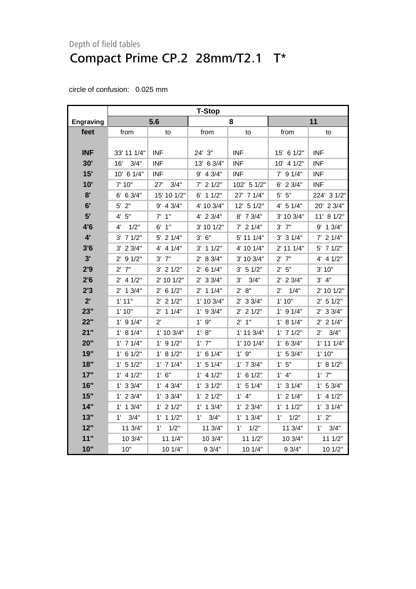|                  | <b>T-Stop</b> |               |               |                     |                      |                      |  |
|------------------|---------------|---------------|---------------|---------------------|----------------------|----------------------|--|
| <b>Engraving</b> |               | 5.6           |               | 8                   |                      | 11                   |  |
| feet             | from          | to            | from          | to                  | from                 | to                   |  |
|                  |               |               |               |                     |                      |                      |  |
| <b>INF</b>       | 33' 11 1/4"   | <b>INF</b>    | 24' 3"        | <b>INF</b>          | 15' 6 1/2"           | <b>INF</b>           |  |
| 30'              | 3/4"<br>16'   | <b>INF</b>    | 13' 6 3/4"    | <b>INF</b>          | $10'$ 4 $1/2"$       | <b>INF</b>           |  |
| 15'              | 10' 6 1/4"    | <b>INF</b>    | 9' 4 3/4"     | <b>INF</b>          | $7'$ 9 $1/4"$        | <b>INF</b>           |  |
| 10'              | 7' 10"        | 27'<br>3/4"   | $7'$ 2 1/2"   | 102' 5 1/2"         | $6'$ 2 3/4"          | <b>INF</b>           |  |
| 8'               | 6' 6 3/4"     | 15' 10 1/2"   | $6'$ 1 1/2"   | 27' 7 1/4"          | $5'$ $5"$            | 224' 3 1/2"          |  |
| 6'               | $5'$ 2"       | $9'$ 4 3/4"   | 4' 10 3/4"    | 12' 5 1/2"          | 4' 5 1/4"            | 20' 2 3/4"           |  |
| 5'               | 4' 5''        | $7'$ 1"       | 4' 2 3/4"     | 8' 7 3/4"           | 3' 10 3/4"           | 11' 8 1/2"           |  |
| 4'6              | 1/2"<br>4'    | $6'$ 1"       | 3' 10 1/2"    | $7'$ 2 1/4"         | $3'$ $7"$            | 9' 1 3/4"            |  |
| $4^{\prime}$     | $3'$ 7 $1/2"$ | 5' 2 1/4"     | $3'$ 6"       | 5' 11 1/4"          | $3'$ 3 $1/4"$        | $7'$ 2 1/4"          |  |
| 3'6              | $3'$ 2 $3/4"$ | $4'$ 4 $1/4"$ | $3'$ 1 $1/2"$ | 4' 10 1/4"          | 2' 11 1/4"           | 5' 7 1/2"            |  |
| 3'               | $2'$ 9 1/2"   | $3'$ $7"$     | 2' 8 3/4"     | 3' 10 3/4"          | $2'$ 7"              | $4'$ 4 $1/2"$        |  |
| 2'9              | $2'$ $7"$     | $3'$ 2 $1/2"$ | $2'$ 6 1/4"   | 3' 51/2"            | 2' 5''               | 3' 10"               |  |
| 2'6              | $2'$ 4 1/2"   | 2' 10 1/2"    | $2'$ 3 3/4"   | 3'<br>3/4"          | $2'$ 2 3/4"          | 3' 4''               |  |
| 2'3              | $2'$ 1 $3/4"$ | $2'$ 6 1/2"   | $2'$ 1 1/4"   | 2' 8''              | $2^{\prime}$<br>1/4" | 2' 10 1/2"           |  |
| 2'               | 1'11"         | $2'$ 2 $1/2"$ | 1' 10 3/4"    | $2'$ 3 3/4"         | 1'10"                | 2' 5 1/2"            |  |
| 23"              | 1'10"         | $2'$ 1 1/4"   | $1'$ 9 3/4"   | $2'$ 2 $1/2"$       | $1'$ 9 $1/4"$        | $2'$ 3 3/4"          |  |
| 22"              | $1'$ 9 $1/4"$ | $2^{\prime}$  | 1'9''         | $2'$ 1"             | 1' 8 1/4"            | $2'$ 2 1/4"          |  |
| 21"              | 1' 8 1/4"     | 1' 10 3/4"    | 1' 8''        | $1'$ 11 $3/4"$      | $1'$ 7 $1/2"$        | 3/4"<br>$2^{\prime}$ |  |
| 20"              | $1'$ 7 $1/4"$ | $1'$ 9 $1/2"$ | $1'$ $7"$     | 1' 10 1/4"          | $1'$ 6 3/4"          | $1'$ 11 $1/4"$       |  |
| 19"              | $1'$ 6 $1/2"$ | 1' 8 1/2"     | $1'$ 6 $1/4"$ | 1'9''               | $1'$ 5 3/4"          | 1'10"                |  |
| 18"              | 1' 5 1/2"     | $1'$ 7 $1/4"$ | 1' 5 1/4"     | $1'$ 7 $3/4"$       | 1'5''                | 1' 8 1/2"            |  |
| 17"              | $1'$ 4 $1/2"$ | $1'$ 6"       | $1'$ 4 $1/2"$ | $1'$ 6 $1/2"$       | $1'$ 4"              | $1'$ $7"$            |  |
| 16"              | $1'$ 3 3/4"   | $1'$ 4 3/4"   | $1'$ 3 $1/2"$ | $1'$ 5 $1/4"$       | $1'$ 3 $1/4"$        | 1' 53/4"             |  |
| 15"              | $1'$ 2 3/4"   | $1'$ 3 3/4"   | $1'$ 2 $1/2"$ | $1'$ $4"$           | $1'$ 2 $1/4"$        | $1'$ 4 $1/2"$        |  |
| 14"              | $1'$ 1 $3/4"$ | $1'$ 2 $1/2"$ | $1'$ 1 $3/4"$ | $1'$ 2 3/4"         | $1'$ 1 $1/2"$        | $1'$ 3 $1/4"$        |  |
| 13"              | 3/4"<br>1'    | $1'$ 1 $1/2"$ | 3/4"<br>1'    | $1'$ 1 $3/4"$       | 1/2"<br>1'           | 1'2"                 |  |
| 12"              | 11 3/4"       | 1'<br>1/2"    | 11 3/4"       | $1^{\circ}$<br>1/2" | 11 3/4"              | $1^{\circ}$<br>3/4"  |  |
| 11"              | 10 3/4"       | 11 1/4"       | 10 3/4"       | 111/2"              | 10 3/4"              | 11 1/2"              |  |
| 10"              | 10"           | 10 1/4"       | 93/4"         | 10 1/4"             | 9 3/4"               | 10 1/2"              |  |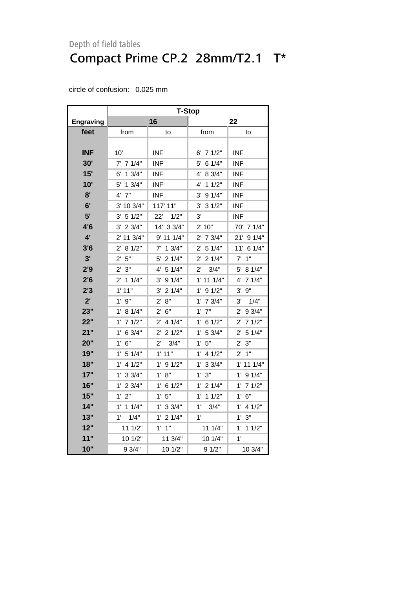|                  | <b>T-Stop</b>          |                        |                       |                       |  |  |  |
|------------------|------------------------|------------------------|-----------------------|-----------------------|--|--|--|
| <b>Engraving</b> |                        | 16                     | 22                    |                       |  |  |  |
| feet             | from                   | to                     | from                  | to                    |  |  |  |
|                  |                        |                        |                       |                       |  |  |  |
| <b>INF</b>       | 10'                    | INF.                   | $6'$ 7 $1/2"$         | INF.                  |  |  |  |
| 30'              | $7'$ 7 1/4"            | <b>INF</b>             | 61/4"<br>5'           | <b>INF</b>            |  |  |  |
| 15'              | $6'$ 1 $3/4"$          | <b>INF</b>             | 8 3/4"<br>4'          | <b>INF</b>            |  |  |  |
| 10'              | 13/4"<br>5'            | <b>INF</b>             | 11/2"<br>4'           | <b>INF</b>            |  |  |  |
| 8'               | 7"<br>4'               | <b>INF</b>             | 9 1/4"<br>3'          | <b>INF</b>            |  |  |  |
| 6'               | 3' 10 3/4"             | 117' 11"               | $3'$ 3 $1/2"$         | <b>INF</b>            |  |  |  |
| 5'               | 3' 51/2"               | 22'<br>1/2"            | 3'                    | <b>INF</b>            |  |  |  |
| 4'6              | $3'$ 2 $3/4"$          | 14' 3 3/4"             | 2' 10"                | 70' 7 1/4"            |  |  |  |
| 4'               | 2' 11 3/4"             | 9' 11 1/4"             | $2'$ 7 $3/4"$         | 21'<br>91/4"          |  |  |  |
| 3'6              | 8 1/2"<br>$2^{\prime}$ | $7'$ 1 3/4"            | 51/4"<br>$2^{\prime}$ | 11' 6 1/4"            |  |  |  |
| 3'               | 5"<br>$2^{\prime}$     | 21/4"<br>5'            | 21/4"<br>$2^{\prime}$ | 1"<br>7'              |  |  |  |
| 2'9              | 2'3''                  | 4' 5 1/4"              | $2^{\prime}$<br>3/4"  | 5' 8 1/4"             |  |  |  |
| 2'6              | $2'$ 1 1/4"            | $3'$ 9 $1/4"$          | $1'$ 11 $1/4"$        | 4' 7 1/4"             |  |  |  |
| 2'3              | 1' 11"                 | $3'$ 2 1/4"            | $1'$ 9 $1/2"$         | $3'$ $9''$            |  |  |  |
| 2'               | $1'$ $9"$              | 8"<br>$2^{\prime}$     | $1'$ 7 $3/4"$         | 3'<br>1/4"            |  |  |  |
| 23"              | 81/4"<br>$1^{\prime}$  | $2^{\prime}$<br>6"     | $1'$ $7"$             | $2'$ 9 3/4"           |  |  |  |
| 22"              | $1'$ 7 $1/2"$          | $2^{\prime}$<br>4 1/4" | $1'$ 6 $1/2"$         | $2'$ 7 1/2"           |  |  |  |
| 21"              | 6 3/4"<br>1' .         | 21/2"<br>2'            | 1' 53/4"              | $2^{\prime}$<br>51/4" |  |  |  |
| 20"              | $1'$ 6"                | 3/4"<br>$2^{\prime}$   | 1'5"                  | 2'3''                 |  |  |  |
| 19"              | 1' 5 1/4"              | 1'11"                  | $1'$ 4 $1/2"$         | $2'$ 1"               |  |  |  |
| 18"              | $1'$ 4 $1/2"$          | $1'$ 9 $1/2"$          | $1'$ 3 $3/4"$         | $1'$ 11 $1/4"$        |  |  |  |
| 17"              | $1'$ 3 3/4"            | 1' 8''                 | 3"<br>1'              | $1'$ 9 $1/4"$         |  |  |  |
| 16"              | $1'$ 2 $3/4"$          | 1'<br>6 1/2"           | $1'$ 2 $1/4"$         | $1'$ 7 $1/2"$         |  |  |  |
| 15"              | 1'2"                   | 1'5"                   | 11/2"<br>1' .         | $1'$ 6"               |  |  |  |
| 14"              | $1'$ 1 $1/4"$          | 1' 33/4"               | 1'<br>3/4"            | $1'$ 4 $1/2"$         |  |  |  |
| 13"              | 1/4"<br>1'             | $1^{\prime}$<br>21/4"  | 1'                    | 1'3''                 |  |  |  |
| 12"              | 11 1/2"                | 1' 1''                 | 11 1/4"               | $1'$ 1 $1/2"$         |  |  |  |
| 11"              | 10 1/2"                | 11 3/4"                | 10 1/4"               | 1'                    |  |  |  |
| 10"              | 9 3/4"                 | 10 1/2"                | 9 1/2"                | 10 3/4"               |  |  |  |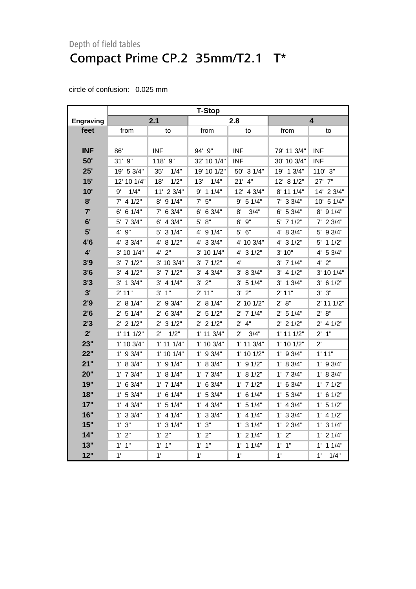|                  | <b>T-Stop</b>      |                       |                   |                      |                   |                    |
|------------------|--------------------|-----------------------|-------------------|----------------------|-------------------|--------------------|
| <b>Engraving</b> |                    | 2.1                   |                   | 2.8                  |                   | 4                  |
| feet             | from               | to                    | from              | to                   | from              | to                 |
|                  |                    |                       |                   |                      |                   |                    |
| <b>INF</b>       | 86'                | <b>INF</b>            | 94' 9"            | <b>INF</b>           | 79' 11 3/4"       | <b>INF</b>         |
| 50'              | 31' 9"             | 118' 9"               | 32' 10 1/4"       | <b>INF</b>           | 30' 10 3/4"       | <b>INF</b>         |
| 25'              | 19' 5 3/4"         | 35'<br>1/4"           | 19' 10 1/2"       | 50' 3 1/4"           | 19' 1 3/4"        | 110' 3"            |
| 15'              | 12' 10 1/4"        | 1/2"<br>18'           | 1/4"<br>13'       | $21'$ 4"             | 12' 8 1/2"        | 27' 7"             |
| 10'              | 1/4"<br>9'         | 11' 2 3/4"            | $9'$ 1 1/4"       | 12' 4 3/4"           | 8' 11 1/4"        | 14' 2 3/4"         |
| 8'               | $7'$ 4 1/2"        | $8'$ 9 1/4"           | $7'$ 5"           | 9' 5 1/4"            | $7'$ 3 3/4"       | 10' 5 1/4"         |
| 7'               | $6'$ 6 1/4"        | $7'$ 6 3/4"           | $6'$ 6 3/4"       | 3/4"<br>8'           | $6'$ 5 3/4"       | 8' 9 1/4"          |
| 6'               | 5' 7 3/4"          | $6'$ 4 3/4"           | 8"<br>5'          | 9"<br>6'             | $5'$ 7 $1/2"$     | $7'$ 2 $3/4"$      |
| 5'               | $4^{\prime}$<br>9" | 5' 3 1/4"             | 4' 9 1/4"         | 5' 6"                | 4' 8 3/4"         | 5' 9 3/4"          |
| 4'6              | 4' 3 3/4"          | 4' 8 1/2"             | 4' 3 3/4"         | 4' 10 3/4"           | $4'$ 3 $1/2"$     | 11/2"<br>5'        |
| $4^{\prime}$     | 3' 10 1/4"         | $4'$ $2"$             | 3' 10 1/4"        | 4' 3 1/2"            | 3' 10"            | 4'<br>53/4"        |
| 3'9              | $3'$ 7 $1/2"$      | $3'$ 10 $3/4"$        | $3'$ 7 $1/2"$     | 4'                   | $3'$ 7 $1/4"$     | $4'$ $2"$          |
| 3'6              | $3'$ 4 $1/2"$      | $3'$ 7 $1/2"$         | $3'$ 4 $3/4"$     | 3' 8 3/4"            | $3'$ 4 $1/2"$     | 3' 10 1/4"         |
| 3'3              | $3'$ 1 $3/4"$      | $3'$ 4 $1/4"$         | $3'$ $2"$         | $3'$ 5 1/4"          | $3'$ 1 $3/4"$     | $3'$ 6 1/2"        |
| 3'               | 2' 11"             | 3' 1''                | 2' 11"            | $3'$ $2"$            | 2' 11"            | 3' 3''             |
| 2'9              | 2' 8 1/4"          | 2' 9 3/4"             | 2' 8 1/4"         | 2' 10 1/2"           | 2' 8''            | 2' 11 1/2"         |
| 2'6              | $2'$ 5 1/4"        | $2'$ 6 3/4"           | $2'$ 5 1/2"       | $2'$ 7 1/4"          | $2'$ 5 1/4"       | 2' 8''             |
| 2'3              | $2'$ 2 1/2"        | 31/2"<br>$2^{\prime}$ | $2'$ 2 1/2"       | $2'$ 4"              | $2'$ 2 1/2"       | $2'$ 4 1/2"        |
| $2^{\prime}$     | $1'$ 11 $1/2"$     | 1/2"<br>$2^{\prime}$  | 1' 11 3/4"        | $2^{\prime}$<br>3/4" | $1'$ 11 $1/2"$    | 1"<br>$2^{\prime}$ |
| 23"              | 1' 10 3/4"         | $1'$ 11 $1/4"$        | 1' 10 3/4"        | $1'$ 11 $3/4"$       | $1'$ 10 $1/2"$    | $2^{\prime}$       |
| 22"              | $1'$ 9 $3/4"$      | 1' 10 1/4"            | $1'$ 9 $3/4"$     | $1'$ 10 $1/2"$       | $1'$ 9 $3/4"$     | 1'11"              |
| 21"              | 1' 8 3/4"          | $1'$ 9 $1/4"$         | 1' 8 3/4"         | $1'$ 9 $1/2"$        | 1' 8 3/4"         | $1'$ 9 $3/4"$      |
| 20"              | $1'$ 7 $3/4"$      | 1' 8 1/4"             | $1'$ 7 $3/4"$     | 1' 8 1/2"            | $1'$ 7 $3/4"$     | 1' 8 3/4"          |
| 19"              | 1' 6 3/4"          | $1'$ 7 $1/4"$         | $1'$ 6 3/4"       | $1'$ 7 $1/2"$        | $1'$ 6 3/4"       | $1'$ 7 $1/2"$      |
| 18"              | $1'$ 5 3/4"        | $1'$ 6 $1/4"$         | 1' 53/4"          | $1'$ 6 $1/4"$        | 1' 53/4"          | $1'$ 6 $1/2"$      |
| 17"              | $1'$ 4 3/4"        | $1'$ 5 $1/4"$         | $1'$ 4 3/4"       | $1'$ 5 $1/4"$        | $1'$ 4 $3/4"$     | $1'$ 5 $1/2"$      |
| 16"              | $1'$ 3 3/4"        | $1'$ 4 $1/4"$         | $1'$ 3 3/4"       | $1'$ 4 $1/4"$        | $1'$ 3 3/4"       | $1'$ 4 $1/2"$      |
| 15"              | 1'3''              | $1'$ 3 $1/4"$         | 1' 3''            | $1'$ 3 $1/4"$        | $1'$ 2 3/4"       | $1'$ 3 $1/4"$      |
| 14"              | 1'2"               | 1'2"                  | 1'2"              | $1'$ 2 $1/4"$        | 1'2''             | $1'$ 2 $1/4"$      |
| 13"              | 1"<br>$1^{\circ}$  | $1'$ $1''$            | 1"<br>$1^{\circ}$ | $1'$ 1 $1/4"$        | $1^{\circ}$<br>1" | 11/4"<br>1'        |
| 12"              | 1'                 | 1'                    | 1'                | 1'                   | 1'                | 1'<br>1/4"         |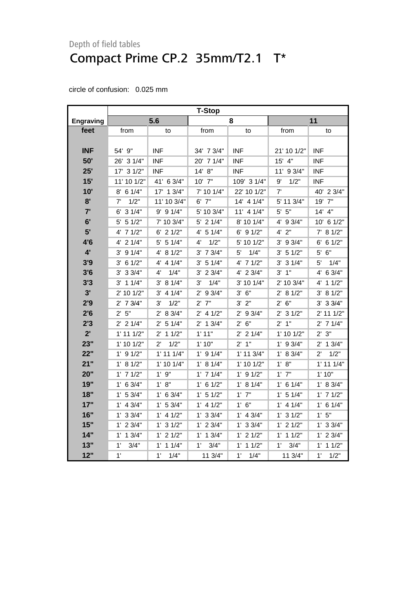|                  | <b>T-Stop</b>        |                       |               |                |               |                      |
|------------------|----------------------|-----------------------|---------------|----------------|---------------|----------------------|
| <b>Engraving</b> |                      | 5.6                   |               | 8              |               | 11                   |
| feet             | from                 | to                    | from          | to             | from          | to                   |
|                  |                      |                       |               |                |               |                      |
| <b>INF</b>       | 54' 9"               | <b>INF</b>            | 34' 7 3/4"    | <b>INF</b>     | 21' 10 1/2"   | INF                  |
| 50'              | 26' 3 1/4"           | <b>INF</b>            | 20' 7 1/4"    | <b>INF</b>     | $15'$ 4"      | <b>INF</b>           |
| 25'              | 17' 3 1/2"           | <b>INF</b>            | 14' 8''       | <b>INF</b>     | 11' 9 3/4"    | <b>INF</b>           |
| 15'              | 11' 10 1/2"          | 41' 6 3/4"            | 10' 7"        | 109' 3 1/4"    | 1/2"<br>9'    | INF                  |
| 10'              | $8'$ 6 1/4"          | 17' 1 3/4"            | 7' 10 1/4"    | 22' 10 1/2"    | 7'            | 40' 2 3/4"           |
| 8'               | 1/2"<br>7'           | 11' 10 3/4"           | 6' 7"         | 14' 4 1/4"     | 5' 11 3/4"    | 19' 7"               |
| 7'               | 6' 3 1/4"            | $9'$ 9 $1/4"$         | 5' 10 3/4"    | 11' 4 1/4"     | $5'$ $5"$     | $14'$ $4"$           |
| 6'               | $5'$ 5 $1/2"$        | 7' 10 3/4"            | $5'$ 2 $1/4"$ | 8' 10 1/4"     | 4' 9 3/4"     | 10' 6 1/2"           |
| 5'               | 4' 7 1/2"            | $6'$ 2 $1/2"$         | $4'$ 5 1/4"   | $6'$ 9 $1/2"$  | $4'$ $2"$     | 81/2"<br>$7^{\circ}$ |
| 4'6              | $4'$ 2 $1/4"$        | $5'$ 5 1/4"           | 1/2"<br>4'    | 5' 10 1/2"     | $3'$ 9 $3/4"$ | 6'<br>61/2"          |
| $4^{\prime}$     | 91/4"<br>3'          | 4' 8 1/2"             | $3'$ 7 $3/4"$ | 1/4"<br>5'     | 3' 51/2"      | 6"<br>5'             |
| 3'9              | $3'$ 6 1/2"          | 4' 4 1/4"             | $3'$ 5 1/4"   | 4' 7 1/2"      | $3'$ 3 $1/4"$ | 1/4"<br>5'           |
| 3'6              | $3'$ 3 $3/4"$        | 4'<br>1/4"            | $3'$ 2 $3/4"$ | 4' 2 3/4"      | $3'$ $1''$    | 4' 6 3/4"            |
| 3'3              | $3'$ 1 1/4"          | 3' 81/4"              | 3'<br>1/4"    | $3'$ 10 1/4"   | 2' 10 3/4"    | $4'$ 1 1/2"          |
| 3'               | 2' 10 1/2"           | $3'$ 4 $1/4"$         | 2' 9 3/4"     | 3' 6''         | 2' 8 1/2"     | 3' 81/2"             |
| 2'9              | $2'$ 7 $3/4"$        | 1/2"<br>3'            | $2'$ $7"$     | $3'$ $2"$      | 2' 6''        | $3'$ 3 $3/4"$        |
| 2'6              | 2' 5''               | 2' 8 3/4"             | $2'$ 4 1/2"   | $2'$ 9 3/4"    | $2'$ 3 1/2"   | 2' 11 1/2"           |
| 2'3              | $2'$ 2 1/4"          | 5 1/4"<br>2'          | $2'$ 1 $3/4"$ | 2' 6''         | $2'$ 1"       | $2'$ 7 1/4"          |
| $2^{\prime}$     | $1'$ 11 $1/2"$       | $2'$ 1 1/2"           | 1' 11"        | $2'$ 2 1/4"    | 1' 10 1/2"    | 2' 3''               |
| 23"              | $1'$ 10 $1/2"$       | 1/2"<br>$2^{\prime}$  | 1'10"         | 2'1"           | $1'$ 9 $3/4"$ | $2'$ 1 $3/4"$        |
| 22"              | $1'$ 9 $1/2"$        | $1'$ 11 $1/4"$        | $1'$ 9 $1/4"$ | $1'$ 11 $3/4"$ | 1' 8 3/4"     | 1/2"<br>$2^{\prime}$ |
| 21"              | 1' 8 1/2"            | 1' 10 1/4"            | 1' 8 1/4"     | 1' 10 1/2"     | 1' 8''        | $1'$ 11 $1/4"$       |
| 20"              | $1'$ 7 $1/2"$        | 1'9''                 | $1'$ 7 $1/4"$ | $1'$ 9 $1/2"$  | $1'$ $7"$     | 1'10"                |
| 19"              | $1'$ 6 3/4"          | 1' 8''                | 1' 6 1/2"     | 1' 8 1/4"      | $1'$ 6 $1/4"$ | 1' 8 3/4"            |
| 18"              | 1' 53/4"             | $1'$ 6 3/4"           | $1'$ 5 $1/2"$ | $1'$ $7"$      | 1' 5 1/4"     | $1'$ 7 $1/2"$        |
| 17"              | $1'$ 4 3/4"          | 1' 53/4"              | $1'$ 4 $1/2"$ | $1'$ 6"        | $1'$ 4 $1/4"$ | $1'$ 6 $1/4"$        |
| 16"              | $1'$ 3 3/4"          | $1'$ 4 $1/2"$         | $1'$ 3 3/4"   | $1'$ 4 3/4"    | $1'$ 3 $1/2"$ | 1'5"                 |
| 15"              | $1'$ 2 $3/4"$        | $1'$ 3 $1/2"$         | $1'$ 2 $3/4"$ | $1'$ 3 3/4"    | $1'$ 2 $1/2"$ | $1'$ 3 3/4"          |
| 14"              | $1^{\circ}$<br>13/4" | $1'$ 2 $1/2"$         | $1'$ 1 $3/4"$ | $1'$ 2 $1/2"$  | $1'$ 1 $1/2"$ | $1'$ 2 $3/4"$        |
| 13"              | 1'<br>3/4"           | $1^{\prime}$<br>11/4" | 1'<br>3/4"    | 11/2"<br>1'    | 1'<br>3/4"    | 1'<br>11/2"          |
| 12"              | 1'                   | 1'<br>1/4"            | 11 3/4"       | 1'<br>1/4"     | 11 3/4"       | 1'<br>1/2"           |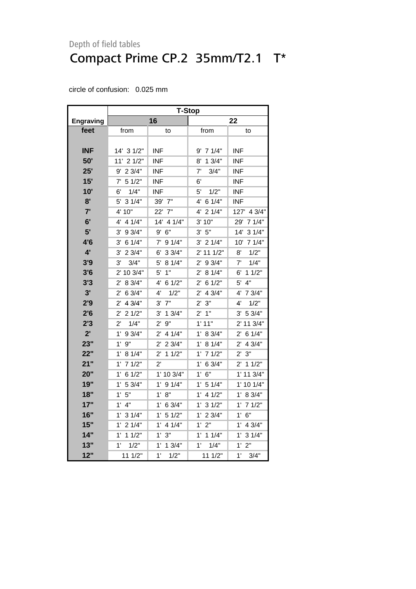|                  | <b>T-Stop</b>          |                        |                        |                        |  |  |
|------------------|------------------------|------------------------|------------------------|------------------------|--|--|
| <b>Engraving</b> |                        | 16                     |                        | 22                     |  |  |
| feet             | from                   | to                     | from                   | to                     |  |  |
|                  |                        |                        |                        |                        |  |  |
| <b>INF</b>       | 14' 3 1/2"             | INF                    | $9'$ 7 1/4"            | INF                    |  |  |
| 50'              | 11' 2 1/2"             | INF                    | 13/4"<br>8'            | <b>INF</b>             |  |  |
| 25'              | 9' 2 3/4"              | <b>INF</b>             | 3/4"<br>7'             | <b>INF</b>             |  |  |
| 15'              | 51/2"<br>7'            | <b>INF</b>             | 6'                     | <b>INF</b>             |  |  |
| 10'              | 1/4"<br>6'             | INF                    | 5'<br>1/2"             | <b>INF</b>             |  |  |
| 8'               | 5'<br>31/4"            | 39' 7"                 | 6 1/4"<br>4'           | <b>INF</b>             |  |  |
| 7'               | 4' 10"                 | 22' 7"                 | 4' 2 1/4"              | 127' 4 3/4"            |  |  |
| 6'               | 41/4"<br>4'            | 14' 4 1/4"             | 3' 10"                 | 71/4"<br>29'           |  |  |
| 5'               | 9 3/4"<br>3'           | 9' 6''                 | $3'$ 5"                | 14'<br>31/4"           |  |  |
| 4'6              | 6 1/4"<br>3'           | $7'$ 9 1/4"            | 3'<br>21/4"            | 10'<br>71/4"           |  |  |
| 4'               | 23/4"<br>$3^{\prime}$  | 33/4"<br>6'            | 111/2"<br>2'           | 8'<br>1/2"             |  |  |
| 3'9              | 3'<br>3/4"             | $5^{\circ}$<br>8 1/4"  | 9 3/4"<br>$2^{\prime}$ | 7'<br>1/4"             |  |  |
| 3'6              | 2' 10 3/4"             | 5'<br>1"               | 8 1/4"<br>$2^{\prime}$ | $6'$ 1 1/2"            |  |  |
| 3'3              | 8 3/4"<br>$2^{\prime}$ | 4' 6 1/2"              | 61/2"<br>$2^{\prime}$  | 5'<br>4"               |  |  |
| 3'               | $2^{\prime}$<br>6 3/4" | 4'<br>1/2"             | 4 3/4"<br>$2^{\prime}$ | 4' 7 3/4"              |  |  |
| 2'9              | 4 3/4"<br>2'           | 7"<br>3'               | 3"<br>2'               | 4'<br>1/2"             |  |  |
| 2'6              | 21/2"<br>$2^{\prime}$  | 3'<br>13/4"            | $2'$ 1"                | 5 3/4"<br>3'           |  |  |
| 2'3              | 1/4"<br>2'             | 9"<br>$2^{\prime}$     | 1'11"                  | 2' 11 3/4"             |  |  |
| 2'               | 93/4"<br>$1^{\prime}$  | 4 1/4"<br>$2^{\prime}$ | 1'<br>8 3/4"           | 6 1/4"<br>$2^{\prime}$ |  |  |
| 23"              | 1'<br>9"               | $2'$ 2 3/4"            | 8 1/4"<br>1'           | $2^{\prime}$<br>4 3/4" |  |  |
| 22"              | $1^{\prime}$<br>8 1/4" | $2^{\prime}$<br>11/2"  | 71/2"<br>$1^{\prime}$  | $2^{\prime}$<br>3"     |  |  |
| 21"              | 71/2"<br>$1^{\prime}$  | $2^{\prime}$           | 1'<br>6 3/4"           | $2^{\prime}$<br>11/2"  |  |  |
| 20"              | 6 1/2"<br>1'           | 1' 10 3/4"             | 6"<br>1'               | 1' 11 3/4"             |  |  |
| 19"              | 5 3/4"<br>$1^{\prime}$ | 91/4"<br>1'            | 1'<br>5 1/4"           | 1' 10 1/4"             |  |  |
| 18"              | 5"<br>1'               | 8"<br>$1^{\prime}$     | 4 1/2"<br>1'           | 1' 8 3/4"              |  |  |
| 17"              | 4"<br>1'               | 1' .<br>6 3/4"         | 1'<br>31/2"            | 1'<br>71/2"            |  |  |
| 16"              | 1'<br>31/4"            | $1^{\prime}$<br>51/2"  | 23/4"<br>1'            | 6"<br>1'               |  |  |
| 15"              | $1'$ 2 $1/4"$          | 1'<br>4 1/4"           | 2"<br>1'               | $1'$ 4 3/4"            |  |  |
| 14"              | $1'$ 1 $1/2"$          | 3"<br>1'               | $1'$ 1 $1/4"$          | $1'$ 3 $1/4"$          |  |  |
| 13"              | 1/2"<br>1'             | 1'<br>13/4"            | 1'<br>1/4"             | 2"<br>1'               |  |  |
| 12"              | 11 1/2"                | 1'<br>1/2"             | 11 1/2"                | $1^{\circ}$<br>3/4"    |  |  |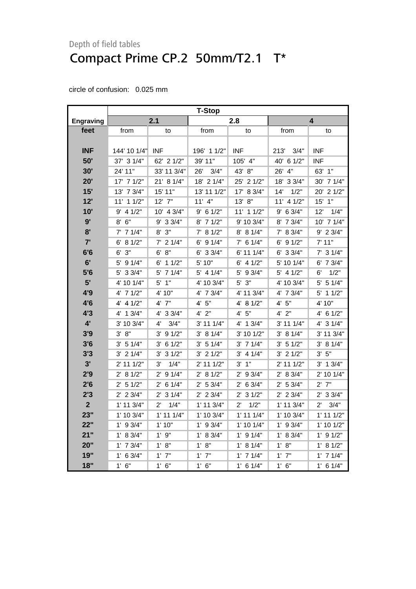|                  | <b>T-Stop</b>  |                      |                |                      |               |                      |
|------------------|----------------|----------------------|----------------|----------------------|---------------|----------------------|
| <b>Engraving</b> |                | 2.1                  |                | 2.8                  |               | 4                    |
| feet             | from           | to                   | from           | to                   | from          | to                   |
|                  |                |                      |                |                      |               |                      |
| <b>INF</b>       | 144' 10 1/4"   | <b>INF</b>           | 196' 1 1/2"    | <b>INF</b>           | 213'<br>3/4"  | INF                  |
| 50'              | 37' 3 1/4"     | 62' 2 1/2"           | 39' 11"        | 105' 4"              | 40' 6 1/2"    | INF                  |
| 30'              | 24' 11"        | 33' 11 3/4"          | 26'<br>3/4"    | 43' 8"               | 26' 4"        | 63' 1"               |
| 20'              | 17' 7 1/2"     | 21' 8 1/4"           | 18' 2 1/4"     | 25' 2 1/2"           | 18' 3 3/4"    | 30' 7 1/4"           |
| 15'              | 13' 7 3/4"     | 15' 11"              | 13' 11 1/2"    | 17' 8 3/4"           | 1/2"<br>14'   | 20' 2 1/2"           |
| 12'              | 11' 1 1/2"     | $12'$ $7''$          | $11'$ 4"       | 13' 8"               | 11' 4 1/2"    | $15'$ 1"             |
| 10'              | $9'$ 4 1/2"    | 10' 4 3/4"           | $9'$ 6 1/2"    | $11'$ 1 $1/2"$       | $9'$ 6 3/4"   | 12'<br>1/4"          |
| 9'               | $8'$ 6"        | $9'$ 3 3/4"          | 8' 7 1/2"      | 9' 10 3/4"           | 8' 7 3/4"     | 10' 7 1/4"           |
| 8'               | $7'$ 7 1/4"    | $8'$ $3''$           | 7' 8 1/2"      | 8' 8 1/4"            | 7' 8 3/4"     | 9' 2 3/4"            |
| 7'               | $6'$ 8 $1/2"$  | $7'$ 2 1/4"          | $6'$ 9 $1/4"$  | $7'$ 6 1/4"          | $6'$ 9 $1/2"$ | 7' 11"               |
| 6'6              | $6'$ 3"        | 6' 8''               | $6'$ 3 3/4"    | 6' 11 1/4"           | 6' 3 3/4"     | $7'$ 3 1/4"          |
| 6'               | 5' 9 1/4"      | 6'<br>11/2"          | 5' 10"         | $6'$ 4 1/2"          | 5' 10 1/4"    | 6' 7 3/4"            |
| 5'6              | 5' 3 3/4"      | $5'$ 7 1/4"          | $5'$ 4 1/4"    | $5'$ 9 3/4"          | $5'$ 4 1/2"   | 1/2"<br>6'           |
| 5'               | 4' 10 1/4"     | $5'$ 1"              | 4' 10 3/4"     | $5'$ $3"$            | 4' 10 3/4"    | $5'$ 5 1/4"          |
| 4'9              | $4'$ 7 $1/2"$  | 4' 10"               | 4' 7 3/4"      | 4' 11 3/4"           | 4' 7 3/4"     | $5'$ 1 1/2"          |
| 4'6              | 4' 4 1/2"      | 4' 7"                | 5"<br>4'       | 4' 8 1/2"            | 4' 5"         | 4' 10"               |
| 4'3              | 4' 1 3/4"      | 4' 3 3/4"            | $4'$ $2"$      | 4' 5''               | $4'$ 2"       | 4' 6 1/2"            |
| $4^{\prime}$     | 3' 10 3/4"     | $4^{\prime}$<br>3/4" | 3' 11 1/4"     | 4' 1 3/4"            | 3' 11 1/4"    | 4' 3 1/4"            |
| 3'9              | 3' 8''         | $3'$ 9 $1/2"$        | 3' 81/4"       | 3' 10 1/2"           | 3' 81/4"      | 3' 11 3/4"           |
| 3'6              | 3' 51/4"       | $3'$ 6 1/2"          | 3' 51/4"       | $3'$ 7 1/4"          | 3' 51/2"      | 3' 81/4"             |
| 3'3              | $3'$ 2 $1/4"$  | 31/2"<br>3'          | $3'$ 2 $1/2"$  | $3'$ 4 1/4"          | $3'$ 2 $1/2"$ | 3' 5''               |
| 3'               | $2'$ 11 1/2"   | 1/4"<br>3'           | $2'$ 11 1/2"   | $3'$ $1"$            | 2' 11 1/2"    | $3'$ 1 $3/4"$        |
| 2'9              | 2' 8 1/2"      | $2'$ 9 1/4"          | 2' 8 1/2"      | $2'$ 9 $3/4"$        | 2' 8 3/4"     | 2' 10 1/4"           |
| 2'6              | $2'$ 5 1/2"    | $2'$ 6 1/4"          | 2' 53/4"       | $2'$ 6 3/4"          | 2' 5 3/4"     | $2'$ 7"              |
| 2'3              | $2'$ 2 3/4"    | $2'$ 3 1/4"          | $2'$ 2 3/4"    | $2'$ 3 1/2"          | $2'$ 2 3/4"   | $2'$ 3 3/4"          |
| $\overline{2}$   | $1'$ 11 $3/4"$ | $2^{\prime}$<br>1/4" | $1'$ 11 $3/4"$ | 1/2"<br>$2^{\prime}$ | 1' 11 3/4"    | $2^{\prime}$<br>3/4" |
| 23"              | 1' 10 3/4"     | $1'$ 11 $1/4"$       | 1' 10 3/4"     | $1'$ 11 $1/4"$       | 1' 10 3/4"    | $1'$ 11 $1/2"$       |
| 22"              | $1'$ 9 $3/4"$  | 1'10"                | $1'$ 9 $3/4"$  | $1'$ 10 $1/4"$       | $1'$ 9 $3/4"$ | 1' 10 1/2"           |
| 21"              | 1' 8 3/4"      | $1'$ $9"$            | 1' 8 3/4"      | $1'$ 9 $1/4"$        | 1' 8 3/4"     | $1'$ 9 $1/2"$        |
| 20"              | $1'$ 7 $3/4"$  | 1' 8''               | 1' 8''         | 1' 8 1/4"            | 1' 8''        | 1' 8 1/2"            |
| 19"              | 1'<br>63/4"    | $1'$ $7"$            | $1'$ $7"$      | $1'$ 7 $1/4"$        | $1'$ $7"$     | $1'$ 7 $1/4"$        |
| 18"              | $1'$ 6"        | $1'$ 6"              | $1'$ 6"        | $1'$ 6 $1/4"$        | 1' 6''        | $1'$ 6 $1/4"$        |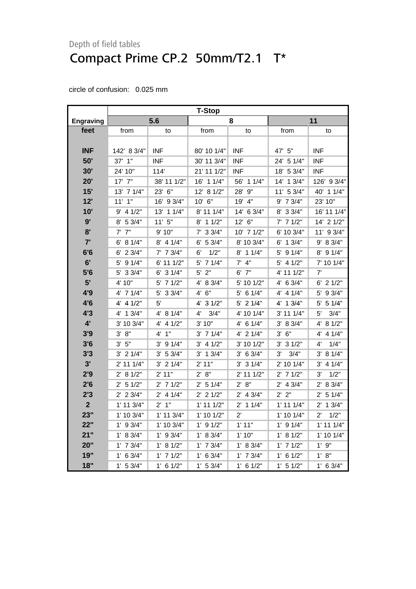|                  | <b>T-Stop</b>  |                |                |                |                |                      |  |
|------------------|----------------|----------------|----------------|----------------|----------------|----------------------|--|
| <b>Engraving</b> |                | 5.6            |                | 8              |                | 11                   |  |
| feet             | from           | to             | from           | to             | from           | to                   |  |
|                  |                |                |                |                |                |                      |  |
| <b>INF</b>       | 142' 8 3/4"    | <b>INF</b>     | 80' 10 1/4"    | <b>INF</b>     | 47' 5"         | <b>INF</b>           |  |
| 50'              | $37'$ 1"       | <b>INF</b>     | 30' 11 3/4"    | <b>INF</b>     | 24' 5 1/4"     | INF                  |  |
| 30'              | 24' 10"        | 114'           | 21' 11 1/2"    | <b>INF</b>     | 18' 5 3/4"     | INF                  |  |
| 20'              | $17'$ $7"$     | 38' 11 1/2"    | 16' 1 1/4"     | 56' 1 1/4"     | 14' 1 3/4"     | 126' 9 3/4"          |  |
| 15'              | 13' 7 1/4"     | 23' 6"         | 12' 8 1/2"     | 28' 9"         | 11' 5 3/4"     | 40' 1 1/4"           |  |
| 12'              | $11'$ $1"$     | 16' 9 3/4"     | 10' 6"         | 19' 4"         | $9'$ 7 $3/4"$  | 23' 10"              |  |
| 10'              | $9'$ 4 1/2"    | 13' 1 1/4"     | 8' 11 1/4"     | 14' 6 3/4"     | 8' 3 3/4"      | 16' 11 1/4"          |  |
| 9'               | 8' 5 3/4"      | 11'5''         | $8'$ 1 1/2"    | 12' 6"         | $7'$ 7 1/2"    | 14' 2 1/2"           |  |
| 8'               | $7'$ $7''$     | 9' 10"         | $7'$ 3 3/4"    | $10'$ 7 $1/2"$ | 6' 10 3/4"     | 11' 9 3/4"           |  |
| 7'               | 6' 81/4"       | $8'$ 4 1/4"    | $6'$ 5 3/4"    | 8' 10 3/4"     | $6'$ 1 3/4"    | 9' 8 3/4"            |  |
| 6'6              | $6'$ 2 3/4"    | 7' 7 3/4"      | 1/2"<br>6'     | $8'$ 1 1/4"    | 5' 9 1/4"      | 8' 9 1/4"            |  |
| 6'               | 5' 9 1/4"      | 6' 11 1/2"     | 5' 7 1/4"      | $7'$ 4"        | $5'$ 4 1/2"    | 7' 10 1/4"           |  |
| 5'6              | $5'$ 3 3/4"    | $6'$ 3 1/4"    | $5'$ 2"        | $6'$ 7"        | 4' 11 1/2"     | 7'                   |  |
| 5'               | 4' 10"         | 5' 7 1/2"      | 4' 8 3/4"      | 5' 10 1/2"     | 4' 6 3/4"      | $6'$ 2 $1/2"$        |  |
| 4'9              | $4'$ 7 1/4"    | 5' 3 3/4"      | 4' 6''         | $5'$ 6 1/4"    | $4'$ 4 1/4"    | 5' 9 3/4"            |  |
| 4'6              | $4'$ 4 $1/2"$  | 5'             | 4' 3 1/2"      | $5'$ 2 1/4"    | 4' 1 3/4"      | $5'$ 5 1/4"          |  |
| 4'3              | $4'$ 1 3/4"    | 4' 8 1/4"      | 3/4"<br>4'     | 4' 10 1/4"     | 3' 11 1/4"     | 3/4"<br>5'           |  |
| $4^{\prime}$     | 3' 10 3/4"     | 4' 4 1/2"      | 3' 10"         | 4' 6 1/4"      | 3' 8 3/4"      | 4' 8 1/2"            |  |
| 3'9              | 3' 8''         | 4' 1"          | $3'$ 7 $1/4"$  | 4' 2 1/4"      | 3' 6''         | 4' 4 1/4"            |  |
| 3'6              | 3' 5''         | $3'$ 9 $1/4"$  | $3'$ 4 1/2"    | 3' 10 1/2"     | $3'$ 3 $1/2"$  | 1/4"<br>4'           |  |
| 3'3              | $3'$ 2 $1/4"$  | $3'$ 5 $3/4"$  | $3'$ 1 $3/4"$  | 3' 6 3/4"      | 3'<br>3/4"     | 8 1/4"<br>3'         |  |
| 3'               | 2' 11 1/4"     | $3'$ 2 1/4"    | $2'$ 11"       | $3'$ 3 $1/4"$  | 2' 10 1/4"     | $3'$ 4 1/4"          |  |
| 2'9              | 2' 8 1/2"      | $2'$ 11"       | $2'$ $8"$      | $2'$ 11 1/2"   | $2'$ 7 1/2"    | 1/2"<br>3'           |  |
| 2'6              | $2'$ 5 1/2"    | $2'$ 7 1/2"    | $2'$ 5 1/4"    | 2' 8''         | $2'$ 4 3/4"    | 2' 8 3/4"            |  |
| 2'3              | $2'$ 2 3/4"    | $2'$ 4 1/4"    | $2'$ 2 1/2"    | $2'$ 4 3/4"    | 2' 2"          | $2'$ 5 1/4"          |  |
| $\overline{2}$   | $1'$ 11 $3/4"$ | $2'$ 1"        | $1'$ 11 $1/2"$ | $2'$ 1 1/4"    | $1'$ 11 $1/4"$ | $2'$ 1 $3/4"$        |  |
| 23"              | $1'$ 10 $3/4"$ | $1'$ 11 $3/4"$ | 1' 10 1/2"     | $2^{\prime}$   | $1'$ 10 $1/4"$ | 1/2"<br>$2^{\prime}$ |  |
| 22"              | $1'$ 9 3/4"    | 1' 10 3/4"     | $1'$ 9 $1/2"$  | 1'11"          | $1'$ 9 $1/4"$  | $1'$ 11 $1/4"$       |  |
| 21"              | $1'$ 8 3/4"    | $1'$ 9 3/4"    | $1'$ 8 $3/4"$  | 1'10"          | 1' 8 1/2"      | $1'$ 10 $1/4"$       |  |
| 20"              | $1'$ 7 $3/4"$  | 1' 8 1/2"      | $1'$ 7 $3/4"$  | 1' 8 3/4"      | $1'$ 7 $1/2"$  | 1'9''                |  |
| 19"              | $1'$ 6 3/4"    | $1'$ 7 $1/2"$  | $1'$ 6 3/4"    | $1'$ 7 $3/4"$  | $1'$ 6 $1/2"$  | 1' 8''               |  |
| 18"              | 1' 53/4"       | $1'$ 6 $1/2"$  | 1' 53/4"       | $1'$ 6 $1/2"$  | 1' 5 1/2"      | $1'$ 6 3/4"          |  |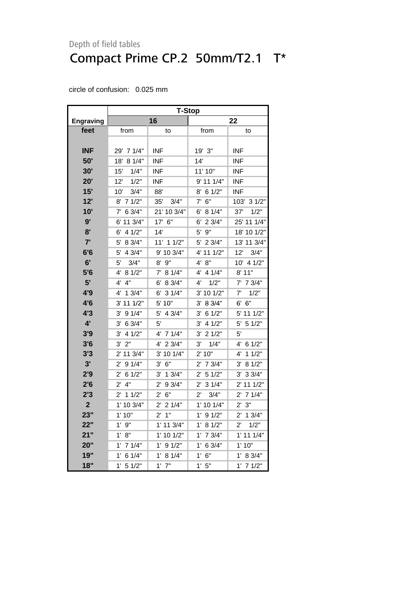|                  | <b>T-Stop</b>          |                       |                       |                      |  |  |  |
|------------------|------------------------|-----------------------|-----------------------|----------------------|--|--|--|
| <b>Engraving</b> |                        | 16                    |                       | 22                   |  |  |  |
| feet             | from                   | to                    | from                  | to                   |  |  |  |
|                  |                        |                       |                       |                      |  |  |  |
| <b>INF</b>       | 29' 7 1/4"             | <b>INF</b>            | 19' 3"                | INF                  |  |  |  |
| 50'              | 18' 8 1/4"             | <b>INF</b>            | 14'                   | <b>INF</b>           |  |  |  |
| 30'              | 1/4"<br>15'            | <b>INF</b>            | 11' 10"               | <b>INF</b>           |  |  |  |
| 20'              | 12'<br>1/2"            | <b>INF</b>            | 9' 11 1/4"            | <b>INF</b>           |  |  |  |
| 15'              | 3/4"<br>10'            | 88'                   | $8'$ 6 1/2"           | <b>INF</b>           |  |  |  |
| 12'              | $8'$ 7 1/2"            | 35'<br>3/4"           | $7'$ 6"               | 103'<br>31/2"        |  |  |  |
| 10'              | 6 3/4"<br>$7^{\circ}$  | 21' 10 3/4"           | 8 1/4"<br>6'          | 37'<br>1/2"          |  |  |  |
| 9'               | 6' 11 3/4"             | 17' 6"                | 2 3/4"<br>6'          | 25' 11 1/4"          |  |  |  |
| 8 <sup>1</sup>   | 4 1/2"<br>6'           | 14'                   | 9"<br>5'              | 18' 10 1/2"          |  |  |  |
| 7'               | 8 3/4"<br>5'           | 11' 1 1/2"            | 23/4"<br>5'           | 13' 11 3/4"          |  |  |  |
| 6'6              | 4 3/4"<br>5'           | 9' 10 3/4"            | 4' 11 1/2"            | 3/4"<br>$12^{\circ}$ |  |  |  |
| 6'               | 5'<br>3/4"             | $8'$ $9''$            | 8"<br>4'              | 10' 4 1/2"           |  |  |  |
| 5'6              | 4'<br>8 1/2"           | 7' 8 1/4"             | 4'<br>4 1/4"          | 8' 11"               |  |  |  |
| 5'               | 4'<br>4"               | 6' 8 3/4"             | 1/2"<br>4'            | 7' 7 3/4"            |  |  |  |
| 4'9              | 4'<br>13/4"            | 6'<br>31/4"           | 3' 10 1/2"            | 7'<br>1/2"           |  |  |  |
| 4'6              | 3' 11 1/2"             | 5' 10"                | 8 3/4"<br>3'          | 6"<br>6'             |  |  |  |
| 4'3              | 91/4"<br>3'            | 5' 4 3/4"             | 6 1/2"<br>3'          | 5' 11 1/2"           |  |  |  |
| 4'               | 6 3/4"<br>3'           | 5'                    | 4 1/2"<br>3'          | 5'<br>51/2"          |  |  |  |
| 3'9              | 4 1/2"<br>3'           | 4' 7 1/4"             | 21/2"<br>3'           | 5'                   |  |  |  |
| 3'6              | 2"<br>3'               | 4' 2 3/4"             | 1/4"<br>3'            | 4' 6 1/2"            |  |  |  |
| 3'3              | 2' 11 3/4"             | 3' 10 1/4"            | 2' 10"                | 4'<br>11/2"          |  |  |  |
| 3'               | 9 1/4"<br>2'           | 6"<br>3'              | 7 3/4"<br>2'          | 3'<br>8 1/2"         |  |  |  |
| 2'9              | 61/2"<br>$2^{\prime}$  | $3'$ 1 $3/4"$         | 51/2"<br>2'           | 33/4"<br>3'          |  |  |  |
| 2'6              | 4"<br>$2^{\prime}$     | $2^{\prime}$<br>93/4" | 31/4"<br>$2^{\prime}$ | 2' 11 1/2"           |  |  |  |
| 2'3              | $2'$ 1 1/2"            | 6"<br>$2^{\prime}$    | $2^{\prime}$<br>3/4"  | $2'$ 7 1/4"          |  |  |  |
| $\overline{2}$   | 1' 10 3/4"             | $2'$ 2 1/4"           | 1' 10 1/4"            | 2' 3''               |  |  |  |
| 23"              | 1'10"                  | $2^{\prime}$<br>1"    | 1'<br>91/2"           | $2'$ 1 3/4"          |  |  |  |
| 22"              | $1'$ 9"                | 1' 11 3/4"            | 1'<br>81/2"           | $2^{\prime}$<br>1/2" |  |  |  |
| 21"              | 1' 8''                 | 1' 10 1/2"            | 7 3/4"<br>1'          | $1'$ 11 $1/4"$       |  |  |  |
| 20"              | $1'$ 7 $1/4"$          | $1'$ 9 $1/2"$         | 1'<br>6 3/4"          | 1' 10"               |  |  |  |
| 19"              | 61/4"<br>1'            | 81/4"<br>$1^{\prime}$ | 6"<br>1'              | 1' 8 3/4"            |  |  |  |
| 18"              | $1^{\prime}$<br>5 1/2" | $1^{\prime}$<br>7"    | 5"<br>1'              | $1'$ 7 $1/2"$        |  |  |  |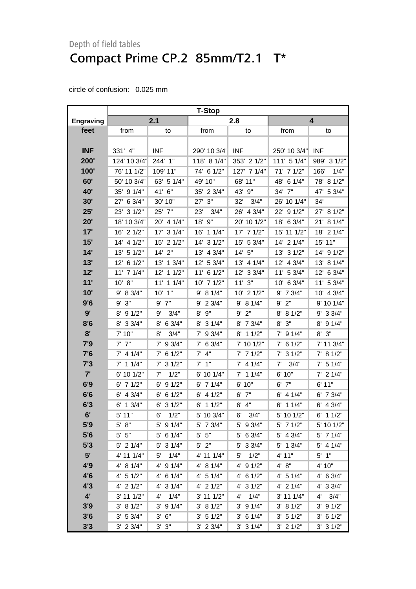|                  | <b>T-Stop</b>  |                       |                   |               |                       |               |  |
|------------------|----------------|-----------------------|-------------------|---------------|-----------------------|---------------|--|
| <b>Engraving</b> |                | 2.1                   |                   | 2.8           | 4                     |               |  |
| feet             | from           | to                    | from              | to            | from                  | to            |  |
|                  |                |                       |                   |               |                       |               |  |
| <b>INF</b>       | 331' 4"        | <b>INF</b>            | 290' 10 3/4"      | <b>INF</b>    | 250' 10 3/4"          | <b>INF</b>    |  |
| 200'             | 124' 10 3/4"   | 244' 1"               | 118' 8 1/4"       | 353' 2 1/2"   | 111' 5 1/4"           | 989' 3 1/2"   |  |
| 100'             | 76' 11 1/2"    | 109' 11"              | 74' 6 1/2"        | 127' 7 1/4"   | 71' 7 1/2"            | 166'<br>1/4"  |  |
| 60'              | 50' 10 3/4"    | 63' 5 1/4"            | 49' 10"           | 68' 11"       | 48' 6 1/4"            | 78' 8 1/2"    |  |
| 40'              | 35' 9 1/4"     | 41' 6"                | 35' 2 3/4"        | 43' 9"        | 34' 7"                | 47' 5 3/4"    |  |
| 30'              | 6 3/4"<br>27'  | 30' 10"               | 3"<br>27'         | 3/4"<br>32'   | 26' 10 1/4"           | 34'           |  |
| 25'              | 23' 3 1/2"     | 25' 7"                | 23'<br>3/4"       | 26' 4 3/4"    | 22' 9 1/2"            | 27' 8 1/2"    |  |
| 20'              | 18' 10 3/4"    | 20' 4 1/4"            | 9"<br>18'         | 20' 10 1/2"   | 18' 6 3/4"            | 21' 8 1/4"    |  |
| 17'              | 16' 2 1/2"     | 17' 3 1/4"            | 11/4"<br>16'      | 17' 7 1/2"    | 15' 11 1/2"           | 18' 2 1/4"    |  |
| 15'              | 14' 4 1/2"     | 15' 2 1/2"            | 14' 3 1/2"        | 15' 5 3/4"    | 14' 2 1/4"            | 15' 11"       |  |
| 14'              | 13' 5 1/2"     | $14'$ 2"              | 13' 4 3/4"        | 14' 5"        | 13' 3 1/2"            | 14' 9 1/2"    |  |
| 13'              | 12' 6 1/2"     | 13' 1 3/4"            | 12' 5 3/4"        | 13' 4 1/4"    | 12' 4 3/4"            | 13' 8 1/4"    |  |
| 12'              | 11' 7 1/4"     | 12' 1 1/2"            | 61/2"<br>11'      | 12' 3 3/4"    | 11' 5 3/4"            | 12' 6 3/4"    |  |
| 11'              | 10' 8"         | $11'$ 1 $1/4"$        | 10' 7 1/2"        | 11'3''        | 10' 6 3/4"            | 11' 5 3/4"    |  |
| 10'              | 9' 8 3/4"      | 1"<br>10'             | 9' 8 1/4"         | 10' 2 1/2"    | 7 3/4"<br>9'          | 10' 4 3/4"    |  |
| 9'6              | $9'$ $3"$      | $9'$ $7"$             | 23/4"<br>9'       | 9' 8 1/4"     | $9'$ 2"               | 9' 10 1/4"    |  |
| 9'               | 8' 9 1/2"      | 3/4"<br>9'            | 9"<br>8'          | $9'$ $2"$     | 81/2"<br>8'           | 9' 3 3/4"     |  |
| 8'6              | 8' 3 3/4"      | 6 3/4"<br>8'          | 31/4"<br>8'       | 8' 7 3/4"     | 3"<br>8'              | 8' 9 1/4"     |  |
| 8'               | 7' 10"         | 8'<br>3/4"            | 7' 9 3/4"         | $8'$ 1 1/2"   | $7'$ 9 1/4"           | $8'$ $3''$    |  |
| 7'9              | $7'$ $7''$     | 9 3/4"<br>$7^{\circ}$ | $7'$ 6 3/4"       | 7' 10 1/2"    | 6 1/2"<br>$7^{\circ}$ | 7' 11 3/4"    |  |
| 7'6              | $7'$ 4 1/4"    | $7'$ 6 1/2"           | 4"<br>$7^{\circ}$ | $7'$ 7 1/2"   | $7'$ 3 1/2"           | 7' 8 1/2"     |  |
| 7'3              | $7'$ 1 1/4"    | $7'$ 3 $1/2"$         | 1"<br>7'          | $7'$ 4 1/4"   | 7'<br>3/4"            | $7'$ 5 1/4"   |  |
| 7'               | 6' 10 1/2"     | 1/2"<br>7'            | 6' 10 1/4"        | 11/4"<br>7'   | 6' 10"                | $7'$ 2 1/4"   |  |
| 6'9              | $6'$ 7 $1/2"$  | 91/2"<br>6'           | $6'$ 7 1/4"       | 6' 10"        | $6'$ $7''$            | 6'11"         |  |
| 6'6              | $6'$ 4 3/4"    | 61/2"<br>6'           | $6'$ 4 $1/2"$     | $6'$ $7"$     | $6'$ 4 1/4"           | 6' 7 3/4"     |  |
| 6'3              | $6'$ 1 $3/4"$  | 31/2"<br>6'           | $6'$ 1 1/2"       | $6'$ 4"       | $6'$ 1 1/4"           | $6'$ 4 3/4"   |  |
| 6'               | 5' 11"         | 1/2"<br>6'            | 5' 10 3/4"        | 6'<br>3/4"    | 5' 10 1/2"            | 11/2"<br>6'   |  |
| 5'9              | $5'$ $8"$      | $5'$ 9 1/4"           | 5' 7 3/4"         | 5' 9 3/4"     | $5'$ 7 1/2"           | 5' 10 1/2"    |  |
| 5'6              | $5'$ $5"$      | 5' 6 1/4"             | $5'$ $5"$         | 5' 6 3/4"     | 5' 4 3/4"             | 5' 7 1/4"     |  |
| 5'3              | $5'$ 2 1/4"    | $5'$ 3 $1/4"$         | $5'$ 2"           | 5' 3 3/4"     | 5' 1 3/4"             | $5'$ 4 1/4"   |  |
| 5'               | 4' 11 1/4"     | 5'<br>1/4"            | 4' 11 1/4"        | 1/2"<br>5'    | 4' 11"                | $5'$ 1"       |  |
| 4'9              | 4' 8 1/4"      | 4' 9 1/4"             | 4' 8 1/4"         | 4' 9 1/2"     | 4' 8''                | 4' 10"        |  |
| 4'6              | $4'$ 5 1/2"    | $4'$ 6 1/4"           | $4'$ 5 1/4"       | $4'$ 6 $1/2"$ | $4'$ 5 1/4"           | 4' 6 3/4"     |  |
| 4'3              | $4'$ 2 $1/2"$  | $4'$ 3 $1/4"$         | $4'$ 2 $1/2"$     | $4'$ 3 $1/2"$ | $4'$ 2 $1/4"$         | 4' 3 3/4"     |  |
| $4^{\prime}$     | $3'$ 11 $1/2"$ | 1/4"<br>$4^{\prime}$  | 3' 11 1/2"        | 1/4"<br>4'    | $3'$ 11 1/4"          | 3/4"<br>4'    |  |
| 3'9              | 3' 81/2"       | $3'$ 9 $1/4"$         | 3' 81/2"          | $3'$ 9 $1/4"$ | 3' 8 1/2"             | $3'$ 9 $1/2"$ |  |
| 3'6              | 3' 5 3/4"      | 3' 6''                | 3' 51/2"          | $3'$ 6 1/4"   | 3' 51/2"              | $3'$ 6 1/2"   |  |
| 3'3              | $3'$ 2 $3/4"$  | $3'$ $3"$             | $3'$ 2 $3/4"$     | $3'$ 3 $1/4"$ | $3'$ 2 $1/2"$         | $3'$ 3 $1/2"$ |  |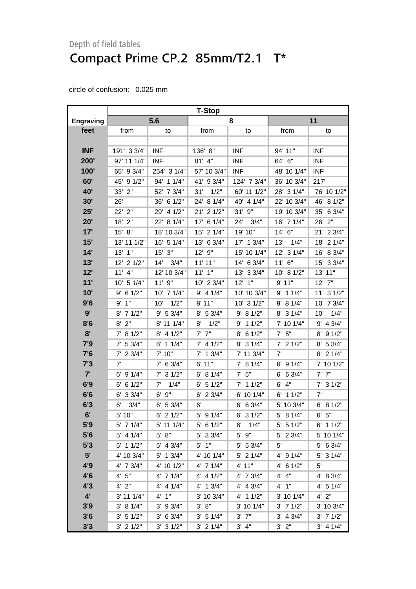|                  | <b>T-Stop</b> |               |               |              |               |                |
|------------------|---------------|---------------|---------------|--------------|---------------|----------------|
| <b>Engraving</b> |               | 5.6           |               | 8            | 11            |                |
| feet             | from          | to            | from          | to           | from          | to             |
|                  |               |               |               |              |               |                |
| <b>INF</b>       | 191' 3 3/4"   | <b>INF</b>    | 136' 8"       | <b>INF</b>   | 94' 11"       | <b>INF</b>     |
| 200'             | 97' 11 1/4"   | <b>INF</b>    | $81'$ 4"      | <b>INF</b>   | 64' 6"        | <b>INF</b>     |
| 100'             | 65' 9 3/4"    | 254' 3 1/4"   | 57' 10 3/4"   | <b>INF</b>   | 48' 10 1/4"   | <b>INF</b>     |
| 60'              | 45' 9 1/2"    | 94' 1 1/4"    | 41' 9 3/4"    | 124' 7 3/4"  | 36' 10 3/4"   | 217'           |
| 40'              | 33' 2"        | 52' 7 3/4"    | 31'<br>1/2"   | 60' 11 1/2"  | 28' 3 1/4"    | 76' 10 1/2"    |
| 30'              | 26'           | 36' 6 1/2"    | 24' 8 1/4"    | 40' 4 1/4"   | 22' 10 3/4"   | 46' 8 1/2"     |
| 25'              | 22' 2"        | 29' 4 1/2"    | 21' 2 1/2"    | $31'$ $9''$  | 19' 10 3/4"   | 35' 6 3/4"     |
| 20'              | 18' 2"        | 22' 8 1/4"    | 17' 6 1/4"    | 24'<br>3/4"  | 16' 7 1/4"    | 2"<br>26'      |
| 17'              | 15' 8"        | 18' 10 3/4"   | 15' 2 1/4"    | 19' 10"      | 14' 6"        | 21' 2 3/4"     |
| 15'              | 13' 11 1/2"   | 16' 5 1/4"    | 13' 6 3/4"    | 17' 1 3/4"   | 13'<br>1/4"   | 18' 2 1/4"     |
| 14'              | $13'$ $1"$    | $15'$ 3"      | 12' 9"        | 15' 10 1/4"  | 12' 3 1/4"    | 16' 8 3/4"     |
| 13'              | 12' 2 1/2"    | 14'<br>3/4"   | 11'11"        | 14' 6 3/4"   | $11'$ 6"      | 15' 3 3/4"     |
| 12'              | $11'$ 4"      | 12' 10 3/4"   | $11'$ $1"$    | 13' 3 3/4"   | 10' 8 1/2"    | 13' 11"        |
| 11'              | 10' 5 1/4"    | 11'9''        | 10' 2 3/4"    | $12'$ 1"     | 9'11"         | $12'$ $7"$     |
| 10'              | $9'$ 6 1/2"   | 10' 7 1/4"    | $9'$ 4 1/4"   | 10' 10 3/4"  | $9'$ 1 1/4"   | $11'$ 3 $1/2"$ |
| 9'6              | 9'1''         | 1/2"<br>10'   | 8' 11"        | 10' 3 1/2"   | 8' 8 1/4"     | 10' 7 3/4"     |
| 9'               | $8'$ 7 1/2"   | 9' 5 3/4"     | 8' 5 3/4"     | 9' 8 1/2"    | $8'$ 3 1/4"   | 1/4"<br>10'    |
| 8'6              | $8'$ 2"       | 8' 11 1/4"    | 8'<br>1/2"    | $9'$ 1 1/2"  | 7' 10 1/4"    | 9' 4 3/4"      |
| 8'               | 7' 8 1/2"     | $8'$ 4 1/2"   | $7'$ $7''$    | 61/2"<br>8'  | $7'$ 5"       | 8' 9 1/2"      |
| 7'9              | $7'$ 5 3/4"   | 8' 1 1/4"     | $7'$ 4 1/2"   | 8' 3 1/4"    | $7'$ 2 1/2"   | 8' 5 3/4"      |
| 7'6              | $7'$ 2 3/4"   | 7' 10"        | $7'$ 1 $3/4"$ | 7' 11 3/4"   | 7'            | 8' 2 1/4"      |
| 7'3              | 7'            | $7'$ 6 3/4"   | 6'11"         | 7' 8 1/4"    | $6'$ 9 1/4"   | 7' 10 1/2"     |
| 7'               | $6'$ 9 $1/4"$ | $7'$ 3 $1/2"$ | 6' 8 1/4"     | $7'$ 5"      | 6 3/4"<br>6'  | $7'$ $7''$     |
| 6'9              | $6'$ 6 1/2"   | 7'<br>1/4"    | $6'$ 5 1/2"   | $7'$ 1 1/2"  | $6'$ $4"$     | $7'$ 3 $1/2"$  |
| 6'6              | 6' 3 3/4"     | 9"<br>6'      | $6'$ 2 3/4"   | 6' 10 1/4"   | 11/2"<br>6'   | 7'             |
| 6'3              | 3/4"<br>6'    | $6'$ 5 3/4"   | 6'            | $6'$ 6 3/4"  | 5' 10 3/4"    | 6'<br>81/2"    |
| 6'               | 5' 10"        | $6'$ 2 $1/2"$ | 5' 9 1/4"     | 31/2"<br>6'  | 5' 8 1/4"     | 5"<br>6'       |
| 5'9              | 5' 7 1/4"     | 5' 11 1/4"    | $5'$ 6 1/2"   | 1/4"<br>6'   | $5'$ 5 1/2"   | $6'$ 1 1/2"    |
| 5'6              | $5'$ 4 1/4"   | 5' 8''        | $5'$ 3 3/4"   | 5' 9"        | 5' 2 3/4"     | 5' 10 1/4"     |
| 5'3              | $5'$ 1 1/2"   | 5' 4 3/4"     | $5'$ 1"       | $5'$ 5 3/4"  | 5'            | $5'$ 6 3/4"    |
| 5'               | 4' 10 3/4"    | 5' 1 3/4"     | 4' 10 1/4"    | $5'$ 2 1/4"  | $4'$ 9 $1/4"$ | $5'$ 3 1/4"    |
| 4'9              | 4' 7 3/4"     | 4' 10 1/2"    | $4'$ 7 $1/4"$ | 4' 11"       | $4'$ 6 $1/2"$ | $5^{\prime}$   |
| 4'6              | 4' 5''        | 4' 7 1/4"     | $4'$ 4 $1/2"$ | 4' 7 3/4"    | 4' 4"         | 4' 8 3/4"      |
| 4'3              | $4'$ 2"       | $4'$ 4 $1/4"$ | $4'$ 1 3/4"   | 4' 4 3/4"    | 4' 1"         | 4' 5 1/4"      |
| $4^{\prime}$     | 3' 11 1/4"    | $4'$ 1"       | 3' 10 3/4"    | 4' 1 1/2"    | 3' 10 1/4"    | $4'$ $2"$      |
| 3'9              | 3' 8 1/4"     | $3'$ 9 $3/4"$ | 3' 8''        | $3'$ 10 1/4" | $3'$ 7 $1/2"$ | 3' 10 3/4"     |
| 3'6              | $3'$ 5 1/2"   | $3'$ 6 $3/4"$ | 3' 5 1/4"     | $3'$ $7"$    | $3'$ 4 $3/4"$ | $3'$ 7 $1/2"$  |
| 3'3              | $3'$ 2 1/2"   | $3'$ 3 $1/2"$ | $3'$ 2 1/4"   | 3' 4''       | $3'$ $2"$     | $3'$ 4 1/4"    |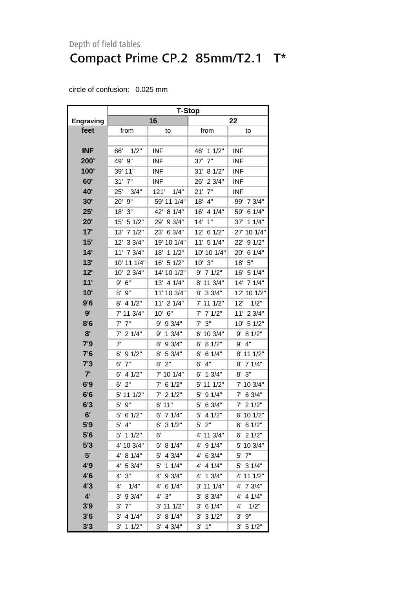|                  | <b>T-Stop</b>      |               |                        |               |  |  |  |
|------------------|--------------------|---------------|------------------------|---------------|--|--|--|
| <b>Engraving</b> |                    | 16            |                        | 22            |  |  |  |
| feet             | from               | to            | from                   | to            |  |  |  |
|                  |                    |               |                        |               |  |  |  |
| <b>INF</b>       | 1/2"<br>66'        | <b>INF</b>    | 46' 1 1/2"             | <b>INF</b>    |  |  |  |
| 200'             | 49' 9"             | <b>INF</b>    | 7"<br>37'              | <b>INF</b>    |  |  |  |
| 100'             | 39' 11"            | <b>INF</b>    | 31' 8 1/2"             | <b>INF</b>    |  |  |  |
| 60'              | $31'$ $7"$         | INF           | 26' 2 3/4"             | <b>INF</b>    |  |  |  |
| 40'              | 25'<br>3/4"        | 121'<br>1/4"  | $21'$ $7"$             | <b>INF</b>    |  |  |  |
| 30'              | 9"<br>$20^{\circ}$ | 59' 11 1/4"   | 18'<br>4"              | 99'<br>7 3/4" |  |  |  |
| 25'              | 18' 3"             | 42'<br>81/4"  | 4 1/4"<br>16'          | 6 1/4"<br>59' |  |  |  |
| 20'              | 15' 5 1/2"         | 29'<br>93/4"  | 14'<br>1"              | 37'<br>11/4"  |  |  |  |
| 17'              | 13'<br>71/2"       | 23' 6 3/4"    | 12' 6 1/2"             | 27' 10 1/4"   |  |  |  |
| 15'              | 12'<br>33/4"       | 19' 10 1/4"   | 11' 5 1/4"             | 22' 9 1/2"    |  |  |  |
| 14'              | 11' 7 3/4"         | 18' 1 1/2"    | 10' 10 1/4"            | 20'<br>61/4"  |  |  |  |
| 13'              | 10' 11 1/4"        | 16' 5 1/2"    | $10'$ $3"$             | 18'<br>5"     |  |  |  |
| 12'              | 10' 2 3/4"         | 14' 10 1/2"   | $9'$ 7 1/2"            | 16' 5 1/4"    |  |  |  |
| 11'              | 6"<br>9'           | 13' 4 1/4"    | 8' 11 3/4"             | 14'<br>71/4"  |  |  |  |
| 10'              | 9"<br>8'           | 11' 10 3/4"   | 8' 3 3/4"              | 12' 10 1/2"   |  |  |  |
| 9'6              | $8'$ 4 1/2"        | 11' 2 1/4"    | 7' 11 1/2"             | 12'<br>1/2"   |  |  |  |
| 9'               | 7' 11 3/4"         | 10' 6"        | $7'$ 7 1/2"            | 11' 2 3/4"    |  |  |  |
| 8'6              | 7"<br>$7^{\circ}$  | 9' 9 3/4"     | 3"<br>7'               | 10' 5 1/2"    |  |  |  |
| 8'               | 21/4"<br>7'        | 13/4"<br>9'   | 6' 10 3/4"             | 9' 8 1/2"     |  |  |  |
| 7'9              | 7'                 | 8'<br>9 3/4"  | 8 1/2"<br>6'           | $9'$ 4"       |  |  |  |
| 7'6              | 6'<br>91/2"        | 8'<br>5 3/4"  | 61/4"<br>6'            | 8' 11 1/2"    |  |  |  |
| 7'3              | 7"<br>6'           | 2"<br>8'      | 4"<br>6'               | 8' 7 1/4"     |  |  |  |
| 7'               | 4 1/2"<br>6'       | 7' 10 1/4"    | 13/4"<br>6'            | 8'3''         |  |  |  |
| 6'9              | 6'<br>2"           | 61/2"<br>7'   | 5' 11 1/2"             | 7' 10 3/4"    |  |  |  |
| 6'6              | 5' 11 1/2"         | 21/2"<br>7'   | 9 1/4"<br>5'           | $7'$ 6 3/4"   |  |  |  |
| 6'3              | 9"<br>5'           | 6' 11"        | 6 3/4"<br>5'           | 21/2"<br>7'   |  |  |  |
| 6'               | $5'$ 6 1/2"        | 6' 7 1/4"     | 5'<br>4 1/2"           | 6' 10 1/2"    |  |  |  |
| 5'9              | $5'$ 4"            | $6'$ 3 $1/2"$ | $5'$ 2"                | 6' 6 1/2"     |  |  |  |
| 5'6              | 5' 1 1/2"          | 6'            | 4' 11 3/4"             | $6'$ 2 $1/2"$ |  |  |  |
| 5'3              | 4' 10 3/4"         | 5' 8 1/4"     | 4' 9 1/4"              | 5' 10 3/4"    |  |  |  |
| 5'               | 8 1/4"<br>4'       | 5'<br>4 3/4"  | 6 3/4"<br>4'           | 5' 7"         |  |  |  |
| 4'9              | 4' 5 3/4"          | 5'<br>11/4"   | $4'$ 4 $1/4"$          | 5' 3 1/4"     |  |  |  |
| 4'6              | 3"<br>4'           | 4'<br>9 3/4"  | 4' 1 3/4"              | 4' 11 1/2"    |  |  |  |
| 4'3              | 4'<br>1/4"         | 4' 6 1/4"     | $3'$ 11 1/4"           | 4' 7 3/4"     |  |  |  |
| 4'               | 9 3/4"<br>3'       | 4' 3''        | 8 3/4"<br>$3^{\prime}$ | 4' 4 1/4"     |  |  |  |
| 3'9              | 7"<br>3'           | 3' 11 1/2"    | 6 1/4"<br>3'           | 4'<br>1/2"    |  |  |  |
| 3'6              | 4 1/4"<br>3'       | 3' 8 1/4"     | 31/2"<br>3'            | $3'$ $9''$    |  |  |  |
| 3'3              | 3'<br>11/2"        | 3'<br>4 3/4"  | 1"<br>3'               | 3' 51/2"      |  |  |  |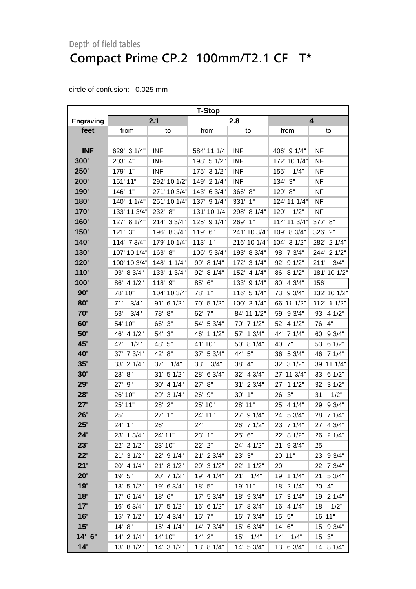|                  | <b>T-Stop</b> |               |               |              |               |               |
|------------------|---------------|---------------|---------------|--------------|---------------|---------------|
| <b>Engraving</b> |               | 2.1           |               | 2.8          | 4             |               |
| feet             | from          | to            | from          | to           | from          | to            |
|                  |               |               |               |              |               |               |
| <b>INF</b>       | 629' 3 1/4"   | <b>INF</b>    | 584' 11 1/4"  | <b>INF</b>   | 406' 9 1/4"   | <b>INF</b>    |
| 300'             | 4"<br>203'    | <b>INF</b>    | 198' 5 1/2"   | <b>INF</b>   | 172' 10 1/4"  | <b>INF</b>    |
| 250'             | 179' 1"       | <b>INF</b>    | 175' 3 1/2"   | <b>INF</b>   | 155'<br>1/4"  | <b>INF</b>    |
| 200'             | 151' 11"      | 292' 10 1/2"  | 149' 2 1/4"   | <b>INF</b>   | 134' 3"       | <b>INF</b>    |
| 190'             | 146'<br>1"    | 271' 10 3/4"  | 143' 6 3/4"   | 366' 8"      | 129' 8"       | <b>INF</b>    |
| 180'             | 140' 1 1/4"   | 251' 10 1/4"  | 137' 9 1/4"   | 331'<br>1"   | 124' 11 1/4"  | <b>INF</b>    |
| 170'             | 133' 11 3/4"  | 232' 8"       | 131' 10 1/4"  | 298' 8 1/4"  | 1/2"<br>120'  | <b>INF</b>    |
| 160'             | 127' 8 1/4"   | 214' 3 3/4"   | 125' 9 1/4"   | 269'<br>1"   | 114' 11 3/4"  | 377' 8"       |
| <b>150'</b>      | 121' 3"       | 196' 8 3/4"   | 119' 6"       | 241' 10 3/4" | 109' 8 3/4"   | 326' 2"       |
| 140'             | 114' 7 3/4"   | 179' 10 1/4"  | 113' 1"       | 216' 10 1/4" | 104' 3 1/2"   | 282' 2 1/4"   |
| <b>130'</b>      | 107' 10 1/4"  | 8"<br>163'    | 106' 5 3/4"   | 193' 8 3/4"  | 98' 7 3/4"    | 244' 2 1/2"   |
| 120'             | 100' 10 3/4"  | 148'<br>11/4" | 99' 8 1/4"    | 172' 3 1/4"  | 92' 9 1/2"    | 3/4"<br>211'  |
| 110'             | 93' 8 3/4"    | 133'<br>13/4" | 92'<br>81/4"  | 152' 4 1/4"  | 86' 8 1/2"    | 181' 10 1/2"  |
| 100'             | 86' 4 1/2"    | 118' 9"       | 85' 6"        | 133' 9 1/4"  | 80' 4 3/4"    | 156'          |
| 90'              | 78' 10"       | 104' 10 3/4"  | 1"<br>78'     | 116' 5 1/4"  | 73' 9 3/4"    | 132' 10 1/2"  |
| 80'              | 71'<br>3/4"   | 91' 6 1/2"    | 51/2"<br>70'  | 100' 2 1/4"  | 66' 11 1/2"   | 112' 1 1/2"   |
| 70'              | 63'<br>3/4"   | 78' 8"        | -7"<br>62'    | 84' 11 1/2"  | 59' 9 3/4"    | 93' 4 1/2"    |
| 60'              | 54' 10"       | 66'<br>3"     | 54' 5 3/4"    | 70' 7 1/2"   | 52' 4 1/2"    | 4"<br>76'     |
| 50'              | 4 1/2"<br>46' | 54' 3"        | 11/2"<br>46'  | 57' 1 3/4"   | 44' 7 1/4"    | 93/4"<br>60'  |
| 45'              | 1/2"<br>42'   | 48'<br>5"     | 41' 10"       | 50' 8 1/4"   | 40' 7"        | 61/2"<br>53'  |
| <b>40'</b>       | 7 3/4"<br>37' | 42' 8"        | 37' 5 3/4"    | 44' 5"       | 36' 5 3/4"    | 46' 7 1/4"    |
| 35'              | 33' 2 1/4"    | 1/4"<br>37'   | 3/4"<br>33'   | 38' 4"       | 32' 3 1/2"    | 39' 11 1/4"   |
| 30'              | 8"<br>28'     | 31' 5 1/2"    | 6 3/4"<br>28' | 32' 4 3/4"   | 27' 11 3/4"   | 6 1/2"<br>33' |
| 29'              | 27'<br>9"     | 30' 4 1/4"    | 8"<br>27'     | 31' 2 3/4"   | 27' 1 1/2"    | 31/2"<br>32'  |
| 28'              | 26' 10"       | 31/4"<br>29'  | 26'<br>9"     | 30' 1"       | 26'<br>3"     | 1/2"<br>31'   |
| 27'              | 25' 11"       | 28' 2"        | 25' 10"       | 28' 11"      | 25'<br>4 1/4" | 93/4"<br>29'  |
| 26'              | 25'           | 27' 1"        | 24' 11"       | 27' 9 1/4"   | 24' 5 3/4"    | 7 1/4"<br>28' |
| 25'              | 24' 1"        | 26'           | 24'           | 26' 7 1/2"   | 23' 7 1/4"    | 27' 4 3/4"    |
| 24'              | 23' 1 3/4"    | 24' 11"       | 23' 1"        | 25' 6"       | 22' 8 1/2"    | 26' 2 1/4"    |
| 23'              | 22' 2 1/2"    | 23' 10"       | 22' 2"        | 24' 4 1/2"   | 21' 9 3/4"    | 25'           |
| 22'              | 21' 3 1/2"    | 22' 9 1/4"    | 21' 2 3/4"    | 23' 3"       | 20' 11"       | 23' 9 3/4"    |
| 21'              | 20' 4 1/4"    | 21' 8 1/2"    | 20' 3 1/2"    | 22' 1 1/2"   | 20'           | 22' 7 3/4"    |
| 20'              | 19' 5"        | 20' 7 1/2"    | 19' 4 1/4"    | 21'<br>1/4"  | 19' 1 1/4"    | 21' 5 3/4"    |
| 19'              | 18' 5 1/2"    | 19' 6 3/4"    | 18' 5"        | 19' 11"      | 18' 2 1/4"    | 20' 4"        |
| 18'              | 17' 6 1/4"    | 18' 6"        | 17' 5 3/4"    | 18' 9 3/4"   | 17' 3 1/4"    | 19' 2 1/4"    |
| 17'              | 16' 6 3/4"    | 17' 5 1/2"    | 16' 6 1/2"    | 17' 8 3/4"   | 16' 4 1/4"    | 1/2"<br>18'   |
| 16'              | 15' 7 1/2"    | 16' 4 3/4"    | $15'$ $7''$   | 16' 7 3/4"   | $15'$ 5"      | 16' 11"       |
| 15'              | 14' 8"        | 15' 4 1/4"    | 14' 7 3/4"    | 15' 6 3/4"   | 14' 6"        | 15' 9 3/4"    |
| 14' 6"           | 14' 2 1/4"    | 14' 10"       | $14'$ 2"      | 15'<br>1/4"  | 14'<br>1/4"   | $15'$ 3"      |
| 14'              | 13' 8 1/2"    | 14' 3 1/2"    | 13' 8 1/4"    | 14' 5 3/4"   | 13' 6 3/4"    | 14' 8 1/4"    |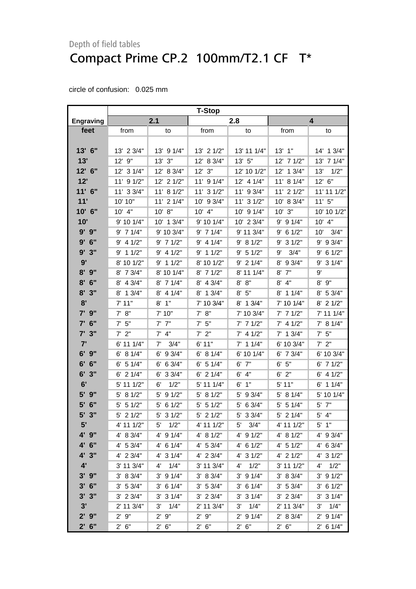|                  | <b>T-Stop</b> |                      |                |               |                |               |
|------------------|---------------|----------------------|----------------|---------------|----------------|---------------|
| <b>Engraving</b> |               | 2.1                  |                | 2.8           |                | 4             |
| feet             | from          | to                   | from           | to            | from           | to            |
|                  |               |                      |                |               |                |               |
| 13' 6"           | 13' 2 3/4"    | 13' 9 1/4"           | 13' 2 1/2"     | 13' 11 1/4"   | $13'$ $1"$     | 14' 1 3/4"    |
| 13'              | $12'$ $9''$   | $13'$ $3''$          | 83/4"<br>12'   | 13' 5"        | 12' 7 1/2"     | 7 1/4"<br>13' |
| 12' 6"           | 12' 3 1/4"    | 12' 8 3/4"           | $12'$ $3''$    | 12' 10 1/2"   | 12' 1 3/4"     | 13'<br>1/2"   |
| 12'              | 11' 9 1/2"    | 12' 2 1/2"           | 11' 9 1/4"     | 12' 4 1/4"    | 11' 8 1/4"     | 12' 6"        |
| $11'$ 6"         | 11' 3 3/4"    | 11' 8 1/2"           | $11'$ 3 $1/2"$ | 11' 9 3/4"    | $11'$ 2 $1/2"$ | 11' 11 1/2"   |
| 11'              | 10' 10"       | 11' 2 1/4"           | 10' 9 3/4"     | 11' 3 1/2"    | 10' 8 3/4"     | 11'5''        |
| 10' 6"           | 10' 4"        | 10' 8"               | 10' 4"         | 10' 9 1/4"    | 10' 3"         | 10' 10 1/2"   |
| 10'              | 9' 10 1/4"    | 10' 1 3/4"           | 9' 10 1/4"     | 10' 2 3/4"    | 91/4"<br>9'    | 10' 4"        |
| $9'$ $9''$       | $9'$ 7 1/4"   | 9' 10 3/4"           | $9'$ 7 1/4"    | 9' 11 3/4"    | $9'$ 6 1/2"    | 3/4"<br>10'   |
| 9'<br>6"         | $9'$ 4 1/2"   | $9'$ 7 1/2"          | $9'$ 4 1/4"    | 9' 8 1/2"     | 31/2"<br>9'    | 9' 9 3/4"     |
| 9'<br>3"         | $9'$ 1 1/2"   | $9'$ 4 1/2"          | $9'$ 1 1/2"    | 9' 5 1/2"     | 3/4"<br>9'     | $9'$ 6 1/2"   |
| 9'               | 8' 10 1/2"    | $9'$ 1 1/2"          | 8' 10 1/2"     | $9'$ 2 1/4"   | 8'<br>93/4"    | $9'$ 3 1/4"   |
| 8'<br>9"         | 8' 7 3/4"     | 8' 10 1/4"           | $8'$ 7 1/2"    | 8' 11 1/4"    | 7"<br>8'       | 9'            |
| 8'<br>6"         | 8' 4 3/4"     | 8' 7 1/4"            | 8' 4 3/4"      | 8' 8''        | $8'$ 4"        | $8'$ $9"$     |
| 8'<br>3"         | 13/4"<br>8'   | $8'$ 4 1/4"          | 8' 1 3/4"      | 5"<br>8'      | $8'$ 1 1/4"    | 8' 5 3/4"     |
| 8'               | 7'11"         | $8'$ 1"              | 7' 10 3/4"     | 13/4"<br>8'   | 7' 10 1/4"     | $8'$ 2 $1/2"$ |
| $7'$ 9"          | 7' 8''        | 7' 10"               | 7' 8''         | 7' 10 3/4"    | $7'$ 7 $1/2"$  | 7' 11 1/4"    |
| 6"<br>7'         | $7'$ 5"       | $7'$ $7''$           | $7'$ 5"        | $7'$ 7 $1/2"$ | $7'$ 4 1/2"    | 7' 8 1/4"     |
| $7'$ 3"          | $7'$ $2"$     | $7'$ 4"              | $7'$ 2"        | $7'$ 4 1/2"   | $7'$ 1 3/4"    | $7'$ 5"       |
| 7'               | 6' 11 1/4"    | 3/4"<br>7'           | 6'11"          | $7'$ 1 1/4"   | 6' 10 3/4"     | $7'$ $2"$     |
| $6'$ $9''$       | 6' 8 1/4"     | 93/4"<br>6'          | 6' 81/4"       | 6' 10 1/4"    | $6'$ 7 3/4"    | 6' 10 3/4"    |
| 6' 6''           | $6'$ 5 1/4"   | 6 3/4"<br>6'         | $6'$ 5 1/4"    | 6' 7"         | 6' 5''         | $6'$ 7 $1/2"$ |
| $6'$ 3"          | 6' 2 1/4"     | 33/4"<br>6'          | $6'$ 2 $1/4"$  | $6'$ $4"$     | $6'$ $2"$      | $6'$ 4 $1/2"$ |
| 6'               | 5' 11 1/2"    | 6'<br>1/2"           | 5' 11 1/4"     | 1"<br>6'      | 5' 11"         | $6'$ 1 1/4"   |
| 5'<br>9"         | 5' 8 1/2"     | 91/2"<br>5'          | 5' 8 1/2"      | 5'<br>93/4"   | 5' 8 1/4"      | 5' 10 1/4"    |
| 6"<br>5'         | 51/2"<br>5'   | 5'<br>61/2"          | $5'$ 5 1/2"    | 6 3/4"<br>5'  | 5 1/4"<br>5'   | 7"<br>5'      |
| $5'$ $3''$       | 21/2"<br>5'   | 5'<br>31/2"          | $5'$ 2 1/2"    | 33/4"<br>5'   | 5' 2 1/4"      | $5'$ 4"       |
| 5'               | 4' 11 1/2"    | 1/2"<br>5'           | 4' 11 1/2"     | 3/4"<br>5'    | 4' 11 1/2"     | $5'$ 1"       |
| 4' 9"            | 4' 8 3/4"     | 4' 9 1/4"            | 4' 8 1/2"      | 4' 9 1/2"     | 4' 8 1/2"      | 4' 9 3/4"     |
| 4' 6"            | 4' 5 3/4"     | 4' 6 1/4"            | $4'$ 5 3/4"    | 4' 6 1/2"     | $4'$ 5 1/2"    | $4'$ 6 3/4"   |
| 4' 3"            | 4' 2 3/4"     | $4'$ 3 $1/4"$        | $4'$ 2 3/4"    | 4' 3 1/2"     | $4'$ 2 1/2"    | 4' 3 1/2"     |
| 4'               | 3' 11 3/4"    | 1/4"<br>$4^{\prime}$ | 3' 11 3/4"     | 1/2"<br>4'    | 3' 11 1/2"     | 1/2"<br>4'    |
| $3'$ $9''$       | 3' 8 3/4"     | $3'$ 9 $1/4"$        | 3' 8 3/4"      | $3'$ 9 $1/4"$ | 3' 8 3/4"      | $3'$ 9 $1/2"$ |
| $3'$ 6"          | 3' 5 3/4"     | $3'$ 6 1/4"          | 3' 5 3/4"      | $3'$ 6 1/4"   | 3' 5 3/4"      | $3'$ 6 $1/2"$ |
| $3'$ $3''$       | $3'$ 2 $3/4"$ | $3'$ 3 $1/4"$        | $3'$ 2 $3/4"$  | $3'$ 3 $1/4"$ | $3'$ 2 $3/4"$  | $3'$ 3 $1/4"$ |
| 3'               | 2' 11 3/4"    | 3'<br>1/4"           | 2' 11 3/4"     | 1/4"<br>3'    | 2' 11 3/4"     | 1/4"<br>3'    |
| $2'$ 9"          | 2'9''         | 2'9''                | 2'9''          | $2'$ 9 1/4"   | 2' 8 3/4"      | $2'$ 9 1/4"   |
| $2'$ 6"          | 2' 6''        | 2' 6''               | 2' 6''         | $2'$ 6"       | 2' 6''         | $2'$ 6 1/4"   |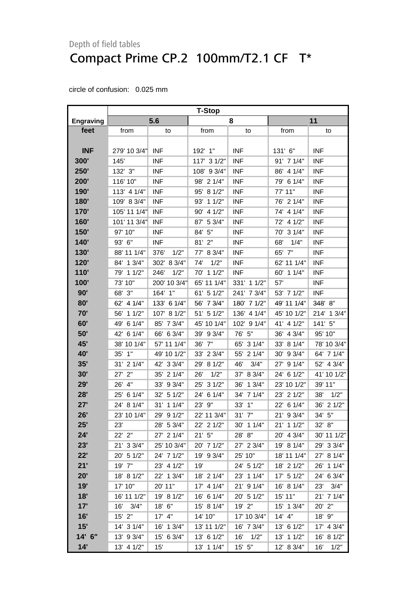|                  | <b>T-Stop</b> |              |               |               |             |              |
|------------------|---------------|--------------|---------------|---------------|-------------|--------------|
| <b>Engraving</b> |               | 5.6          |               | 8             | 11          |              |
| feet             | from          | to           | from          | to            | from        | to           |
|                  |               |              |               |               |             |              |
| <b>INF</b>       | 279' 10 3/4"  | <b>INF</b>   | 192' 1"       | <b>INF</b>    | 131' 6"     | <b>INF</b>   |
| 300'             | 145'          | <b>INF</b>   | 117' 3 1/2"   | <b>INF</b>    | 91' 7 1/4"  | <b>INF</b>   |
| 250'             | 132' 3"       | <b>INF</b>   | 108' 9 3/4"   | <b>INF</b>    | 86' 4 1/4"  | <b>INF</b>   |
| 200'             | 116' 10"      | <b>INF</b>   | 98' 2 1/4"    | <b>INF</b>    | 79' 6 1/4"  | <b>INF</b>   |
| 190'             | 113' 4 1/4"   | <b>INF</b>   | 81/2"<br>95'  | <b>INF</b>    | 77' 11"     | <b>INF</b>   |
| 180'             | 109' 8 3/4"   | <b>INF</b>   | 11/2"<br>93'  | <b>INF</b>    | 76' 2 1/4"  | <b>INF</b>   |
| <b>170'</b>      | 105' 11 1/4"  | <b>INF</b>   | 4 1/2"<br>90' | <b>INF</b>    | 74' 4 1/4"  | <b>INF</b>   |
| 160'             | 101' 11 3/4"  | <b>INF</b>   | 5 3/4"<br>87' | <b>INF</b>    | 72' 4 1/2"  | <b>INF</b>   |
| <b>150'</b>      | 97' 10"       | <b>INF</b>   | 84' 5"        | <b>INF</b>    | 70' 3 1/4"  | <b>INF</b>   |
| 140'             | 93' 6"        | <b>INF</b>   | 81' 2"        | <b>INF</b>    | 68'<br>1/4" | <b>INF</b>   |
| <b>130'</b>      | 88' 11 1/4"   | 1/2"<br>376' | 8 3/4"<br>77' | <b>INF</b>    | 65' 7"      | <b>INF</b>   |
| 120'             | 84' 1 3/4"    | 302' 8 3/4"  | 1/2"<br>74'   | <b>INF</b>    | 62' 11 1/4" | <b>INF</b>   |
| 110'             | 79' 1 1/2"    | 1/2"<br>246' | 70' 1 1/2"    | <b>INF</b>    | 60' 1 1/4"  | <b>INF</b>   |
| 100'             | 73' 10"       | 200' 10 3/4" | 65' 11 1/4"   | 331' 1 1/2"   | 57'         | <b>INF</b>   |
| 90'              | 68' 3"        | 164' 1"      | 61' 5 1/2"    | 241' 7 3/4"   | 53' 7 1/2"  | <b>INF</b>   |
| 80'              | 62' 4 1/4"    | 133' 6 1/4"  | 56' 7 3/4"    | 180' 7 1/2"   | 49' 11 1/4" | 348' 8"      |
| 70'              | 56' 1 1/2"    | 107' 8 1/2"  | 51' 5 1/2"    | 136' 4 1/4"   | 45' 10 1/2" | 214' 1 3/4"  |
| 60'              | 6 1/4"<br>49' | 85' 7 3/4"   | 45' 10 1/4"   | 102' 9 1/4"   | 41' 4 1/2"  | 141' 5"      |
| 50'              | 42' 6 1/4"    | 66' 6 3/4"   | 39' 9 3/4"    | 76' 5"        | 36' 4 3/4"  | 95' 10"      |
| 45'              | 38' 10 1/4"   | 57' 11 1/4"  | 7"<br>36'     | 65' 3 1/4"    | 33' 8 1/4"  | 78' 10 3/4"  |
| <b>40'</b>       | 35' 1"        | 49' 10 1/2"  | 33' 2 3/4"    | 55' 2 1/4"    | 30' 9 3/4"  | 64' 7 1/4"   |
| 35'              | 31' 2 1/4"    | 42' 3 3/4"   | 29' 8 1/2"    | 46'<br>3/4"   | 27' 9 1/4"  | 52' 4 3/4"   |
| 30'              | 2"<br>27'     | 35' 2 1/4"   | 1/2"<br>26'   | 8 3/4"<br>37' | 24' 6 1/2"  | 41' 10 1/2"  |
| 29'              | 26' 4"        | 33' 9 3/4"   | 31/2"<br>25'  | 36'<br>13/4"  | 23' 10 1/2" | 39' 11"      |
| 28'              | 25' 6 1/4"    | 32' 5 1/2"   | 24'<br>6 1/4" | 34' 7 1/4"    | 23' 2 1/2"  | 1/2"<br>38'  |
| 27'              | 24' 8 1/4"    | 31' 1 1/4"   | 9"<br>23'     | 33' 1"        | 22' 6 1/4"  | 36'<br>21/2" |
| 26'              | 23' 10 1/4"   | 29' 9 1/2"   | 22' 11 3/4"   | 31' 7"        | 21' 9 3/4"  | 34' 5"       |
| 25'              | 23'           | 28' 5 3/4"   | 22' 2 1/2"    | 30' 1 1/4"    | 21' 1 1/2"  | 32' 8"       |
| 24'              | 22' 2"        | 27' 2 1/4"   | 21'5''        | 28' 8"        | 20' 4 3/4"  | 30' 11 1/2"  |
| 23'              | 21' 3 3/4"    | 25' 10 3/4"  | 20' 7 1/2"    | 27' 2 3/4"    | 19' 8 1/4"  | 29' 3 3/4"   |
| 22'              | 20' 5 1/2"    | 24' 7 1/2"   | 19' 9 3/4"    | 25' 10"       | 18' 11 1/4" | 27' 8 1/4"   |
| 21'              | 19' 7"        | 23' 4 1/2"   | 19'           | 24' 5 1/2"    | 18' 2 1/2"  | 26' 1 1/4"   |
| 20'              | 18' 8 1/2"    | 22' 1 3/4"   | 18' 2 1/4"    | 23' 1 1/4"    | 17' 5 1/2"  | 24' 6 3/4"   |
| 19'              | 17' 10"       | 20' 11"      | 17' 4 1/4"    | 21' 9 1/4"    | 16' 8 1/4"  | 3/4"<br>23'  |
| 18'              | 16' 11 1/2"   | 19' 8 1/2"   | 16' 6 1/4"    | 20' 5 1/2"    | 15' 11"     | 21' 7 1/4"   |
| 17'              | 16'<br>3/4"   | 18' 6"       | 15' 8 1/4"    | 19' 2"        | 15' 1 3/4"  | 20' 2"       |
| 16'              | $15'$ 2"      | $17'$ 4"     | 14' 10"       | 17' 10 3/4"   | $14'$ $4"$  | 18' 9"       |
| 15'              | 14' 3 1/4"    | 16' 1 3/4"   | 13' 11 1/2"   | 16' 7 3/4"    | 13' 6 1/2"  | 17' 4 3/4"   |
| 14' 6"           | 13' 9 3/4"    | 15' 6 3/4"   | 13' 6 1/2"    | 16'<br>1/2"   | 13' 1 1/2"  | 16' 8 1/2"   |
| 14'              | 13' 4 1/2"    | 15'          | 13' 1 1/4"    | $15'$ 5"      | 12' 8 3/4"  | 1/2"<br>16'  |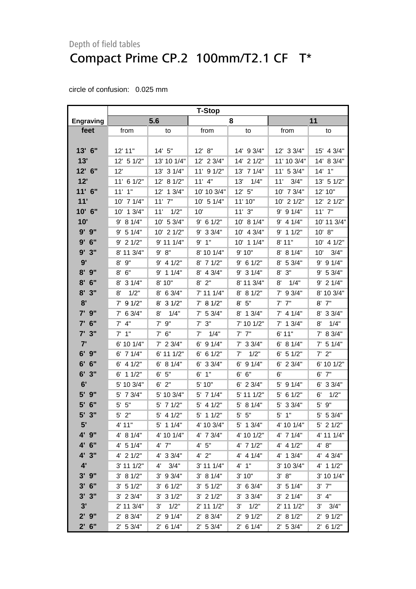|                  | <b>T-Stop</b> |                      |                |               |                |             |
|------------------|---------------|----------------------|----------------|---------------|----------------|-------------|
| <b>Engraving</b> |               | 5.6                  |                | 8             |                | 11          |
| feet             | from          | to                   | from           | to            | from           | to          |
|                  |               |                      |                |               |                |             |
| 13' 6"           | 12' 11"       | 14'5''               | 12' 8''        | 14' 9 3/4"    | $12'$ 3 $3/4"$ | 15' 4 3/4"  |
| 13'              | 12' 5 1/2"    | 13' 10 1/4"          | 12' 2 3/4"     | 14' 2 1/2"    | 11' 10 3/4"    | 14' 8 3/4"  |
| 12' 6"           | 12'           | 13' 3 1/4"           | $11'$ 9 $1/2"$ | 13' 7 1/4"    | 11' 5 3/4"     | $14'$ 1"    |
| 12'              | 11' 6 1/2"    | 12' 8 1/2"           | $11'$ 4"       | 1/4"<br>13'   | 11' 3/4"       | 13' 5 1/2"  |
| $11'$ 6"         | $11'$ $1"$    | $12'$ 1 $3/4"$       | 10' 10 3/4"    | 12' 5''       | 10' 7 3/4"     | 12' 10"     |
| 11'              | 10' 7 1/4"    | $11'$ $7"$           | $10'$ 5 $1/4"$ | 11' 10"       | 10' 2 1/2"     | 12' 2 1/2"  |
| 10' 6"           | 10' 1 3/4"    | 11'<br>1/2"          | 10'            | 11'3''        | $9'$ 9 1/4"    | $11'$ $7"$  |
| 10'              | 9' 8 1/4"     | 10' 5 3/4"           | $9'$ 6 1/2"    | 10' 8 1/4"    | $9'$ 4 1/4"    | 10' 11 3/4" |
| $9'$ $9"$        | 9' 5 1/4"     | 10' 2 1/2"           | 9' 3 3/4"      | 10' 4 3/4"    | $9'$ 1 1/2"    | 10' 8"      |
| $9'$ 6"          | $9'$ 2 1/2"   | 9' 11 1/4"           | 9'1"           | 10' 1 1/4"    | 8' 11"         | 10' 4 1/2"  |
| 9'3''            | 8' 11 3/4"    | 9' 8''               | 8' 10 1/4"     | 9'10"         | 8' 8 1/4"      | 3/4"<br>10' |
| 9'               | 9"<br>8'      | $9'$ 4 1/2"          | $8'$ 7 1/2"    | $9'$ 6 1/2"   | $8'$ 5 3/4"    | $9'$ 9 1/4" |
| $8'$ $9''$       | $8'$ 6"       | 9' 1 1/4"            | $8'$ 4 3/4"    | $9'$ 3 1/4"   | 3"<br>8'       | 9' 5 3/4"   |
| $8'$ 6"          | 8' 3 1/4"     | 8' 10"               | $8'$ $2"$      | 8' 11 3/4"    | $8'$ $1/4"$    | $9'$ 2 1/4" |
| $8'$ $3''$       | 1/2"<br>8'    | 8' 6 3/4"            | 7' 11 1/4"     | 8' 8 1/2"     | $7'$ 9 3/4"    | 8' 10 3/4"  |
| 8'               | $7'$ 9 1/2"   | 8' 3 1/2"            | 7' 8 1/2"      | 8' 5''        | $7'$ $7''$     | $8'$ 7"     |
| 7' 9"            | $7'$ 6 3/4"   | 8'<br>1/4"           | $7'$ 5 3/4"    | 8' 1 3/4"     | $7'$ 4 1/4"    | 8' 3 3/4"   |
| 6"<br>7'         | $7'$ 4"       | $7'$ $9''$           | $7'$ $3''$     | 7' 10 1/2"    | $7'$ 1 $3/4"$  | 8'<br>1/4"  |
| $7'$ 3"          | $7'$ 1"       | $7'$ 6"              | 1/4"<br>7'     | $7'$ $7''$    | 6'11"          | 7' 8 3/4"   |
| 7'               | 6' 10 1/4"    | $7'$ 2 3/4"          | $6'$ 9 1/4"    | $7'$ 3 3/4"   | 6' 8 1/4"      | $7'$ 5 1/4" |
| $6'$ $9''$       | $6'$ 7 1/4"   | 6' 11 1/2"           | $6'$ 6 1/2"    | 1/2"<br>7'    | $6'$ 5 1/2"    | $7'$ $2"$   |
| 6' 6''           | $6'$ 4 $1/2"$ | 6' 8 1/4"            | $6'$ 3 3/4"    | $6'$ 9 $1/4"$ | $6'$ 2 3/4"    | 6' 10 1/2"  |
| $6'$ 3"          | $6'$ 1 1/2"   | 6' 5''               | $6'$ 1"        | 6' 6"         | 6'             | $6'$ $7''$  |
| 6'               | 5' 10 3/4"    | $6'$ 2"              | 5' 10"         | $6'$ 2 3/4"   | $5'$ 9 $1/4"$  | $6'$ 3 3/4" |
| 5'<br>9"         | 5' 7 3/4"     | 5' 10 3/4"           | 5' 7 1/4"      | 5' 11 1/2"    | 6 1/2"<br>5'   | 6'<br>1/2"  |
| 5'<br>6"         | $5'$ $5"$     | $5'$ 7 $1/2"$        | $5'$ 4 1/2"    | $5'$ 8 1/4"   | 5' 3 3/4"      | 9"<br>5'    |
| 5'3"             | $5'$ 2"       | $5'$ 4 1/2"          | $5'$ 1 1/2"    | $5'$ $5"$     | $5'$ 1"        | 5' 5 3/4"   |
| 5'               | 4' 11"        | $5'$ 1 1/4"          | 4' 10 3/4"     | $5'$ 1 $3/4"$ | 4' 10 1/4"     | $5'$ 2 1/2" |
| 4' 9"            | 4' 8 1/4"     | 4' 10 1/4"           | 4' 7 3/4"      | 4' 10 1/2"    | 4' 7 1/4"      | 4' 11 1/4"  |
| 4' 6"            | $4'$ 5 1/4"   | 4' 7"                | 4' 5''         | 4' 7 1/2"     | $4'$ 4 $1/2"$  | 4' 8''      |
| 4' 3"            | $4'$ 2 $1/2"$ | 4' 3 3/4"            | $4'$ $2"$      | $4'$ 4 $1/4"$ | $4'$ 1 3/4"    | $4'$ 4 3/4" |
| 4'               | 3' 11 1/2"    | 3/4"<br>$4^{\prime}$ | $3'$ 11 1/4"   | 4' 1''        | 3' 10 3/4"     | 4' 1 1/2"   |
| $3'$ $9''$       | 3' 8 1/2"     | $3'$ 9 $3/4"$        | 3' 81/4"       | 3' 10"        | 3' 8''         | 3' 10 1/4"  |
| $3'$ 6"          | 3' 51/2"      | $3'$ 6 $1/2"$        | 3' 51/2"       | 3' 6 3/4"     | $3'$ 5 1/4"    | $3'$ $7"$   |
| $3'$ $3''$       | $3'$ 2 $3/4"$ | $3'$ 3 $1/2"$        | $3'$ 2 $1/2"$  | $3'$ 3 $3/4"$ | $3'$ 2 $1/4"$  | 3' 4''      |
| 3'               | 2' 11 3/4"    | 1/2"<br>3'           | $2'$ 11 $1/2"$ | 1/2"<br>3'    | 2' 11 1/2"     | $3'$ $3/4"$ |
| $2'$ $9''$       | 2' 8 3/4"     | $2'$ 9 1/4"          | 2' 8 3/4"      | $2'$ 9 $1/2"$ | 2' 8 1/2"      | $2'$ 9 1/2" |
| $2'$ 6"          | 2' 5 3/4"     | $2'$ 6 1/4"          | 2' 53/4"       | $2'$ 6 1/4"   | 2' 53/4"       | $2'$ 6 1/2" |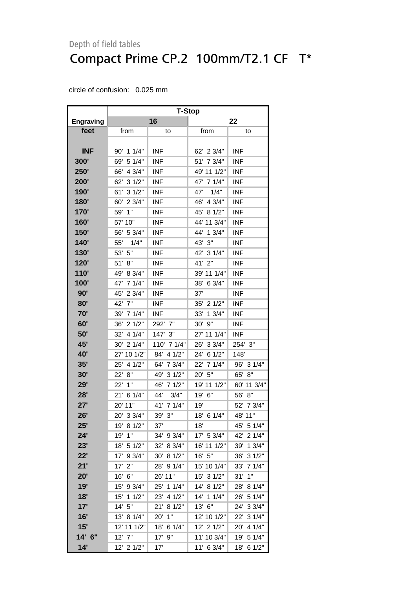|                  | <b>T-Stop</b> |               |              |                        |  |  |  |
|------------------|---------------|---------------|--------------|------------------------|--|--|--|
| <b>Engraving</b> |               | 16            |              | 22                     |  |  |  |
| feet             | from          | to            | from         | to                     |  |  |  |
|                  |               |               |              |                        |  |  |  |
| <b>INF</b>       | 90' 1 1/4"    | <b>INF</b>    | 62' 2 3/4"   | <b>INF</b>             |  |  |  |
| 300'             | 69' 5 1/4"    | <b>INF</b>    | 51' 7 3/4"   | <b>INF</b>             |  |  |  |
| <b>250'</b>      | 66' 4 3/4"    | <b>INF</b>    | 49' 11 1/2"  | <b>INF</b>             |  |  |  |
| 200'             | 62' 3 1/2"    | <b>INF</b>    | 47' 7 1/4"   | <b>INF</b>             |  |  |  |
| 190'             | 61' 3 1/2"    | <b>INF</b>    | 1/4"<br>47'  | <b>INF</b>             |  |  |  |
| 180'             | 60' 2 3/4"    | <b>INF</b>    | 46' 4 3/4"   | <b>INF</b>             |  |  |  |
| 170'             | 1"<br>59'     | <b>INF</b>    | 45' 8 1/2"   | <b>INF</b>             |  |  |  |
| 160'             | 57' 10"       | <b>INF</b>    | 44' 11 3/4"  | <b>INF</b>             |  |  |  |
| <b>150'</b>      | 56' 5 3/4"    | <b>INF</b>    | 44' 1 3/4"   | <b>INF</b>             |  |  |  |
| 140'             | 55'<br>1/4"   | <b>INF</b>    | 43' 3"       | <b>INF</b>             |  |  |  |
| <b>130'</b>      | 53'<br>5"     | <b>INF</b>    | 42' 3 1/4"   | <b>INF</b>             |  |  |  |
| 120'             | 51'<br>8"     | <b>INF</b>    | 41' 2"       | <b>INF</b>             |  |  |  |
| 110'             | 49' 8 3/4"    | <b>INF</b>    | 39' 11 1/4"  | <b>INF</b>             |  |  |  |
| 100'             | 47' 7 1/4"    | <b>INF</b>    | 38' 6 3/4"   | <b>INF</b>             |  |  |  |
| 90'              | 45' 2 3/4"    | <b>INF</b>    | 37'          | <b>INF</b>             |  |  |  |
| 80'              | 42' 7"        | <b>INF</b>    | 35' 2 1/2"   | <b>INF</b>             |  |  |  |
| 70'              | 39' 7 1/4"    | <b>INF</b>    | 33'<br>13/4" | <b>INF</b>             |  |  |  |
| 60'              | 36'<br>21/2"  | 292' 7"       | $9"$<br>30'  | <b>INF</b>             |  |  |  |
| 50'              | 4 1/4"<br>32' | 147' 3"       | 27' 11 1/4"  | <b>INF</b>             |  |  |  |
| 45'              | 30' 2 1/4"    | 110' 7 1/4"   | 26' 3 3/4"   | 254' 3"                |  |  |  |
| <b>40'</b>       | 27' 10 1/2"   | 84'<br>41/2"  | 24' 6 1/2"   | 148'                   |  |  |  |
| 35'              | 25' 4 1/2"    | 64' 7 3/4"    | 22' 7 1/4"   | 96' 3 1/4"             |  |  |  |
| 30'              | 22' 8"        | 49'<br>31/2"  | 20' 5"       | 65'<br>8"              |  |  |  |
| 29'              | 22'<br>1"     | 46'<br>71/2"  | 19' 11 1/2"  | 60' 11 3/4"            |  |  |  |
| 28'              | 21' 6 1/4"    | 44'<br>3/4"   | 19' 6"       | 56' 8"                 |  |  |  |
| 27'              | 20' 11"       | 41'<br>7 1/4" | 19'          | 52' 7 3/4"             |  |  |  |
| 26'              | 20' 3 3/4"    | 39'<br>3"     | 18' 6 1/4"   | 48' 11"                |  |  |  |
| 25'              | 19' 8 1/2"    | 37'           | 18'          | 45' 5 1/4"             |  |  |  |
| 24'              | 19'<br>1"     | 34' 9 3/4"    | 17' 5 3/4"   | 42'<br>21/4"           |  |  |  |
| 23'              | 5 1/2"<br>18' | 32'<br>8 3/4" | 16' 11 1/2"  | 39'<br>13/4"           |  |  |  |
| 22'              | 9 3/4"<br>17' | 30'<br>81/2"  | 16' 5"       | 36'<br>31/2"           |  |  |  |
| 21'              | 2"<br>17'     | 28' 9 1/4"    | 15' 10 1/4"  | 33'<br>71/4"           |  |  |  |
| 20'              | 6"<br>16'     | 26' 11"       | 15' 3 1/2"   | 31'<br>1"              |  |  |  |
| 19'              | 9 3/4"<br>15' | 25' 1 1/4"    | 14' 8 1/2"   | 28'<br>8 1/4"          |  |  |  |
| 18'              | 11/2"<br>15'  | 23'<br>4 1/2" | 14' 1 1/4"   | 26'<br>51/4"           |  |  |  |
| 17'              | 14' 5"        | 21'<br>81/2"  | 13' 6"       | 24'<br>33/4"           |  |  |  |
| 16'              | 13' 8 1/4"    | 20'<br>1"     | 12' 10 1/2"  | 22'<br>31/4"           |  |  |  |
| 15'              | 12' 11 1/2"   | 18'<br>6 1/4" | 12' 2 1/2"   | $20^{\circ}$<br>4 1/4" |  |  |  |
| 14' 6"           | 12' 7"        | 17'<br>9"     | 11' 10 3/4"  | 19' 5 1/4"             |  |  |  |
| 14'              | 12' 2 1/2"    | 17'           | 11' 6 3/4"   | 18'<br>61/2"           |  |  |  |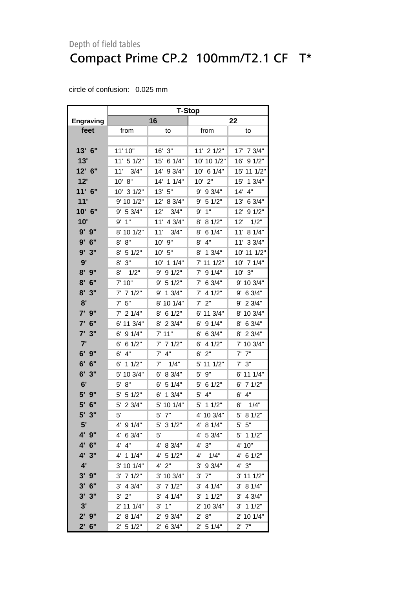|                  | <b>T-Stop</b> |               |                |               |  |  |
|------------------|---------------|---------------|----------------|---------------|--|--|
| <b>Engraving</b> |               | 16            |                | 22            |  |  |
| feet             | from          | to            | from           | to            |  |  |
|                  |               |               |                |               |  |  |
| 13' 6"           | 11' 10"       | 3"<br>16'     | 11' 2 1/2"     | 17' 7 3/4"    |  |  |
| 13'              | 11' 5 1/2"    | 15'<br>6 1/4" | 10' 10 1/2"    | 16'<br>91/2"  |  |  |
| 12' 6"           | 11'<br>3/4"   | 14' 9 3/4"    | 10' 6 1/4"     | 15' 11 1/2"   |  |  |
| 12'              | 10' 8"        | 14'<br>11/4"  | 10' 2"         | 15'<br>13/4"  |  |  |
| $11'$ 6"         | 10' 3 1/2"    | 13'<br>5"     | 9 3/4"<br>9'   | 14'<br>4"     |  |  |
| 11'              | 9' 10 1/2"    | 12'<br>8 3/4" | 5 1/2"<br>9'   | 13'<br>6 3/4" |  |  |
| 10' 6"           | 5 3/4"<br>9'  | 12'<br>3/4"   | 1"<br>9'       | 12'<br>91/2"  |  |  |
| 10'              | 1"<br>9'      | 11' 4 3/4"    | 8 1/2"<br>8'   | 12'<br>1/2"   |  |  |
| 9' 9"            | 8' 10 1/2"    | 11'<br>3/4"   | 6 1/4"<br>8'   | 11'<br>8 1/4" |  |  |
| 9'<br>6"         | 8"<br>8'      | 10' 9"        | 4"<br>8'       | 11' 3 3/4"    |  |  |
| 3"<br>9'         | 8'<br>5 1/2"  | 10' 5"        | 8' 1 3/4"      | 10' 11 1/2"   |  |  |
| 9'               | $8'$ $3''$    | 10' 1 1/4"    | 7' 11 1/2"     | 10' 7 1/4"    |  |  |
| $8'$ $9''$       | 8'<br>1/2"    | 9' 9 1/2"     | 91/4"<br>7'    | $10'$ $3"$    |  |  |
| 8'<br>6"         | 7' 10"        | 5 1/2"<br>9'  | 6 3/4"<br>7'   | 9' 10 3/4"    |  |  |
| 8'<br>3"         | 71/2"<br>7'   | 9' 1 3/4"     | 4 1/2"<br>7'   | 9' 6 3/4"     |  |  |
| 8'               | 5"<br>7'      | 8' 10 1/4"    | 2"<br>7'       | $9'$ 2 3/4"   |  |  |
| 7' 9"            | $7'$ 2 1/4"   | 8' 6 1/2"     | 6' 11 3/4"     | 8' 10 3/4"    |  |  |
| 7' 6"            | 6' 11 3/4"    | 8' 2 3/4"     | 9 1/4"<br>6' . | 8' 6 3/4"     |  |  |
| 3"<br>7'         | 91/4"<br>6'   | $7'$ 11"      | 6 3/4"<br>6'   | 8' 2 3/4"     |  |  |
| 7'               | 6'<br>61/2"   | 7' 7 1/2"     | 4 1/2"<br>6'   | 7' 10 3/4"    |  |  |
| $6'$ $9''$       | 4"<br>6'      | 4"<br>7'      | 2"<br>6'       | 7"<br>7'      |  |  |
| 6'<br>6"         | 11/2"<br>6'   | 7'<br>1/4"    | 5' 11 1/2"     | $7'$ 3"       |  |  |
| 6'<br>3"         | 10 3/4"<br>5' | 8 3/4"<br>6'  | 9"<br>5'       | 6' 11 1/4"    |  |  |
| 6'               | 8"<br>5'      | 51/4"<br>6'   | 6 1/2"<br>5'   | $6'$ 7 $1/2"$ |  |  |
| 5' 9"            | 51/2"<br>5'   | 13/4"<br>6'   | 4"<br>5'       | 6'<br>4"      |  |  |
| 5'<br>6"         | 2 3/4"<br>5'  | 5' 10 1/4"    | 5'<br>11/2"    | 6'<br>1/4"    |  |  |
| 5'<br>3"         | 5'            | 5'<br>7"      | 4' 10 3/4"     | 5' 8 1/2"     |  |  |
| 5'               | 4' 9 1/4"     | 5' 3 1/2"     | 4' 8 1/4"      | $5'$ $5"$     |  |  |
| 4' 9"            | 4' 6 3/4"     | 5'            | 4' 5 3/4"      | 5' 1 1/2"     |  |  |
| 4' 6"            | $4'$ $4"$     | 4' 8 3/4"     | $4'$ $3"$      | 4' 10"        |  |  |
| 4' 3"            | $4'$ 1 1/4"   | $4'$ 5 $1/2"$ | 4'<br>1/4"     | $4'$ 6 1/2"   |  |  |
| 4'               | 3' 10 1/4"    | $4'$ 2"       | 9 3/4"<br>3'   | 4' 3''        |  |  |
| $3'$ $9''$       | 71/2"<br>3'   | 3' 10 3/4"    | 7"<br>3'       | 3' 11 1/2"    |  |  |
| $3'$ 6"          | $3'$ 4 $3/4"$ | $3'$ 7 $1/2"$ | $3'$ 4 1/4"    | 3' 8 1/4"     |  |  |
| $3'$ $3''$       | $3'$ $2"$     | 3' 4 1/4"     | $3'$ 1 1/2"    | $3'$ 4 $3/4"$ |  |  |
| 3'               | $2'$ 11 1/4"  | $3'$ $1''$    | 2' 10 3/4"     | $3'$ 1 1/2"   |  |  |
| $2'$ $9''$       | 2' 8 1/4"     | 2' 9 3/4"     | 2' 8''         | 2' 10 1/4"    |  |  |
| $2'$ 6"          | 2' 5 1/2"     | 2' 6 3/4"     | 2' 5 1/4"      | $2'$ 7"       |  |  |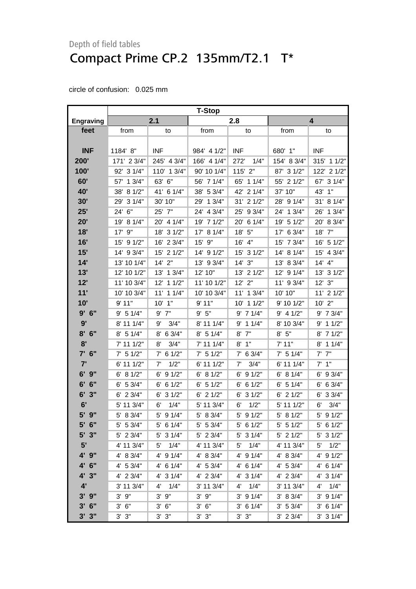|                  | <b>T-Stop</b> |                |               |                      |               |                |  |
|------------------|---------------|----------------|---------------|----------------------|---------------|----------------|--|
| <b>Engraving</b> |               | 2.1            |               | 2.8                  |               | 4              |  |
| feet             | from          | to             | from          | to                   | from          | to             |  |
|                  |               |                |               |                      |               |                |  |
| <b>INF</b>       | 1184' 8"      | <b>INF</b>     | 984' 4 1/2"   | <b>INF</b>           | 680' 1"       | <b>INF</b>     |  |
| 200'             | 171' 2 3/4"   | 245' 4 3/4"    | 166' 4 1/4"   | 272'<br>1/4"         | 154' 8 3/4"   | 315' 1 1/2"    |  |
| 100'             | 92' 3 1/4"    | 110' 1 3/4"    | 90' 10 1/4"   | $115'$ $2"$          | 87' 3 1/2"    | 122' 2 1/2"    |  |
| 60'              | 13/4"<br>57'  | 63' 6"         | 56' 7 1/4"    | 65' 1 1/4"           | 55' 2 1/2"    | 67' 3 1/4"     |  |
| 40'              | 81/2"<br>38'  | 41' 6 1/4"     | 38' 5 3/4"    | 42' 2 1/4"           | 37' 10"       | 43'<br>1"      |  |
| 30'              | 31/4"<br>29'  | 30' 10"        | 13/4"<br>29'  | 31' 2 1/2"           | 28' 9 1/4"    | 31' 8 1/4"     |  |
| 25'              | 24' 6"        | 25' 7"         | 24' 4 3/4"    | 25' 9 3/4"           | 24' 1 3/4"    | 13/4"<br>26'   |  |
| 20'              | 19' 8 1/4"    | 20' 4 1/4"     | 19' 7 1/2"    | 20' 6 1/4"           | 19' 5 1/2"    | 20' 8 3/4"     |  |
| 18'              | 9"<br>17'     | 18' 3 1/2"     | 8 1/4"<br>17' | 18' 5"               | 17' 6 3/4"    | 18' 7"         |  |
| 16'              | 15' 9 1/2"    | 16' 2 3/4"     | 15'<br>9"     | 16' 4"               | 15' 7 3/4"    | 16' 5 1/2"     |  |
| 15'              | 14' 9 3/4"    | 15' 2 1/2"     | 14' 9 1/2"    | 15' 3 1/2"           | 14' 8 1/4"    | 15' 4 3/4"     |  |
| 14'              | 13' 10 1/4"   | 14' 2"         | 13' 9 3/4"    | 14'3''               | 13' 8 3/4"    | 14' 4"         |  |
| 13'              | 12' 10 1/2"   | 13' 1 3/4"     | 12' 10"       | 13' 2 1/2"           | 12' 9 1/4"    | 31/2"<br>13'   |  |
| 12'              | 11' 10 3/4"   | 12' 1 1/2"     | 11' 10 1/2"   | $12'$ $2"$           | 11' 9 3/4"    | 3"<br>12'      |  |
| 11'              | 10' 10 3/4"   | $11'$ 1 $1/4"$ | 10' 10 3/4"   | 11' 1 3/4"           | 10' 10"       | $11'$ 2 $1/2"$ |  |
| 10'              | 9'11"         | $10'$ $1"$     | 9'11"         | 10' 1 1/2"           | 9' 10 1/2"    | $10'$ 2"       |  |
| 9'6''            | 9' 5 1/4"     | $9'$ $7"$      | 9' 5''        | $9'$ 7 1/4"          | $9'$ 4 1/2"   | 9' 7 3/4"      |  |
| 9'               | 8' 11 1/4"    | 3/4"<br>9'     | 8' 11 1/4"    | $9'$ 1 1/4"          | 8' 10 3/4"    | 11/2"<br>9'    |  |
| 8'<br>6"         | $8'$ 5 1/4"   | 6 3/4"<br>8'   | $8'$ 5 1/4"   | $8'$ $7''$           | 8' 5''        | 8' 7 1/2"      |  |
| 8'               | 7' 11 1/2"    | 3/4"<br>8'     | 7' 11 1/4"    | 1"<br>8'             | 7' 11"        | 11/4"<br>8'    |  |
| $7'$ 6"          | $7'$ 5 1/2"   | $7'$ 6 1/2"    | $7'$ 5 1/2"   | $7'$ 6 3/4"          | $7'$ 5 1/4"   | $7'$ $7''$     |  |
| 7'               | 6' 11 1/2"    | 1/2"<br>7'     | 6' 11 1/2"    | 7'<br>3/4"           | 6' 11 1/4"    | $7'$ 1"        |  |
| $6'$ $9''$       | 6' 8 1/2"     | 91/2"<br>6'    | 6' 8 1/2"     | 91/2"<br>6'          | 6' 8 1/4"     | 9 3/4"<br>6'   |  |
| 6"<br>6'         | $6'$ 5 3/4"   | 61/2"<br>6'    | $6'$ 5 1/2"   | $6'$ 6 1/2"          | 5 1/4"<br>6'  | $6'$ 6 3/4"    |  |
| 6'<br>3"         | $6'$ 2 3/4"   | 31/2"<br>6'    | $6'$ 2 $1/2"$ | $6'$ 3 $1/2"$        | 21/2"<br>6'   | 33/4"<br>6'    |  |
| 6'               | 5' 11 3/4"    | 1/4"<br>6'     | 5' 11 3/4"    | 1/2"<br>6'           | 5' 11 1/2"    | 3/4"<br>6'     |  |
| 5' 9"            | 8 3/4"<br>5'  | 5' 9 1/4"      | 5' 8 3/4"     | $5'$ 9 $1/2"$        | 5' 8 1/2"     | 5' 9 1/2"      |  |
| $5'$ 6"          | $5'$ 5 3/4"   | $5'$ 6 1/4"    | $5'$ 5 3/4"   | $5'$ 6 1/2"          | $5'$ 5 1/2"   | $5'$ 6 1/2"    |  |
| $5'$ 3"          | 5' 2 3/4"     | $5'$ 3 1/4"    | 5' 2 3/4"     | $5'$ 3 $1/4"$        | $5'$ 2 $1/2"$ | $5'$ 3 $1/2"$  |  |
| 5'               | 4' 11 3/4"    | 1/4"<br>5'     | 4' 11 3/4"    | 1/4"<br>5'           | 4' 11 3/4"    | 5'<br>1/2"     |  |
| 4' 9"            | 4' 8 3/4"     | $4'$ 9 $1/4"$  | 4' 8 3/4"     | 4' 9 1/4"            | 4' 8 3/4"     | $4'$ 9 $1/2"$  |  |
| 4' 6"            | 4' 5 3/4"     | 4' 6 1/4"      | 4' 5 3/4"     | $4'$ 6 1/4"          | 4' 53/4"      | 4' 6 1/4"      |  |
| 4' 3"            | 4' 2 3/4"     | 4' 3 1/4"      | 4' 2 3/4"     | 4' 3 1/4"            | $4'$ 2 3/4"   | 4' 3 1/4"      |  |
| 4'               | 3' 11 3/4"    | 4'<br>1/4"     | 3' 11 3/4"    | 1/4"<br>$4^{\prime}$ | 3' 11 3/4"    | 4'<br>1/4"     |  |
| $3'$ $9''$       | $3'$ $9''$    | $3'$ $9''$     | $3'$ $9''$    | $3'$ 9 $1/4"$        | 3' 8 3/4"     | $3'$ 9 $1/4"$  |  |
| $3'$ 6"          | $3'$ $6''$    | $3'$ $6''$     | 3' 6''        | $3'$ 6 1/4"          | 3' 5 3/4"     | $3'$ 6 1/4"    |  |
| 3'3''            | 3' 3''        | $3'$ $3"$      | $3'$ $3"$     | $3'$ $3''$           | $3'$ 2 $3/4"$ | $3'$ 3 $1/4"$  |  |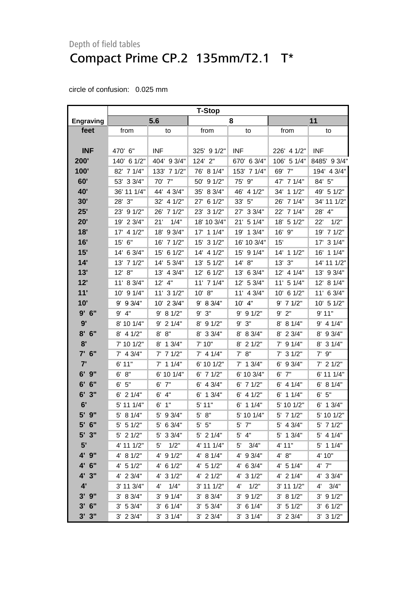|                  | <b>T-Stop</b> |               |                |               |               |               |  |
|------------------|---------------|---------------|----------------|---------------|---------------|---------------|--|
| <b>Engraving</b> |               | 5.6           |                | 8             |               | 11            |  |
| feet             | from          | to            | from           | to            | from          | to            |  |
|                  |               |               |                |               |               |               |  |
| <b>INF</b>       | 470' 6"       | <b>INF</b>    | 325' 9 1/2"    | <b>INF</b>    | 226' 4 1/2"   | <b>INF</b>    |  |
| 200'             | 140' 6 1/2"   | 404' 9 3/4"   | 124' 2"        | 670' 6 3/4"   | 106' 5 1/4"   | 8485' 9 3/4"  |  |
| 100'             | 82' 7 1/4"    | 133' 7 1/2"   | 76' 8 1/4"     | 153' 7 1/4"   | 69' 7"        | 194' 4 3/4"   |  |
| 60'              | 53' 3 3/4"    | 70' 7"        | 50' 9 1/2"     | 75' 9"        | 47' 7 1/4"    | 84' 5"        |  |
| 40'              | 36' 11 1/4"   | 44' 4 3/4"    | 35' 8 3/4"     | 46' 4 1/2"    | 34' 1 1/2"    | 49' 5 1/2"    |  |
| 30'              | 28' 3"        | 32' 4 1/2"    | 6 1/2"<br>27'  | 33' 5"        | 26' 7 1/4"    | 34' 11 1/2"   |  |
| 25'              | 23' 9 1/2"    | 26' 7 1/2"    | 23' 3 1/2"     | 27' 3 3/4"    | 22' 7 1/4"    | 28' 4"        |  |
| 20'              | 19' 2 3/4"    | 21'<br>1/4"   | 18' 10 3/4"    | 21' 5 1/4"    | 18' 5 1/2"    | 1/2"<br>22'   |  |
| 18'              | 17' 4 1/2"    | 18' 9 3/4"    | 17' 1 1/4"     | 19' 1 3/4"    | 16' 9"        | 19' 7 1/2"    |  |
| 16'              | 15' 6"        | 16' 7 1/2"    | 15' 3 1/2"     | 16' 10 3/4"   | 15'           | 17' 3 1/4"    |  |
| 15'              | 14' 6 3/4"    | 15' 6 1/2"    | 14' 4 1/2"     | 15' 9 1/4"    | 14' 1 1/2"    | 16' 1 1/4"    |  |
| 14'              | 13' 7 1/2"    | 14' 5 3/4"    | 13' 5 1/2"     | 14' 8"        | $13'$ $3"$    | 14' 11 1/2"   |  |
| 13'              | 12' 8"        | 13' 4 3/4"    | 12' 6 1/2"     | 13' 6 3/4"    | 12' 4 1/4"    | 13' 9 3/4"    |  |
| 12'              | 11' 8 3/4"    | $12'$ 4"      | 11' 7 1/4"     | 12' 5 3/4"    | 11' 5 1/4"    | 12' 8 1/4"    |  |
| 11'              | 10' 9 1/4"    | 11' 3 1/2"    | 10' 8"         | 11' 4 3/4"    | 10' 6 1/2"    | 11' 6 3/4"    |  |
| 10'              | 9' 9 3/4"     | 10' 2 3/4"    | 9' 8 3/4"      | $10'$ 4"      | $9'$ 7 1/2"   | 10' 5 1/2"    |  |
| 9'6''            | $9'$ $4"$     | 9' 8 1/2"     | 9' 3''         | $9'$ 9 1/2"   | $9'$ $2"$     | 9'11"         |  |
| 9'               | 8' 10 1/4"    | $9'$ 2 1/4"   | 8' 9 1/2"      | 3"<br>9'      | 8' 8 1/4"     | $9'$ 4 1/4"   |  |
| $8'$ 6"          | 8' 4 1/2"     | 8' 8''        | 8' 3 3/4"      | 8' 8 3/4"     | 8' 2 3/4"     | 8' 9 3/4"     |  |
| 8'               | 7' 10 1/2"    | 8' 1 3/4"     | 7' 10"         | 8' 2 1/2"     | $7'$ 9 1/4"   | 8' 3 1/4"     |  |
| $7'$ 6"          | $7'$ 4 3/4"   | $7'$ 7 1/2"   | $7'$ 4 1/4"    | 7' 8''        | $7'$ 3 1/2"   | $7'$ $9''$    |  |
| 7'               | 6' 11"        | $7'$ 1 1/4"   | 6' 10 1/2"     | $7'$ 1 $3/4"$ | 9 3/4"<br>6'  | $7'$ 2 1/2"   |  |
| 6' 9"            | 6' 8''        | 6' 10 1/4"    | $6'$ 7 $1/2"$  | 6' 10 3/4"    | $6'$ $7''$    | 6' 11 1/4"    |  |
| 6'<br>6"         | 6' 5''        | $6'$ $7''$    | $6'$ 4 3/4"    | $6'$ 7 1/2"   | $6'$ 4 1/4"   | 6' 8 1/4"     |  |
| 6'<br>3"         | $6'$ 2 $1/4"$ | 4"<br>6'      | $6'$ 1 $3/4"$  | $6'$ 4 $1/2"$ | $6'$ 1 1/4"   | 6' 5''        |  |
| 6'               | 5' 11 1/4"    | $6'$ 1"       | 5' 11"         | $6'$ 1 1/4"   | 5' 10 1/2"    | $6'$ 1 3/4"   |  |
| 5' 9"            | 5' 8 1/4"     | 5' 9 3/4"     | 5' 8''         | 5' 10 1/4"    | $5'$ 7 1/2"   | 5' 10 1/2"    |  |
| $5'$ 6"          | 5' 5 1/2"     | $5'$ 6 3/4"   | $5'$ $5''$     | 5' 7"         | 5' 4 3/4"     | 5' 7 1/2"     |  |
| $5'$ 3"          | $5'$ 2 1/2"   | 5' 3 3/4"     | $5'$ 2 1/4"    | $5'$ 4"       | 5' 1 3/4"     | $5'$ 4 1/4"   |  |
| 5'               | 4' 11 1/2"    | 1/2"<br>5'    | 4' 11 1/4"     | 5'<br>3/4"    | 4' 11"        | $5'$ 1 1/4"   |  |
| 4' 9"            | 4' 8 1/2"     | 4' 9 1/2"     | 4' 8 1/4"      | 4' 9 3/4"     | 4' 8''        | 4' 10"        |  |
| 4' 6"            | $4'$ 5 1/2"   | 4' 6 1/2"     | $4'$ 5 1/2"    | $4'$ 6 3/4"   | $4'$ 5 1/4"   | $4'$ $7"$     |  |
| 4' 3"            | 4' 2 3/4"     | 4' 3 1/2"     | $4'$ 2 $1/2"$  | 4' 3 1/2"     | $4'$ 2 $1/4"$ | 4' 3 3/4"     |  |
| 4'               | 3' 11 3/4"    | 1/4"<br>4'    | $3'$ 11 $1/2"$ | 1/2"<br>4'    | 3' 11 1/2"    | 4'<br>3/4"    |  |
| $3'$ $9''$       | 3' 8 3/4"     | $3'$ 9 $1/4"$ | 3' 8 3/4"      | $3'$ 9 $1/2"$ | 3' 8 1/2"     | $3'$ 9 $1/2"$ |  |
| $3'$ 6"          | 3' 5 3/4"     | $3'$ 6 1/4"   | $3'$ 5 $3/4"$  | $3'$ 6 1/4"   | $3'$ 5 1/2"   | $3'$ 6 $1/2"$ |  |
| $3'$ $3''$       | $3'$ 2 $3/4"$ | $3'$ 3 $1/4"$ | $3'$ 2 $3/4"$  | $3'$ 3 $1/4"$ | $3'$ 2 $3/4"$ | $3'$ 3 $1/2"$ |  |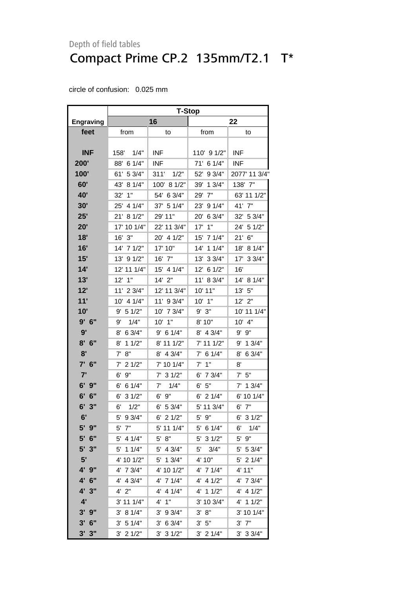|                  | <b>T-Stop</b>          |               |               |               |  |  |
|------------------|------------------------|---------------|---------------|---------------|--|--|
| <b>Engraving</b> |                        | 16            | 22            |               |  |  |
| feet             | from                   | to            | from          | to            |  |  |
|                  |                        |               |               |               |  |  |
| <b>INF</b>       | 158' 1/4"              | <b>INF</b>    | 110' 9 1/2"   | <b>INF</b>    |  |  |
| 200'             | 88' 6 1/4"             | INF           | 71' 6 1/4"    | <b>INF</b>    |  |  |
| 100'             | 61'<br>5 3/4"          | 1/2"<br>311'  | 52'<br>93/4"  | 2077' 11 3/4" |  |  |
| 60'              | 43'<br>8 1/4"          | 100' 8 1/2"   | 13/4"<br>39'  | 138' 7"       |  |  |
| <b>40'</b>       | 1"<br>32'              | 54' 6 3/4"    | 7"<br>29'     | 63' 11 1/2"   |  |  |
| 30'              | 25' 4 1/4"             | 37' 5 1/4"    | 23' 9 1/4"    | 41' 7"        |  |  |
| 25'              | 21' 8 1/2"             | 29' 11"       | 20'<br>63/4"  | 32' 5 3/4"    |  |  |
| 20'              | 17' 10 1/4"            | 22' 11 3/4"   | 1"<br>17'     | 24' 5 1/2"    |  |  |
| 18'              | 16' 3"                 | 20' 4 1/2"    | 15' 7 1/4"    | 21'<br>6"     |  |  |
| 16'              | 14' 7 1/2"             | 17' 10"       | 11/4"<br>14'  | 8 1/4"<br>18' |  |  |
| 15'              | 13' 9 1/2"             | 16' 7"        | 33/4"<br>13'  | 17' 3 3/4"    |  |  |
| 14'              | 12' 11 1/4"            | 15' 4 1/4"    | 61/2"<br>12'  | 16'           |  |  |
| 13'              | $12'$ 1"               | 14' 2"        | 11' 8 3/4"    | 14' 8 1/4"    |  |  |
| 12'              | 11' 2 3/4"             | 12' 11 3/4"   | 10' 11"       | 13' 5"        |  |  |
| 11'              | 4 1/4"<br>$10^{\circ}$ | 11' 9 3/4"    | 10' 1"        | 12' 2"        |  |  |
| 10'              | 9' 5 1/2"              | 10' 7 3/4"    | $9'$ $3"$     | 10' 11 1/4"   |  |  |
| $9'$ 6"          | 1/4"<br>9'             | 10' 1"        | 8' 10"        | 10' 4"        |  |  |
| 9'               | 8' 6 3/4"              | $9'$ 6 1/4"   | 8' 4 3/4"     | $9'$ $9"$     |  |  |
| 8'<br>6"         | 11/2"<br>8'            | 8' 11 1/2"    | 7' 11 1/2"    | 9' 1 3/4"     |  |  |
| 8'               | 7' 8''                 | 8' 4 3/4"     | $7'$ 6 1/4"   | 6 3/4"<br>8'  |  |  |
| $7'$ 6"          | $7'$ 2 1/2"            | 7' 10 1/4"    | $7'$ 1"       | 8'            |  |  |
| 7'               | 9"<br>6'               | $7'$ 3 1/2"   | 6' 7 3/4"     | $7'$ 5"       |  |  |
| 6'<br>9"         | 61/4"<br>6'            | 7'<br>1/4"    | 6' 5''        | $7'$ 1 3/4"   |  |  |
| 6'<br>6"         | 31/2"<br>6'            | 6' 9"         | $6'$ 2 1/4"   | 6' 10 1/4"    |  |  |
| 6'<br>3"         | 6'<br>1/2"             | 6' 53/4"      | 5' 11 3/4"    | 6'<br>7"      |  |  |
| 6'               | 5'<br>9 3/4"           | $6'$ 2 1/2"   | 5' 9"         | $6'$ 3 $1/2"$ |  |  |
| $5'$ $9''$       | $5'$ $7"$              | 5' 11 1/4"    | 5' 6 1/4"     | 6'<br>1/4"    |  |  |
| 5' 6"            | $5'$ 4 1/4"            | 5' 8''        | 5'<br>31/2"   | 9"<br>5'      |  |  |
| 5' 3"            | $5'$ 1 1/4"            | 5' 4 3/4"     | 5'<br>3/4"    | 5' 5 3/4"     |  |  |
| 5'               | 4' 10 1/2"             | 5' 1 3/4"     | 4' 10"        | $5'$ 2 1/4"   |  |  |
| 4' 9"            | 4' 7 3/4"              | 4' 10 1/2"    | 4' 7 1/4"     | 4' 11"        |  |  |
| 4' 6"            | $4'$ 4 $3/4"$          | 4' 7 1/4"     | $4'$ 4 $1/2"$ | $4'$ 7 $3/4"$ |  |  |
| 4'3''            | $4'$ $2"$              | $4'$ 4 1/4"   | 4' 1 1/2"     | $4'$ 4 $1/2"$ |  |  |
| 4'               | 3' 11 1/4"             | 4'<br>1"      | 3' 10 3/4"    | 4' 1 1/2"     |  |  |
| $3'$ $9''$       | 3' 8 1/4"              | $3'$ 9 $3/4"$ | 3' 8''        | $3'$ 10 1/4"  |  |  |
| $3'$ 6"          | 3' 51/4"               | $3'$ 6 $3/4"$ | $3'$ 5"       | $3'$ $7"$     |  |  |
| 3'3''            | $3'$ 2 $1/2"$          | 3' 31/2"      | $3'$ 2 $1/4"$ | $3'$ 3 $3/4"$ |  |  |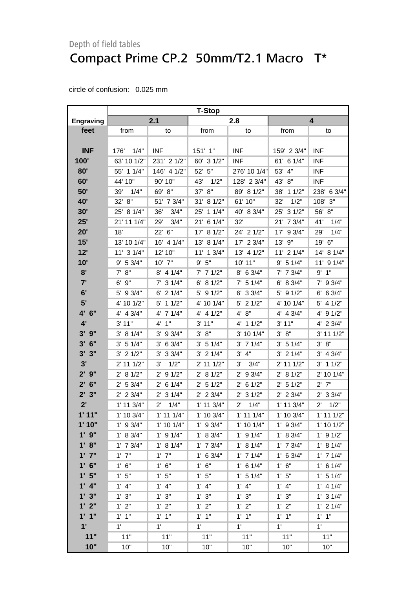|                  | <b>T-Stop</b>  |                       |               |                        |                |                      |  |
|------------------|----------------|-----------------------|---------------|------------------------|----------------|----------------------|--|
| <b>Engraving</b> |                | 2.1                   |               | 2.8                    |                | 4                    |  |
| feet             | from           | to                    | from          | to                     | from           | to                   |  |
|                  |                |                       |               |                        |                |                      |  |
| <b>INF</b>       | 176'<br>1/4"   | <b>INF</b>            | 151' 1"       | <b>INF</b>             | 159' 2 3/4"    | <b>INF</b>           |  |
| 100'             | 63' 10 1/2"    | 231' 2 1/2"           | 60' 3 1/2"    | <b>INF</b>             | 61' 6 1/4"     | <b>INF</b>           |  |
| 80'              | 55' 1 1/4"     | 146' 4 1/2"           | 52' 5"        | 276' 10 1/4"           | 53' 4"         | <b>INF</b>           |  |
| 60'              | 44' 10"        | 90' 10"               | 43'<br>1/2"   | 128' 2 3/4"            | 43' 8"         | <b>INF</b>           |  |
| 50'              | 39'<br>1/4"    | 69' 8"                | 37' 8"        | 89' 8 1/2"             | 38' 1 1/2"     | 238' 6 3/4"          |  |
| <b>40'</b>       | 32' 8"         | 51' 7 3/4"            | 31' 8 1/2"    | 61' 10"                | 32'<br>1/2"    | 108' 3"              |  |
| 30'              | 25' 8 1/4"     | 36'<br>3/4"           | 11/4"<br>25'  | 40' 8 3/4"             | 25' 3 1/2"     | 56' 8"               |  |
| 25'              | 21' 11 1/4"    | 29'<br>3/4"           | 6 1/4"<br>21' | 32'                    | 21' 7 3/4"     | 41'<br>1/4"          |  |
| 20'              | 18'            | 22' 6"                | 17' 8 1/2"    | 24' 2 1/2"             | 17' 9 3/4"     | 1/4"<br>29'          |  |
| 15'              | 13' 10 1/4"    | 16' 4 1/4"            | 13' 8 1/4"    | 17' 2 3/4"             | 13' 9"         | 19' 6"               |  |
| 12'              | 11' 3 1/4"     | 12' 10"               | 11' 1 3/4"    | 13' 4 1/2"             | $11'$ 2 $1/4"$ | 14' 8 1/4"           |  |
| 10'              | 9' 5 3/4"      | 10' 7"                | 9' 5''        | 10' 11"                | 9' 5 1/4"      | 11' 9 1/4"           |  |
| 8'               | 7' 8''         | $8'$ 4 1/4"           | $7'$ 7 1/2"   | $8'$ 6 3/4"            | $7'$ 7 $3/4"$  | 9'1"                 |  |
| 7'               | $6'$ $9''$     | $7'$ 3 1/4"           | 6' 8 1/2"     | 7' 5 1/4"              | 6' 8 3/4"      | 7' 9 3/4"            |  |
| 6'               | 5' 9 3/4"      | $6'$ 2 1/4"           | 5' 9 1/2"     | $6'$ 3 3/4"            | 5' 9 1/2"      | 6' 6 3/4"            |  |
| 5'               | 4' 10 1/2"     | $5'$ 1 1/2"           | 4' 10 1/4"    | $5'$ 2 1/2"            | 4' 10 1/4"     | $5'$ 4 $1/2"$        |  |
| 4' 6"            | $4'$ 4 $3/4"$  | 4' 7 1/4"             | 4' 4 1/2"     | 4' 8"                  | 4' 4 3/4"      | 4' 9 1/2"            |  |
| 4'               | 3' 11"         | 4' 1''                | 3' 11"        | 4' 1 1/2"              | 3' 11"         | 4' 2 3/4"            |  |
| $3'$ $9''$       | 3' 8 1/4"      | $3'$ 9 $3/4"$         | 3' 8''        | 3' 10 1/4"             | 3' 8''         | 3' 11 1/2"           |  |
| $3'$ 6"          | 3' 51/4"       | $3'$ 6 $3/4"$         | 3' 5 1/4"     | $3'$ 7 1/4"            | 3' 5 1/4"      | 3' 8''               |  |
| 3'<br>3"         | $3'$ 2 $1/2"$  | $3'$ 3 $3/4"$         | $3'$ 2 1/4"   | 3' 4''                 | $3'$ 2 $1/4"$  | $3'$ 4 $3/4"$        |  |
| 3'               | 2' 11 1/2"     | 1/2"<br>3'            | 2' 11 1/2"    | 3'<br>3/4"             | 2' 11 1/2"     | $3'$ 1 1/2"          |  |
| $2'$ $9''$       | 2' 8 1/2"      | 91/2"<br>$2^{\prime}$ | 2' 8 1/2"     | 9 3/4"<br>$2^{\prime}$ | 2' 8 1/2"      | 2' 10 1/4"           |  |
| $2'$ 6"          | 2' 53/4"       | $2'$ 6 1/4"           | $2'$ 5 1/2"   | $2'$ 6 1/2"            | $2'$ 5 1/2"    | $2'$ $7"$            |  |
| 2'3''            | $2'$ 2 3/4"    | $2'$ 3 1/4"           | $2'$ 2 3/4"   | $2'$ 3 1/2"            | $2'$ 2 3/4"    | $2'$ 3 3/4"          |  |
| 2'               | $1'$ 11 $3/4"$ | 1/4"<br>$2^{\prime}$  | 1' 11 3/4"    | $2^{\prime}$<br>1/4"   | 1' 11 3/4"     | 1/2"<br>$2^{\prime}$ |  |
| 1'11"            | 1' 10 3/4"     | $1'$ 11 $1/4"$        | 1' 10 3/4"    | $1'$ 11 $1/4"$         | 1' 10 3/4"     | $1'$ 11 $1/2"$       |  |
| 1'10"            | $1'$ 9 3/4"    | 1' 10 1/4"            | $1'$ 9 3/4"   | $1'$ 10 $1/4"$         | $1'$ 9 3/4"    | 1' 10 1/2"           |  |
| $1'$ $9"$        | 1' 8 3/4"      | $1'$ 9 $1/4"$         | 1' 8 3/4"     | $1'$ 9 $1/4"$          | 1' 8 3/4"      | $1'$ 9 $1/2"$        |  |
| 1' 8''           | $1'$ 7 $3/4"$  | 1' 8 1/4"             | $1'$ 7 $3/4"$ | 1' 8 1/4"              | $1'$ 7 $3/4"$  | 1' 8 1/4"            |  |
| $1'$ $7''$       | $1'$ $7''$     | $1'$ $7"$             | $1'$ 6 3/4"   | $1'$ 7 $1/4"$          | $1'$ 6 3/4"    | $1'$ 7 $1/4"$        |  |
| $1'$ 6"          | 1' 6''         | 1' 6''                | $1'$ 6"       | $1'$ 6 $1/4"$          | 1' 6''         | $1'$ 6 $1/4"$        |  |
| 1'5"             | 1'5''          | 1'5''                 | 1'5"          | $1'$ 5 $1/4"$          | 1'5"           | $1'$ 5 $1/4"$        |  |
| $1'$ 4"          | $1'$ 4"        | $1'$ 4"               | $1'$ 4"       | $1'$ $4"$              | $1'$ 4"        | $1'$ 4 $1/4"$        |  |
| 1'3''            | 1'3''          | 1' 3''                | 1' 3''        | 1'3''                  | 1' 3''         | $1'$ 3 $1/4"$        |  |
| 1'2"             | 1'2"           | 1'2"                  | 1'2"          | 1'2"                   | 1' 2"          | $1'$ 2 $1/4"$        |  |
| 1'1''            | $1'$ $1''$     | $1'$ $1''$            | $1'$ $1"$     | $1'$ $1"$              | $1'$ $1"$      | $1'$ $1''$           |  |
| 1'               | 1'             | 1'                    | $1^{\circ}$   | 1'                     | 1'             | $1^{\prime}$         |  |
| 11"              | 11"            | 11"                   | 11"           | 11"                    | 11"            | 11"                  |  |
| 10"              | 10"            | 10"                   | 10"           | 10"                    | 10"            | 10"                  |  |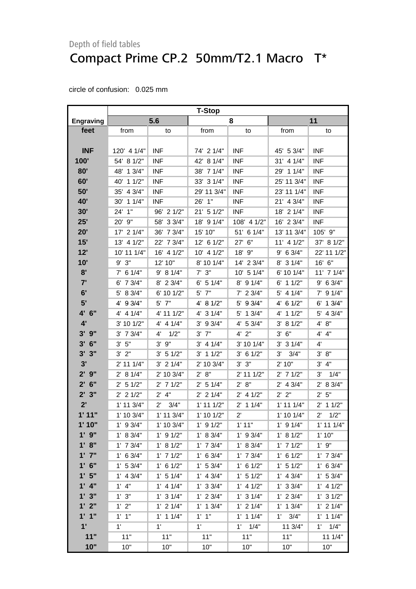|                           | <b>T-Stop</b>  |                      |                |               |                |                    |
|---------------------------|----------------|----------------------|----------------|---------------|----------------|--------------------|
| <b>Engraving</b>          |                | 5.6                  |                | 8             | 11             |                    |
| feet                      | from           | to                   | from           | to            | from           | to                 |
|                           |                |                      |                |               |                |                    |
| <b>INF</b>                | 120' 4 1/4"    | <b>INF</b>           | 74' 2 1/4"     | <b>INF</b>    | 45' 5 3/4"     | <b>INF</b>         |
| 100'                      | 54' 8 1/2"     | <b>INF</b>           | 42' 8 1/4"     | <b>INF</b>    | $31'$ 4 $1/4"$ | <b>INF</b>         |
| 80'                       | 48' 1 3/4"     | <b>INF</b>           | 38' 7 1/4"     | <b>INF</b>    | 29' 1 1/4"     | <b>INF</b>         |
| 60'                       | 40' 1 1/2"     | <b>INF</b>           | 33' 3 1/4"     | <b>INF</b>    | 25' 11 3/4"    | <b>INF</b>         |
| 50'                       | 35' 4 3/4"     | <b>INF</b>           | 29' 11 3/4"    | <b>INF</b>    | 23' 11 1/4"    | <b>INF</b>         |
| 40'                       | 30' 1 1/4"     | <b>INF</b>           | 26' 1"         | <b>INF</b>    | 21' 4 3/4"     | <b>INF</b>         |
| 30'                       | 24' 1"         | 96' 2 1/2"           | 21' 5 1/2"     | <b>INF</b>    | 18' 2 1/4"     | <b>INF</b>         |
| 25'                       | 20' 9"         | 58' 3 3/4"           | 18' 9 1/4"     | 108' 4 1/2"   | 16' 2 3/4"     | <b>INF</b>         |
| 20'                       | $17'$ 2 $1/4"$ | 36' 7 3/4"           | 15' 10"        | 51' 6 1/4"    | 13' 11 3/4"    | 105' 9"            |
| 15'                       | 13' 4 1/2"     | 22' 7 3/4"           | 12' 6 1/2"     | 27' 6"        | $11'$ 4 $1/2"$ | 37' 8 1/2"         |
| 12'                       | 10' 11 1/4"    | 16' 4 1/2"           | 10' 4 1/2"     | 18' 9"        | $9'$ 6 3/4"    | 22' 11 1/2"        |
| 10'                       | 9' 3''         | 12' 10"              | 8' 10 1/4"     | 14' 2 3/4"    | $8'$ 3 1/4"    | 16' 6"             |
| 8'                        | $7'$ 6 1/4"    | 9' 8 1/4"            | $7'$ $3''$     | 10' 5 1/4"    | 6' 10 1/4"     | 11' 7 1/4"         |
| 7'                        | $6'$ 7 $3/4"$  | $8'$ 2 3/4"          | $6'$ 5 1/4"    | $8'$ 9 1/4"   | $6'$ 1 1/2"    | 9' 6 3/4"          |
| 6'                        | 5' 8 3/4"      | 6' 10 1/2"           | $5'$ $7"$      | $7'$ 2 3/4"   | $5'$ 4 1/4"    | $7'$ 9 $1/4"$      |
| 5'                        | 4' 9 3/4"      | 5' 7"                | 4' 8 1/2"      | $5'$ 9 3/4"   | 4' 6 1/2"      | $6'$ 1 $3/4"$      |
| 4' 6"                     | $4'$ 4 $1/4"$  | 4' 11 1/2"           | 4' 3 1/4"      | 5' 1 3/4"     | 4' 1 1/2"      | 5' 4 3/4"          |
| 4'                        | 3' 10 1/2"     | $4'$ 4 $1/4"$        | $3'$ 9 $3/4"$  | $4'$ 5 3/4"   | 3' 8 1/2"      | 4' 8''             |
| $3'$ $9''$                | $3'$ 7 $3/4"$  | 1/2"<br>$4^{\prime}$ | $3'$ $7"$      | $4'$ $2"$     | 3' 6''         | 4' 4"              |
| $3'$ 6"                   | 3' 5''         | $3'$ $9''$           | $3'$ 4 1/4"    | 3' 10 1/4"    | $3'$ 3 $1/4"$  | 4'                 |
| 3'3''                     | $3'$ $2"$      | 3' 51/2"             | $3'$ 1 1/2"    | $3'$ 6 1/2"   | 3'<br>3/4"     | 8"<br>$3^{\prime}$ |
| 3'                        | 2' 11 1/4"     | $3'$ 2 $1/4"$        | 2' 10 3/4"     | 3' 3''        | 2' 10"         | 4"<br>3'           |
| $2'$ $9''$                | 2' 8 1/4"      | 2' 10 3/4"           | 2' 8''         | 2' 11 1/2"    | $2'$ 7 1/2"    | 1/4"<br>3'         |
| $2'$ 6"                   | $2'$ 5 1/2"    | $2'$ 7 1/2"          | $2'$ 5 1/4"    | 2' 8''        | $2'$ 4 $3/4"$  | 2' 8 3/4"          |
| 2'3''                     | $2'$ 2 1/2"    | $2'$ 4"              | $2'$ 2 1/4"    | $2'$ 4 1/2"   | 2' 2''         | 2' 5''             |
| 2'                        | $1'$ 11 $3/4"$ | $2^{\prime}$<br>3/4" | $1'$ 11 $1/2"$ | $2'$ 1 1/4"   | $1'$ 11 $1/4"$ | $2'$ 1 1/2"        |
| 1'11"                     | 1' 10 3/4"     | $1'$ 11 $3/4"$       | $1'$ 10 $1/2"$ | $2^{\prime}$  | 1' 10 1/4"     | 2'<br>1/2"         |
| 1'10"                     | $1'$ 9 3/4"    | 1' 10 3/4"           | $1'$ 9 $1/2"$  | 1'11"         | $1'$ 9 $1/4"$  | $1'$ 11 $1/4"$     |
| $1'$ $9"$                 | 1' 8 3/4"      | $1'$ 9 $1/2"$        | 1' 8 3/4"      | $1'$ 9 $3/4"$ | 1' 8 1/2"      | 1'10"              |
| 1' 8''                    | $1'$ 7 $3/4"$  | 1' 8 1/2"            | $1'$ 7 $3/4"$  | 1' 8 3/4"     | $1'$ 7 $1/2"$  | 1'9''              |
| $1'$ $7''$                | 1' 6 3/4"      | $1'$ 7 $1/2"$        | $1'$ 6 3/4"    | $1'$ 7 $3/4"$ | $1'$ 6 $1/2"$  | $1'$ 7 $3/4"$      |
| $1'$ 6"                   | 1' 53/4"       | $1'$ 6 $1/2"$        | 1' 53/4"       | $1'$ 6 $1/2"$ | 1' 5 1/2"      | $1'$ 6 3/4"        |
| 1'5"                      | $1'$ 4 3/4"    | $1'$ 5 $1/4"$        | $1'$ 4 3/4"    | $1'$ 5 $1/2"$ | $1'$ 4 $3/4"$  | 1' 5 3/4"          |
| $1'$ 4"                   | $1'$ 4"        | $1'$ 4 $1/4"$        | $1'$ 3 3/4"    | $1'$ 4 $1/2"$ | 1' 3 3/4"      | $1'$ 4 $1/2"$      |
| 1'3"                      | 1' 3''         | $1'$ 3 $1/4"$        | $1'$ 2 3/4"    | $1'$ 3 $1/4"$ | $1'$ 2 $3/4"$  | $1'$ 3 $1/2"$      |
| 1'2"                      | 1'2"           | $1'$ 2 $1/4"$        | $1'$ 1 3/4"    | $1'$ 2 $1/4"$ | $1'$ 1 $3/4"$  | $1'$ 2 $1/4"$      |
| 1'1''                     | $1'$ $1''$     | $1'$ 1 $1/4"$        | $1'$ $1''$     | $1'$ 1 $1/4"$ | $1'$ $3/4"$    | $1'$ 1 $1/4"$      |
| $\mathbf{1}^{\mathsf{r}}$ | 1'             | 1'                   | $1^{\circ}$    | 1/4"<br>1'    | 11 3/4"        | 1/4"<br>1'         |
| 11"                       | 11"            | 11"                  | 11"            | 11"           | 11"            | 11 1/4"            |
| 10"                       | 10"            | 10"                  | 10"            | 10"           | 10"            | 10"                |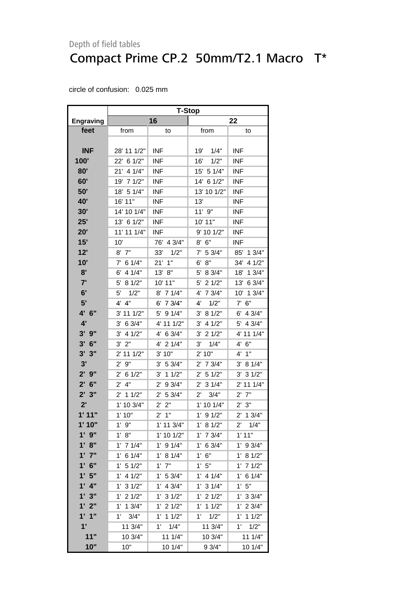|                    | <b>T-Stop</b>          |                        |                       |                       |  |  |
|--------------------|------------------------|------------------------|-----------------------|-----------------------|--|--|
| <b>Engraving</b>   |                        | 16                     |                       | 22                    |  |  |
| feet               | from                   | to                     | from                  | to                    |  |  |
|                    |                        |                        |                       |                       |  |  |
| <b>INF</b>         | 28' 11 1/2"            | <b>INF</b>             | 19'<br>1/4"           | <b>INF</b>            |  |  |
| 100'               | 22' 6 1/2"             | <b>INF</b>             | 1/2"<br>16'           | <b>INF</b>            |  |  |
| 80'                | 21' 4 1/4"             | <b>INF</b>             | 15' 5 1/4"            | <b>INF</b>            |  |  |
| 60'                | 19' 7 1/2"             | <b>INF</b>             | 14' 6 1/2"            | <b>INF</b>            |  |  |
| 50'                | 18' 5 1/4"             | <b>INF</b>             | 13' 10 1/2"           | <b>INF</b>            |  |  |
| 40'                | 16' 11"                | <b>INF</b>             | 13'                   | <b>INF</b>            |  |  |
| 30'                | 14' 10 1/4"            | <b>INF</b>             | 11'9''                | <b>INF</b>            |  |  |
| 25'                | 13' 6 1/2"             | <b>INF</b>             | 10' 11"               | <b>INF</b>            |  |  |
| 20'                | 11' 11 1/4"            | <b>INF</b>             | 9' 10 1/2"            | <b>INF</b>            |  |  |
| 15'                | 10'                    | 76' 4 3/4"             | 8'<br>6"              | <b>INF</b>            |  |  |
| 12'                | $8'$ $7"$              | 33'<br>1/2"            | $7'$ 5 3/4"           | 13/4"<br>85'          |  |  |
| 10'                | 6 1/4"<br>$7^{\circ}$  | $21'$ 1"               | 6'<br>8"              | 4 1/2"<br>34'         |  |  |
| 8'                 | 4 1/4"<br>6'           | 8"<br>13'              | 5'<br>8 3/4"          | 13/4"<br>18'          |  |  |
| 7'                 | 8 1/2"<br>5'           | 10' 11"                | 21/2"<br>5'           | 6 3/4"<br>13'         |  |  |
| 6'                 | 1/2"<br>5'             | 8' 7 1/4"              | 4'<br>7 3/4"          | 10' 1 3/4"            |  |  |
| 5'                 | 4"<br>4'               | 6' 7 3/4"              | 1/2"<br>4'            | $7'$ 6"               |  |  |
| 4' 6"              | 3' 11 1/2"             | 5' 9 1/4"              | 3' 8 1/2"             | 6'<br>4 3/4"          |  |  |
| 4'                 | 3' 6 3/4"              | 4' 11 1/2"             | 4 1/2"<br>3'          | 4 3/4"<br>5'          |  |  |
| 3'<br>9"           | 4 1/2"<br>3'           | 4' 6 3/4"              | 21/2"<br>3'           | 4' 11 1/4"            |  |  |
| 3'<br>6"           | 2"<br>3,               | 4' 2 1/4"              | 3'<br>1/4"            | 4' 6''                |  |  |
| 3'<br>3"           | 2' 11 1/2"             | 3' 10"                 | 2' 10"                | 4' 1"                 |  |  |
| 3'                 | 9"<br>$2^{\prime}$     | 3' 5 3/4"              | $2'$ 7 $3/4"$         | 3' 8 1/4"             |  |  |
| $2^{\prime}$<br>9" | 6 1/2"<br>$2^{\prime}$ | 11/2"<br>3'            | 51/2"<br>$2^{\prime}$ | 31/2"<br>3'           |  |  |
| $2^{\prime}$<br>6" | $2^{\prime}$<br>4"     | $2^{\prime}$<br>9 3/4" | 31/4"<br>$2^{\prime}$ | $2'$ 11 1/4"          |  |  |
| $2^{\prime}$<br>3" | 11/2"<br>2'            | $2^{\prime}$<br>5 3/4" | 3/4"<br>$2^{\prime}$  | $2'$ $7"$             |  |  |
| 2'                 | 1' 10 3/4"             | 2"<br>$2^{\prime}$     | 1' 10 1/4"            | 2' 3''                |  |  |
| 1'11"              | 1'10"                  | $2^{\prime}$<br>1"     | $1'$ 9 $1/2"$         | $2'$ 1 3/4"           |  |  |
| 1'10"              | $1'$ $9"$              | 1' 11 3/4"             | 1' 8 1/2"             | 1/4"<br>$2^{\prime}$  |  |  |
| 9"                 | 1' 8''                 | 1' 10 1/2"             | $1'$ 7 $3/4"$         | 1'11"                 |  |  |
| 1' 8''             | $1'$ 7 $1/4"$          | $1'$ 9 $1/4"$          | $1'$ 6 3/4"           | $1'$ 9 3/4"           |  |  |
| $1'$ $7''$         | 6 1/4"<br>1'           | 1' 8 1/4"              | 1' 6''                | 1' 8 1/2"             |  |  |
| $1'$ 6"            | 51/2"<br>$1^{\prime}$  | $1'$ $7"$              | 1'5"                  | $1'$ 7 $1/2"$         |  |  |
| 1'5"               | 4 1/2"<br>$1^{\circ}$  | 1' 53/4"               | $1'$ 4 $1/4"$         | $1^{\prime}$<br>61/4" |  |  |
| 4"<br>$1^{\prime}$ | 31/2"<br>$1^{\prime}$  | $1'$ 4 3/4"            | $1'$ 3 $1/4"$         | 1'5"                  |  |  |
| 1'3''              | $1'$ 2 $1/2"$          | $1'$ 3 $1/2"$          | 21/2"<br>1'           | $1'$ 3 3/4"           |  |  |
| 1'2"               | $1'$ 1 $3/4"$          | $1'$ 2 $1/2"$          | 11/2"<br>$1^{\prime}$ | $1'$ 2 $3/4"$         |  |  |
| 1'1''              | $1'$ $3/4"$            | $1'$ 1 $1/2"$          | 1/2"<br>$1^{\circ}$   | $1'$ 1 $1/2"$         |  |  |
| 1'                 | 11 3/4"                | 1'<br>1/4"             | 11 3/4"               | 1'<br>1/2"            |  |  |
| 11"                | 10 3/4"                | 111/4"                 | 10 3/4"               | 11 1/4"               |  |  |
| 10"                | 10"                    | 10 1/4"                | 93/4"                 | 10 1/4"               |  |  |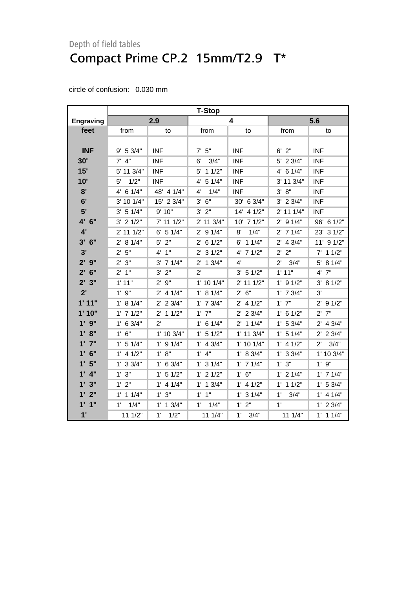|                  | <b>T-Stop</b>        |               |                |                |                      |                      |
|------------------|----------------------|---------------|----------------|----------------|----------------------|----------------------|
| <b>Engraving</b> |                      | 2.9           |                | 4              |                      | 5.6                  |
| feet             | from                 | to            | from           | to             | from                 | to                   |
|                  |                      |               |                |                |                      |                      |
| <b>INF</b>       | 9' 5 3/4"            | <b>INF</b>    | $7'$ 5"        | <b>INF</b>     | $6'$ $2"$            | <b>INF</b>           |
| 30'              | $7'$ 4"              | <b>INF</b>    | 3/4"<br>6'     | <b>INF</b>     | 5' 2 3/4"            | <b>INF</b>           |
| 15'              | 5' 11 3/4"           | <b>INF</b>    | 5' 1 1/2"      | <b>INF</b>     | 4' 6 1/4"            | <b>INF</b>           |
| 10'              | 1/2"<br>$5^{\prime}$ | <b>INF</b>    | 4' 5 1/4"      | <b>INF</b>     | 3' 11 3/4"           | <b>INF</b>           |
| 8'               | $4'$ 6 1/4"          | 48' 4 1/4"    | 1/4"<br>4'     | <b>INF</b>     | 3' 8''               | <b>INF</b>           |
| 6'               | 3' 10 1/4"           | 15' 2 3/4"    | 3' 6''         | 30' 6 3/4"     | $3'$ 2 $3/4"$        | <b>INF</b>           |
| 5'               | 3' 5 1/4"            | 9' 10"        | $3'$ $2"$      | 14' 4 1/2"     | 2' 11 1/4"           | <b>INF</b>           |
| 4' 6"            | $3'$ 2 $1/2"$        | 7' 11 1/2"    | 2' 11 3/4"     | 10' 7 1/2"     | $2'$ 9 1/4"          | 96' 6 1/2"           |
| 4'               | $2'$ 11 1/2"         | $6'$ 5 1/4"   | $2'$ 9 $1/4"$  | 1/4"<br>8'     | $2'$ 7 1/4"          | 23' 3 1/2"           |
| 3'<br>6"         | 2' 8 1/4"            | $5'$ 2"       | $2'$ 6 1/2"    | $6'$ 1 1/4"    | $2'$ 4 3/4"          | 11' 9 1/2"           |
| 3'               | 2' 5''               | 4'1''         | $2'$ 3 $1/2"$  | $4'$ 7 $1/2"$  | 2' 2"                | 11/2"<br>$7^{\circ}$ |
| $2'$ $9''$       | 2'3''                | $3'$ 7 1/4"   | $2'$ 1 $3/4"$  | $4^{\prime}$   | $2^{\prime}$<br>3/4" | 5' 8 1/4"            |
| $2'$ 6"          | 2'1"                 | $3'$ $2"$     | 2'             | 3' 51/2"       | 1'11"                | $4'$ $7"$            |
| 2'3"             | 1'11"                | $2'$ $9"$     | $1'$ 10 $1/4"$ | 2' 11 1/2"     | $1'$ 9 $1/2"$        | 3' 81/2"             |
| 2'               | $1'$ $9"$            | $2'$ 4 1/4"   | 1' 8 1/4"      | 2' 6''         | $1'$ 7 $3/4"$        | 3'                   |
| 1'11"            | 1' 8 1/4"            | $2'$ 2 3/4"   | $1'$ 7 $3/4"$  | $2'$ 4 1/2"    | $1'$ $7"$            | $2'$ 9 1/2"          |
| 1'10"            | $1'$ 7 $1/2"$        | $2'$ 1 1/2"   | $1'$ $7"$      | $2'$ 2 3/4"    | $1'$ 6 $1/2"$        | 7"<br>$2^{\prime}$   |
| $1'$ $9''$       | $1'$ 6 3/4"          | $2^{\prime}$  | $1'$ 6 $1/4"$  | $2'$ 1 1/4"    | 1' 53/4"             | $2'$ 4 $3/4"$        |
| 1' 8''           | 1' 6''               | 1' 10 3/4"    | $1'$ 5 $1/2"$  | $1'$ 11 $3/4"$ | $1'$ 5 $1/4"$        | $2'$ 2 3/4"          |
| $1'$ $7''$       | 1' 5 1/4"            | $1'$ 9 $1/4"$ | $1'$ 4 $3/4"$  | $1'$ 10 $1/4"$ | $1'$ 4 $1/2"$        | 3/4"<br>$2^{\prime}$ |
| $1'$ 6"          | $1'$ 4 $1/2"$        | 1' 8''        | $1'$ 4"        | 1' 8 3/4"      | $1'$ 3 3/4"          | 1' 10 3/4"           |
| 1'5"             | $1'$ 3 3/4"          | $1'$ 6 3/4"   | $1'$ 3 $1/4"$  | $1'$ 7 $1/4"$  | 1' 3''               | 1'9''                |
| $1'$ $4"$        | 1' 3''               | $1'$ 5 $1/2"$ | $1'$ 2 $1/2"$  | 1' 6''         | $1'$ 2 $1/4"$        | $1'$ 7 $1/4"$        |
| 1'3''            | $1'$ $2"$            | $1'$ 4 $1/4"$ | $1'$ 1 $3/4"$  | $1'$ 4 $1/2"$  | $1'$ 1 $1/2"$        | 1' 53/4"             |
| 1'2"             | $1'$ 1 $1/4"$        | 1'3''         | $1'$ $1''$     | $1'$ 3 $1/4"$  | 1'<br>3/4"           | $1'$ 4 $1/4"$        |
| 1'1''            | 1'<br>1/4"           | $1'$ 1 $3/4"$ | 1/4"<br>1'     | 1'2"           | 1'                   | $1'$ 2 $3/4"$        |
| 1'               | 111/2"               | 1'<br>1/2"    | 111/4"         | 1' 3/4"        | 111/4"               | $1'$ 1 $1/4"$        |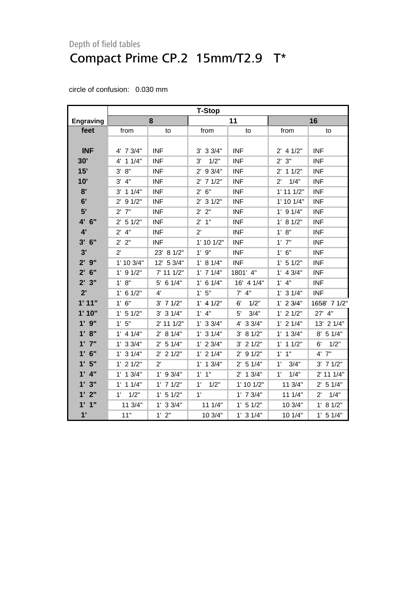|                  | <b>T-Stop</b>        |               |                |                      |                      |                      |
|------------------|----------------------|---------------|----------------|----------------------|----------------------|----------------------|
| <b>Engraving</b> |                      | 8             |                | 11                   |                      | 16                   |
| feet             | from                 | to            | from           | to                   | from                 | to                   |
|                  |                      |               |                |                      |                      |                      |
| <b>INF</b>       | 4' 7 3/4"            | <b>INF</b>    | $3'$ 3 $3/4"$  | <b>INF</b>           | $2'$ 4 1/2"          | <b>INF</b>           |
| 30'              | 4' 1 1/4"            | <b>INF</b>    | 1/2"<br>3'     | <b>INF</b>           | 2' 3''               | <b>INF</b>           |
| 15'              | 3' 8''               | <b>INF</b>    | $2'$ 9 $3/4"$  | <b>INF</b>           | $2'$ 1 1/2"          | <b>INF</b>           |
| 10'              | 3' 4"                | <b>INF</b>    | $2'$ 7 $1/2"$  | <b>INF</b>           | 1/4"<br>$2^{\prime}$ | <b>INF</b>           |
| 8'               | $3'$ 1 1/4"          | <b>INF</b>    | 2' 6''         | <b>INF</b>           | $1'$ 11 $1/2"$       | <b>INF</b>           |
| 6'               | $2'$ 9 $1/2"$        | <b>INF</b>    | $2'$ 3 $1/2"$  | <b>INF</b>           | $1'$ 10 $1/4"$       | <b>INF</b>           |
| 5'               | $2'$ $7"$            | <b>INF</b>    | 2' 2"          | <b>INF</b>           | $1'$ 9 $1/4"$        | <b>INF</b>           |
| 4' 6"            | $2'$ 5 1/2"          | <b>INF</b>    | 2' 1''         | <b>INF</b>           | 1' 8 1/2"            | <b>INF</b>           |
| 4'               | $2'$ 4"              | <b>INF</b>    | $2^{\prime}$   | <b>INF</b>           | 1' 8''               | <b>INF</b>           |
| 3'<br>6"         | 2' 2"                | <b>INF</b>    | $1'$ 10 $1/2"$ | <b>INF</b>           | $1'$ $7"$            | <b>INF</b>           |
| 3'               | $2^{\prime}$         | 23' 8 1/2"    | 1'9''          | <b>INF</b>           | $1'$ 6"              | <b>INF</b>           |
| $2'$ $9''$       | 1' 10 3/4"           | 12' 5 3/4"    | 1' 8 1/4"      | <b>INF</b>           | $1'$ 5 $1/2"$        | <b>INF</b>           |
| $2'$ 6"          | $1'$ 9 $1/2"$        | 7' 11 1/2"    | $1'$ 7 $1/4"$  | 1801' 4"             | $1'$ 4 $3/4"$        | <b>INF</b>           |
| $2'$ $3''$       | 1' 8''               | $5'$ 6 1/4"   | $1'$ 6 $1/4"$  | 16' 4 1/4"           | $1'$ 4"              | <b>INF</b>           |
| 2'               | $1'$ 6 $1/2"$        | 4'            | 1'5"           | $7'$ 4"              | $1'$ 3 $1/4"$        | <b>INF</b>           |
| 1'11"            | 1' 6''               | $3'$ 7 $1/2"$ | $1'$ 4 $1/2"$  | 1/2"<br>6'           | $1'$ 2 3/4"          | 1658' 7 1/2"         |
| 1'10"            | $1'$ 5 $1/2"$        | $3'$ 3 $1/4"$ | $1'$ 4"        | 3/4"<br>$5^{\prime}$ | $1'$ 2 $1/2"$        | 27' 4"               |
| $1'$ $9''$       | 1'5"                 | 2' 11 1/2"    | $1'$ 3 3/4"    | 4' 3 3/4"            | $1'$ 2 $1/4"$        | 13' 2 1/4"           |
| 1' 8"            | $1'$ 4 $1/4"$        | 2' 8 1/4"     | $1'$ 3 $1/4"$  | 3' 81/2"             | $1'$ 1 $3/4"$        | $8'$ 5 1/4"          |
| $1'$ $7''$       | $1'$ 3 $3/4"$        | 2' 5 1/4"     | $1'$ 2 $3/4"$  | $3'$ 2 $1/2"$        | $1'$ 1 $1/2"$        | 6'<br>1/2"           |
| $1'$ 6"          | $1'$ 3 $1/4"$        | $2'$ 2 1/2"   | $1'$ 2 $1/4"$  | $2'$ 9 1/2"          | $1'$ $1''$           | $4'$ $7"$            |
| 1'5"             | $1'$ 2 $1/2"$        | $2^{\prime}$  | $1'$ 1 $3/4"$  | $2'$ 5 1/4"          | 1'<br>3/4"           | $3'$ 7 $1/2"$        |
| $1'$ $4"$        | $1'$ 1 $3/4"$        | $1'$ 9 3/4"   | $1'$ $1''$     | $2'$ 1 $3/4"$        | 1/4"<br>$1^{\prime}$ | 2' 11 1/4"           |
| 1'3"             | $1'$ 1 $1/4"$        | $1'$ 7 $1/2"$ | 1/2"<br>1'     | $1'$ 10 $1/2"$       | 11 3/4"              | 2' 5 1/4"            |
| 1'2''            | $1^{\prime}$<br>1/2" | $1'$ 5 $1/2"$ | $1^{\prime}$   | $1'$ 7 $3/4"$        | 111/4"               | 1/4"<br>$2^{\prime}$ |
| $1'$ $1''$       | 11 3/4"              | $1'$ 3 3/4"   | 111/4"         | $1'$ 5 $1/2"$        | 10 3/4"              | 1' 8 1/2"            |
| 1'               | 11"                  | 1'2"          | 10 3/4"        | $1'$ 3 $1/4"$        | 10 1/4"              | $1'$ 5 $1/4"$        |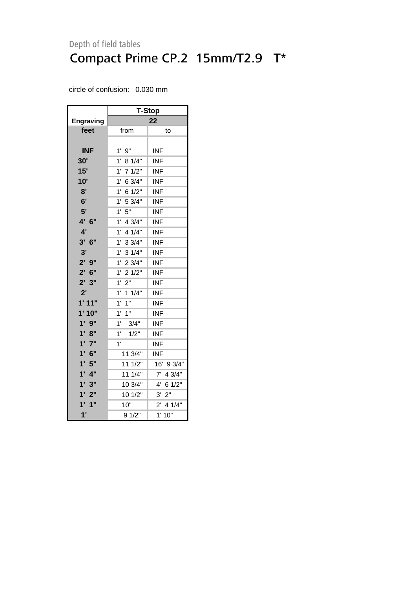|                  | T-Stop                 |             |  |  |  |  |  |
|------------------|------------------------|-------------|--|--|--|--|--|
| <b>Engraving</b> |                        | 22          |  |  |  |  |  |
| feet             | from                   | to          |  |  |  |  |  |
|                  |                        |             |  |  |  |  |  |
| <b>INF</b>       | $1'$ $9"$              | <b>INF</b>  |  |  |  |  |  |
| 30'              | 1'<br>8 1/4"           | INF         |  |  |  |  |  |
| 15'              | 71/2"<br>1'            | <b>INF</b>  |  |  |  |  |  |
| 10'              | 6 3/4"<br>1'           | <b>INF</b>  |  |  |  |  |  |
| 8'               | 6 1/2"<br>1'           | <b>INF</b>  |  |  |  |  |  |
| 6'               | $1^{\prime}$<br>5 3/4" | <b>INF</b>  |  |  |  |  |  |
| 5'               | 5"<br>1'               | <b>INF</b>  |  |  |  |  |  |
| 4' 6"            | $1^{\prime}$<br>4 3/4" | <b>INF</b>  |  |  |  |  |  |
| 4'               | 4 1/4"<br>1'           | <b>INF</b>  |  |  |  |  |  |
| 3' 6''           | 1'<br>33/4"            | <b>INF</b>  |  |  |  |  |  |
| 3'               | $1'$ 3 $1/4"$          | <b>INF</b>  |  |  |  |  |  |
| 2'9''            | 1'<br>23/4"            | <b>INF</b>  |  |  |  |  |  |
| $2'$ 6"          | $1^{\circ}$<br>21/2"   | <b>INF</b>  |  |  |  |  |  |
| 2'3"             | $1^{\circ}$<br>2"      | <b>INF</b>  |  |  |  |  |  |
| 2'               | $1^{\circ}$<br>11/4"   | <b>INF</b>  |  |  |  |  |  |
| 1'11"            | $1'$ $1''$             | INF         |  |  |  |  |  |
| 1'10"            | 1'<br>1"               | <b>INF</b>  |  |  |  |  |  |
| 1'9''            | 1'<br>3/4"             | <b>INF</b>  |  |  |  |  |  |
| 1' 8''           | 1'<br>1/2"             | <b>INF</b>  |  |  |  |  |  |
| 1'7''            | 1'                     | <b>INF</b>  |  |  |  |  |  |
| $1'$ 6"          | 11 3/4"                | INF         |  |  |  |  |  |
| 1'5''            | 11 1/2"                | 16' 9 3/4"  |  |  |  |  |  |
| $1'$ $4"$        | 11 1/4"                | $7'$ 4 3/4" |  |  |  |  |  |
| 1'3"             | 10 3/4"                | 4' 6 1/2"   |  |  |  |  |  |
| 1'2"             | 10 1/2"                | 3' 2''      |  |  |  |  |  |
| 1'<br>1"         | 10"                    | $2'$ 4 1/4" |  |  |  |  |  |
| 1'               | 9 1/2"                 | 1'10"       |  |  |  |  |  |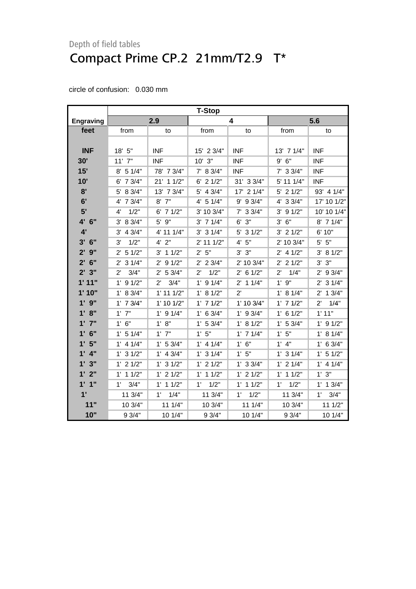|                  | <b>T-Stop</b>         |                      |                      |                        |                      |                       |
|------------------|-----------------------|----------------------|----------------------|------------------------|----------------------|-----------------------|
| <b>Engraving</b> |                       | 2.9                  |                      | 4                      |                      | 5.6                   |
| feet             | from                  | to                   | from                 | to                     | from                 | to                    |
|                  |                       |                      |                      |                        |                      |                       |
| <b>INF</b>       | 18' 5"                | <b>INF</b>           | 15' 2 3/4"           | <b>INF</b>             | 13' 7 1/4"           | INF                   |
| 30'              | $11'$ $7"$            | <b>INF</b>           | $10'$ $3"$           | <b>INF</b>             | $9'$ 6"              | <b>INF</b>            |
| 15'              | $8'$ 5 1/4"           | 78' 7 3/4"           | 7' 8 3/4"            | <b>INF</b>             | $7'$ 3 3/4"          | <b>INF</b>            |
| 10'              | 6' 7 3/4"             | 21' 1 1/2"           | $6'$ 2 $1/2"$        | 31' 3 3/4"             | 5' 11 1/4"           | <b>INF</b>            |
| 8'               | 5' 8 3/4"             | 13' 7 3/4"           | $5'$ 4 3/4"          | 17' 2 1/4"             | $5'$ 2 $1/2"$        | 93' 4 1/4"            |
| 6'               | 4' 7 3/4"             | $8'$ $7"$            | 4' 5 1/4"            | 93/4"<br>9'            | 4' 3 3/4"            | 17' 10 1/2"           |
| 5'               | 1/2"<br>4'            | $6'$ 7 $1/2"$        | 3' 10 3/4"           | $7'$ 3 3/4"            | $3'$ 9 $1/2"$        | 10' 10 1/4"           |
| 4' 6"            | 3' 8 3/4"             | 5' 9"                | $3'$ 7 1/4"          | 3"<br>6'               | 6"<br>3'             | 8' 7 1/4"             |
| 4'               | 4 3/4"<br>3'          | 4' 11 1/4"           | $3'$ 3 $1/4"$        | $5'$ 3 $1/2"$          | $3'$ 2 $1/2"$        | 6' 10"                |
| $3'$ 6"          | 1/2"<br>3'            | $4'$ $2"$            | 2' 11 1/2"           | 4'5''                  | 2' 10 3/4"           | $5'$ $5"$             |
| $2'$ 9"          | $2'$ 5 1/2"           | $3'$ 1 1/2"          | 2' 5''               | $3'$ $3"$              | $2'$ 4 1/2"          | 3' 81/2"              |
| $2'$ 6"          | $2'$ 3 1/4"           | $2'$ 9 $1/2"$        | $2'$ 2 3/4"          | 2' 10 3/4"             | $2'$ 2 1/2"          | 3"<br>3'              |
| 2'3''            | $2^{\prime}$<br>3/4"  | 2' 53/4"             | $2^{\prime}$<br>1/2" | 6 1/2"<br>$2^{\prime}$ | $2^{\prime}$<br>1/4" | $2'$ 9 $3/4"$         |
| 1'11"            | $1'$ 9 $1/2"$         | 3/4"<br>2'           | $1'$ 9 $1/4"$        | $2'$ 1 1/4"            | $1'$ $9"$            | $2'$ 3 1/4"           |
| 1'10"            | 1' 8 3/4"             | $1'$ 11 $1/2"$       | 1' 8 1/2"            | $2^{\prime}$           | 1' 8 1/4"            | 13/4"<br>$2^{\prime}$ |
| $1'$ $9''$       | $1'$ 7 $3/4"$         | $1'$ 10 $1/2"$       | $1'$ 7 $1/2"$        | 1' 10 3/4"             | $1'$ 7 $1/2"$        | $2^{\prime}$<br>1/4"  |
| 1' 8''           | $1'$ $7"$             | $1'$ 9 $1/4"$        | $1'$ 6 3/4"          | $1'$ 9 $3/4"$          | $1'$ 6 $1/2"$        | 1' 11"                |
| $1'$ $7''$       | 1' 6''                | 1' 8''               | 1' 53/4"             | 1' 8 1/2"              | 1' 53/4"             | $1'$ 9 $1/2"$         |
| $1'$ 6"          | $1'$ 5 $1/4"$         | $1'$ $7"$            | 1'5"                 | $1'$ 7 $1/4"$          | 1'5"                 | 1' 8 1/4"             |
| 1'5"             | $1'$ 4 $1/4"$         | 1' 53/4"             | $1'$ 4 $1/4"$        | 1' 6''                 | $1'$ 4"              | $1'$ 6 3/4"           |
| $1'$ 4"          | $1'$ 3 $1/2"$         | $1'$ 4 3/4"          | $1'$ 3 $1/4"$        | 1'5"                   | $1'$ 3 $1/4"$        | $1'$ 5 $1/2"$         |
| 1'3''            | $1'$ 2 $1/2"$         | $1'$ 3 $1/2"$        | $1'$ 2 $1/2"$        | $1'$ 3 3/4"            | $1'$ 2 $1/4"$        | $1'$ 4 $1/4"$         |
| 1'2"             | 11/2"<br>$1^{\prime}$ | $1'$ 2 $1/2"$        | $1'$ 1 $1/2"$        | $1'$ 2 $1/2"$          | $1'$ 1 $1/2"$        | 1' 3''                |
| 1'1''            | 3/4"<br>1'            | $1'$ 1 $1/2"$        | $1^{\prime}$<br>1/2" | $1'$ 1 $1/2"$          | 1'<br>1/2"           | $1'$ 1 $3/4"$         |
| 1'               | 11 3/4"               | 1/4"<br>$1^{\prime}$ | 11 3/4"              | 1/2"<br>1'             | 11 3/4"              | 3/4"<br>$1^{\circ}$   |
| 11"              | 10 3/4"               | 11 1/4"              | 10 3/4"              | 11 1/4"                | 10 3/4"              | 11 1/2"               |
| 10"              | 9 3/4"                | 10 1/4"              | 9 3/4"               | 10 1/4"                | 93/4"                | 10 1/4"               |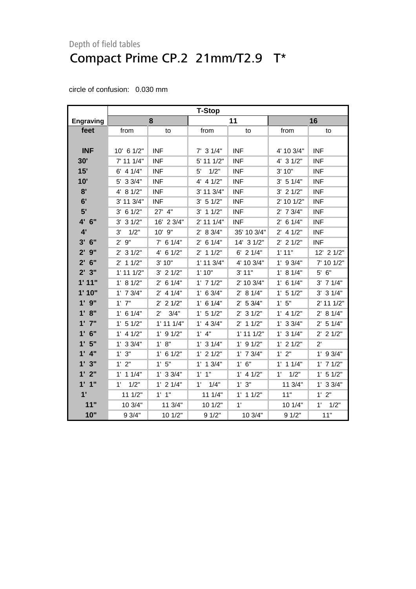|              | <b>T-Stop</b>        |                      |                      |                |               |                     |
|--------------|----------------------|----------------------|----------------------|----------------|---------------|---------------------|
| Engraving    |                      | 8                    |                      | 11             |               | 16                  |
| feet         | from                 | to                   | from                 | to             | from          | to                  |
|              |                      |                      |                      |                |               |                     |
| <b>INF</b>   | 10' 6 1/2"           | <b>INF</b>           | $7'$ 3 1/4"          | <b>INF</b>     | 4' 10 3/4"    | <b>INF</b>          |
| 30'          | $7'$ 11 1/4"         | <b>INF</b>           | 5' 11 1/2"           | <b>INF</b>     | $4'$ 3 $1/2"$ | <b>INF</b>          |
| 15'          | $6'$ 4 $1/4"$        | <b>INF</b>           | 1/2"<br>5'           | <b>INF</b>     | 3' 10"        | <b>INF</b>          |
| 10'          | 5' 3 3/4"            | <b>INF</b>           | $4'$ 4 $1/2"$        | <b>INF</b>     | $3'$ 5 $1/4"$ | <b>INF</b>          |
| 8'           | 4' 8 1/2"            | <b>INF</b>           | 3' 11 3/4"           | <b>INF</b>     | $3'$ 2 $1/2"$ | <b>INF</b>          |
| 6'           | 3' 11 3/4"           | <b>INF</b>           | $3'$ 5 $1/2"$        | <b>INF</b>     | 2' 10 1/2"    | <b>INF</b>          |
| 5'           | $3'$ 6 1/2"          | 27' 4"               | $3'$ 1 1/2"          | <b>INF</b>     | $2'$ 7 $3/4"$ | <b>INF</b>          |
| 4' 6"        | $3'$ 3 $1/2"$        | 16' 2 3/4"           | 2' 11 1/4"           | <b>INF</b>     | $2'$ 6 1/4"   | <b>INF</b>          |
| 4'           | 3'<br>1/2"           | 10' 9"               | 2' 8 3/4"            | 35' 10 3/4"    | $2'$ 4 1/2"   | <b>INF</b>          |
| $3'$ 6"      | 9"<br>$2^{\prime}$   | $7'$ 6 1/4"          | $2'$ 6 1/4"          | 14' 3 1/2"     | $2'$ 2 1/2"   | <b>INF</b>          |
| $2'$ $9''$   | $2'$ 3 $1/2"$        | $4'$ 6 1/2"          | $2'$ 1 1/2"          | $6'$ 2 1/4"    | 1'11"         | 12' 2 1/2"          |
| $2'$ 6"      | $2'$ 1 1/2"          | 3' 10"               | $1'$ 11 $3/4"$       | 4' 10 3/4"     | $1'$ 9 $3/4"$ | 7' 10 1/2"          |
| 2'3''        | $1'$ 11 $1/2"$       | $3'$ 2 $1/2"$        | 1'10"                | 3' 11"         | 1' 8 1/4"     | $5'$ $6"$           |
| 1'11"        | 1' 8 1/2"            | $2'$ 6 1/4"          | $1'$ 7 $1/2"$        | 2' 10 3/4"     | $1'$ 6 $1/4"$ | $3'$ 7 $1/4"$       |
| 1'10"        | $1'$ 7 $3/4"$        | $2'$ 4 1/4"          | $1'$ 6 3/4"          | 2' 8 1/4"      | $1'$ 5 $1/2"$ | $3'$ 3 $1/4"$       |
| $1'$ $9''$   | $1'$ $7"$            | $2'$ 2 1/2"          | $1'$ 6 $1/4"$        | $2'$ 5 3/4"    | 1'5''         | $2'$ 11 1/2"        |
| 1' 8''       | $1'$ 6 $1/4"$        | 3/4"<br>$2^{\prime}$ | $1'$ 5 $1/2"$        | $2'$ 3 1/2"    | $1'$ 4 $1/2"$ | 2' 8 1/4"           |
| $1'$ $7"$    | $1'$ 5 $1/2"$        | $1'$ 11 $1/4"$       | $1'$ 4 3/4"          | $2'$ 1 1/2"    | $1'$ 3 3/4"   | $2'$ 5 1/4"         |
| $1'$ 6"      | $1'$ 4 $1/2"$        | $1'$ 9 $1/2"$        | $1'$ 4"              | $1'$ 11 $1/2"$ | $1'$ 3 $1/4"$ | $2'$ 2 1/2"         |
| 1'5"         | $1'$ 3 3/4"          | 1' 8''               | $1'$ 3 $1/4"$        | $1'$ 9 $1/2"$  | $1'$ 2 $1/2"$ | $2^{\prime}$        |
| $1'$ 4"      | 1'3''                | $1'$ 6 $1/2"$        | $1'$ 2 $1/2"$        | $1'$ 7 $3/4"$  | 1'2"          | $1'$ 9 3/4"         |
| 1'3''        | 1'2"                 | 1'5''                | $1'$ 1 $3/4"$        | 1' 6''         | $1'$ 1 $1/4"$ | $1'$ 7 $1/2"$       |
| 1'2"         | $1'$ 1 $1/4"$        | $1'$ 3 3/4"          | $1'$ $1''$           | $1'$ 4 $1/2"$  | $1'$ $1/2"$   | $1'$ 5 $1/2"$       |
| 1'1''        | 1/2"<br>$1^{\prime}$ | $1'$ 2 $1/4"$        | 1/4"<br>$1^{\prime}$ | 1' 3''         | 11 3/4"       | 1' 3 3/4"           |
| $1^{\prime}$ | 11 1/2"              | $1'$ $1''$           | 11 1/4"              | $1'$ 1 $1/2"$  | 11"           | 1'2"                |
| 11"          | 10 3/4"              | 11 3/4"              | 10 1/2"              | 1'             | 10 1/4"       | $1^{\circ}$<br>1/2" |
| 10"          | 9 3/4"               | 10 1/2"              | 91/2"                | 10 3/4"        | 91/2"         | 11"                 |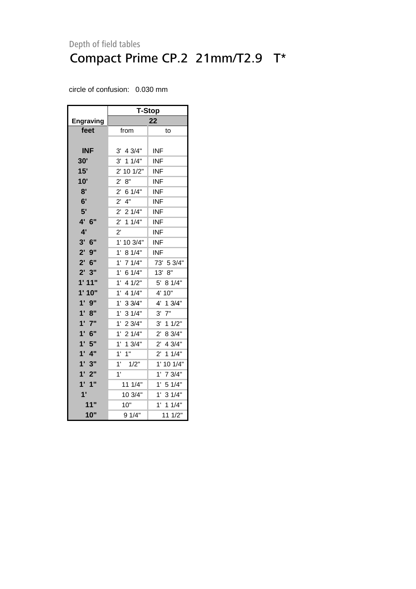|                    | <b>T-Stop</b>          |                        |  |  |  |
|--------------------|------------------------|------------------------|--|--|--|
| <b>Engraving</b>   | 22                     |                        |  |  |  |
| feet               | from                   | to                     |  |  |  |
|                    |                        |                        |  |  |  |
| <b>INF</b>         | 4 3/4"<br>3'           | INF                    |  |  |  |
| <b>30'</b>         | 11/4"<br>3'            | INF                    |  |  |  |
| 15'                | 2' 10 1/2"             | <b>INF</b>             |  |  |  |
| 10'                | 8"<br>$2^{\prime}$     | INF                    |  |  |  |
| 8'                 | $2^{\prime}$<br>6 1/4" | <b>INF</b>             |  |  |  |
| 6'                 | $4"$<br>$2^{\prime}$   | INF                    |  |  |  |
| 5'                 | $2^{\prime}$<br>21/4"  | INF                    |  |  |  |
| 4' 6"              | 11/4"<br>$2^{\prime}$  | <b>INF</b>             |  |  |  |
| 4'                 | $2^{\prime}$           | <b>INF</b>             |  |  |  |
| $3'$ 6"            | 1'<br>10 3/4"          | <b>INF</b>             |  |  |  |
| $2'$ $9''$         | 1'<br>8 1/4"           | INF                    |  |  |  |
| $2'$ 6"            | 1'<br>71/4"            | 73' 5 3/4"             |  |  |  |
| 2'3''              | 1'<br>6 1/4"           | 13' 8"                 |  |  |  |
| 1'11"              | 4 1/2"<br>1'           | 5' 8 1/4"              |  |  |  |
| 1'10"              | 1'<br>4 1/4"           | 4' 10"                 |  |  |  |
| 1'<br>9"           | $1^{\circ}$<br>33/4"   | 13/4"<br>4'            |  |  |  |
| 1' 8''             | 31/4"<br>1'            | 3'<br>$7"$             |  |  |  |
| $1'$ $7"$          | 1'<br>2 3/4"           | $3'$ 1 1/2"            |  |  |  |
| 1'<br>6"           | 21/4"<br>1'            | $2^{\prime}$<br>8 3/4" |  |  |  |
| 1'5"               | 1'<br>13/4"            | 4 3/4"<br>$2^{\prime}$ |  |  |  |
| 1'<br>4"           | 1'<br>1"               | $2^{\prime}$<br>11/4"  |  |  |  |
| 1'3"               | 1'<br>1/2"             | 1' 10 1/4"             |  |  |  |
| $1^{\prime}$<br>2" | 1'                     | 1'<br>7 3/4"           |  |  |  |
| $1'$ $1''$         | 11 1/4"                | 51/4"<br>1'            |  |  |  |
| 1'                 | 10 3/4"                | 31/4"<br>$1^{\circ}$   |  |  |  |
| 11"                | 10"                    | 1'<br>11/4"            |  |  |  |
| 10"                | 9 1/4"                 | 11 1/2"                |  |  |  |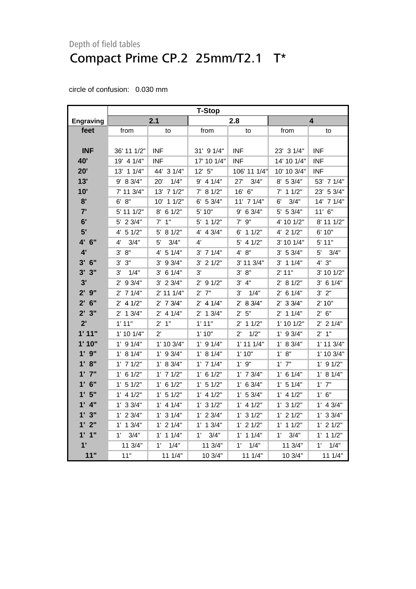|                  | <b>T-Stop</b>       |                |               |                      |                      |                         |
|------------------|---------------------|----------------|---------------|----------------------|----------------------|-------------------------|
| <b>Engraving</b> |                     | 2.1            |               | 2.8                  |                      | $\overline{\mathbf{4}}$ |
| feet             | from                | to             | from          | to                   | from                 | to                      |
|                  |                     |                |               |                      |                      |                         |
| <b>INF</b>       | 36' 11 1/2"         | <b>INF</b>     | 31' 9 1/4"    | <b>INF</b>           | 23' 3 1/4"           | <b>INF</b>              |
| 40'              | 19' 4 1/4"          | <b>INF</b>     | 17' 10 1/4"   | <b>INF</b>           | 14' 10 1/4"          | <b>INF</b>              |
| 20'              | 13' 1 1/4"          | 44' 3 1/4"     | 12' 5"        | 106' 11 1/4"         | 10' 10 3/4"          | <b>INF</b>              |
| 13'              | 9' 8 3/4"           | 1/4"<br>20'    | $9'$ 4 1/4"   | 3/4"<br>27'          | 8' 5 3/4"            | 53' 7 1/4"              |
| 10'              | 7' 11 3/4"          | 13' 7 1/2"     | 7' 8 1/2"     | 16' 6"               | $7'$ 1 1/2"          | 23' 5 3/4"              |
| 8'               | 6' 8''              | 10' 1 1/2"     | $6'$ 5 3/4"   | 11' 7 1/4"           | 6'<br>3/4"           | 14' 7 1/4"              |
| 7'               | 5' 11 1/2"          | 8' 6 1/2"      | 5' 10"        | 9' 6 3/4"            | 5' 5 3/4"            | $11'$ 6"                |
| 6'               | 5' 2 3/4"           | $7'$ 1"        | 5' 1 1/2"     | 9"<br>7'             | 4' 10 1/2"           | 8' 11 1/2"              |
| 5'               | $4'$ 5 1/2"         | 5' 8 1/2"      | 4' 4 3/4"     | $6'$ 1 1/2"          | 4' 2 1/2"            | 6' 10"                  |
| 4' 6"            | 3/4"<br>4'          | 3/4"<br>5'     | 4'            | $5'$ 4 1/2"          | 3' 10 1/4"           | $5'$ 11"                |
| 4'               | 3' 8''              | 4' 5 1/4"      | $3'$ 7 $1/4"$ | 4' 8''               | 3' 5 3/4"            | 5'<br>3/4"              |
| $3'$ $6''$       | 3' 3''              | $3'$ 9 $3/4"$  | $3'$ 2 $1/2"$ | 3' 11 3/4"           | $3'$ 1 1/4"          | 4' 3''                  |
| 3'3''            | 3'<br>1/4"          | $3'$ 6 1/4"    | 3'            | 3' 8''               | $2'$ 11"             | 3' 10 1/2"              |
| 3'               | $2'$ 9 $3/4"$       | $3'$ 2 $3/4"$  | $2'$ 9 $1/2"$ | $3'$ 4"              | 2' 8 1/2"            | $3'$ 6 1/4"             |
| $2'$ $9''$       | $2'$ 7 1/4"         | $2'$ 11 1/4"   | $2'$ $7''$    | 3'<br>1/4"           | $2'$ 6 1/4"          | 3' 2''                  |
| $2'$ 6"          | $2'$ 4 1/2"         | $2'$ 7 $3/4"$  | $2'$ 4 1/4"   | 2' 8 3/4"            | 2' 33/4"             | 2' 10"                  |
| 2'3''            | $2'$ 1 3/4"         | $2'$ 4 1/4"    | $2'$ 1 $3/4"$ | 2' 5''               | $2'$ 1 1/4"          | 2' 6''                  |
| 2'               | 1'11"               | 1"<br>2'       | 1'11"         | $2'$ 1 1/2"          | 1' 10 1/2"           | 2' 2 1/4"               |
| 1'11"            | $1'$ 10 $1/4"$      | 2'             | 1'10"         | $2^{\prime}$<br>1/2" | $1'$ 9 $3/4"$        | 2' 1''                  |
| 1'10"            | $1'$ 9 $1/4"$       | $1'$ 10 $3/4"$ | $1'$ 9 $1/4"$ | $1'$ 11 $1/4"$       | 1' 8 3/4"            | $1'$ 11 $3/4"$          |
| 1' 9"            | 1' 8 1/4"           | $1'$ 9 3/4"    | 1' 8 1/4"     | 1'10"                | 1' 8''               | 1' 10 3/4"              |
| 1' 8''           | $1'$ 7 $1/2"$       | 1' 8 3/4"      | $1'$ 7 $1/4"$ | $1'$ $9"$            | $1'$ $7"$            | $1'$ 9 $1/2"$           |
| 1' 7"            | $1'$ 6 $1/2"$       | $1'$ 7 $1/2"$  | $1'$ 6 $1/2"$ | $1'$ 7 $3/4"$        | $1'$ 6 $1/4"$        | 1' 8 1/4"               |
| $1'$ 6"          | $1'$ 5 $1/2"$       | $1'$ 6 $1/2"$  | $1'$ 5 $1/2"$ | $1'$ 6 3/4"          | 1' 5 1/4"            | $1'$ $7"$               |
| 1'5"             | $1'$ 4 $1/2"$       | $1'$ 5 $1/2"$  | $1'$ 4 $1/2"$ | $1'$ 5 3/4"          | $1'$ 4 $1/2"$        | $1'$ 6"                 |
| 1' 4"            | $1'$ 3 $3/4"$       | $1'$ 4 $1/4"$  | $1'$ 3 $1/2"$ | $1'$ 4 $1/2"$        | $1'$ 3 $1/2"$        | $1'$ 4 3/4"             |
| 1'3''            | $1'$ 2 3/4"         | $1'$ 3 $1/4"$  | $1'$ 2 3/4"   | $1'$ 3 $1/2"$        | $1'$ 2 $1/2"$        | $1'$ 3 3/4"             |
| 1' 2"            | $1'$ 1 $3/4"$       | $1'$ 2 $1/4"$  | $1'$ 1 $3/4"$ | $1'$ 2 $1/2"$        | $1'$ 1 $1/2"$        | $1'$ 2 $1/2"$           |
| $1'$ $1''$       | $1^{\circ}$<br>3/4" | $1'$ 1 $1/4"$  | 3/4"<br>1'    | $1'$ 1 $1/4"$        | 3/4"<br>$1^{\prime}$ | $1'$ 1 $1/2"$           |
| 1'               | 11 3/4"             | 1'<br>1/4"     | 11 3/4"       | 1'<br>1/4"           | 11 3/4"              | $1^{\circ}$<br>1/4"     |
| 11"              | 11"                 | 11 1/4"        | 10 3/4"       | 111/4"               | 10 3/4"              | 111/4"                  |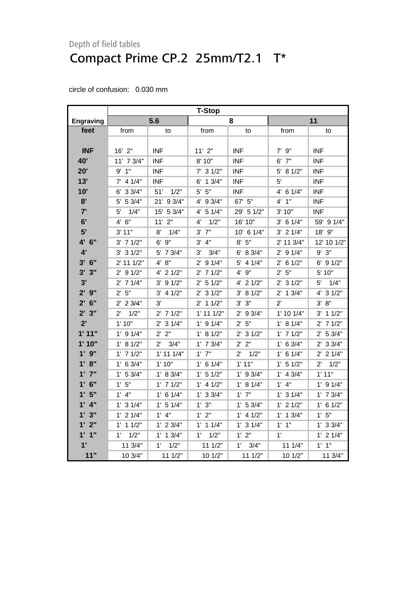|                        | <b>T-Stop</b>        |                      |                |                      |               |                      |
|------------------------|----------------------|----------------------|----------------|----------------------|---------------|----------------------|
| <b>Engraving</b>       |                      | 5.6                  |                | 8                    |               | 11                   |
| feet                   | from                 | to                   | from           | to                   | from          | to                   |
|                        |                      |                      |                |                      |               |                      |
| <b>INF</b>             | 16' 2"               | <b>INF</b>           | 11'2"          | <b>INF</b>           | $7'$ $9''$    | <b>INF</b>           |
| 40'                    | 11' 7 3/4"           | <b>INF</b>           | 8' 10"         | <b>INF</b>           | $6'$ $7''$    | <b>INF</b>           |
| 20'                    | 9' 1''               | <b>INF</b>           | $7'$ 3 $1/2"$  | <b>INF</b>           | 5' 81/2"      | <b>INF</b>           |
| 13'                    | $7'$ 4 1/4"          | INF                  | $6'$ 1 3/4"    | <b>INF</b>           | 5'            | <b>INF</b>           |
| 10'                    | 6' 3 3/4"            | 51'<br>1/2"          | $5'$ $5"$      | <b>INF</b>           | 4' 6 1/4"     | INF                  |
| 8'                     | 5' 5 3/4"            | 21' 9 3/4"           | 4' 9 3/4"      | 67' 5"               | $4'$ 1"       | <b>INF</b>           |
| 7'                     | 1/4"<br>5'           | 15' 5 3/4"           | 4' 5 1/4"      | 29' 5 1/2"           | 3' 10"        | <b>INF</b>           |
| 6'                     | 4' 6''               | $11'$ $2"$           | 4'<br>1/2"     | 16' 10"              | $3'$ 6 1/4"   | 59' 9 1/4"           |
| 5'                     | 3' 11"               | 8'<br>1/4"           | $3'$ $7''$     | 10' 6 1/4"           | $3'$ 2 $1/4"$ | 18' 9"               |
| 4' 6"                  | $3'$ 7 $1/2"$        | 6' 9"                | $3'$ 4"        | 8' 5''               | 2' 11 3/4"    | 12' 10 1/2"          |
| 4'                     | $3'$ 3 $1/2"$        | 5' 7 3/4"            | 3/4"<br>3'     | 6' 8 3/4"            | $2'$ 9 $1/4"$ | 9' 3''               |
| $3'$ 6"                | $2'$ 11 1/2"         | 4' 8''               | $2'$ 9 1/4"    | 5' 4 1/4"            | $2'$ 6 1/2"   | $6'$ 9 $1/2"$        |
| 3'3''                  | $2'$ 9 $1/2"$        | $4'$ 2 $1/2"$        | $2'$ 7 1/2"    | 4' 9"                | 2' 5''        | 5' 10"               |
| 3'                     | $2'$ 7 1/4"          | $3'$ 9 $1/2"$        | $2'$ 5 1/2"    | $4'$ 2 $1/2"$        | $2'$ 3 1/2"   | 5'<br>1/4"           |
| 2'9''                  | 2' 5''               | $3'$ 4 $1/2"$        | $2'$ 3 $1/2"$  | 3' 8 1/2"            | $2'$ 1 $3/4"$ | 4' 3 1/2"            |
| $2'$ 6"                | $2'$ 2 $3/4"$        | 3'                   | $2'$ 1 1/2"    | 3' 3''               | $2^{\prime}$  | 3' 8''               |
| 2'3''                  | $2^{\prime}$<br>1/2" | $2'$ 7 1/2"          | $1'$ 11 $1/2"$ | $2'$ 9 3/4"          | 1' 10 1/4"    | $3'$ 1 1/2"          |
| 2'                     | 1'10"                | $2'$ 3 1/4"          | $1'$ 9 $1/4"$  | 2' 5''               | 1' 8 1/4"     | $2'$ 7 1/2"          |
| 1'11"                  | $1'$ 9 $1/4"$        | 2' 2"                | 1' 8 1/2"      | $2'$ 3 1/2"          | $1'$ 7 $1/2"$ | $2'$ 5 3/4"          |
| 1'10"                  | 1' 8 1/2"            | $2^{\prime}$<br>3/4" | $1'$ 7 $3/4"$  | 2' 2''               | $1'$ 6 3/4"   | $2'$ 3 $3/4"$        |
| $1'$ $9''$             | $1'$ 7 $1/2"$        | $1'$ 11 $1/4"$       | $1'$ $7"$      | $2^{\prime}$<br>1/2" | $1'$ 6 $1/4"$ | $2'$ 2 1/4"          |
| 1' 8''                 | $1'$ 6 3/4"          | 1'10"                | $1'$ 6 $1/4"$  | 1'11"                | $1'$ 5 $1/2"$ | $2^{\prime}$<br>1/2" |
| $1'$ $7"$              | 1' 53/4"             | 1' 8 3/4"            | $1'$ 5 $1/2"$  | $1'$ 9 3/4"          | $1'$ 4 $3/4"$ | 1' 11"               |
| $1'$ 6"                | 1'5"                 | $1'$ 7 $1/2"$        | $1'$ 4 $1/2"$  | 1' 8 1/4"            | $1'$ $4"$     | $1'$ 9 $1/4"$        |
| 1'5''                  | $1'$ $4"$            | $1'$ 6 $1/4"$        | $1'$ 3 3/4"    | $1'$ $7"$            | $1'$ 3 $1/4"$ | $1'$ 7 $3/4"$        |
| $1'$ 4"                | $1'$ 3 $1/4"$        | $1'$ 5 $1/4"$        | 1'3''          | 1' 53/4"             | $1'$ 2 $1/2"$ | $1'$ 6 $1/2"$        |
| 1'3''                  | $1'$ 2 $1/4"$        | $1'$ 4"              | 1' 2''         | $1'$ 4 $1/2"$        | $1'$ 1 $3/4"$ | 1'5''                |
| 1'2"                   | $1'$ 1 $1/2"$        | $1'$ 2 $3/4"$        | $1'$ 1 $1/4"$  | $1'$ 3 $1/4"$        | $1'$ $1''$    | 1' 33/4"             |
| 1'1''                  | 1/2"<br>$1^{\prime}$ | $1'$ 1 $3/4"$        | $1'$ $1/2"$    | 1'2"                 | 1'            | $1'$ 2 $1/4"$        |
| $\mathbf{1}^{\bullet}$ | 11 3/4"              | 1'<br>1/2"           | 11 1/2"        | $1^{\circ}$<br>3/4"  | 11 1/4"       | $1'$ $1"$            |
| 11"                    | 10 3/4"              | 111/2"               | 10 1/2"        | 111/2"               | 10 1/2"       | 11 3/4"              |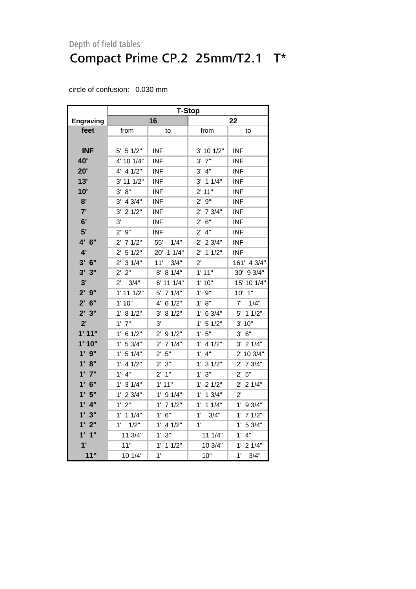|                  | <b>T-Stop</b>          |                    |                       |                       |  |
|------------------|------------------------|--------------------|-----------------------|-----------------------|--|
| <b>Engraving</b> |                        | 16                 | 22                    |                       |  |
| feet             | from                   | to                 | from                  | to                    |  |
|                  |                        |                    |                       |                       |  |
| <b>INF</b>       | $5'$ 5 1/2"            | <b>INF</b>         | 3' 10 1/2"            | <b>INF</b>            |  |
| 40'              | 4' 10 1/4"             | <b>INF</b>         | $3'$ $7''$            | <b>INF</b>            |  |
| 20'              | 4' 4 1/2"              | <b>INF</b>         | 3' 4''                | <b>INF</b>            |  |
| 13'              | 3' 11 1/2"             | <b>INF</b>         | $3'$ 1 1/4"           | <b>INF</b>            |  |
| 10'              | 3' 8''                 | <b>INF</b>         | 2' 11"                | <b>INF</b>            |  |
| 8'               | $3'$ 4 $3/4"$          | <b>INF</b>         | 2'9''                 | <b>INF</b>            |  |
| 7'               | $3'$ 2 $1/2"$          | <b>INF</b>         | $2'$ 7 $3/4"$         | <b>INF</b>            |  |
| 6'               | 3'                     | <b>INF</b>         | 6"<br>$2^{\prime}$    | <b>INF</b>            |  |
| 5'               | 2'9''                  | <b>INF</b>         | 4"<br>$2^{\prime}$    | <b>INF</b>            |  |
| 4' 6''           | $2'$ 7 $1/2"$          | 55'<br>1/4"        | $2'$ 2 3/4"           | <b>INF</b>            |  |
| 4'               | 51/2"<br>$2^{\prime}$  | 11/4"<br>20'       | 11/2"<br>$2^{\prime}$ | <b>INF</b>            |  |
| $3'$ 6"          | 31/4"<br>$2^{\prime}$  | 11'<br>3/4"        | $2^{\prime}$          | 161' 4 3/4"           |  |
| 3'3''            | 2' 2"                  | 8' 8 1/4"          | 1'11"                 | 30' 9 3/4"            |  |
| 3'               | $2^{\prime}$<br>3/4"   | 6' 11 1/4"         | 1'10"                 | 15' 10 1/4"           |  |
| 2'9''            | $1'$ 11 $1/2"$         | 5' 7 1/4"          | $1'$ $9"$             | $10'$ $1"$            |  |
| $2'$ 6"          | 1' 10"                 | 4' 6 1/2"          | 1' 8''                | $7'$ $1/4"$           |  |
| 2'3''            | 1' 8 1/2"              | 3' 8 1/2"          | $1'$ 6 3/4"           | 5' 1 1/2"             |  |
| 2'               | $1'$ $7"$              | 3'                 | 1' 5 1/2"             | 3' 10"                |  |
| 1'11"            | $1'$ 6 $1/2"$          | $2'$ 9 1/2"        | 1'5"                  | $3'$ $6''$            |  |
| 1'10"            | 1' 53/4"               | $2'$ 7 1/4"        | $1'$ 4 $1/2"$         | $3'$ 2 $1/4"$         |  |
| 1'9''            | 1' 5 1/4"              | 2' 5''             | $1'$ $4"$             | 2' 10 3/4"            |  |
| 1' 8''           | 4 1/2"<br>$1^{\prime}$ | 2' 3''             | $1'$ 3 $1/2"$         | 2' 7 3/4"             |  |
| 1'7''            | 4"<br>$1^{\prime}$     | 1"<br>$2^{\prime}$ | 3"<br>1'              | 5"<br>$2^{\prime}$    |  |
| $1'$ 6"          | 31/4"<br>1'            | 1'11"              | 1'<br>21/2"           | $2^{\prime}$<br>21/4" |  |
| 1'5"             | $1'$ 2 3/4"            | $1'$ 9 $1/4"$      | $1^{\prime}$<br>13/4" | $2^{\prime}$          |  |
| $1'$ 4"          | 1'2"                   | $1'$ 7 $1/2"$      | $1'$ 1 $1/4"$         | $1'$ 9 3/4"           |  |
| 1'3"             | $1'$ 1 $1/4"$          | 1' 6''             | $1^{\prime}$<br>3/4"  | $1'$ 7 $1/2"$         |  |
| 1'2"             | $1^{\circ}$<br>1/2"    | $1'$ 4 $1/2"$      | 1'                    | 1' 5 3/4"             |  |
| 1'1''            | 11 3/4"                | 1' 3''             | 11 1/4"               | $1^{\circ}$<br>4"     |  |
| 1'               | 11"                    | 1'<br>11/2"        | 10 3/4"               | $1'$ 2 $1/4"$         |  |
| 11"              | 10 1/4"                | 1'                 | 10"                   | $1^{\circ}$<br>3/4"   |  |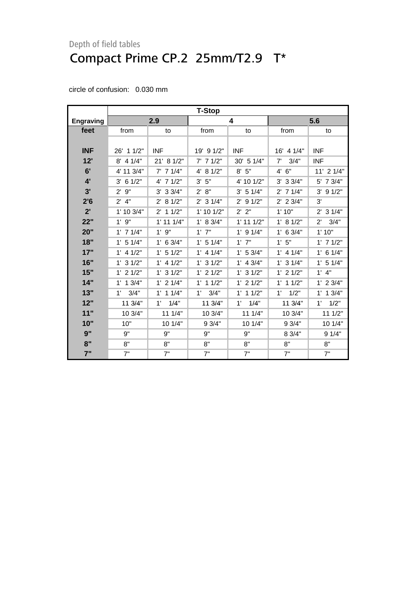| circle of confusion: | 0.030 mm |
|----------------------|----------|
|                      |          |

|                  | <b>T-Stop</b>         |                       |                      |                |                     |                      |
|------------------|-----------------------|-----------------------|----------------------|----------------|---------------------|----------------------|
| <b>Engraving</b> |                       | 2.9                   |                      | 4              | 5.6                 |                      |
| feet             | from                  | to                    | from                 | to             | from                | to                   |
|                  |                       |                       |                      |                |                     |                      |
| <b>INF</b>       | 26' 1 1/2"            | <b>INF</b>            | 19' 9 1/2"           | <b>INF</b>     | 16' 4 1/4"          | <b>INF</b>           |
| 12"              | $8'$ 4 1/4"           | 21' 8 1/2"            | $7'$ 7 1/2"          | 30' 5 1/4"     | 7'<br>3/4"          | <b>INF</b>           |
| 6'               | 4' 11 3/4"            | $7'$ 7 1/4"           | 4' 8 1/2"            | 8' 5''         | 4' 6''              | 11' 2 1/4"           |
| 4'               | $3'$ 6 $1/2"$         | $4'$ 7 $1/2"$         | 5"<br>3'             | 4' 10 1/2"     | $3'$ 3 $3/4"$       | 5' 7 3/4"            |
| 3'               | 9"<br>$2^{\prime}$    | $3'$ 3 $3/4"$         | 8"<br>$2^{\prime}$   | $3'$ 5 1/4"    | $2'$ 7 1/4"         | $3'$ 9 $1/2"$        |
| 2'6              | $2'$ 4"               | 81/2"<br>$2^{\prime}$ | $2'$ 3 1/4"          | $2'$ 9 1/2"    | $2'$ 2 $3/4"$       | 3'                   |
| 2'               | 1' 10 3/4"            | $2'$ 1 1/2"           | 1' 10 1/2"           | 2' 2"          | 1'10"               | $2'$ 3 1/4"          |
| 22"              | $1'$ $9"$             | $1'$ 11 $1/4"$        | 1' 8 3/4"            | $1'$ 11 $1/2"$ | 1' 8 1/2"           | $2^{\prime}$<br>3/4" |
| 20"              | $1'$ 7 $1/4"$         | $1'$ $9"$             | $1'$ $7"$            | $1'$ 9 $1/4"$  | $1'$ 6 3/4"         | 1'10"                |
| 18"              | $1'$ 5 $1/4"$         | $1'$ 6 3/4"           | $1'$ 5 $1/4"$        | $1'$ $7"$      | 1'5"                | $1'$ 7 $1/2"$        |
| 17"              | $1'$ 4 $1/2"$         | $1'$ 5 $1/2"$         | $1'$ 4 $1/4"$        | $1'$ 5 3/4"    | $1'$ 4 $1/4"$       | $1'$ 6 $1/4"$        |
| 16"              | $1'$ 3 $1/2"$         | $1'$ 4 $1/2"$         | $1'$ 3 $1/2"$        | $1'$ 4 3/4"    | $1'$ 3 $1/4"$       | $1'$ 5 $1/4"$        |
| 15"              | $1'$ 2 $1/2"$         | $1'$ 3 $1/2"$         | $1'$ 2 $1/2"$        | $1'$ 3 $1/2"$  | $1'$ 2 $1/2"$       | $1'$ $4"$            |
| 14"              | 13/4"<br>$1^{\prime}$ | $1'$ 2 $1/4"$         | $1'$ 1 $1/2"$        | $1'$ 2 $1/2"$  | $1'$ 1 $1/2"$       | $1'$ 2 $3/4"$        |
| 13"              | 3/4"<br>$1^{\prime}$  | $1'$ 1 $1/4"$         | 3/4"<br>$1^{\prime}$ | $1'$ 1 $1/2"$  | 1/2"<br>$1^{\circ}$ | $1'$ 1 $3/4"$        |
| 12"              | 11 3/4"               | 1'<br>1/4"            | 11 3/4"              | 1/4"<br>1'     | 11 3/4"             | 1/2"<br>$1^{\circ}$  |
| 11"              | 10 3/4"               | 11 1/4"               | 10 3/4"              | 11 1/4"        | 10 3/4"             | 11 1/2"              |
| 10"              | 10"                   | 10 1/4"               | 9 3/4"               | 10 1/4"        | 9 3/4"              | 10 1/4"              |
| 9"               | 9"                    | 9"                    | 9"                   | 9"             | 8 3/4"              | 91/4"                |
| 8"               | 8"                    | 8"                    | 8"                   | 8"             | 8"                  | 8"                   |
| 7"               | 7"                    | 7"                    | 7"                   | 7"             | 7"                  | 7"                   |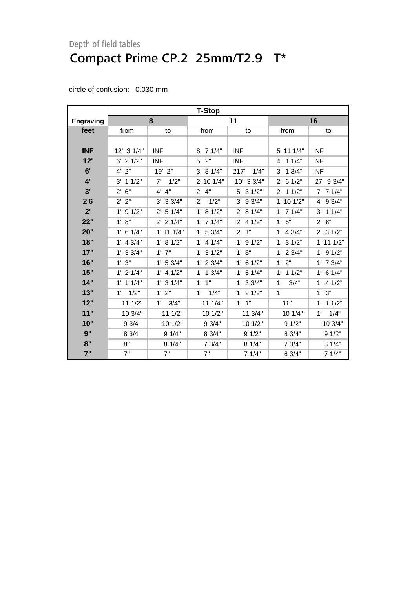|                  | <b>T-Stop</b>        |                       |                      |               |                        |                     |
|------------------|----------------------|-----------------------|----------------------|---------------|------------------------|---------------------|
| <b>Engraving</b> |                      | 8                     |                      | 11            |                        | 16                  |
| feet             | from                 | to                    | from                 | to            | from                   | to                  |
|                  |                      |                       |                      |               |                        |                     |
| <b>INF</b>       | 12' 3 1/4"           | <b>INF</b>            | $8'$ 7 1/4"          | <b>INF</b>    | 5' 11 1/4"             | <b>INF</b>          |
| 12'              | $6'$ 2 $1/2"$        | <b>INF</b>            | $5'$ 2"              | <b>INF</b>    | 11/4"<br>4'            | <b>INF</b>          |
| 6'               | $4'$ $2"$            | 19' 2"                | 3' 8 1/4"            | 1/4"<br>217   | $3'$ 1 $3/4"$          | <b>INF</b>          |
| 4'               | $3'$ 1 1/2"          | 7'<br>1/2"            | 2' 10 1/4"           | 10' 3 3/4"    | $2^{\prime}$<br>6 1/2" | 27' 9 3/4"          |
| 3'               | 6"<br>$2^{\prime}$   | 4' 4''                | $2'$ 4"              | $5'$ 3 $1/2"$ | $2'$ 1 1/2"            | $7'$ 7 1/4"         |
| 2'6              | 2' 2"                | $3'$ 3 $3/4"$         | 1/2"<br>$2^{\prime}$ | $3'$ 9 $3/4"$ | $1'$ 10 $1/2"$         | 4' 9 3/4"           |
| 2'               | $1'$ 9 $1/2"$        | 51/4"<br>$2^{\prime}$ | 1' 8 1/2"            | 2' 8 1/4"     | $1'$ 7 $1/4"$          | $3'$ 1 1/4"         |
| 22"              | 1' 8''               | $2'$ 2 1/4"           | $1'$ 7 $1/4"$        | $2'$ 4 1/2"   | 1' 6''                 | 2' 8''              |
| 20"              | $1'$ 6 $1/4"$        | $1'$ 11 $1/4"$        | 1' 53/4"             | $2'$ 1"       | $1'$ 4 $3/4"$          | $2'$ 3 1/2"         |
| 18"              | $1'$ 4 3/4"          | 1' 8 1/2"             | $1'$ 4 $1/4"$        | $1'$ 9 $1/2"$ | $1'$ 3 $1/2"$          | $1'$ 11 $1/2"$      |
| 17"              | $1'$ 3 3/4"          | $1'$ $7"$             | $1'$ 3 $1/2"$        | 1' 8''        | $1'$ 2 3/4"            | $1'$ 9 $1/2"$       |
| 16"              | 1'3''                | 1' 53/4"              | $1'$ 2 $3/4"$        | $1'$ 6 $1/2"$ | 1'2"                   | $1'$ 7 $3/4"$       |
| 15"              | $1'$ 2 $1/4"$        | $1'$ 4 $1/2"$         | $1'$ 1 $3/4"$        | $1'$ 5 $1/4"$ | $1'$ 1 $1/2"$          | $1'$ 6 $1/4"$       |
| 14"              | $1'$ 1 $1/4"$        | $1'$ 3 $1/4"$         | $1'$ $1''$           | $1'$ 3 3/4"   | 1'<br>3/4"             | $1'$ 4 $1/2"$       |
| 13"              | 1/2"<br>$1^{\prime}$ | 1'2"                  | 1/4"<br>$1^{\circ}$  | $1'$ 2 $1/2"$ | 1'                     | 1'3''               |
| 12"              | 11 1/2"              | 1'<br>3/4"            | 11 1/4"              | $1'$ $1''$    | 11"                    | $1'$ 1 $1/2"$       |
| 11"              | 10 3/4"              | 11 1/2"               | 10 1/2"              | 11 3/4"       | 10 1/4"                | 1/4"<br>$1^{\circ}$ |
| 10"              | 9 3/4"               | 10 1/2"               | 9 3/4"               | 10 1/2"       | 91/2"                  | 10 3/4"             |
| 9"               | 8 3/4"               | 9 1/4"                | 8 3/4"               | 91/2"         | 8 3/4"                 | 91/2"               |
| 8"               | 8"                   | 8 1/4"                | 7 3/4"               | 8 1/4"        | 7 3/4"                 | 8 1/4"              |
| 7"               | 7"                   | 7"                    | 7"                   | 7 1/4"        | 6 3/4"                 | 7 1/4"              |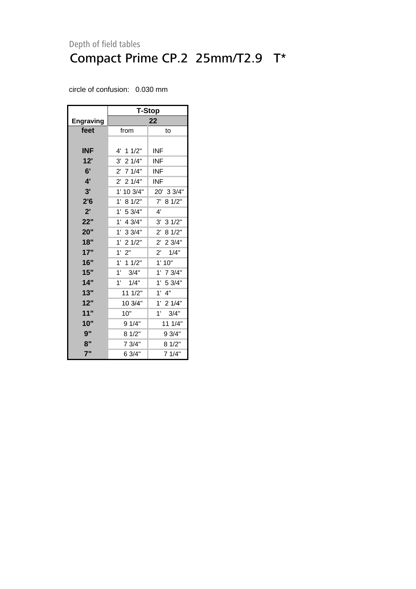|                  | T-Stop              |                      |  |  |  |
|------------------|---------------------|----------------------|--|--|--|
| <b>Engraving</b> |                     | 22                   |  |  |  |
| feet             | from                | to                   |  |  |  |
|                  |                     |                      |  |  |  |
| INF              | 4' 1 1/2"           | INF                  |  |  |  |
| 12'              | $3'$ 2 1/4"         | INF.                 |  |  |  |
| 6'               | $2'$ 7 1/4"         | <b>INF</b>           |  |  |  |
| 4'               | $2'$ 2 1/4"         | INF                  |  |  |  |
| 3'               | 1' 10 3/4"          | 20' 3 3/4"           |  |  |  |
| 2'6              | 1'<br>8 1/2"        | 7'<br>8 1/2"         |  |  |  |
| 2'               | 1'<br>5 3/4"        | $4^{\prime}$         |  |  |  |
| 22"              | 1'<br>4 3/4"        | 3' 31/2"             |  |  |  |
| 20"              | $1'$ 3 3/4"         | 2' 8 1/2"            |  |  |  |
| 18"              | $1'$ 2 $1/2"$       | 2' 2 3/4"            |  |  |  |
| 17"              | 1'<br>2"            | $2^{\prime}$<br>1/4" |  |  |  |
| 16"              | 1'<br>11/2"         | 1'10"                |  |  |  |
| 15"              | $1^{\circ}$<br>3/4" | $1'$ 7 $3/4"$        |  |  |  |
| 14"              | 1'<br>1/4"          | 1' 53/4"             |  |  |  |
| 13"              | 11 1/2"             | $1'$ $4"$            |  |  |  |
| 12"              | 10 3/4"             | $1'$ 2 $1/4"$        |  |  |  |
| 11"              | 10"                 | 1'<br>3/4"           |  |  |  |
| 10"              | 9 1/4"              | 11 1/4"              |  |  |  |
| 9"               | 8 1/2"              | 9 3/4"               |  |  |  |
| 8"               | 7 3/4"              | 8 1/2"               |  |  |  |
| 7"               | 6 3/4"              | 7 1/4"               |  |  |  |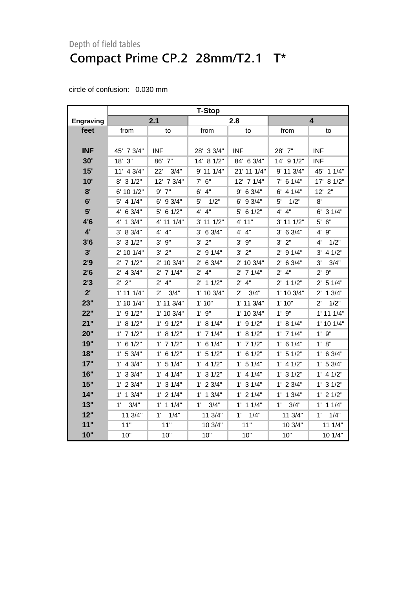|                  | <b>T-Stop</b>       |                      |                      |                      |                |                      |
|------------------|---------------------|----------------------|----------------------|----------------------|----------------|----------------------|
| <b>Engraving</b> |                     | 2.1                  |                      | 2.8                  |                | 4                    |
| feet             | from                | to                   | from                 | to                   | from           | to                   |
|                  |                     |                      |                      |                      |                |                      |
| <b>INF</b>       | 45' 7 3/4"          | <b>INF</b>           | 28' 3 3/4"           | <b>INF</b>           | 28' 7"         | <b>INF</b>           |
| 30'              | 18' 3"              | 86' 7"               | 14' 8 1/2"           | 84' 6 3/4"           | 14' 9 1/2"     | <b>INF</b>           |
| 15'              | 11' 4 3/4"          | 22'<br>3/4"          | 9' 11 1/4"           | 21' 11 1/4"          | 9' 11 3/4"     | 45' 1 1/4"           |
| 10'              | 8' 3 1/2"           | 12' 7 3/4"           | $7'$ 6"              | 12' 7 1/4"           | $7'$ 6 1/4"    | 17'<br>81/2"         |
| 8'               | 6' 10 1/2"          | $9'$ $7"$            | $6'$ 4"              | $9'$ 6 3/4"          | $6'$ 4 1/4"    | $12'$ $2"$           |
| 6'               | $5'$ 4 $1/4"$       | $6'$ 9 3/4"          | 5'<br>1/2"           | 6' 9 3/4"            | 1/2"<br>5'     | 8'                   |
| 5'               | $4'$ 6 3/4"         | $5'$ 6 1/2"          | 4' 4''               | $5'$ 6 1/2"          | 4' 4''         | $6'$ 3 $1/4"$        |
| 4'6              | 4' 1 3/4"           | 4' 11 1/4"           | $3'$ 11 $1/2"$       | 4' 11"               | $3'$ 11 $1/2"$ | 6"<br>5'             |
| $4^{\prime}$     | 3' 8 3/4"           | 4' 4''               | $3'$ 6 $3/4"$        | 4' 4"                | $3'$ 6 $3/4"$  | 9"<br>4'             |
| 3'6              | $3'$ 3 $1/2"$       | $3'$ $9"$            | $3'$ $2"$            | $3'$ $9''$           | 3' 2''         | 1/2"<br>4'           |
| 3'               | 2' 10 1/4"          | 3' 2''               | $2'$ 9 1/4"          | 3' 2''               | $2'$ 9 1/4"    | $3'$ 4 $1/2"$        |
| 2'9              | $2'$ 7 $1/2"$       | 2' 10 3/4"           | $2'$ 6 3/4"          | 2' 10 3/4"           | $2'$ 6 3/4"    | 3'<br>3/4"           |
| 2'6              | $2'$ 4 $3/4"$       | $2'$ 7 1/4"          | $2'$ 4"              | $2'$ 7 1/4"          | $2'$ 4"        | $2'$ $9"$            |
| 2'3              | 2' 2"               | $2'$ 4"              | $2'$ 1 1/2"          | $2'$ 4"              | $2'$ 1 1/2"    | 2' 5 1/4"            |
| 2'               | $1'$ 11 $1/4"$      | 3/4"<br>$2^{\prime}$ | 1' 10 3/4"           | 3/4"<br>$2^{\prime}$ | 1' 10 3/4"     | $2'$ 1 $3/4"$        |
| 23"              | $1'$ 10 $1/4"$      | $1'$ 11 $3/4"$       | 1'10"                | $1'$ 11 $3/4"$       | 1'10"          | 1/2"<br>$2^{\prime}$ |
| 22"              | $1'$ 9 $1/2"$       | 1' 10 3/4"           | $1'$ $9"$            | 1' 10 3/4"           | $1'$ $9"$      | $1'$ 11 $1/4"$       |
| 21"              | 1' 8 1/2"           | $1'$ 9 $1/2"$        | 1' 8 1/4"            | $1'$ 9 $1/2"$        | 1' 8 1/4"      | 1' 10 1/4"           |
| 20"              | $1'$ 7 $1/2"$       | 1' 8 1/2"            | $1'$ 7 $1/4"$        | 1' 8 1/2"            | $1'$ 7 $1/4"$  | $1'$ $9"$            |
| 19"              | $1'$ 6 $1/2"$       | $1'$ 7 $1/2"$        | $1'$ 6 $1/4"$        | $1'$ 7 $1/2"$        | $1'$ 6 $1/4"$  | 1' 8''               |
| 18"              | $1'$ 5 3/4"         | $1'$ 6 $1/2"$        | $1'$ 5 $1/2"$        | $1'$ 6 $1/2"$        | $1'$ 5 $1/2"$  | $1'$ 6 3/4"          |
| 17"              | $1'$ 4 $3/4"$       | 1' 5 1/4"            | $1'$ 4 $1/2"$        | 1' 5 1/4"            | $1'$ 4 $1/2"$  | 1' 53/4"             |
| 16"              | $1'$ 3 3/4"         | $1'$ 4 $1/4"$        | $1'$ 3 $1/2"$        | $1'$ 4 $1/4"$        | $1'$ 3 $1/2"$  | $1'$ 4 $1/2"$        |
| 15"              | $1'$ 2 $3/4"$       | $1'$ 3 $1/4"$        | $1'$ 2 $3/4"$        | $1'$ 3 $1/4"$        | $1'$ 2 $3/4"$  | $1'$ 3 $1/2"$        |
| 14"              | $1'$ 1 $3/4"$       | $1'$ 2 $1/4"$        | $1'$ 1 $3/4"$        | $1'$ 2 $1/4"$        | $1'$ 1 $3/4"$  | $1'$ 2 $1/2"$        |
| 13"              | $1^{\circ}$<br>3/4" | $1'$ 1 $1/4"$        | 3/4"<br>$1^{\prime}$ | $1'$ 1 $1/4"$        | 1'<br>3/4"     | $1'$ 1 $1/4"$        |
| 12"              | 11 3/4"             | $1^{\prime}$<br>1/4" | 11 3/4"              | 1'<br>1/4"           | 11 3/4"        | 1/4"<br>$1^{\prime}$ |
| 11"              | 11"                 | 11"                  | 10 3/4"              | 11"                  | 10 3/4"        | 111/4"               |
| 10"              | 10"                 | 10"                  | 10"                  | 10"                  | 10"            | 10 1/4"              |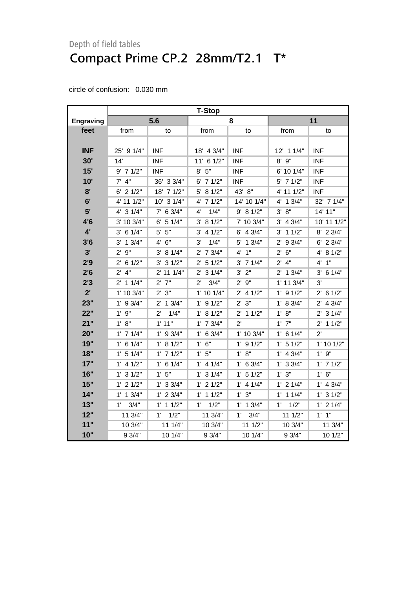|                  | T-Stop               |                      |                      |               |                     |               |
|------------------|----------------------|----------------------|----------------------|---------------|---------------------|---------------|
| <b>Engraving</b> |                      | 5.6                  |                      | 8             |                     | 11            |
| feet             | from                 | to                   | from                 | to            | from                | to            |
|                  |                      |                      |                      |               |                     |               |
| <b>INF</b>       | 25' 9 1/4"           | <b>INF</b>           | 18' 4 3/4"           | <b>INF</b>    | 12' 1 1/4"          | <b>INF</b>    |
| 30'              | 14'                  | <b>INF</b>           | 11' 6 1/2"           | <b>INF</b>    | $8'$ $9''$          | <b>INF</b>    |
| 15'              | $9'$ 7 1/2"          | <b>INF</b>           | 8' 5''               | <b>INF</b>    | 6' 10 1/4"          | <b>INF</b>    |
| 10'              | $7'$ 4"              | 36' 3 3/4"           | $6'$ 7 $1/2"$        | <b>INF</b>    | 5' 7 1/2"           | <b>INF</b>    |
| 8'               | $6'$ 2 $1/2"$        | 18' 7 1/2"           | 5' 8 1/2"            | 43' 8"        | 4' 11 1/2"          | <b>INF</b>    |
| 6'               | 4' 11 1/2"           | 10' 3 1/4"           | $4'$ 7 $1/2"$        | 14' 10 1/4"   | 4' 1 3/4"           | 32' 7 1/4"    |
| 5'               | $4'$ 3 $1/4"$        | $7'$ 6 3/4"          | 1/4"<br>4'           | 9' 8 1/2"     | 3' 8''              | 14' 11"       |
| 4'6              | 3' 10 3/4"           | $6'$ 5 1/4"          | 3' 8 1/2"            | 7' 10 3/4"    | $3'$ 4 $3/4"$       | 10' 11 1/2"   |
| $4^{\prime}$     | $3'$ 6 1/4"          | $5'$ $5"$            | $3'$ 4 $1/2"$        | $6'$ 4 3/4"   | $3'$ 1 1/2"         | 8' 2 3/4"     |
| 3'6              | $3'$ 1 $3/4"$        | 4' 6''               | 3'<br>1/4"           | 5' 1 3/4"     | 2' 9 3/4"           | 6' 2 3/4"     |
| 3'               | 2'9''                | 3' 8 1/4"            | $2'$ 7 $3/4"$        | 4' 1''        | 2' 6''              | 4' 8 1/2"     |
| 2'9              | $2'$ 6 1/2"          | $3'$ 3 $1/2"$        | $2'$ 5 1/2"          | $3'$ 7 $1/4"$ | $2'$ 4"             | 4' 1''        |
| 2'6              | $2'$ 4"              | 2' 11 1/4"           | $2'$ 3 1/4"          | $3'$ $2"$     | $2'$ 1 $3/4"$       | $3'$ 6 1/4"   |
| 2'3              | $2'$ 1 1/4"          | $2'$ 7"              | $2^{\prime}$<br>3/4" | $2'$ $9''$    | $1'$ 11 $3/4"$      | 3'            |
| $2^{\prime}$     | 1' 10 3/4"           | 2'3''                | $1'$ 10 $1/4"$       | $2'$ 4 1/2"   | $1'$ 9 $1/2"$       | $2'$ 6 1/2"   |
| 23"              | $1'$ 9 3/4"          | $2'$ 1 $3/4"$        | $1'$ 9 $1/2"$        | 2' 3''        | 1' 8 3/4"           | $2'$ 4 $3/4"$ |
| 22"              | $1'$ $9"$            | $2^{\prime}$<br>1/4" | 1' 8 1/2"            | $2'$ 1 1/2"   | 1' 8''              | $2'$ 3 $1/4"$ |
| 21"              | 1' 8''               | 1'11"                | $1'$ 7 $3/4"$        | $2^{\prime}$  | $1'$ $7"$           | $2'$ 1 1/2"   |
| 20"              | $1'$ 7 $1/4"$        | $1'$ 9 $3/4"$        | 1' 6 3/4"            | 1' 10 3/4"    | $1'$ 6 $1/4"$       | $2^{\prime}$  |
| 19"              | $1'$ 6 $1/4"$        | 1' 8 1/2"            | 1' 6''               | $1'$ 9 $1/2"$ | 1' 5 1/2"           | 1' 10 1/2"    |
| 18"              | $1'$ 5 $1/4"$        | $1'$ 7 $1/2"$        | 1'5"                 | 1' 8''        | $1'$ 4 3/4"         | 1'9''         |
| 17"              | $1'$ 4 $1/2"$        | $1'$ 6 $1/4"$        | $1'$ 4 $1/4"$        | 1' 6 3/4"     | $1'$ 3 $3/4"$       | $1'$ 7 $1/2"$ |
| 16"              | 1' 3 1/2"            | 1'5"                 | $1'$ 3 $1/4"$        | 1' 5 1/2"     | $1'$ $3"$           | 1' 6''        |
| 15"              | $1'$ 2 $1/2"$        | $1'$ 3 $3/4"$        | $1'$ 2 $1/2"$        | $1'$ 4 $1/4"$ | $1'$ 2 $1/4"$       | $1'$ 4 $3/4"$ |
| 14"              | $1'$ 1 3/4"          | $1'$ 2 3/4"          | $1'$ 1 $1/2"$        | 1' 3''        | $1'$ 1 $1/4"$       | $1'$ 3 $1/2"$ |
| 13"              | 3/4"<br>$1^{\prime}$ | $1'$ 1 $1/2"$        | 1/2"<br>$1^{\prime}$ | $1'$ 1 $3/4"$ | 1/2"<br>$1^{\circ}$ | $1'$ 2 $1/4"$ |
| 12"              | 11 3/4"              | 1/2"<br>$1^{\circ}$  | 11 3/4"              | 3/4"<br>1'    | 111/2"              | $1'$ $1"$     |
| 11"              | 10 3/4"              | 111/4"               | 10 3/4"              | 111/2"        | 10 3/4"             | 11 3/4"       |
| 10"              | 9 3/4"               | 10 1/4"              | 9 3/4"               | 10 1/4"       | 9 3/4"              | 10 1/2"       |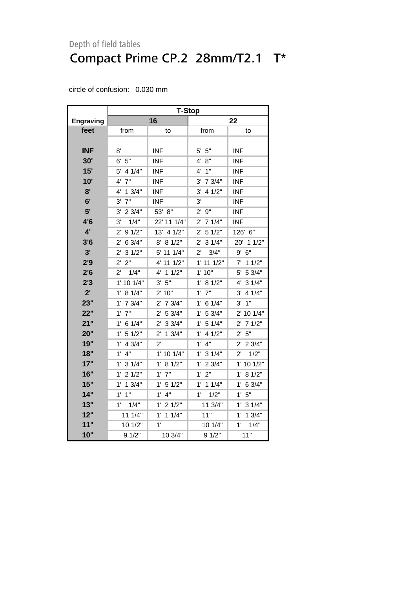|                  | <b>T-Stop</b>          |                        |                        |                       |  |  |
|------------------|------------------------|------------------------|------------------------|-----------------------|--|--|
| <b>Engraving</b> |                        | 16                     | 22                     |                       |  |  |
| feet             | from                   | to                     | from                   | to                    |  |  |
|                  |                        |                        |                        |                       |  |  |
| <b>INF</b>       | 8'                     | <b>INF</b>             | $5'$ $5"$              | <b>INF</b>            |  |  |
| 30'              | 6' 5''                 | <b>INF</b>             | 4' 8''                 | <b>INF</b>            |  |  |
| 15'              | $5'$ 4 1/4"            | <b>INF</b>             | 4'1''                  | <b>INF</b>            |  |  |
| 10'              | 7"<br>4'               | <b>INF</b>             | $3'$ 7 $3/4"$          | <b>INF</b>            |  |  |
| 8'               | 13/4"<br>4'            | <b>INF</b>             | 3'<br>4 1/2"           | <b>INF</b>            |  |  |
| 6'               | 7"<br>3'               | <b>INF</b>             | 3'                     | <b>INF</b>            |  |  |
| 5'               | $3'$ 2 $3/4"$          | 53' 8"                 | 2'9''                  | <b>INF</b>            |  |  |
| 4'6              | 1/4"<br>3'             | 22' 11 1/4"            | $2'$ 7 1/4"            | <b>INF</b>            |  |  |
| 4'               | 91/2"<br>$2^{\prime}$  | 13' 4 1/2"             | $2'$ 5 1/2"            | 126' 6"               |  |  |
| 3'6              | 6 3/4"<br>$2^{\prime}$ | 8' 8 1/2"              | 31/4"<br>$2^{\prime}$  | 20' 1 1/2"            |  |  |
| 3'               | 31/2"<br>2'            | 5' 11 1/4"             | 3/4"<br>$2^{\prime}$   | 9'<br>6"              |  |  |
| 2'9              | 2"<br>$2^{\prime}$     | 4' 11 1/2"             | $1'$ 11 $1/2"$         | $7'$ 1 1/2"           |  |  |
| 2'6              | $2^{\prime}$<br>1/4"   | $4'$ 1 $1/2"$          | 1'10"                  | 5' 5 3/4"             |  |  |
| 2'3              | 1' 10 1/4"             | 3' 5''                 | 1' 8 1/2"              | 4' 3 1/4"             |  |  |
| 2'               | 1' 8 1/4"              | 2' 10"                 | $1'$ $7"$              | 4 1/4"<br>3'          |  |  |
| 23"              | $1'$ 7 $3/4"$          | $2^{\prime}$<br>7 3/4" | 6 1/4"<br>$1^{\circ}$  | 1"<br>3'              |  |  |
| 22"              | $1'$ $7"$              | 2' 53/4"               | 1' 53/4"               | 2' 10 1/4"            |  |  |
| 21"              | $1'$ 6 $1/4"$          | $2^{\prime}$<br>33/4"  | 1' 5 1/4"              | 71/2"<br>$2^{\prime}$ |  |  |
| 20"              | 51/2"<br>$1^{\prime}$  | $2^{\prime}$<br>13/4"  | 4 1/2"<br>$1^{\prime}$ | 5"<br>$2^{\prime}$    |  |  |
| 19"              | 4 3/4"<br>$1^{\prime}$ | $2^{\prime}$           | 4"<br>1'               | 2' 2 3/4"             |  |  |
| 18"              | $1'$ $4"$              | 1' 10 1/4"             | $1'$ 3 $1/4"$          | 1/2"<br>$2^{\prime}$  |  |  |
| 17"              | $1'$ 3 $1/4"$          | 1' 8 1/2"              | $1'$ 2 3/4"            | 1' 10 1/2"            |  |  |
| 16"              | 21/2"<br>$1^{\circ}$   | $1'$ $7"$              | 1'2"                   | $1^{\circ}$<br>8 1/2" |  |  |
| 15"              | $1'$ 1 $3/4"$          | 1' 5 1/2"              | $1'$ 1 $1/4"$          | 1'<br>6 3/4"          |  |  |
| 14"              | $1'$ $1"$              | 1'<br>4"               | 1/2"<br>1'             | 1'5"                  |  |  |
| 13"              | $1'$ $1/4"$            | 1'<br>21/2"            | 11 3/4"                | 1' 3 1/4"             |  |  |
| 12"              | 111/4"                 | $1'$ 1 $1/4"$          | 11"                    | $1'$ 1 $3/4"$         |  |  |
| 11"              | 10 1/2"                | 1'                     | 10 1/4"                | $1^{\circ}$<br>1/4"   |  |  |
| 10"              | 9 1/2"                 | 10 3/4"                | 9 1/2"                 | 11"                   |  |  |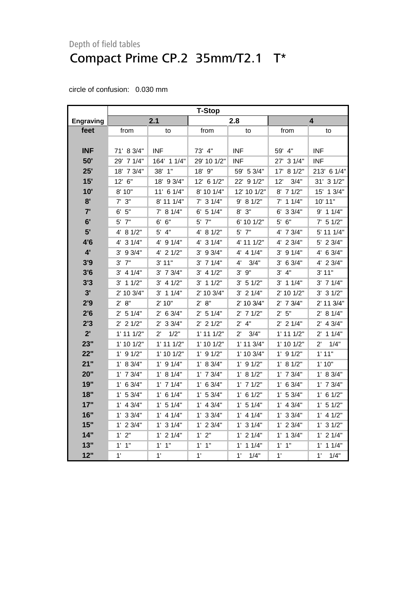|                  | <b>T-Stop</b>         |                       |                |                      |                    |                      |
|------------------|-----------------------|-----------------------|----------------|----------------------|--------------------|----------------------|
| <b>Engraving</b> |                       | 2.1                   |                | 2.8                  |                    | 4                    |
| feet             | from                  | to                    | from           | to                   | from               | to                   |
|                  |                       |                       |                |                      |                    |                      |
| <b>INF</b>       | 71' 8 3/4"            | <b>INF</b>            | 73' 4"         | <b>INF</b>           | 59' 4"             | <b>INF</b>           |
| 50'              | 29' 7 1/4"            | 164' 1 1/4"           | 29' 10 1/2"    | <b>INF</b>           | 27' 3 1/4"         | INF                  |
| 25'              | 18' 7 3/4"            | 38' 1"                | 18' 9"         | 59' 5 3/4"           | 17' 8 1/2"         | 213' 6 1/4"          |
| 15'              | 12' 6"                | 18' 9 3/4"            | 12' 6 1/2"     | 22' 9 1/2"           | 3/4"<br>12'        | 31' 3 1/2"           |
| 10'              | 8' 10"                | 11' 6 1/4"            | 8' 10 1/4"     | 12' 10 1/2"          | 8' 7 1/2"          | 15' 1 3/4"           |
| 8'               | $7'$ 3"               | 8' 11 1/4"            | $7'$ 3 $1/4"$  | 9' 8 1/2"            | $7'$ 1 1/4"        | 10' 11"              |
| 7'               | 6' 5''                | $7'$ 8 1/4"           | $6'$ 5 1/4"    | $8'$ $3''$           | $6'$ 3 3/4"        | $9'$ 1 1/4"          |
| 6'               | 7"<br>5'              | 6"<br>6'              | $5'$ $7"$      | 6' 10 1/2"           | $5'$ $6''$         | $7'$ 5 1/2"          |
| 5'               | 4' 8 1/2"             | 4"<br>5'              | 4' 8 1/2"      | 5' 7"                | 4' 7 3/4"          | 5' 11 1/4"           |
| 4'6              | 4' 3 1/4"             | 4' 9 1/4"             | 4' 3 1/4"      | 4' 11 1/2"           | 4' 2 3/4"          | 5' 2 3/4"            |
| $4^{\prime}$     | 3' 9 3/4"             | $4'$ 2 $1/2"$         | $3'$ 9 $3/4"$  | 4' 4 1/4"            | $3'$ 9 $1/4"$      | 4' 6 3/4"            |
| 3'9              | $3'$ $7''$            | 3' 11"                | $3'$ 7 $1/4"$  | 4'<br>3/4"           | 3' 6 3/4"          | 4' 2 3/4"            |
| 3'6              | $3'$ 4 $1/4"$         | $3'$ 7 $3/4"$         | $3'$ 4 $1/2"$  | $3'$ $9''$           | 3' 4''             | 3' 11"               |
| 3'3              | $3'$ 1 1/2"           | $3'$ 4 1/2"           | $3'$ 1 1/2"    | $3'$ 5 $1/2"$        | $3'$ 1 1/4"        | $3'$ 7 $1/4"$        |
| 3'               | 2' 10 3/4"            | $3'$ 1 1/4"           | 2' 10 3/4"     | $3'$ 2 $1/4"$        | 2' 10 1/2"         | $3'$ 3 $1/2"$        |
| 2'9              | 2' 8''                | 2' 10"                | 2' 8''         | 2' 10 3/4"           | $2'$ 7 $3/4"$      | 2' 11 3/4"           |
| 2'6              | $2'$ 5 1/4"           | $2'$ 6 3/4"           | $2'$ 5 1/4"    | $2'$ 7 1/2"          | 2' 5''             | 2' 8 1/4"            |
| 2'3              | $2'$ 2 $1/2"$         | 33/4"<br>$2^{\prime}$ | $2'$ 2 1/2"    | $2'$ 4"              | $2'$ 2 1/4"        | $2'$ 4 $3/4"$        |
| $2^{\prime}$     | $1'$ 11 $1/2"$        | $2^{\prime}$<br>1/2"  | $1'$ 11 $1/2"$ | $2^{\prime}$<br>3/4" | $1'$ 11 $1/2"$     | $2'$ 1 1/4"          |
| 23"              | $1'$ 10 $1/2"$        | $1'$ 11 $1/2"$        | $1'$ 10 $1/2"$ | $1'$ 11 $3/4"$       | $1'$ 10 $1/2"$     | $2^{\prime}$<br>1/4" |
| 22"              | $1'$ 9 $1/2"$         | 1' 10 1/2"            | $1'$ 9 $1/2"$  | 1' 10 3/4"           | $1'$ 9 $1/2"$      | 1'11"                |
| 21"              | 1' 8 3/4"             | $1'$ 9 $1/4"$         | 1' 8 3/4"      | $1'$ 9 $1/2"$        | 1' 8 1/2"          | 1'10"                |
| 20"              | $1'$ 7 $3/4"$         | 1' 8 1/4"             | $1'$ 7 $3/4"$  | 1' 8 1/2"            | $1'$ 7 $3/4"$      | 1' 8 3/4"            |
| 19"              | 63/4"<br>$1^{\prime}$ | $1'$ 7 $1/4"$         | $1'$ 6 3/4"    | $1'$ 7 $1/2"$        | $1'$ 6 3/4"        | $1'$ 7 $3/4"$        |
| 18"              | 1' 53/4"              | $1'$ 6 $1/4"$         | 1' 53/4"       | $1'$ 6 $1/2"$        | 1' 53/4"           | $1'$ 6 $1/2"$        |
| 17"              | $1'$ 4 $3/4"$         | $1'$ 5 $1/4"$         | $1'$ 4 3/4"    | 1' 5 1/4"            | $1'$ 4 $3/4"$      | $1'$ 5 $1/2"$        |
| 16"              | $1'$ 3 3/4"           | $1'$ 4 $1/4"$         | $1'$ 3 3/4"    | $1'$ 4 $1/4"$        | $1'$ 3 $3/4"$      | $1'$ 4 $1/2"$        |
| 15"              | $1'$ 2 $3/4"$         | $1'$ 3 $1/4"$         | $1'$ 2 $3/4"$  | $1'$ 3 $1/4"$        | $1'$ 2 3/4"        | $1'$ 3 $1/2"$        |
| 14"              | 2"<br>$1^{\prime}$    | $1'$ 2 $1/4"$         | $1'$ $2"$      | $1'$ 2 $1/4"$        | $1'$ 1 $3/4"$      | $1'$ 2 $1/4"$        |
| 13"              | 1"<br>$1^{\prime}$    | 1"<br>$1^{\prime}$    | 1"<br>1'       | 11/4"<br>1'          | 1"<br>$1^{\prime}$ | 11/4"<br>$1^{\circ}$ |
| 12"              | 1'                    | 1'                    | 1'             | 1'<br>1/4"           | 1'                 | 1'<br>1/4"           |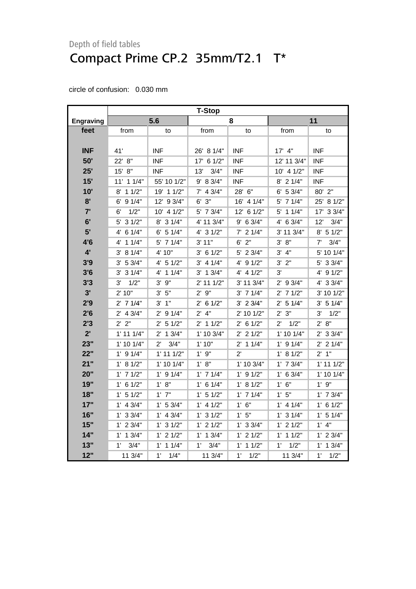|                  | <b>T-Stop</b>  |                       |                |               |                      |                |
|------------------|----------------|-----------------------|----------------|---------------|----------------------|----------------|
| <b>Engraving</b> |                | 5.6                   |                | 8             |                      | 11             |
| feet             | from           | to                    | from           | to            | from                 | to             |
|                  |                |                       |                |               |                      |                |
| <b>INF</b>       | 41'            | <b>INF</b>            | 26' 8 1/4"     | <b>INF</b>    | $17'$ 4"             | <b>INF</b>     |
| 50'              | 22' 8"         | <b>INF</b>            | 17' 6 1/2"     | <b>INF</b>    | 12' 11 3/4"          | <b>INF</b>     |
| 25'              | 15' 8"         | <b>INF</b>            | 3/4"<br>13'    | <b>INF</b>    | 10' 4 1/2"           | <b>INF</b>     |
| 15'              | $11'$ 1 $1/4"$ | 55' 10 1/2"           | 9' 8 3/4"      | <b>INF</b>    | $8'$ 2 1/4"          | <b>INF</b>     |
| 10'              | 8' 1 1/2"      | 19' 1 1/2"            | $7'$ 4 $3/4"$  | 28' 6"        | 6' 53/4"             | 80' 2"         |
| 8'               | $6'$ 9 $1/4"$  | 12' 9 3/4"            | $6'$ $3''$     | 16' 4 1/4"    | $5'$ 7 1/4"          | 25' 8 1/2"     |
| 7'               | 1/2"<br>6'     | 10' 4 1/2"            | $5'$ 7 $3/4"$  | 12' 6 1/2"    | $5'$ 1 1/4"          | 33/4"<br>17'   |
| 6'               | 5' 3 1/2"      | 8' 3 1/4"             | 4' 11 3/4"     | $9'$ 6 3/4"   | 4' 6 3/4"            | 12'<br>3/4"    |
| 5'               | 6 1/4"<br>4'   | $6'$ 5 1/4"           | 4' 3 1/2"      | $7'$ 2 $1/4"$ | 3' 11 3/4"           | $8'$ 5 1/2"    |
| 4'6              | $4'$ 1 1/4"    | 5' 7 1/4"             | 3' 11"         | $6'$ 2"       | 3' 8''               | 7'<br>3/4"     |
| $4^{\circ}$      | 3' 8 1/4"      | 4' 10"                | $3'$ 6 1/2"    | 5' 2 3/4"     | 3' 4''               | 5' 10 1/4"     |
| 3'9              | 3' 5 3/4"      | 4' 51/2"              | $3'$ 4 1/4"    | 4' 9 1/2"     | $3'$ $2"$            | 5' 3 3/4"      |
| 3'6              | $3'$ 3 $1/4"$  | 4' 1 1/4"             | $3'$ 1 $3/4"$  | $4'$ 4 $1/2"$ | 3'                   | 4' 9 1/2"      |
| 3'3              | 3'<br>1/2"     | $3'$ $9''$            | $2'$ 11 $1/2"$ | 3' 11 3/4"    | $2'$ 9 3/4"          | 4' 3 3/4"      |
| 3'               | 2' 10"         | $3'$ $5"$             | 2'9''          | $3'$ 7 $1/4"$ | $2'$ 7 1/2"          | 3' 10 1/2"     |
| 2'9              | $2'$ 7 1/4"    | 3' 1''                | $2'$ 6 1/2"    | $3'$ 2 $3/4"$ | 2' 5 1/4"            | 3' 5 1/4"      |
| 2'6              | $2'$ 4 $3/4"$  | $2'$ 9 1/4"           | $2'$ 4"        | 2' 10 1/2"    | 2' 3''               | 1/2"<br>3'     |
| 2'3              | 2' 2"          | 51/2"<br>$2^{\prime}$ | $2'$ 1 1/2"    | 2' 6 1/2"     | 1/2"<br>$2^{\prime}$ | 2' 8''         |
| $2^{\prime}$     | $1'$ 11 $1/4"$ | $2'$ 1 $3/4"$         | 1' 10 3/4"     | $2'$ 2 1/2"   | $1'$ 10 $1/4"$       | $2'$ 3 3/4"    |
| 23"              | $1'$ 10 $1/4"$ | $2^{\prime}$<br>3/4"  | 1'10"          | $2'$ 1 1/4"   | $1'$ 9 $1/4"$        | $2'$ 2 1/4"    |
| 22"              | $1'$ 9 $1/4"$  | $1'$ 11 $1/2"$        | $1'$ $9"$      | $2^{\prime}$  | 1' 8 1/2"            | 2' 1''         |
| 21"              | 1' 8 1/2"      | $1'$ 10 $1/4"$        | 1' 8"          | 1' 10 3/4"    | $1'$ 7 $3/4"$        | $1'$ 11 $1/2"$ |
| 20"              | $1'$ 7 $1/2"$  | $1'$ 9 $1/4"$         | $1'$ 7 $1/4"$  | $1'$ 9 $1/2"$ | $1'$ 6 3/4"          | 1' 10 1/4"     |
| 19"              | $1'$ 6 $1/2"$  | 1' 8''                | $1'$ 6 $1/4"$  | 1' 8 1/2"     | 1' 6''               | 1'9''          |
| 18"              | $1'$ 5 $1/2"$  | $1'$ $7"$             | $1'$ 5 $1/2"$  | $1'$ 7 $1/4"$ | 1'5''                | $1'$ 7 $3/4"$  |
| 17"              | $1'$ 4 $3/4"$  | 1' 53/4"              | $1'$ 4 $1/2"$  | $1'$ 6"       | $1'$ 4 $1/4"$        | $1'$ 6 $1/2"$  |
| 16"              | $1'$ 3 3/4"    | $1'$ 4 $3/4"$         | $1'$ 3 $1/2"$  | 1'5"          | $1'$ 3 $1/4"$        | $1'$ 5 $1/4"$  |
| 15"              | $1'$ 2 3/4"    | $1'$ 3 $1/2"$         | $1'$ 2 $1/2"$  | $1'$ 3 3/4"   | $1'$ 2 $1/2"$        | $1'$ 4"        |
| 14"              | $1'$ 1 $3/4"$  | $1'$ 2 $1/2"$         | $1'$ 1 $3/4"$  | $1'$ 2 $1/2"$ | $1'$ 1 $1/2"$        | $1'$ 2 $3/4"$  |
| 13"              | 1'<br>3/4"     | $1'$ 1 $1/4"$         | 1'<br>3/4"     | 1'<br>11/2"   | 1'<br>1/2"           | 13/4"<br>1'    |
| 12"              | 11 3/4"        | 1'<br>1/4"            | 11 3/4"        | 1'<br>1/2"    | 11 3/4"              | 1'<br>1/2"     |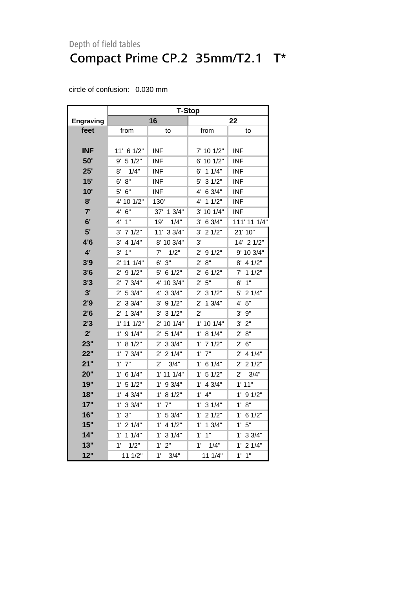|                  | <b>T-Stop</b>          |                        |                        |                        |  |  |
|------------------|------------------------|------------------------|------------------------|------------------------|--|--|
| <b>Engraving</b> |                        | 16                     |                        | 22                     |  |  |
| feet             | from                   | to                     | from                   | to                     |  |  |
|                  |                        |                        |                        |                        |  |  |
| <b>INF</b>       | 11' 6 1/2"             | INF                    | 7' 10 1/2"             | INF                    |  |  |
| 50'              | $9'$ 5 1/2"            | INF                    | 6' 10 1/2"             | <b>INF</b>             |  |  |
| 25'              | 1/4"<br>8'             | <b>INF</b>             | $6'$ 1 1/4"            | <b>INF</b>             |  |  |
| 15'              | 8"<br>6'               | <b>INF</b>             | 31/2"<br>5'            | <b>INF</b>             |  |  |
| 10'              | $5^{\prime}$<br>6"     | <b>INF</b>             | 6 3/4"<br>4'           | <b>INF</b>             |  |  |
| 8'               | 4' 10 1/2"             | 130'                   | 11/2"<br>4'            | <b>INF</b>             |  |  |
| 7'               | 4'<br>6"               | 37' 1 3/4"             | 3' 10 1/4"             | INF                    |  |  |
| 6'               | 4'<br>1"               | 1/4"<br>19'            | 6 3/4"<br>3'           | 111' 11 1/4"           |  |  |
| 5'               | 71/2"<br>3'            | 11' 3 3/4"             | 21/2"<br>3'            | 21' 10"                |  |  |
| 4'6              | $3'$ 4 $1/4"$          | 8' 10 3/4"             | 3'                     | 14' 2 1/2"             |  |  |
| 4'               | 1"<br>3'               | 7'<br>1/2"             | $2^{\prime}$<br>91/2"  | 9' 10 3/4"             |  |  |
| 3'9              | 2' 11 1/4"             | $6'$ $3''$             | 8"<br>$2^{\prime}$     | 8' 4 1/2"              |  |  |
| 3'6              | 91/2"<br>$2^{\prime}$  | 5' 6 1/2"              | $2^{\prime}$<br>61/2"  | $7'$ 1 1/2"            |  |  |
| 3'3              | 7 3/4"<br>$2^{\prime}$ | 4' 10 3/4"             | 5"<br>$2^{\prime}$     | 1"<br>6'               |  |  |
| 3'               | $2^{\prime}$<br>5 3/4" | 4' 3 3/4"              | 31/2"<br>2'            | 5' 2 1/4"              |  |  |
| 2'9              | 33/4"<br>2'            | $3'$ 9 $1/2"$          | 13/4"<br>2'            | 4' 5''                 |  |  |
| 2'6              | 13/4"<br>$2^{\prime}$  | 31/2"<br>3'            | $2^{\prime}$           | $3'$ $9''$             |  |  |
| 2'3              | $1'$ 11 $1/2"$         | 2' 10 1/4"             | 1' 10 1/4"             | 3' 2''                 |  |  |
| 2'               | 91/4"<br>$1^{\prime}$  | 51/4"<br>$2^{\prime}$  | 1' 8 1/4"              | $2^{\prime}$<br>8"     |  |  |
| 23"              | 8 1/2"<br>$1^{\circ}$  | $2'$ 3 3/4"            | $1'$ 7 $1/2"$          | $2^{\prime}$<br>6"     |  |  |
| 22"              | $1'$ 7 $3/4"$          | $2'$ 2 1/4"            | $1'$ $7"$              | $2^{\prime}$<br>4 1/4" |  |  |
| 21"              | 1'<br>7"               | $2^{\prime}$<br>3/4"   | $1'$ 6 $1/4"$          | $2^{\prime}$<br>21/2"  |  |  |
| 20"              | $1^{\prime}$<br>6 1/4" | $1'$ 11 $1/4"$         | 51/2"<br>1'            | $2^{\prime}$<br>3/4"   |  |  |
| 19"              | 51/2"<br>$1^{\prime}$  | 1'<br>9 3/4"           | 4 3/4"<br>$1^{\prime}$ | 1' 11"                 |  |  |
| 18"              | 1'<br>4 3/4"           | $1^{\prime}$<br>8 1/2" | 4"<br>1'               | $1^{\prime}$<br>9 1/2" |  |  |
| 17"              | 1'<br>33/4"            | $1^{\circ}$<br>7"      | 1'<br>31/4"            | 8"<br>1'               |  |  |
| 16"              | 1' 3''                 | 1' 53/4"               | $1'$ 2 $1/2"$          | $1^{\prime}$<br>61/2"  |  |  |
| 15"              | $1'$ 2 $1/4"$          | 1'<br>41/2"            | $1^{\circ}$<br>13/4"   | 1'5''                  |  |  |
| 14"              | $1'$ 1 $1/4"$          | 1'<br>31/4"            | 1"<br>1'               | 1' 33/4"               |  |  |
| 13"              | 1'<br>1/2"             | 1'<br>2"               | 1'<br>1/4"             | 1'<br>21/4"            |  |  |
| 12"              | 11 1/2"                | $1^{\circ}$<br>3/4"    | 11 1/4"                | $1'$ $1"$              |  |  |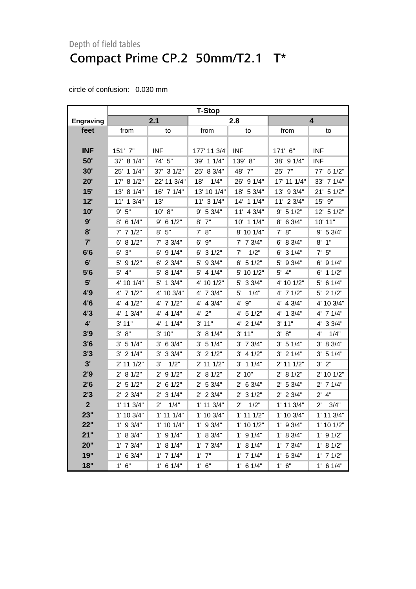|                  | <b>T-Stop</b>  |                      |                |                      |                |                      |  |
|------------------|----------------|----------------------|----------------|----------------------|----------------|----------------------|--|
| <b>Engraving</b> |                | 2.1                  |                | 2.8                  |                | 4                    |  |
| feet             | from           | to                   | from           | to                   | from           | to                   |  |
|                  |                |                      |                |                      |                |                      |  |
| <b>INF</b>       | 151' 7"        | <b>INF</b>           | 177' 11 3/4"   | <b>INF</b>           | 171' 6"        | <b>INF</b>           |  |
| 50"              | 37' 8 1/4"     | 74' 5"               | 39' 1 1/4"     | 139' 8"              | 38' 9 1/4"     | INF                  |  |
| 30'              | 11/4"<br>25'   | 37' 3 1/2"           | 25' 8 3/4"     | 48' 7"               | 25' 7"         | 77' 5 1/2"           |  |
| 20'              | 17' 8 1/2"     | 22' 11 3/4"          | 18'<br>1/4"    | 26' 9 1/4"           | 17' 11 1/4"    | 33' 7 1/4"           |  |
| 15'              | 13' 8 1/4"     | 16' 7 1/4"           | 13' 10 1/4"    | 18' 5 3/4"           | 13' 9 3/4"     | 21' 5 1/2"           |  |
| 12'              | 11' 1 3/4"     | 13'                  | $11'$ 3 $1/4"$ | $14'$ 1 $1/4"$       | 11' 2 3/4"     | 15' 9"               |  |
| 10'              | 9' 5''         | 10' 8"               | 9' 53/4"       | 11' 4 3/4"           | 9' 5 1/2"      | 12' 5 1/2"           |  |
| 9'               | $8'$ 6 1/4"    | $9'$ 6 1/2"          | $8'$ $7"$      | 10' 1 1/4"           | 8' 6 3/4"      | 10' 11"              |  |
| 8'               | $7'$ 7 1/2"    | 8' 5''               | 7' 8''         | 8' 10 1/4"           | 7' 8''         | 9' 5 3/4"            |  |
| 7'               | 6' 8 1/2"      | $7'$ 3 3/4"          | 6' 9"          | $7'$ 7 3/4"          | $6'$ 8 3/4"    | $8'$ 1"              |  |
| 6'6              | $6'$ 3"        | $6'$ 9 1/4"          | $6'$ 3 $1/2"$  | 1/2"<br>7'           | $6'$ 3 $1/4"$  | $7'$ 5"              |  |
| 6'               | $5'$ 9 $1/2"$  | $6'$ 2 3/4"          | 5' 9 3/4"      | $6'$ 5 1/2"          | $5'$ 9 3/4"    | $6'$ 9 1/4"          |  |
| 5'6              | $5'$ 4"        | 5' 8 1/4"            | $5'$ 4 1/4"    | 5' 10 1/2"           | $5'$ 4"        | $6'$ 1 1/2"          |  |
| 5'               | 4' 10 1/4"     | 5' 1 3/4"            | 4' 10 1/2"     | 5' 3 3/4"            | 4' 10 1/2"     | $5'$ 6 1/4"          |  |
| 4'9              | 4' 7 1/2"      | 4' 10 3/4"           | 4' 7 3/4"      | 5'<br>1/4"           | 4' 7 1/2"      | $5'$ 2 1/2"          |  |
| 4'6              | $4'$ 4 $1/2"$  | 4' 7 1/2"            | 4' 4 3/4"      | 4' 9"                | 4' 4 3/4"      | 4' 10 3/4"           |  |
| 4'3              | $4'$ 1 $3/4"$  | 4' 4 1/4"            | $4'$ $2"$      | 4' 5 1/2"            | 4' 1 3/4"      | $4'$ 7 $1/4"$        |  |
| $4^{\prime}$     | 3' 11"         | 4' 1 1/4"            | $3'$ 11"       | 4' 2 1/4"            | 3' 11"         | 4' 3 3/4"            |  |
| 3'9              | 3' 8''         | 3'10"                | 3' 8 1/4"      | 3' 11"               | 3' 8''         | 1/4"<br>4'           |  |
| 3'6              | 3' 51/4"       | $3'$ 6 $3/4"$        | 3' 51/4"       | $3'$ 7 $3/4"$        | 3' 51/4"       | 3' 8 3/4"            |  |
| 3'3              | $3'$ 2 $1/4"$  | $3'$ 3 $3/4"$        | $3'$ 2 $1/2"$  | $3'$ 4 1/2"          | $3'$ 2 $1/4"$  | 3' 51/4"             |  |
| 3'               | 2' 11 1/2"     | 1/2"<br>3'           | 2' 11 1/2"     | $3'$ 1 1/4"          | 2' 11 1/2"     | 3' 2''               |  |
| 2'9              | 2' 8 1/2"      | $2'$ 9 1/2"          | 2' 8 1/2"      | 2'10"                | 2' 8 1/2"      | 2' 10 1/2"           |  |
| 2'6              | $2'$ 5 1/2"    | $2'$ 6 1/2"          | 2' 53/4"       | $2'$ 6 3/4"          | 2' 53/4"       | $2'$ 7 1/4"          |  |
| 2'3              | $2'$ 2 $3/4"$  | $2'$ 3 1/4"          | $2'$ 2 3/4"    | $2'$ 3 1/2"          | 2' 2 3/4"      | $2'$ 4"              |  |
| $\overline{2}$   | $1'$ 11 $3/4"$ | 1/4"<br>$2^{\prime}$ | 1' 11 3/4"     | 1/2"<br>$2^{\prime}$ | 1' 11 3/4"     | 3/4"<br>$2^{\prime}$ |  |
| 23"              | $1'$ 10 $3/4"$ | $1'$ 11 $1/4"$       | $1'$ 10 $3/4"$ | $1'$ 11 $1/2"$       | $1'$ 10 $3/4"$ | 1' 11 3/4"           |  |
| 22"              | $1'$ 9 3/4"    | $1'$ 10 $1/4"$       | $1'$ 9 3/4"    | $1'$ 10 $1/2"$       | $1'$ 9 3/4"    | $1'$ 10 $1/2"$       |  |
| 21"              | 1' 8 3/4"      | $1'$ 9 $1/4"$        | 1' 8 3/4"      | $1'$ 9 $1/4"$        | 1' 8 3/4"      | $1'$ 9 $1/2"$        |  |
| 20"              | $1'$ 7 $3/4"$  | 1' 8 1/4"            | $1'$ 7 $3/4"$  | 1' 8 1/4"            | $1'$ 7 $3/4"$  | 1' 8 1/2"            |  |
| 19"              | $1'$ 6 3/4"    | $1'$ 7 $1/4"$        | $1'$ $7"$      | $1'$ 7 $1/4"$        | $1'$ 6 3/4"    | $1'$ 7 $1/2"$        |  |
| 18"              | 1' 6''         | $1'$ 6 $1/4"$        | $1'$ 6"        | $1'$ 6 $1/4"$        | $1'$ 6"        | $1'$ 6 $1/4"$        |  |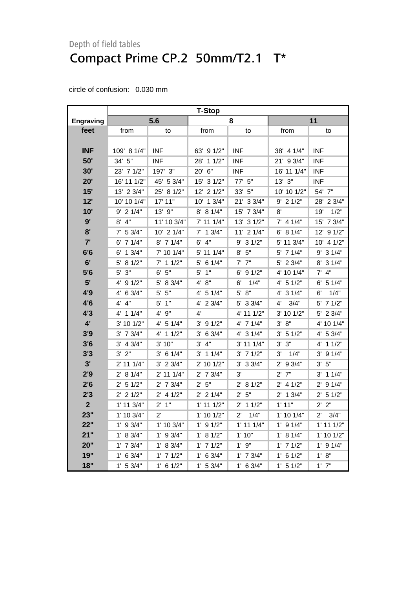|                  | <b>T-Stop</b>  |                |                |                      |                |                      |
|------------------|----------------|----------------|----------------|----------------------|----------------|----------------------|
| <b>Engraving</b> |                | 5.6            |                | 8                    |                | 11                   |
| feet             | from           | to             | from           | to                   | from           | to                   |
|                  |                |                |                |                      |                |                      |
| <b>INF</b>       | 109' 8 1/4"    | <b>INF</b>     | 63' 9 1/2"     | <b>INF</b>           | 38' 4 1/4"     | <b>INF</b>           |
| 50'              | 34' 5"         | <b>INF</b>     | 28'<br>11/2"   | <b>INF</b>           | 21' 9 3/4"     | <b>INF</b>           |
| 30'              | 23' 7 1/2"     | 197' 3"        | $20'$ 6"       | <b>INF</b>           | 16' 11 1/4"    | <b>INF</b>           |
| 20'              | 16' 11 1/2"    | 45' 5 3/4"     | 15' 3 1/2"     | 77' 5"               | $13'$ $3''$    | <b>INF</b>           |
| 15'              | 13' 2 3/4"     | 25' 8 1/2"     | 12' 2 1/2"     | 33' 5"               | 10' 10 1/2"    | 54' 7"               |
| 12'              | 10' 10 1/4"    | 17' 11"        | $10'$ 1 $3/4"$ | 21' 3 3/4"           | $9'$ 2 1/2"    | 28' 2 3/4"           |
| 10'              | $9'$ 2 1/4"    | 13' 9"         | 8' 8 1/4"      | 15' 7 3/4"           | $8^{\prime}$   | 19'<br>1/2"          |
| 9'               | $8'$ 4"        | 11' 10 3/4"    | $7'$ 11 1/4"   | 13' 3 1/2"           | $7'$ 4 1/4"    | 15' 7 3/4"           |
| 8'               | $7'$ 5 3/4"    | $10'$ 2 $1/4"$ | $7'$ 1 3/4"    | $11'$ 2 $1/4"$       | 6' 8 1/4"      | 12' 9 1/2"           |
| 7'               | $6'$ 7 1/4"    | 8' 7 1/4"      | $6'$ 4"        | $9'$ 3 1/2"          | 5' 11 3/4"     | 10' 4 1/2"           |
| 6'6              | $6'$ 1 3/4"    | 7' 10 1/4"     | 5' 11 1/4"     | $8'$ 5"              | 5' 7 1/4"      | $9'$ 3 1/4"          |
| 6'               | $5'$ 8 1/2"    | $7'$ 1 1/2"    | $5'$ 6 1/4"    | $7'$ $7''$           | 5' 2 3/4"      | 8' 3 1/4"            |
| 5'6              | 5' 3"          | 6' 5''         | 1"<br>5'       | 6' 9 1/2"            | 4' 10 1/4"     | $7'$ 4"              |
| 5'               | 4' 9 1/2"      | 5' 8 3/4"      | 4' 8"          | 1/4"<br>6'           | $4'$ 5 1/2"    | $6'$ 5 1/4"          |
| 4'9              | $4'$ 6 3/4"    | 5"<br>5'       | $4'$ 5 1/4"    | 5' 8''               | 4' 3 1/4"      | 6'<br>1/4"           |
| 4'6              | 4' 4''         | 1"<br>5'       | 4' 2 3/4"      | 5' 3 3/4"            | 4'<br>3/4"     | 5' 7 1/2"            |
| 4'3              | 4' 1 1/4"      | 4' 9"          | 4'             | 4' 11 1/2"           | 3' 10 1/2"     | 5' 2 3/4"            |
| $4^{\circ}$      | $3'$ 10 1/2"   | $4'$ 5 1/4"    | $3'$ 9 $1/2"$  | $4'$ 7 1/4"          | 3' 8''         | 4' 10 1/4"           |
| 3'9              | $3'$ 7 $3/4"$  | 4' 1 1/2"      | 3' 6 3/4"      | 4' 3 1/4"            | 3' 51/2"       | 4' 5 3/4"            |
| 3'6              | $3'$ 4 $3/4"$  | 3' 10"         | 3' 4''         | 3' 11 1/4"           | 3' 3''         | 4' 1 1/2"            |
| 3'3              | $3'$ $2"$      | $3'$ 6 1/4"    | $3'$ 1 1/4"    | $3'$ 7 $1/2"$        | 3'<br>1/4"     | $3'$ 9 $1/4"$        |
| 3'               | 2' 11 1/4"     | $3'$ 2 $3/4"$  | 2' 10 1/2"     | $3'$ 3 $3/4"$        | $2'$ 9 3/4"    | 5"<br>3'             |
| 2'9              | 2' 8 1/4"      | 2' 11 1/4"     | $2'$ 7 $3/4"$  | 3'                   | $2'$ $7"$      | $3'$ 1 1/4"          |
| 2'6              | $2'$ 5 1/2"    | $2'$ 7 $3/4"$  | 2' 5''         | 2' 8 1/2"            | $2'$ 4 1/2"    | $2'$ 9 1/4"          |
| 2'3              | $2'$ 2 1/2"    | $2'$ 4 1/2"    | $2'$ 2 1/4"    | 2' 5''               | $2'$ 1 $3/4"$  | $2'$ 5 1/2"          |
| $\overline{2}$   | $1'$ 11 $3/4"$ | $2'$ 1"        | $1'$ 11 $1/2"$ | $2'$ 1 1/2"          | 1'11"          | 2' 2''               |
| 23"              | 1' 10 3/4"     | $2^{\prime}$   | $1'$ 10 $1/2"$ | $2^{\prime}$<br>1/4" | $1'$ 10 $1/4"$ | 3/4"<br>$2^{\prime}$ |
| 22"              | $1'$ 9 3/4"    | $1'$ 10 $3/4"$ | $1'$ 9 $1/2"$  | $1'$ 11 $1/4"$       | $1'$ 9 $1/4"$  | $1'$ 11 $1/2"$       |
| 21"              | 1' 8 3/4"      | $1'$ 9 3/4"    | 1' 8 1/2"      | 1'10"                | 1' 8 1/4"      | 1' 10 1/2"           |
| 20"              | $1'$ 7 $3/4"$  | 1' 8 3/4"      | $1'$ 7 $1/2"$  | 1'9''                | $1'$ 7 $1/2"$  | $1'$ 9 $1/4"$        |
| 19"              | $1'$ 6 3/4"    | $1'$ 7 $1/2"$  | $1'$ 6 3/4"    | $1'$ 7 $3/4"$        | $1'$ 6 $1/2"$  | 1' 8''               |
| 18"              | $1'$ 5 3/4"    | $1'$ 6 $1/2"$  | 1' 53/4"       | $1'$ 6 3/4"          | 1' 5 1/2"      | $1'$ $7"$            |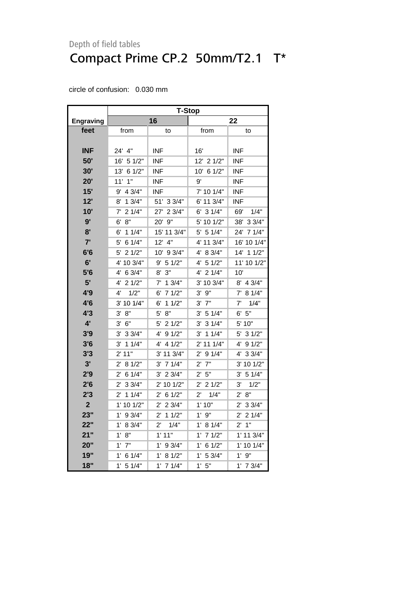|                  | T-Stop                 |                       |                        |                       |  |  |  |
|------------------|------------------------|-----------------------|------------------------|-----------------------|--|--|--|
| <b>Engraving</b> |                        | 16                    |                        | 22                    |  |  |  |
| feet             | from                   | to                    | from                   | to                    |  |  |  |
|                  |                        |                       |                        |                       |  |  |  |
| <b>INF</b>       | 24' 4"                 | <b>INF</b>            | 16'                    | <b>INF</b>            |  |  |  |
| 50'              | 16'<br>5 1/2"          | <b>INF</b>            | 12' 2 1/2"             | <b>INF</b>            |  |  |  |
| 30'              | 13'<br>61/2"           | <b>INF</b>            | 10' 6 1/2"             | <b>INF</b>            |  |  |  |
| 20'              | $11'$ $1"$             | <b>INF</b>            | 9'                     | <b>INF</b>            |  |  |  |
| 15'              | 9'<br>4 3/4"           | <b>INF</b>            | 7' 10 1/4"             | <b>INF</b>            |  |  |  |
| 12'              | 8'<br>13/4"            | 51' 3 3/4"            | 6' 11 3/4"             | <b>INF</b>            |  |  |  |
| 10'              | 21/4"<br>7'            | 27' 2 3/4"            | $6'$ 3 $1/4"$          | 69'<br>1/4"           |  |  |  |
| 9'               | 8"<br>6'               | $9"$<br>$20^{\circ}$  | 5' 10 1/2"             | 38'<br>33/4"          |  |  |  |
| 8 <sup>1</sup>   | 11/4"<br>6'            | 15' 11 3/4"           | 5 1/4"<br>5'           | 24' 7 1/4"            |  |  |  |
| 7'               | 61/4"<br>5'            | 4"<br>12'             | 4' 11 3/4"             | 16' 10 1/4"           |  |  |  |
| 6'6              | 21/2"<br>5'            | 10' 9 3/4"            | 8 3/4"<br>4'           | 14'<br>11/2"          |  |  |  |
| 6'               | 4' 10 3/4"             | 9'<br>5 1/2"          | 51/2"<br>4'            | 11' 10 1/2"           |  |  |  |
| 5'6              | 6 3/4"<br>4'           | 3"<br>8'              | 21/4"<br>4'            | 10'                   |  |  |  |
| 5'               | 21/2"<br>4'            | 7'<br>13/4"           | 3' 10 3/4"             | $8'$ 4 3/4"           |  |  |  |
| 4'9              | 4'<br>1/2"             | $6'$ 7 1/2"           | 9"<br>3'               | 7' 8 1/4"             |  |  |  |
| 4'6              | 3' 10 1/4"             | 6'<br>11/2"           | 7"<br>3'               | 1/4"<br>7'            |  |  |  |
| 4'3              | 8"<br>3'               | 5'<br>8"              | 3'<br>5 1/4"           | 5"<br>6'              |  |  |  |
| 4'               | 3'<br>6"               | 5'<br>21/2"           | 31/4"<br>3'            | 5' 10"                |  |  |  |
| 3'9              | 3'<br>33/4"            | 4'<br>91/2"           | 11/4"<br>3'            | 5' 3 1/2"             |  |  |  |
| 3'6              | 3'<br>11/4"            | 4'<br>4 1/2"          | 2' 11 1/4"             | 4'<br>91/2"           |  |  |  |
| 3'3              | 2' 11"                 | 3' 11 3/4"            | 91/4"<br>$2^{\prime}$  | 4'<br>33/4"           |  |  |  |
| 3'               | 8 1/2"<br>$2^{\prime}$ | 71/4"<br>3'           | 7"<br>2'               | 3' 10 1/2"            |  |  |  |
| 2'9              | 61/4"<br>2'            | 3'<br>23/4"           | 5"<br>2'               | 3'<br>5 1/4"          |  |  |  |
| 2'6              | 33/4"<br>$2^{\prime}$  | 2' 10 1/2"            | $2^{\prime}$<br>21/2"  | 3'<br>1/2"            |  |  |  |
| 2'3              | 11/4"<br>2'            | 61/2"<br>2'           | 1/4"<br>2'             | 8"<br>2'              |  |  |  |
| $\overline{2}$   | 1' 10 1/2"             | 23/4"<br>$2^{\prime}$ | 1'10"                  | 2' 3 3/4"             |  |  |  |
| 23"              | 1'<br>9 3/4"           | $2^{\prime}$<br>11/2" | 9"<br>$1^{\prime}$     | $2^{\prime}$<br>21/4" |  |  |  |
| 22"              | 8 3/4"<br>$1^{\circ}$  | 1/4"<br>$2^{\prime}$  | 8 1/4"<br>$1^{\prime}$ | 1"<br>$2^{\prime}$    |  |  |  |
| 21"              | $8"$<br>1'             | 1'11"                 | 71/2"<br>1'            | 1' 11 3/4"            |  |  |  |
| 20"              | $1'$ $7"$              | $1'$ 9 3/4"           | 1'<br>61/2"            | 1' 10 1/4"            |  |  |  |
| 19"              | 1'<br>61/4"            | $1^{\circ}$<br>81/2"  | 1'<br>5 3/4"           | $1^{\prime}$<br>9"    |  |  |  |
| 18"              | $1^{\prime}$<br>5 1/4" | $1'$ 7 $1/4"$         | 5"<br>$1^{\prime}$     | $1'$ 7 $3/4"$         |  |  |  |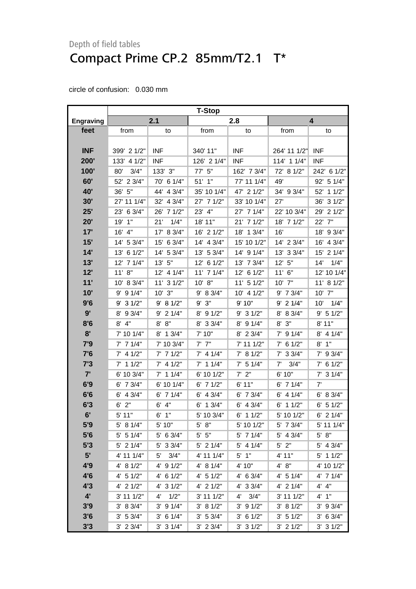|                  | <b>T-Stop</b>  |                      |                |                |                |                |  |
|------------------|----------------|----------------------|----------------|----------------|----------------|----------------|--|
| <b>Engraving</b> |                | 2.1                  |                | 2.8            |                | 4              |  |
| feet             | from           | to                   | from           | to             | from           | to             |  |
|                  |                |                      |                |                |                |                |  |
| <b>INF</b>       | 399' 2 1/2"    | <b>INF</b>           | 340' 11"       | <b>INF</b>     | 264' 11 1/2"   | <b>INF</b>     |  |
| 200'             | 133' 4 1/2"    | <b>INF</b>           | 126' 2 1/4"    | <b>INF</b>     | 114' 1 1/4"    | <b>INF</b>     |  |
| 100'             | 3/4"<br>80'    | 133' 3"              | 77' 5"         | 162' 7 3/4"    | 72' 8 1/2"     | 242' 6 1/2"    |  |
| 60'              | 52' 2 3/4"     | 70' 6 1/4"           | $51'$ 1"       | 77' 11 1/4"    | 49'            | 92' 5 1/4"     |  |
| 40'              | 36' 5"         | 44' 4 3/4"           | 35' 10 1/4"    | 47' 2 1/2"     | 34' 9 3/4"     | 11/2"<br>52'   |  |
| 30'              | 27' 11 1/4"    | 32' 4 3/4"           | 27' 7 1/2"     | 33' 10 1/4"    | 27'            | 36' 3 1/2"     |  |
| 25'              | 23' 6 3/4"     | 26' 7 1/2"           | 23'<br>4"      | 27' 7 1/4"     | 22' 10 3/4"    | 21/2"<br>29'   |  |
| 20'              | 19' 1"         | 21'<br>1/4"          | 18' 11"        | 21' 7 1/2"     | 18' 7 1/2"     | 22'<br>7"      |  |
| 17'              | 16' 4"         | 17' 8 3/4"           | 16' 2 1/2"     | 18' 1 3/4"     | 16'            | 18' 9 3/4"     |  |
| 15'              | 14' 5 3/4"     | 15' 6 3/4"           | 14' 4 3/4"     | 15' 10 1/2"    | 14' 2 3/4"     | 4 3/4"<br>16'  |  |
| 14'              | 13' 6 1/2"     | 14' 5 3/4"           | 13' 5 3/4"     | 14' 9 1/4"     | 13' 3 3/4"     | 15' 2 1/4"     |  |
| 13'              | 12' 7 1/4"     | 13' 5"               | 12' 6 1/2"     | 13' 7 3/4"     | 12' 5"         | 14'<br>1/4"    |  |
| 12'              | 11' 8''        | 12' 4 1/4"           | $11'$ 7 $1/4"$ | 12' 6 1/2"     | $11'$ 6"       | 12' 10 1/4"    |  |
| 11'              | 10' 8 3/4"     | 11' 3 1/2"           | 10' 8"         | $11'$ 5 $1/2"$ | 10' 7"         | $11'$ 8 $1/2"$ |  |
| 10'              | $9'$ 9 $1/4"$  | $10'$ $3"$           | 9' 8 3/4"      | 10' 4 1/2"     | $9'$ 7 $3/4"$  | 10' 7"         |  |
| 9'6              | $9'$ 3 $1/2"$  | 9' 8 1/2"            | $9'$ $3"$      | 9' 10"         | $9'$ 2 1/4"    | 1/4"<br>10'    |  |
| 9'               | 9 3/4"<br>8'   | 21/4"<br>9'          | 8' 9 1/2"      | $9'$ 3 $1/2"$  | 8 3/4"<br>8'   | 9' 5 1/2"      |  |
| 8'6              | $8'$ 4"        | 8' 8''               | 8' 3 3/4"      | $8'$ 9 1/4"    | 3"<br>8'       | 8'11"          |  |
| 8'               | 7' 10 1/4"     | 8' 1 3/4"            | 7' 10"         | $8'$ 2 3/4"    | $7'$ 9 1/4"    | $8'$ 4 1/4"    |  |
| 7'9              | $7'$ 7 1/4"    | 7' 10 3/4"           | $7'$ $7''$     | 7' 11 1/2"     | $7'$ 6 1/2"    | 1"<br>8'       |  |
| 7'6              | $7'$ 4 1/2"    | $7'$ 7 1/2"          | $7'$ 4 1/4"    | 7' 8 1/2"      | $7'$ 3 3/4"    | 7' 9 3/4"      |  |
| 7'3              | $7'$ 1 1/2"    | $7'$ 4 1/2"          | $7'$ 1 1/4"    | $7'$ 5 1/4"    | 7'<br>3/4"     | $7'$ 6 1/2"    |  |
| 7'               | 6' 10 3/4"     | $7'$ 1 1/4"          | 6' 10 1/2"     | $7'$ $2"$      | 6' 10"         | $7'$ 3 1/4"    |  |
| 6'9              | $6'$ 7 $3/4"$  | 6' 10 1/4"           | $6'$ 7 1/2"    | 6'11"          | $6'$ 7 1/4"    | 7'             |  |
| 6'6              | $6'$ 4 3/4"    | $6'$ 7 1/4"          | $6'$ 4 3/4"    | $6'$ 7 $3/4"$  | $6'$ 4 1/4"    | 6' 8 3/4"      |  |
| 6'3              | $6'$ 2"        | 4"<br>6'             | $6'$ 1 3/4"    | $6'$ 4 3/4"    | $6'$ 1 1/2"    | $6'$ 5 1/2"    |  |
| 6'               | 5' 11"         | 6'<br>1"             | 5' 10 3/4"     | 11/2"<br>6'    | 5' 10 1/2"     | $6'$ 2 $1/4"$  |  |
| 5'9              | 5' 8 1/4"      | 5'10"                | $5'$ $8"$      | 5' 10 1/2"     | 5' 7 3/4"      | 5' 11 1/4"     |  |
| 5'6              | $5'$ 5 1/4"    | 5' 6 3/4"            | $5'$ $5"$      | 5' 7 1/4"      | 5' 4 3/4"      | $5' 8"$        |  |
| 5'3              | 5' 2 1/4"      | 5' 3 3/4"            | $5'$ 2 1/4"    | $5'$ 4 1/4"    | $5'$ 2"        | 5' 4 3/4"      |  |
| 5'               | 4' 11 1/4"     | 5'<br>3/4"           | 4' 11 1/4"     | $5'$ 1"        | 4' 11"         | $5'$ 1 1/2"    |  |
| 4'9              | 4' 8 1/2"      | 4' 9 1/2"            | 4' 8 1/4"      | 4' 10"         | 4' 8"          | 4' 10 1/2"     |  |
| 4'6              | $4'$ 5 $1/2"$  | $4'$ 6 1/2"          | $4'$ 5 1/2"    | $4'$ 6 3/4"    | $4'$ 5 1/4"    | 4' 7 1/4"      |  |
| 4'3              | $4'$ 2 $1/2"$  | $4'$ 3 $1/2"$        | $4'$ 2 $1/2"$  | 4' 3 3/4"      | 4' 2 1/4"      | 4' 4"          |  |
| $4^{\prime}$     | $3'$ 11 $1/2"$ | 1/2"<br>$4^{\prime}$ | 3' 11 1/2"     | 3/4"<br>4'     | $3'$ 11 $1/2"$ | 4' 1''         |  |
| 3'9              | 3' 8 3/4"      | $3'$ 9 $1/4"$        | 3' 81/2"       | $3'$ 9 $1/2"$  | 3' 8 1/2"      | $3'$ 9 $3/4"$  |  |
| 3'6              | 3' 5 3/4"      | $3'$ 6 1/4"          | 3' 5 3/4"      | $3'$ 6 1/2"    | 3' 51/2"       | $3'$ 6 $3/4"$  |  |
| 3'3              | $3'$ 2 $3/4"$  | $3'$ 3 $1/4"$        | $3'$ 2 $3/4"$  | $3'$ 3 $1/2"$  | $3'$ 2 $1/2"$  | $3'$ 3 $1/2"$  |  |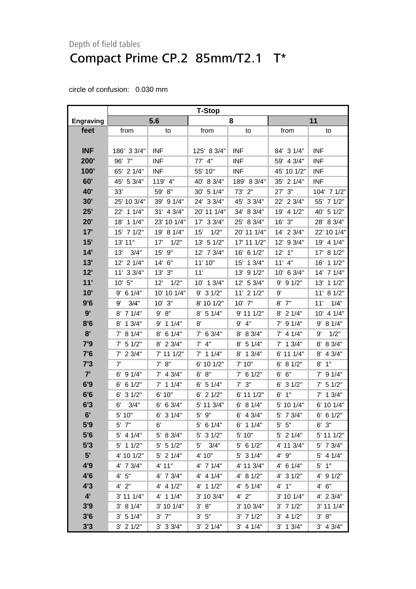|                  | <b>T-Stop</b> |               |                     |                |               |               |
|------------------|---------------|---------------|---------------------|----------------|---------------|---------------|
| <b>Engraving</b> |               | 5.6           |                     | 8              |               | 11            |
| feet             | from          | to            | from                | to             | from          | to            |
|                  |               |               |                     |                |               |               |
| <b>INF</b>       | 186' 3 3/4"   | <b>INF</b>    | 125' 8 3/4"         | <b>INF</b>     | 84' 3 1/4"    | <b>INF</b>    |
| 200'             | 96' 7"        | <b>INF</b>    | 77' 4"              | <b>INF</b>     | 59' 4 3/4"    | <b>INF</b>    |
| 100'             | 65' 2 1/4"    | <b>INF</b>    | 55' 10"             | <b>INF</b>     | 45' 10 1/2"   | <b>INF</b>    |
| 60'              | 45' 5 3/4"    | 119' 4"       | 40' 8 3/4"          | 189' 8 3/4"    | 35' 2 1/4"    | <b>INF</b>    |
| 40'              | 33'           | 59' 8"        | 30' 5 1/4"          | 73' 2"         | $27'$ $3''$   | 104' 7 1/2"   |
| 30'              | 25' 10 3/4"   | 39' 9 1/4"    | 24' 3 3/4"          | 45' 3 3/4"     | 22' 2 3/4"    | 55' 7 1/2"    |
| 25'              | 22' 1 1/4"    | 31' 4 3/4"    | 20' 11 1/4"         | 34' 8 3/4"     | 19' 4 1/2"    | 40' 5 1/2"    |
| 20'              | 18' 1 1/4"    | 23' 10 1/4"   | 17' 3 3/4"          | 25' 8 3/4"     | $16'$ $3"$    | 28' 8 3/4"    |
| 17'              | 15' 7 1/2"    | 19' 8 1/4"    | 1/2"<br>15'         | 20' 11 1/4"    | 14' 2 3/4"    | 22' 10 1/4"   |
| 15'              | 13' 11"       | 17'<br>1/2"   | 13' 5 1/2"          | 17' 11 1/2"    | 12' 9 3/4"    | 19' 4 1/4"    |
| 14'              | 13'<br>3/4"   | 15' 9"        | 12' 7 3/4"          | 16' 6 1/2"     | $12'$ 1"      | 17' 8 1/2"    |
| 13'              | 12' 2 1/4"    | 14' 6"        | 11' 10"             | 15' 1 3/4"     | $11'$ 4"      | 11/2"<br>16'  |
| 12'              | 11' 3 3/4"    | $13'$ $3''$   | 11'                 | 13' 9 1/2"     | 10' 6 3/4"    | 14' 7 1/4"    |
| 11'              | 10' 5"        | 12'<br>1/2"   | 10' 1 3/4"          | 12' 5 3/4"     | $9'$ 9 $1/2"$ | 11/2"<br>13'  |
| 10'              | $9'$ 6 1/4"   | 10' 10 1/4"   | $9'$ 3 $1/2"$       | $11'$ 2 $1/2"$ | 9'            | 11' 8 1/2"    |
| 9'6              | 3/4"<br>9'    | $10'$ $3"$    | 8' 10 1/2"          | 10' 7"         | $8'$ $7''$    | 1/4"<br>11'   |
| 9'               | 8' 7 1/4"     | 9' 8''        | $8'$ 5 1/4"         | 9' 11 1/2"     | $8'$ 2 1/4"   | 10' 4 1/4"    |
| 8'6              | 8' 1 3/4"     | $9'$ 1 1/4"   | 8'                  | $9'$ $4"$      | $7'$ 9 1/4"   | 9' 8 1/4"     |
| 8'               | 7' 8 1/4"     | 8' 6 1/4"     | $7'$ 6 3/4"         | 8' 8 3/4"      | $7'$ 4 1/4"   | 1/2"<br>9'    |
| 7'9              | $7'$ 5 1/2"   | 8' 2 3/4"     | $7'$ 4"             | $8'$ 5 1/4"    | $7'$ 1 3/4"   | 8' 8 3/4"     |
| 7'6              | $7'$ 2 3/4"   | 7' 11 1/2"    | $7'$ 1 1/4"         | 8' 1 3/4"      | 6' 11 1/4"    | 4 3/4"<br>8'  |
| 7'3              | 7'            | 7' 8''        | 6' 10 1/2"          | 7' 10"         | 6' 8 1/2"     | $8'$ 1"       |
| 7'               | $6'$ 9 $1/4"$ | $7'$ 4 3/4"   | 6' 8''              | $7'$ 6 1/2"    | 6' 6''        | $7'$ 9 1/4"   |
| 6'9              | $6'$ 6 1/2"   | $7'$ 1 1/4"   | $6'$ 5 1/4"         | $7'$ 3"        | $6'$ 3 $1/2"$ | $7'$ 5 1/2"   |
| 6'6              | $6'$ 3 $1/2"$ | 6' 10"        | $6'$ 2 1/2"         | 6' 11 1/2"     | $6'$ 1"       | $7'$ 1 3/4"   |
| 6'3              | 3/4"<br>6'    | $6'$ 6 3/4"   | 5' 11 3/4"          | 6' 8 1/4"      | 5' 10 1/4"    | 6' 10 1/4"    |
| 6'               | 5' 10"        | $6'$ 3 $1/4"$ | 5' 9"               | $6'$ 4 3/4"    | 5' 7 3/4"     | $6'$ 6 1/2"   |
| 5'9              | $5'$ $7"$     | 6'            | $5'$ 6 1/4"         | $6'$ 1 1/4"    | $5'$ $5"$     | $6'$ $3"$     |
| 5'6              | 5' 4 1/4"     | 5' 8 3/4"     | $5'$ 3 $1/2"$       | 5' 10"         | 5' 2 1/4"     | 5' 11 1/2"    |
| 5'3              | $5'$ 1 1/2"   | $5'$ 5 1/2"   | 3/4"<br>$5^{\circ}$ | $5'$ 6 1/2"    | 4' 11 3/4"    | 5' 7 3/4"     |
| 5'               | 4' 10 1/2"    | $5'$ 2 1/4"   | 4' 10"              | $5'$ 3 1/4"    | 4' 9"         | $5'$ 4 1/4"   |
| 4'9              | 4' 7 3/4"     | 4' 11"        | $4'$ 7 1/4"         | 4' 11 3/4"     | $4'$ 6 1/4"   | $5'$ 1"       |
| 4'6              | 4' 5''        | 4' 7 3/4"     | $4'$ 4 $1/4"$       | 4' 8 1/2"      | 4' 3 1/2"     | $4'$ 9 $1/2"$ |
| 4'3              | $4'$ $2"$     | $4'$ 4 $1/2"$ | $4'$ 1 1/2"         | 4' 5 1/4"      | $4'$ 1"       | 4' 6''        |
| $4^{\prime}$     | 3' 11 1/4"    | 4' 1 1/4"     | 3' 10 3/4"          | $4'$ $2"$      | 3' 10 1/4"    | 4' 2 3/4"     |
| 3'9              | 3' 8 1/4"     | 3' 10 1/4"    | 3' 8''              | 3' 10 3/4"     | $3'$ 7 $1/2"$ | 3' 11 1/4"    |
| 3'6              | 3' 51/4"      | $3'$ $7"$     | $3'$ 5"             | $3'$ 7 $1/2"$  | 3' 41/2"      | 3' 8''        |
| 3'3              | $3'$ 2 $1/2"$ | $3'$ 3 $3/4"$ | $3'$ 2 1/4"         | $3'$ 4 1/4"    | $3'$ 1 $3/4"$ | 3' 4 3/4"     |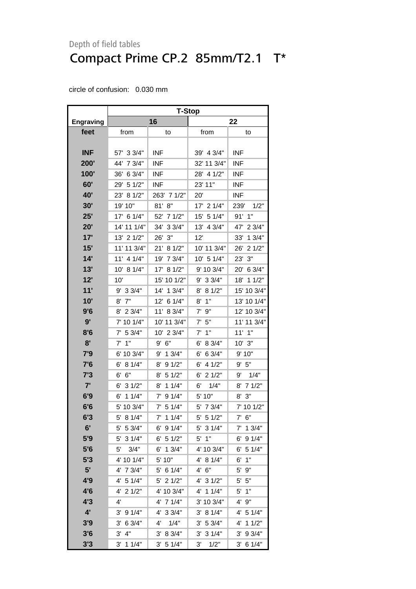|              | <b>T-Stop</b>      |               |               |               |  |  |
|--------------|--------------------|---------------|---------------|---------------|--|--|
| Engraving    |                    | 16            |               | 22            |  |  |
| feet         | from               | to            | from          | to            |  |  |
|              |                    |               |               |               |  |  |
| <b>INF</b>   | 57' 3 3/4"         | <b>INF</b>    | 39' 4 3/4"    | <b>INF</b>    |  |  |
| 200'         | 44' 7 3/4"         | <b>INF</b>    | 32' 11 3/4"   | <b>INF</b>    |  |  |
| 100'         | 36'<br>6 3/4"      | <b>INF</b>    | 28' 4 1/2"    | <b>INF</b>    |  |  |
| 60'          | 29' 5 1/2"         | <b>INF</b>    | 23' 11"       | <b>INF</b>    |  |  |
| <b>40'</b>   | 23' 8 1/2"         | 263' 7 1/2"   | 20'           | INF           |  |  |
| 30'          | 19' 10"            | 81'<br>8"     | 17' 2 1/4"    | 239'<br>1/2"  |  |  |
| 25'          | 17' 6 1/4"         | 52'<br>71/2"  | 15'<br>5 1/4" | $91'$ 1"      |  |  |
| 20'          | 14' 11 1/4"        | 34'<br>33/4"  | 13'<br>4 3/4" | 23/4"<br>47'  |  |  |
| 17'          | 13' 2 1/2"         | 26'<br>3"     | 12'           | 13/4"<br>33'  |  |  |
| 15'          | 11' 11 3/4"        | 21'<br>81/2"  | 10' 11 3/4"   | 26'<br>21/2"  |  |  |
| 14'          | $11'$ 4 $1/4"$     | 19'<br>7 3/4" | 10' 5 1/4"    | 23'<br>3"     |  |  |
| 13'          | 10' 8 1/4"         | 17'<br>81/2"  | 9' 10 3/4"    | 20'<br>6 3/4" |  |  |
| 12'          | 10'                | 15' 10 1/2"   | $9'$ 3 3/4"   | 18' 1 1/2"    |  |  |
| 11'          | 9' 3 3/4"          | 14'<br>13/4"  | 8 1/2"<br>8'  | 15' 10 3/4"   |  |  |
| 10'          | 7"<br>8'           | 12'<br>61/4"  | 1"<br>8'      | 13' 10 1/4"   |  |  |
| 9'6          | 8' 2 3/4"          | 11'<br>8 3/4" | 7' 9"         | 12' 10 3/4"   |  |  |
| 9'           | 7' 10 1/4"         | 10' 11 3/4"   | 7'<br>5"      | 11' 11 3/4"   |  |  |
| 8'6          | $7'$ 5 3/4"        | 10' 2 3/4"    | 1"<br>7'      | $11'$ $1"$    |  |  |
| 8'           | 1"<br>7'           | 9' 6''        | 8 3/4"<br>6'  | $10'$ 3"      |  |  |
| 7'9          | 6' 10 3/4"         | 9' 1 3/4"     | 6 3/4"<br>6'  | 9' 10"        |  |  |
| 7'6          | 8 1/4"<br>6'       | 91/2"<br>8'   | 4 1/2"<br>6'  | 9' 5''        |  |  |
| 7'3          | 6"<br>6'           | 51/2"<br>8'   | 21/2"<br>6'   | 9'<br>1/4"    |  |  |
| 7'           | 31/2"<br>6'        | 11/4"<br>8'   | 6'<br>1/4"    | 8' 7 1/2"     |  |  |
| 6'9          | 11/4"<br>6'        | 91/4"<br>7'   | 5' 10"        | $8'$ $3''$    |  |  |
| 6'6          | 5' 10 3/4"         | $7'$ 5 1/4"   | 5' 7 3/4"     | 7' 10 1/2"    |  |  |
| 6'3          | 5'<br>8 1/4"       | 11/4"<br>7'   | 5'<br>51/2"   | 7' 6''        |  |  |
| 6'           | 5' 5 3/4"          | $6'$ 9 $1/4"$ | $5'$ 3 $1/4"$ | 7' 1 3/4"     |  |  |
| 5'9          | 31/4"<br>5'        | $6'$ 5 1/2"   | 1"<br>5'      | 91/4"<br>6'   |  |  |
| 5'6          | 5'<br>3/4"         | 6'<br>13/4"   | 4' 10 3/4"    | $6'$ 5 1/4"   |  |  |
| 5'3          | 4' 10 1/4"         | 5' 10"        | 4' 8 1/4"     | 6'<br>1"      |  |  |
| 5'           | 4' 7 3/4"          | 5' 6 1/4"     | 4' 6''        | 5' 9"         |  |  |
| 4'9          | $4'$ 5 1/4"        | $5'$ 2 $1/2"$ | $4'$ 3 $1/2"$ | $5'$ $5"$     |  |  |
| 4'6          | $4'$ 2 1/2"        | 4' 10 3/4"    | $4'$ 1 1/4"   | 5'<br>1"      |  |  |
| 4'3          | 4'                 | $4'$ 7 1/4"   | 3' 10 3/4"    | 4' 9"         |  |  |
| $4^{\prime}$ | $3'$ 9 $1/4"$      | 4' 3 3/4"     | 8 1/4"<br>3'  | 4' 5 1/4"     |  |  |
| 3'9          | $3'$ 6 $3/4"$      | 1/4"<br>4'    | 5 3/4"<br>3'  | 4' 1 1/2"     |  |  |
| 3'6          | 4"<br>$3^{\prime}$ | 3' 8 3/4"     | 31/4"<br>3'   | $3'$ 9 $3/4"$ |  |  |
| 3'3          | $3'$ 1 1/4"        | 3' 5 1/4"     | 3'<br>1/2"    | $3'$ 6 1/4"   |  |  |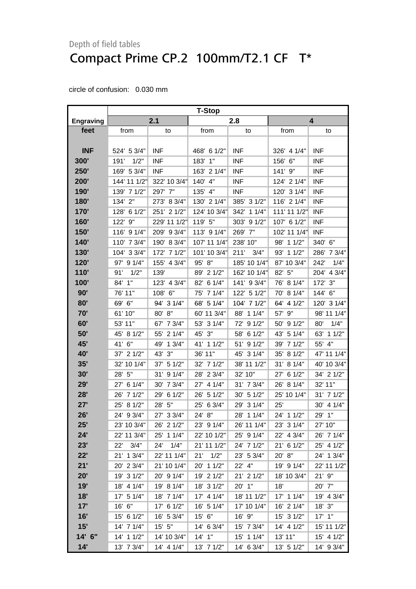|                  | <b>T-Stop</b> |                |               |               |               |               |
|------------------|---------------|----------------|---------------|---------------|---------------|---------------|
| <b>Engraving</b> |               | 2.1            |               | 2.8           |               | 4             |
| feet             | from          | to             | from          | to            | from          | to            |
|                  |               |                |               |               |               |               |
| <b>INF</b>       | 524' 5 3/4"   | <b>INF</b>     | 468' 6 1/2"   | <b>INF</b>    | 326' 4 1/4"   | <b>INF</b>    |
| 300'             | 1/2"<br>191'  | <b>INF</b>     | 183' 1"       | <b>INF</b>    | 6"<br>156'    | <b>INF</b>    |
| 250'             | 169' 5 3/4"   | <b>INF</b>     | 163' 2 1/4"   | <b>INF</b>    | $141'$ $9''$  | <b>INF</b>    |
| 200'             | 144' 11 1/2"  | 322' 10 3/4"   | 140' 4"       | <b>INF</b>    | 124' 2 1/4"   | <b>INF</b>    |
| 190'             | 139' 7 1/2"   | 297' 7"        | 135' 4"       | <b>INF</b>    | 120' 3 1/4"   | <b>INF</b>    |
| 180'             | 134' 2"       | 273' 8 3/4"    | 130' 2 1/4"   | 385' 3 1/2"   | 116' 2 1/4"   | <b>INF</b>    |
| 170'             | 61/2"<br>128' | 251' 2 1/2"    | 124' 10 3/4"  | 342'<br>11/4" | 111' 11 1/2"  | <b>INF</b>    |
| 160'             | 122' 9"       | 229' 11 1/2"   | 119' 5"       | 303' 9 1/2"   | 107' 6 1/2"   | <b>INF</b>    |
| 150'             | 116' 9 1/4"   | 209' 9 3/4"    | 113' 9 1/4"   | 269' 7"       | 102' 11 1/4"  | <b>INF</b>    |
| 140'             | 110' 7 3/4"   | 190' 8 3/4"    | 107' 11 1/4"  | 238' 10"      | 98' 1 1/2"    | 340' 6"       |
| <b>130'</b>      | 104' 3 3/4"   | 172' 7 1/2"    | 101' 10 3/4"  | 211'<br>3/4"  | 93' 1 1/2"    | 286' 7 3/4"   |
| 120'             | 97' 9 1/4"    | 155' 4 3/4"    | 95' 8"        | 185' 10 1/4"  | 87' 10 3/4"   | 242'<br>1/4"  |
| 110'             | 1/2"<br>91'   | 139'           | 89' 2 1/2"    | 162' 10 1/4"  | 82' 5"        | 204' 4 3/4"   |
| 100'             | 84' 1"        | 4 3/4"<br>123' | 6 1/4"<br>82' | 141' 9 3/4"   | 76' 8 1/4"    | 172' 3"       |
| 90'              | 76' 11"       | 108' 6"        | 7 1/4"<br>75' | 122' 5 1/2"   | 70' 8 1/4"    | 144' 6"       |
| 80'              | 69' 6"        | 94' 3 1/4"     | 68' 5 1/4"    | 104' 7 1/2"   | 64' 4 1/2"    | 120' 3 1/4"   |
| 70'              | 61' 10"       | 80' 8"         | 60' 11 3/4"   | 88' 1 1/4"    | 9"<br>57'     | 98' 11 1/4"   |
| 60'              | 53' 11"       | 67' 7 3/4"     | 53'<br>31/4"  | 72' 9 1/2"    | 50' 9 1/2"    | 1/4"<br>80'   |
| 50'              | 45' 8 1/2"    | 55' 2 1/4"     | 3"<br>45'     | 58' 6 1/2"    | 43' 5 1/4"    | 11/2"<br>63'  |
| 45'              | 41' 6"        | 49' 1 3/4"     | 41'<br>11/2"  | 51' 9 1/2"    | 39' 7 1/2"    | 55' 4"        |
| <b>40'</b>       | 37' 2 1/2"    | 43' 3"         | 36' 11"       | 45' 3 1/4"    | 35' 8 1/2"    | 47' 11 1/4"   |
| 35'              | 32' 10 1/4"   | 37' 5 1/2"     | 32' 7 1/2"    | 38' 11 1/2"   | 31' 8 1/4"    | 40' 10 3/4"   |
| 30'              | 28' 5"        | 91/4"<br>31'   | 23/4"<br>28'  | 32' 10"       | 6 1/2"<br>27' | 34' 2 1/2"    |
| 29'              | 27' 6 1/4"    | 30' 7 3/4"     | 4 1/4"<br>27' | 31' 7 3/4"    | 26' 8 1/4"    | 32' 11"       |
| 28'              | 26' 7 1/2"    | 29' 6 1/2"     | 5 1/2"<br>26' | 30' 5 1/2"    | 25' 10 1/4"   | 31' 7 1/2"    |
| 27'              | 25' 8 1/2"    | 28' 5"         | 6 3/4"<br>25' | 29' 3 1/4"    | 25'           | 4 1/4"<br>30' |
| 26'              | 24' 9 3/4"    | 27' 3 3/4"     | 24'<br>8"     | 28' 1 1/4"    | 24' 1 1/2"    | 29'<br>1"     |
| 25'              | 23' 10 3/4"   | 26' 2 1/2"     | 23' 9 1/4"    | 26' 11 1/4"   | 23' 3 1/4"    | 27' 10"       |
| 24'              | 22' 11 3/4"   | 25' 1 1/4"     | 22' 10 1/2"   | 25' 9 1/4"    | 22' 4 3/4"    | 26' 7 1/4"    |
| 23'              | 3/4"<br>22'   | 1/4"<br>24'    | 21' 11 1/2"   | 24' 7 1/2"    | 21' 6 1/2"    | 25' 4 1/2"    |
| 22'              | 21' 1 3/4"    | 22' 11 1/4"    | 1/2"<br>21'   | 23' 5 3/4"    | 20' 8"        | 24' 1 3/4"    |
| 21'              | 20' 2 3/4"    | 21' 10 1/4"    | 20' 1 1/2"    | 22' 4"        | 19' 9 1/4"    | 22' 11 1/2"   |
| 20'              | 19' 3 1/2"    | 20' 9 1/4"     | 19' 2 1/2"    | 21' 2 1/2"    | 18' 10 3/4"   | $21'$ $9''$   |
| 19'              | 18' 4 1/4"    | 19' 8 1/4"     | 18' 3 1/2"    | 20' 1"        | 18'           | 20' 7"        |
| 18'              | 17' 5 1/4"    | 18' 7 1/4"     | 17' 4 1/4"    | 18' 11 1/2"   | 17' 1 1/4"    | 19' 4 3/4"    |
| 17'              | 16' 6"        | 17' 6 1/2"     | 16' 5 1/4"    | 17' 10 1/4"   | 16' 2 1/4"    | 18' 3"        |
| 16'              | 15' 6 1/2"    | 16' 5 3/4"     | 15' 6"        | 16' 9"        | 15' 3 1/2"    | $17'$ $1"$    |
| 15'              | 14' 7 1/4"    | 15' 5"         | 14' 6 3/4"    | 15' 7 3/4"    | 14' 4 1/2"    | 15' 11 1/2"   |
| 14' 6"           | 14' 1 1/2"    | 14' 10 3/4"    | $14'$ 1"      | 15' 1 1/4"    | 13' 11"       | 15' 4 1/2"    |
| 14'              | 13' 7 3/4"    | 14' 4 1/4"     | 13' 7 1/2"    | 14' 6 3/4"    | 13' 5 1/2"    | 14' 9 3/4"    |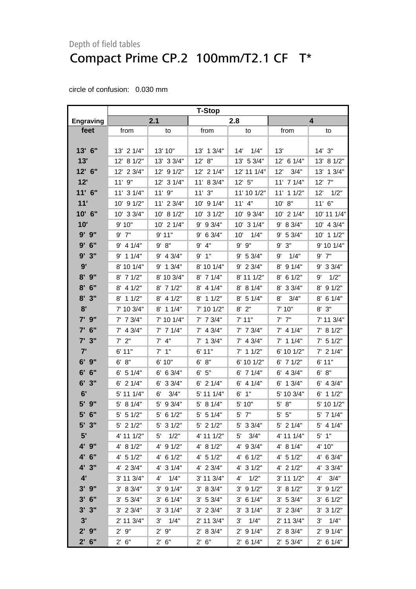|                  | <b>T-Stop</b>  |                |               |                      |               |                      |
|------------------|----------------|----------------|---------------|----------------------|---------------|----------------------|
| <b>Engraving</b> |                | 2.1            |               | 2.8                  |               | 4                    |
| feet             | from           | to             | from          | to                   | from          | to                   |
|                  |                |                |               |                      |               |                      |
| 13' 6"           | $13'$ 2 $1/4"$ | 13' 10"        | 13' 1 3/4"    | 1/4"<br>14'          | 13'           | 14'3''               |
| 13'              | 12' 8 1/2"     | 13' 3 3/4"     | 12' 8"        | 13' 5 3/4"           | 12' 6 1/4"    | 13' 8 1/2"           |
| 12' 6"           | 12' 2 3/4"     | 12' 9 1/2"     | 12' 2 1/4"    | 12' 11 1/4"          | 12'<br>3/4"   | 13/4"<br>13'         |
| 12'              | 11' 9"         | 12' 3 1/4"     | 11' 8 3/4"    | $12'$ 5"             | 11' 7 1/4"    | - 7"<br>12'          |
| $11'$ 6"         | 11' 3 1/4"     | 11'9''         | 11'3''        | 11' 10 1/2"          | 11' 1 1/2"    | 12'<br>1/2"          |
| 11'              | 10' 9 1/2"     | 11' 2 3/4"     | 10' 9 1/4"    | $11'$ 4"             | 10' 8"        | $11'$ 6"             |
| 10' 6"           | 10' 3 3/4"     | 10' 8 1/2"     | 10' 3 1/2"    | 10' 9 3/4"           | 10' 2 1/4"    | 10' 11 1/4"          |
| 10'              | 9' 10"         | $10'$ 2 $1/4"$ | 9' 9 3/4"     | 10' 3 1/4"           | 9' 8 3/4"     | 10' 4 3/4"           |
| $9'$ $9"$        | $9'$ $7"$      | 9'11"          | $9'$ 6 3/4"   | 10'<br>1/4"          | $9'$ 5 3/4"   | 10' 1 1/2"           |
| $9'$ 6"          | $9'$ 4 1/4"    | 9' 8''         | $9'$ $4"$     | 9' 9"                | 9'3''         | 9' 10 1/4"           |
| 9'<br>3"         | $9'$ 1 1/4"    | $9'$ 4 3/4"    | 9'1"          | 9' 5 3/4"            | 1/4"<br>9'    | $9'$ $7"$            |
| 9'               | 8' 10 1/4"     | $9'$ 1 $3/4"$  | 8' 10 1/4"    | $9'$ 2 3/4"          | $8'$ 9 1/4"   | $9'$ 3 3/4"          |
| $8'$ $9''$       | $8'$ 7 1/2"    | 8' 10 3/4"     | $8'$ 7 1/4"   | 8' 11 1/2"           | $8'$ 6 1/2"   | 9'<br>1/2"           |
| $8'$ 6"          | $8'$ 4 1/2"    | $8'$ 7 1/2"    | $8'$ 4 1/4"   | 8' 8 1/4"            | 8' 3 3/4"     | 8' 9 1/2"            |
| 8'3''            | $8'$ 1 1/2"    | $8'$ 4 1/2"    | 8' 1 1/2"     | $8'$ 5 1/4"          | 8'<br>3/4"    | $8'$ 6 1/4"          |
| 8'               | 7' 10 3/4"     | $8'$ 1 1/4"    | 7' 10 1/2"    | $8'$ $2"$            | 7'10''        | 8'3''                |
| $7'$ $9''$       | $7'$ 7 $3/4"$  | 7' 10 1/4"     | $7'$ 7 $3/4"$ | 7'11"                | $7'$ $7''$    | 7' 11 3/4"           |
| $7'$ 6"          | $7'$ 4 3/4"    | $7'$ 7 1/4"    | $7'$ 4 3/4"   | $7'$ 7 $3/4"$        | $7'$ 4 1/4"   | 7' 8 1/2"            |
| 7'3''            | $7'$ $2"$      | $7'$ 4"        | $7'$ 1 3/4"   | $7'$ 4 3/4"          | $7'$ 1 1/4"   | $7'$ 5 1/2"          |
| 7'               | 6'11"          | $7'$ 1"        | 6'11"         | $7'$ 1 1/2"          | 6' 10 1/2"    | $7'$ 2 1/4"          |
| $6'$ $9''$       | 6' 8''         | 6' 10"         | 6' 8''        | 6' 10 1/2"           | $6'$ 7 $1/2"$ | 6'11"                |
| 6' 6''           | $6'$ 5 1/4"    | $6'$ 6 3/4"    | 6' 5''        | $6'$ 7 1/4"          | $6'$ 4 3/4"   | 6' 8''               |
| $6'$ 3"          | $6'$ 2 $1/4"$  | $6'$ 3 3/4"    | $6'$ 2 $1/4"$ | $6'$ 4 $1/4"$        | $6'$ 1 3/4"   | $6'$ 4 3/4"          |
| 6'               | 5' 11 1/4"     | 3/4"<br>6'     | 5' 11 1/4"    | 1"<br>6'             | 5' 10 3/4"    | $6'$ 1 1/2"          |
| 5' 9"            | 5' 8 1/4"      | 5' 9 3/4"      | 5' 8 1/4"     | 5' 10"               | 5' 8"         | 5' 10 1/2"           |
| $5'$ 6"          | $5'$ 5 1/2"    | $5'$ 6 1/2"    | $5'$ 5 1/4"   | $5'$ $7''$           | $5'$ $5"$     | 5' 7 1/4"            |
| $5'$ 3"          | $5'$ 2 1/2"    | $5'$ 3 1/2"    | $5'$ 2 1/2"   | 5' 3 3/4"            | $5'$ 2 1/4"   | $5'$ 4 1/4"          |
| 5'               | 4' 11 1/2"     | 1/2"<br>5'     | 4' 11 1/2"    | 3/4"<br>5'           | 4' 11 1/4"    | $5'$ 1"              |
| 4' 9"            | 4' 8 1/2"      | 4' 9 1/2"      | 4' 8 1/2"     | 4' 9 3/4"            | 4' 8 1/4"     | 4' 10"               |
| 4' 6"            | $4'$ 5 $1/2"$  | 4' 6 1/2"      | 4' 51/2"      | $4'$ 6 $1/2"$        | $4'$ 5 1/2"   | 4' 6 3/4"            |
| 4' 3"            | $4'$ 2 3/4"    | 4' 3 1/4"      | $4'$ 2 3/4"   | $4'$ 3 $1/2"$        | 4' 2 1/2"     | $4'$ 3 3/4"          |
| 4'               | 3' 11 3/4"     | 1/4"<br>4'     | 3' 11 3/4"    | 1/2"<br>$4^{\prime}$ | 3' 11 1/2"    | 3/4"<br>4'           |
| $3'$ $9''$       | 3' 8 3/4"      | $3'$ 9 $1/4"$  | 3' 8 3/4"     | $3'$ 9 $1/2"$        | 3' 8 1/2"     | $3'$ 9 $1/2"$        |
| $3'$ 6"          | 3' 5 3/4"      | $3'$ 6 1/4"    | 3' 5 3/4"     | $3'$ 6 1/4"          | 3' 5 3/4"     | 3' 6 1/2"            |
| 3'3''            | $3'$ 2 $3/4"$  | $3'$ 3 $1/4"$  | $3'$ 2 $3/4"$ | $3'$ 3 $1/4"$        | $3'$ 2 $3/4"$ | $3'$ 3 $1/2"$        |
| 3'               | 2' 11 3/4"     | 3'<br>1/4"     | 2' 11 3/4"    | 3'<br>1/4"           | 2' 11 3/4"    | $3^{\prime}$<br>1/4" |
| 2'9''            | $2'$ $9"$      | $2'$ $9"$      | 2' 8 3/4"     | $2'$ 9 1/4"          | 2' 8 3/4"     | $2'$ 9 1/4"          |
| $2'$ 6"          | 2' 6''         | 2' 6''         | 2' 6''        | $2'$ 6 1/4"          | 2' 5 3/4"     | 2' 6 1/4"            |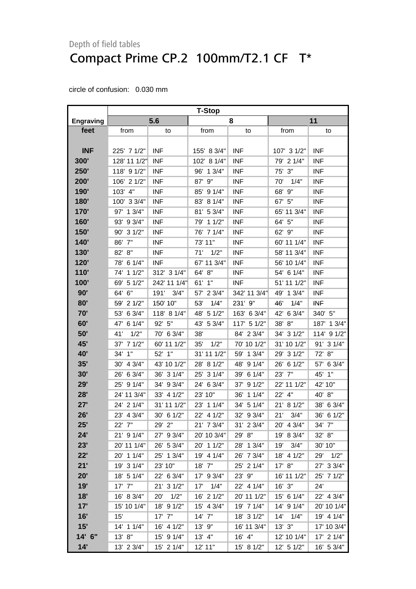|                  | <b>T-Stop</b> |                      |               |              |              |               |
|------------------|---------------|----------------------|---------------|--------------|--------------|---------------|
| <b>Engraving</b> |               | 5.6                  |               | 8            |              | 11            |
| feet             | from          | to                   | from          | to           | from         | to            |
|                  |               |                      |               |              |              |               |
| <b>INF</b>       | 225' 7 1/2"   | <b>INF</b>           | 155' 8 3/4"   | <b>INF</b>   | 107' 3 1/2"  | <b>INF</b>    |
| 300'             | 128' 11 1/2"  | <b>INF</b>           | 102' 8 1/4"   | <b>INF</b>   | 79' 2 1/4"   | <b>INF</b>    |
| 250'             | 118' 9 1/2"   | <b>INF</b>           | 13/4"<br>96'  | <b>INF</b>   | 75' 3"       | <b>INF</b>    |
| 200'             | 106' 2 1/2"   | <b>INF</b>           | $9"$<br>87'   | <b>INF</b>   | 70'<br>1/4"  | <b>INF</b>    |
| 190'             | 103' 4"       | <b>INF</b>           | 91/4"<br>85'  | <b>INF</b>   | 68'<br>9"    | <b>INF</b>    |
| 180'             | 100' 3 3/4"   | <b>INF</b>           | 8 1/4"<br>83' | <b>INF</b>   | 67' 5"       | <b>INF</b>    |
| 170'             | 97' 1 3/4"    | <b>INF</b>           | 81' 5 3/4"    | <b>INF</b>   | 65' 11 3/4"  | <b>INF</b>    |
| 160'             | 93' 9 3/4"    | <b>INF</b>           | 11/2"<br>79'  | <b>INF</b>   | 64' 5"       | <b>INF</b>    |
| 150'             | 90' 3 1/2"    | <b>INF</b>           | 76' 7 1/4"    | <b>INF</b>   | 62' 9"       | <b>INF</b>    |
| 140'             | 86' 7"        | <b>INF</b>           | 73' 11"       | <b>INF</b>   | 60' 11 1/4"  | <b>INF</b>    |
| <b>130'</b>      | 82' 8"        | <b>INF</b>           | 71'<br>1/2"   | <b>INF</b>   | 58' 11 3/4"  | <b>INF</b>    |
| 120'             | 78' 6 1/4"    | <b>INF</b>           | 67' 11 3/4"   | <b>INF</b>   | 56' 10 1/4"  | <b>INF</b>    |
| 110'             | 74' 1 1/2"    | 312' 3 1/4"          | 64' 8"        | <b>INF</b>   | 54' 6 1/4"   | <b>INF</b>    |
| 100'             | 69' 5 1/2"    | 242' 11 1/4"         | 61' 1"        | <b>INF</b>   | 51' 11 1/2"  | <b>INF</b>    |
| 90'              | 64' 6"        | 191'<br>3/4"         | 23/4"<br>57'  | 342' 11 3/4" | 49' 1 3/4"   | <b>INF</b>    |
| 80'              | 59' 2 1/2"    | 150' 10"             | 1/4"<br>53'   | 231' 9"      | 1/4"<br>46'  | <b>INF</b>    |
| 70'              | 53' 6 3/4"    | 118' 8 1/4"          | 48' 5 1/2"    | 163' 6 3/4"  | 42'<br>63/4" | 340' 5"       |
| 60'              | 47' 6 1/4"    | 92' 5"               | 5 3/4"<br>43' | 117' 5 1/2"  | 8"<br>38'    | 13/4"<br>187' |
| 50'              | 1/2"<br>41'   | 70' 6 3/4"           | 38'           | 84' 2 3/4"   | 34' 3 1/2"   | 114' 9 1/2"   |
| 45'              | 37' 7 1/2"    | 60' 11 1/2"          | 1/2"<br>35'   | 70' 10 1/2"  | 31' 10 1/2"  | 91' 3 1/4"    |
| <b>40'</b>       | 34' 1"        | 52' 1"               | 31' 11 1/2"   | 59' 1 3/4"   | 29' 3 1/2"   | 72' 8"        |
| 35'              | 30' 4 3/4"    | 43' 10 1/2"          | 81/2"<br>28'  | 48'<br>91/4" | 26' 6 1/2"   | 6 3/4"<br>57' |
| 30'              | 26' 6 3/4"    | 36' 3 1/4"           | 31/4"<br>25'  | 39' 6 1/4"   | 23' 7"       | 1"<br>45'     |
| 29'              | 25' 9 1/4"    | 34' 9 3/4"           | 24' 6 3/4"    | 37'<br>91/2" | 22' 11 1/2"  | 42' 10"       |
| 28'              | 24' 11 3/4"   | 33' 4 1/2"           | 23' 10"       | 36' 1 1/4"   | 22' 4"       | 40' 8"        |
| 27'              | 24' 2 1/4"    | 31' 11 1/2"          | 11/4"<br>23'  | 34' 5 1/4"   | 21' 8 1/2"   | 6 3/4"<br>38' |
| 26'              | 23' 4 3/4"    | 30' 6 1/2"           | 22' 4 1/2"    | 32' 9 3/4"   | 21'<br>3/4"  | 36' 6 1/2"    |
| 25'              | 22' 7"        | 29' 2"               | 21' 7 3/4"    | 31' 2 3/4"   | 20' 4 3/4"   | 34' 7"        |
| 24'              | 21' 9 1/4"    | 27' 9 3/4"           | 20' 10 3/4"   | 29' 8"       | 19' 8 3/4"   | 32' 8"        |
| 23'              | 20' 11 1/4"   | 26' 5 3/4"           | 20' 1 1/2"    | 28' 1 3/4"   | 3/4"<br>19'  | 30' 10"       |
| 22'              | 20' 1 1/4"    | 25' 1 3/4"           | 19' 4 1/4"    | 26' 7 3/4"   | 18' 4 1/2"   | 1/2"<br>29'   |
| 21'              | 19' 3 1/4"    | 23' 10"              | $18'$ $7"$    | 25' 2 1/4"   | 17' 8''      | 27' 3 3/4"    |
| 20'              | 18' 5 1/4"    | 22' 6 3/4"           | 17' 9 3/4"    | 23' 9"       | 16' 11 1/2"  | 25' 7 1/2"    |
| 19'              | $17'$ $7''$   | 21' 3 1/2"           | 1/4"<br>17'   | 22' 4 1/4"   | $16'$ $3"$   | 24'           |
| 18'              | 16' 8 3/4"    | 1/2"<br>$20^{\circ}$ | 16' 2 1/2"    | 20' 11 1/2"  | 15' 6 1/4"   | 22' 4 3/4"    |
| 17'              | 15' 10 1/4"   | 18' 9 1/2"           | 15' 4 3/4"    | 19' 7 1/4"   | 14' 9 1/4"   | 20' 10 1/4"   |
| 16'              | 15'           | $17'$ $7''$          | $14'$ $7''$   | 18' 3 1/2"   | $14'$ $1/4"$ | 19' 4 1/4"    |
| 15'              | 14' 1 1/4"    | 16' 4 1/2"           | 13' 9"        | 16' 11 3/4"  | 13'3''       | 17' 10 3/4"   |
| 14' 6"           | 13' 8"        | 15' 9 1/4"           | $13'$ 4"      | 16' 4"       | 12' 10 1/4"  | 17' 2 1/4"    |
| 14'              | 13' 2 3/4"    | 15' 2 1/4"           | 12' 11"       | 15' 8 1/2"   | 12' 5 1/2"   | 16' 5 3/4"    |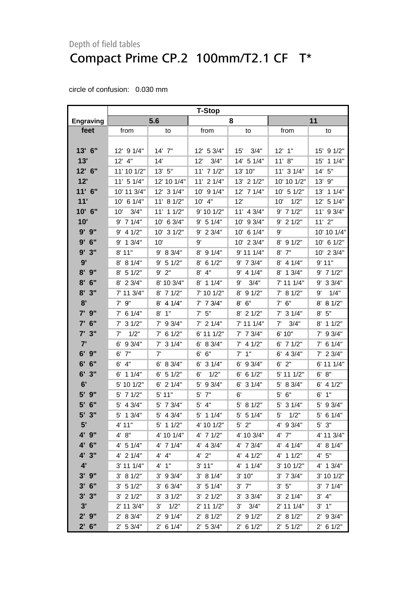|            | <b>T-Stop</b>  |               |                |               |               |                |
|------------|----------------|---------------|----------------|---------------|---------------|----------------|
| Engraving  |                | 5.6           |                | 8             |               | 11             |
| feet       | from           | to            | from           | to            | from          | to             |
|            |                |               |                |               |               |                |
| 13' 6"     | 12' 9 1/4"     | 14' 7"        | 12' 5 3/4"     | 15' 3/4"      | $12'$ 1"      | 15' 9 1/2"     |
| 13'        | 12' 4"         | 14'           | 3/4"<br>12'    | 14' 5 1/4"    | 11' 8''       | 15' 1 1/4"     |
| 12' 6"     | 11' 10 1/2"    | 13' 5"        | $11'$ 7 $1/2"$ | 13' 10"       | 11' 3 1/4"    | 14'5''         |
| 12'        | $11'$ 5 $1/4"$ | 12' 10 1/4"   | 11' 2 1/4"     | 13' 2 1/2"    | 10' 10 1/2"   | 13' 9"         |
| 11' 6"     | 10' 11 3/4"    | 12' 3 1/4"    | $10'$ 9 $1/4"$ | 12' 7 1/4"    | 10' 5 1/2"    | 13' 1 1/4"     |
| 11'        | 10' 6 1/4"     | 11' 8 1/2"    | $10'$ 4"       | 12'           | 1/2"<br>10'   | 12' 5 1/4"     |
| 10' 6"     | 3/4"<br>10'    | 11' 1 1/2"    | 9' 10 1/2"     | 11' 4 3/4"    | $9'$ 7 1/2"   | $11'$ 9 $3/4"$ |
| 10'        | $9'$ 7 1/4"    | 10' 6 3/4"    | 9' 5 1/4"      | 10' 9 3/4"    | $9'$ 2 1/2"   | $11'$ $2"$     |
| $9'$ $9"$  | $9'$ 4 1/2"    | 10' 3 1/2"    | 9' 2 3/4"      | 10' 6 1/4"    | 9'            | 10' 10 1/4"    |
| $9'$ 6"    | $9'$ 1 $3/4"$  | 10'           | 9'             | 10' 2 3/4"    | $8'$ 9 1/2"   | 10' 6 1/2"     |
| 9'3''      | 8'11"          | 9' 8 3/4"     | $8'$ 9 1/4"    | 9' 11 1/4"    | $8'$ $7''$    | 10' 2 3/4"     |
| 9'         | 8' 8 1/4"      | 9' 5 1/2"     | $8'$ 6 1/2"    | $9'$ 7 $3/4"$ | $8'$ 4 1/4"   | 9'11"          |
| $8'$ $9''$ | $8'$ 5 1/2"    | $9'$ $2"$     | $8'$ 4"        | $9'$ 4 1/4"   | 8' 1 3/4"     | $9'$ 7 1/2"    |
| $8'$ 6"    | 8' 2 3/4"      | 8' 10 3/4"    | $8'$ 1 1/4"    | 3/4"<br>9'    | 7' 11 1/4"    | 9' 3 3/4"      |
| 8'3''      | 7' 11 3/4"     | 8' 7 1/2"     | 7' 10 1/2"     | 91/2"<br>8'   | 7' 8 1/2"     | 1/4"<br>9'     |
| 8'         | $7'$ $9''$     | $8'$ 4 1/4"   | $7'$ 7 $3/4"$  | $8'$ $6''$    | $7'$ 6"       | 8' 8 1/2"      |
| 7'9''      | $7'$ 6 1/4"    | $8'$ 1"       | $7'$ 5"        | $8'$ 2 1/2"   | $7'$ 3 1/4"   | $8'$ 5"        |
| $7'$ 6"    | $7'$ 3 $1/2"$  | 7' 9 3/4"     | $7'$ 2 1/4"    | 7' 11 1/4"    | 7'<br>3/4"    | $8'$ 1 1/2"    |
| $7'$ 3"    | 1/2"<br>7'     | $7'$ 6 1/2"   | 6' 11 1/2"     | $7'$ 7 $3/4"$ | 6' 10"        | $7'$ 9 3/4"    |
| 7'         | $6'$ 9 3/4"    | $7'$ 3 1/4"   | 6' 8 3/4"      | $7'$ 4 1/2"   | $6'$ 7 1/2"   | $7'$ 6 1/4"    |
| $6'$ $9''$ | $6'$ $7"$      | 7'            | 6' 6"          | $7'$ 1"       | $6'$ 4 3/4"   | $7'$ 2 $3/4"$  |
| 6' 6''     | 4"<br>6'       | 6' 8 3/4"     | $6'$ 3 $1/4"$  | 93/4"<br>6'   | $6'$ 2"       | 6' 11 1/4"     |
| 6'3''      | $6'$ 1 1/4"    | $6'$ 5 $1/2"$ | 1/2"<br>6'     | $6'$ 6 1/2"   | 5' 11 1/2"    | 6' 8''         |
| 6'         | 5' 10 1/2"     | $6'$ 2 1/4"   | 5' 9 3/4"      | $6'$ 3 $1/4"$ | 5' 8 3/4"     | $6'$ 4 $1/2"$  |
| 9"<br>5'   | $5'$ 7 $1/2"$  | 5' 11"        | $5'$ $7"$      | 6'            | $5'$ $6''$    | $6'$ 1"        |
| 5' 6"      | $5'$ 4 3/4"    | 5' 7 3/4"     | $5'$ 4"        | $5'$ 8 1/2"   | 5' 3 1/4"     | 5' 9 3/4"      |
| 5' 3"      | $5'$ 1 $3/4"$  | 5' 4 3/4"     | $5'$ 1 1/4"    | $5'$ 5 1/4"   | 5'<br>1/2"    | $5'$ 6 1/4"    |
| 5'         | 4' 11"         | $5'$ 1 1/2"   | 4' 10 1/2"     | $5'$ 2"       | 4' 9 3/4"     | $5'$ $3"$      |
| 4' 9"      | 4' 8''         | 4' 10 1/4"    | $4'$ 7 1/2"    | 4' 10 3/4"    | 4' 7"         | 4' 11 3/4"     |
| 4' 6"      | $4'$ 5 1/4"    | 4' 7 1/4"     | $4'$ 4 $3/4"$  | 4' 7 3/4"     | $4'$ 4 $1/4"$ | 4' 8 1/4"      |
| 4' 3"      | $4'$ 2 $1/4"$  | 4' 4"         | $4'$ $2"$      | $4'$ 4 $1/2"$ | 4' 1 1/2"     | 4' 5''         |
| 4'         | 3' 11 1/4"     | 4' 1''        | 3' 11"         | $4'$ 1 1/4"   | 3' 10 1/2"    | 4' 1 3/4"      |
| $3'$ $9''$ | 3' 8 1/2"      | $3'$ 9 $3/4"$ | 3' 8 1/4"      | 3' 10"        | $3'$ 7 $3/4"$ | 3' 10 1/2"     |
| $3'$ 6"    | 3' 51/2"       | 3' 6 3/4"     | 3' 5 1/4"      | $3'$ $7''$    | $3'$ 5"       | $3'$ 7 $1/4"$  |
| $3'$ $3''$ | $3'$ 2 $1/2"$  | $3'$ 3 $1/2"$ | $3'$ 2 $1/2"$  | $3'$ 3 $3/4"$ | $3'$ 2 $1/4"$ | 3' 4''         |
| 3'         | 2' 11 3/4"     | 1/2"<br>3'    | $2'$ 11 1/2"   | 3/4"<br>3'    | 2' 11 1/4"    | $3'$ $1''$     |
| $2'$ $9''$ | 2' 8 3/4"      | $2'$ 9 1/4"   | 2' 8 1/2"      | $2'$ 9 $1/2"$ | 2' 8 1/2"     | 2' 9 3/4"      |
| $2'$ 6"    | 2' 53/4"       | $2'$ 6 1/4"   | 2' 53/4"       | $2'$ 6 1/2"   | $2'$ 5 1/2"   | $2'$ 6 1/2"    |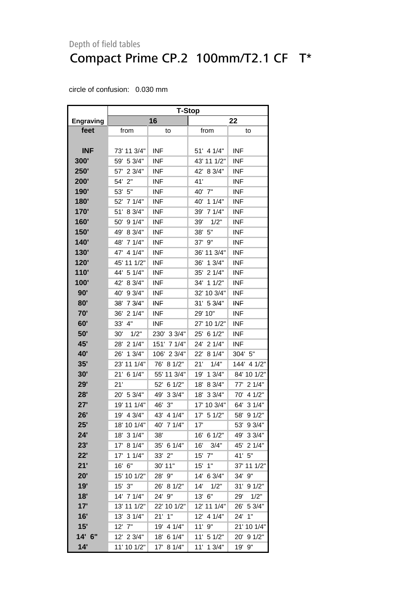|                  | <b>T-Stop</b> |                |               |               |
|------------------|---------------|----------------|---------------|---------------|
| <b>Engraving</b> |               | 16             | 22            |               |
| feet             | from          | to             | from          | to            |
|                  |               |                |               |               |
| <b>INF</b>       | 73' 11 3/4"   | <b>INF</b>     | 51' 4 1/4"    | <b>INF</b>    |
| 300'             | 59' 5 3/4"    | <b>INF</b>     | 43' 11 1/2"   | <b>INF</b>    |
| 250'             | 57' 2 3/4"    | <b>INF</b>     | 42' 8 3/4"    | <b>INF</b>    |
| 200'             | 54' 2"        | <b>INF</b>     | 41'           | <b>INF</b>    |
| 190'             | 53' 5"        | <b>INF</b>     | 40' 7"        | <b>INF</b>    |
| 180'             | 52' 7 1/4"    | <b>INF</b>     | 40' 1 1/4"    | <b>INF</b>    |
| 170'             | 8 3/4"<br>51' | <b>INF</b>     | 39' 7 1/4"    | <b>INF</b>    |
| 160'             | 91/4"<br>50'  | <b>INF</b>     | 39'<br>1/2"   | <b>INF</b>    |
| 150'             | 49'<br>8 3/4" | <b>INF</b>     | 5"<br>38'     | <b>INF</b>    |
| 140'             | 48' 7 1/4"    | <b>INF</b>     | 37' 9"        | <b>INF</b>    |
| 130'             | 47' 4 1/4"    | <b>INF</b>     | 36' 11 3/4"   | <b>INF</b>    |
| 120'             | 45' 11 1/2"   | <b>INF</b>     | 36' 1 3/4"    | <b>INF</b>    |
| 110'             | 44' 5 1/4"    | <b>INF</b>     | 21/4"<br>35'  | <b>INF</b>    |
| 100'             | 42'<br>8 3/4" | <b>INF</b>     | 34' 1 1/2"    | <b>INF</b>    |
| 90'              | 40' 9 3/4"    | <b>INF</b>     | 32' 10 3/4"   | <b>INF</b>    |
| 80'              | 38'<br>7 3/4" | <b>INF</b>     | 31' 5 3/4"    | <b>INF</b>    |
| 70'              | 36'<br>21/4"  | <b>INF</b>     | 29' 10"       | <b>INF</b>    |
| 60'              | 33' 4"        | <b>INF</b>     | 27' 10 1/2"   | <b>INF</b>    |
| 50'              | 1/2"<br>30'   | 230' 3 3/4"    | 25'<br>61/2"  | <b>INF</b>    |
| 45'              | 21/4"<br>28'  | 71/4"<br>151'  | 21/4"<br>24'  | <b>INF</b>    |
| <b>40'</b>       | 13/4"<br>26'  | 2 3/4"<br>106' | 22'<br>8 1/4" | 304' 5"       |
| 35'              | 23' 11 1/4"   | 81/2"<br>76'   | 21'<br>1/4"   | 144' 4 1/2"   |
| 30'              | 21' 6 1/4"    | 55' 11 3/4"    | 19'<br>13/4"  | 84' 10 1/2"   |
| 29'              | 21'           | 52' 6 1/2"     | 8 3/4"<br>18' | 77' 2 1/4"    |
| 28'              | 20' 5 3/4"    | 49' 3 3/4"     | 33/4"<br>18'  | 4 1/2"<br>70' |
| 27'              | 19' 11 1/4"   | 46' 3"         | 17' 10 3/4"   | 64' 3 1/4"    |
| 26'              | 19' 4 3/4"    | 43' 4 1/4"     | 17' 5 1/2"    | 58' 9 1/2"    |
| 25'              | 18' 10 1/4"   | 40' 7 1/4"     | 17'           | 53' 9 3/4"    |
| 24'              | 18' 3 1/4"    | 38'            | 16' 6 1/2"    | 49' 3 3/4"    |
| 23'              | 17' 8 1/4"    | 35' 6 1/4"     | 16'<br>3/4"   | 45' 2 1/4"    |
| 22'              | 17' 1 1/4"    | 33' 2"         | $15'$ $7"$    | 41' 5"        |
| 21'              | 16' 6"        | 30' 11"        | $15'$ $1"$    | 37' 11 1/2"   |
| 20'              | 15' 10 1/2"   | 28' 9"         | 14' 6 3/4"    | 34' 9"        |
| 19'              | $15'$ $3"$    | 26' 8 1/2"     | 14'<br>1/2"   | 31' 9 1/2"    |
| 18'              | 14' 7 1/4"    | 24' 9"         | 13' 6"        | 1/2"<br>29'   |
| 17'              | 13' 11 1/2"   | 22' 10 1/2"    | 12' 11 1/4"   | 26' 5 3/4"    |
| 16'              | 13' 3 1/4"    | $21'$ 1"       | 12' 4 1/4"    | 24' 1"        |
| 15'              | $12'$ $7"$    | 19'<br>4 1/4"  | 11'9''        | 21' 10 1/4"   |
| 14' 6"           | 12' 2 3/4"    | 18' 6 1/4"     | 11' 5 1/2"    | 20' 9 1/2"    |
| 14'              | 11' 10 1/2"   | 17' 8 1/4"     | 11' 1 3/4"    | 19'<br>9"     |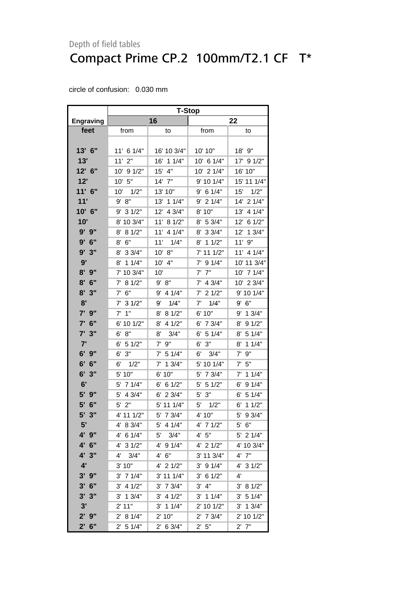### Depth of field tables Compact Prime CP.2 100mm/T2.1 CF T\*

|                   | <b>T-Stop</b>          |                   |                     |               |  |  |
|-------------------|------------------------|-------------------|---------------------|---------------|--|--|
| <b>Engraving</b>  |                        | 16                | 22                  |               |  |  |
| feet              | from                   | to                | from                | to            |  |  |
|                   |                        |                   |                     |               |  |  |
| 13' 6"            | 11' 6 1/4"             | 16' 10 3/4"       | 10' 10"             | 18' 9"        |  |  |
| 13'               | $11'$ 2"               | 16' 1 1/4"        | 10' 6 1/4"          | 17' 9 1/2"    |  |  |
| 12' 6"            | 10' 9 1/2"             | 15' 4"            | 10' 2 1/4"          | 16' 10"       |  |  |
| 12'               | 10' 5"                 | $14'$ $7"$        | 9' 10 1/4"          | 15' 11 1/4"   |  |  |
| 11' 6"            | 10'<br>1/2"            | 13' 10"           | $9'$ 6 1/4"         | 15'<br>1/2"   |  |  |
| 11'               | 9' 8''                 | 13' 1 1/4"        | $9'$ 2 1/4"         | 14' 2 1/4"    |  |  |
| 10' 6"            | 31/2"<br>9'            | 12'<br>4 3/4"     | 8' 10"              | 13' 4 1/4"    |  |  |
| 10'               | 8' 10 3/4"             | 11' 8 1/2"        | 8' 5 3/4"           | 12'<br>6 1/2" |  |  |
| 9' 9"             | 8 1/2"<br>8'           | 11'<br>4 1/4"     | 33/4"<br>8'         | 12'<br>13/4"  |  |  |
| 9'6''             | 6"<br>8'               | 11'<br>1/4"       | 8' 1 1/2"           | 9"<br>11'     |  |  |
| 9'3"              | 8' 3 3/4"              | 10' 8"            | 7' 11 1/2"          | 11' 4 1/4"    |  |  |
| 9'                | 8' 1 1/4"              | 10' 4"            | $7'$ 9 $1/4"$       | 10' 11 3/4"   |  |  |
| 8'<br>9"          | 7' 10 3/4"             | 10'               | $7'$ $7''$          | 10' 7 1/4"    |  |  |
| $8'$ 6"           | 8 1/2"<br>7'           | 9' 8''            | $7'$ 4 3/4"         | 10' 2 3/4"    |  |  |
| 8'<br>3"          | $7'$ 6"                | $9'$ 4 1/4"       | $7'$ 2 1/2"         | 9' 10 1/4"    |  |  |
| 8'                | $7'$ 3 1/2"            | 1/4"<br>9'        | 1/4"<br>$7^{\circ}$ | 9' 6''        |  |  |
| 7' 9"             | 1"<br>7'               | 8' 8 1/2"         | 6' 10"              | 9' 1 3/4"     |  |  |
| 7' 6"             | 6' 10 1/2"             | 8' 4 1/2"         | 6' 7 3/4"           | 91/2"<br>8'   |  |  |
| 7'<br>3"          | 8"<br>6'               | 3/4"<br>8'        | 6'<br>5 1/4"        | 5 1/4"<br>8'  |  |  |
| 7'                | $6'$ 5 1/2"            | 9"<br>$7^{\circ}$ | 3"<br>6'            | 11/4"<br>8'   |  |  |
| $6'$ $9''$        | $6'$ 3"                | $7'$ 5 1/4"       | 6'<br>3/4"          | 9"<br>7'      |  |  |
| 6'<br>6"          | 6'<br>1/2"             | $7'$ 1 $3/4"$     | 5' 10 1/4"          | 7'<br>5"      |  |  |
| 6'<br>3"          | 5' 10"                 | 6' 10"            | 7 3/4"<br>5'        | 7' 1 1/4"     |  |  |
| 6'                | 5' 7 1/4"              | $6'$ 6 1/2"       | $5'$ 5 1/2"         | 91/4"<br>6'   |  |  |
| 5' 9"             | 5' 4 3/4"              | $6'$ 2 3/4"       | $5'$ $3"$           | $6'$ 5 1/4"   |  |  |
| 5'<br>6"          | $5'$ 2"                | 5' 11 1/4"        | $5'$ $1/2"$         | $6'$ 1 1/2"   |  |  |
| $5^{\circ}$<br>3" | 4' 11 1/2"             | 5' 7 3/4"         | 4' 10"              | 5' 9 3/4"     |  |  |
| 5'                | 8 3/4"<br>4'           | 4 1/4"<br>5'      | 4' 7 1/2"           | 5'<br>6"      |  |  |
| 4' 9"             | 4' 6 1/4"              | 5'<br>3/4"        | 4' 5''              | 5' 2 1/4"     |  |  |
| 4' 6"             | 4'<br>31/2"            | 4' 9 1/4"         | 4' 2 1/2"           | 4' 10 3/4"    |  |  |
| 4' 3"             | 4'<br>3/4"             | 4' 6''            | 3' 11 3/4"          | $4'$ $7"$     |  |  |
| 4'                | 3' 10"                 | 4' 2 1/2"         | $3'$ 9 $1/4"$       | 4' 3 1/2"     |  |  |
| $3'$ $9''$        | $3'$ 7 1/4"            | 3' 11 1/4"        | 61/2"<br>3'         | 4'            |  |  |
| $3'$ 6"           | 4 1/2"<br>3'           | $3'$ 7 $3/4"$     | 3'<br>4"            | 3'<br>81/2"   |  |  |
| 3'3''             | $3'$ 1 $3/4"$          | $3'$ 4 $1/2"$     | $3'$ 1 1/4"         | 3' 51/4"      |  |  |
| 3'                | 2' 11"                 | $3'$ 1 1/4"       | 2' 10 1/2"          | $3'$ 1 $3/4"$ |  |  |
| $2'$ $9''$        | 8 1/4"<br>$2^{\prime}$ | 2' 10"            | 7 3/4"<br>2'        | 2' 10 1/2"    |  |  |
| $2'$ 6"           | $2'$ 5 1/4"            | $2'$ 6 3/4"       | 2' 5''              | $2'$ $7"$     |  |  |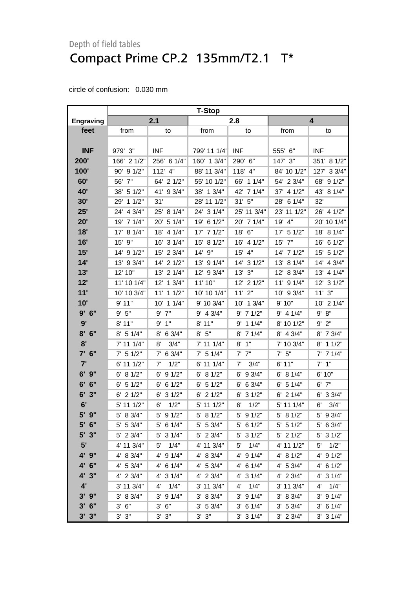### Depth of field tables Compact Prime CP.2 135mm/T2.1 T\*

|                  | <b>T-Stop</b> |               |               |                      |               |                |  |
|------------------|---------------|---------------|---------------|----------------------|---------------|----------------|--|
| <b>Engraving</b> | 2.1           |               | 2.8           |                      |               | 4              |  |
| feet             | from          | to            | from          | to                   | from          | to             |  |
|                  |               |               |               |                      |               |                |  |
| <b>INF</b>       | 979' 3"       | <b>INF</b>    | 799' 11 1/4"  | <b>INF</b>           | 555' 6"       | <b>INF</b>     |  |
| 200'             | 166' 2 1/2"   | 256' 6 1/4"   | 160' 1 3/4"   | 290' 6"              | 147' 3"       | 351' 8 1/2"    |  |
| 100'             | 90' 9 1/2"    | 112' 4"       | 88' 11 3/4"   | 118' 4"              | 84' 10 1/2"   | 127' 3 3/4"    |  |
| 60'              | 56' 7"        | 64' 2 1/2"    | 55' 10 1/2"   | 66' 1 1/4"           | 54' 2 3/4"    | 68' 9 1/2"     |  |
| 40'              | 38' 5 1/2"    | 41' 9 3/4"    | 38' 1 3/4"    | 42' 7 1/4"           | 37' 4 1/2"    | 43' 8 1/4"     |  |
| 30'              | 29' 1 1/2"    | 31'           | 28' 11 1/2"   | 31'5''               | 28' 6 1/4"    | 32'            |  |
| 25'              | 24' 4 3/4"    | 25' 8 1/4"    | 24' 3 1/4"    | 25' 11 3/4"          | 23' 11 1/2"   | 26' 4 1/2"     |  |
| 20'              | 19' 7 1/4"    | 20' 5 1/4"    | 19' 6 1/2"    | 20' 7 1/4"           | 19' 4"        | 20' 10 1/4"    |  |
| 18'              | 17' 8 1/4"    | 18' 4 1/4"    | 17' 7 1/2"    | 18' 6"               | 17' 5 1/2"    | 18' 8 1/4"     |  |
| 16'              | 15' 9"        | 16' 3 1/4"    | 15'<br>81/2"  | 16' 4 1/2"           | 15' 7"        | 16' 6 1/2"     |  |
| 15'              | 14' 9 1/2"    | 15' 2 3/4"    | 14' 9"        | 15' 4"               | 14' 7 1/2"    | 15' 5 1/2"     |  |
| 14'              | 13' 9 3/4"    | 14' 2 1/2"    | 13' 9 1/4"    | 14' 3 1/2"           | 13' 8 1/4"    | 14' 4 3/4"     |  |
| 13'              | 12' 10"       | 13' 2 1/4"    | 12' 9 3/4"    | 13' 3"               | 12' 8 3/4"    | 13' 4 1/4"     |  |
| 12'              | 11' 10 1/4"   | 12' 1 3/4"    | 11' 10"       | 12' 2 1/2"           | 11' 9 1/4"    | 12' 3 1/2"     |  |
| 11'              | 10' 10 3/4"   | 11' 1 1/2"    | 10' 10 1/4"   | $11'$ $2"$           | 10' 9 3/4"    | 11'3''         |  |
| 10'              | 9'11"         | 10' 1 1/4"    | 9' 10 3/4"    | 10' 1 3/4"           | 9' 10"        | $10'$ 2 $1/4"$ |  |
| 9'6''            | 9'5''         | $9'$ $7"$     | $9'$ 4 $3/4"$ | $9'$ 7 1/2"          | $9'$ 4 1/4"   | 9'<br>8"       |  |
| 9'               | 8'11"         | 9' 1''        | 8'11"         | $9'$ 1 1/4"          | 8' 10 1/2"    | $9'$ $2"$      |  |
| 8'<br>6"         | $8'$ 5 1/4"   | 8'<br>6 3/4"  | $8'$ 5"       | 8' 7 1/4"            | $8'$ 4 3/4"   | 8' 7 3/4"      |  |
| 8'               | 7' 11 1/4"    | 8'<br>3/4"    | 7' 11 1/4"    | 1"<br>8'             | 7' 10 3/4"    | 11/2"<br>8'    |  |
| 7' 6"            | $7'$ 5 1/2"   | $7'$ 6 3/4"   | $7'$ 5 1/4"   | $7'$ $7''$           | $7'$ 5"       | $7'$ 7 1/4"    |  |
| 7'               | 6' 11 1/2"    | 1/2"<br>7'    | 6' 11 1/4"    | 7'<br>3/4"           | 6'11"         | $7'$ 1"        |  |
| $6'$ $9''$       | 6' 8 1/2"     | 91/2"<br>6'   | 6' 8 1/2"     | 9 3/4"<br>6'         | 6' 8 1/4"     | 6' 10"         |  |
| 6"<br>6'         | $6'$ 5 1/2"   | 61/2"<br>6'   | $6'$ 5 1/2"   | $6'$ 6 3/4"          | 6'<br>5 1/4"  | $6'$ $7''$     |  |
| 6'<br>3"         | $6'$ 2 $1/2"$ | $6'$ 3 $1/2"$ | $6'$ 2 $1/2"$ | $6'$ 3 $1/2"$        | $6'$ 2 $1/4"$ | 6' 3 3/4"      |  |
| 6'               | 5' 11 1/2"    | 1/2"<br>6'    | 5' 11 1/2"    | 1/2"<br>6'           | 5' 11 1/4"    | 3/4"<br>6'     |  |
| 5' 9"            | 5' 8 3/4"     | 5' 9 1/2"     | 5' 8 1/2"     | $5'$ 9 $1/2"$        | 5' 8 1/2"     | 5' 9 3/4"      |  |
| $5'$ 6"          | $5'$ 5 3/4"   | $5'$ 6 1/4"   | 5' 5 3/4"     | $5'$ 6 1/2"          | $5'$ 5 1/2"   | 5' 6 3/4"      |  |
| $5'$ 3"          | 5' 2 3/4"     | $5'$ 3 $1/4"$ | 5' 2 3/4"     | 5' 3 1/2"            | $5'$ 2 1/2"   | $5'$ 3 $1/2"$  |  |
| 5'               | 4' 11 3/4"    | 1/4"<br>5'    | 4' 11 3/4"    | 1/4"<br>5'           | 4' 11 1/2"    | 1/2"<br>5'     |  |
| 4' 9"            | 4' 8 3/4"     | 4' 9 1/4"     | $4'$ 8 3/4"   | $4'$ 9 $1/4"$        | 4' 8 1/2"     | 4' 9 1/2"      |  |
| 4' 6"            | $4'$ 5 3/4"   | 4' 6 1/4"     | 4' 5 3/4"     | $4'$ 6 1/4"          | $4'$ 5 3/4"   | $4'$ 6 1/2"    |  |
| 4' 3"            | 4' 2 3/4"     | 4' 3 1/4"     | 4' 2 3/4"     | 4' 3 1/4"            | $4'$ 2 3/4"   | 4' 3 1/4"      |  |
| 4'               | 3' 11 3/4"    | 1/4"<br>4'    | 3' 11 3/4"    | 1/4"<br>$4^{\prime}$ | 3' 11 3/4"    | 1/4"<br>4'     |  |
| $3'$ $9''$       | 3' 8 3/4"     | $3'$ 9 $1/4"$ | 3' 8 3/4"     | $3'$ 9 $1/4"$        | 3' 8 3/4"     | $3'$ 9 $1/4"$  |  |
| $3'$ 6"          | $3'$ 6"       | 3' 6''        | 3' 5 3/4"     | $3'$ 6 1/4"          | 3' 5 3/4"     | $3'$ 6 1/4"    |  |
| $3'$ $3''$       | 3' 3''        | 3'3''         | 3' 3''        | $3'$ 3 $1/4"$        | $3'$ 2 $3/4"$ | $3'$ 3 $1/4"$  |  |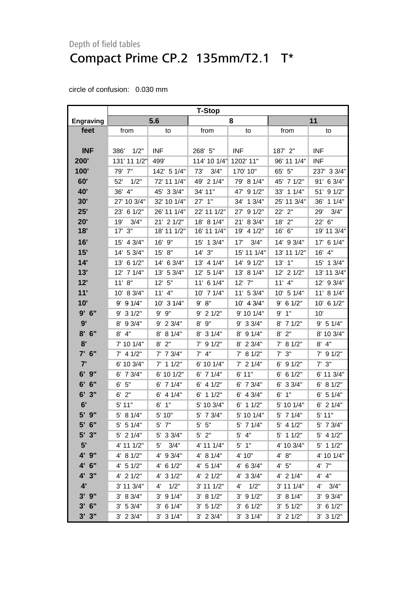# Depth of field tables Compact Prime CP.2 135mm/T2.1 T\*

|                  | <b>T-Stop</b> |               |                |               |              |                |
|------------------|---------------|---------------|----------------|---------------|--------------|----------------|
| <b>Engraving</b> | 5.6           |               | 8              |               | 11           |                |
| feet             | from          | to            | from           | to            | from         | to             |
|                  |               |               |                |               |              |                |
| <b>INF</b>       | 386'<br>1/2"  | <b>INF</b>    | 268' 5"        | <b>INF</b>    | 187' 2"      | <b>INF</b>     |
| 200'             | 131' 11 1/2"  | 499'          | 114' 10 1/4"   | 1202' 11"     | 96' 11 1/4"  | <b>INF</b>     |
| 100'             | 79' 7"        | 142' 5 1/4"   | 3/4"<br>73'    | 170' 10"      | 65' 5"       | 237' 3 3/4"    |
| 60'              | 52'<br>1/2"   | 72' 11 1/4"   | 49' 2 1/4"     | 79' 8 1/4"    | 45' 7 1/2"   | 6 3/4"<br>91'  |
| 40'              | 36'<br>4"     | 45' 3 3/4"    | 34' 11"        | 47' 9 1/2"    | 33' 1 1/4"   | 51' 9 1/2"     |
| 30'              | 27' 10 3/4"   | 32' 10 1/4"   | 27' 1"         | 34' 1 3/4"    | 25' 11 3/4"  | 36'<br>11/4"   |
| 25'              | 23' 6 1/2"    | 26' 11 1/4"   | 22' 11 1/2"    | 27' 9 1/2"    | 22' 2"       | 3/4"<br>29'    |
| 20'              | 3/4"<br>19'   | 21' 2 1/2"    | 18' 8 1/4"     | 21' 8 3/4"    | 18'<br>2"    | 22' 6"         |
| 18'              | $17'$ $3''$   | 18' 11 1/2"   | 16' 11 1/4"    | 19' 4 1/2"    | 16' 6"       | 19' 11 3/4"    |
| 16'              | 15' 4 3/4"    | 16' 9"        | 15' 1 3/4"     | 17'<br>3/4"   | 14' 9 3/4"   | 17' 6 1/4"     |
| 15'              | 14' 5 3/4"    | 15' 8"        | 14'3''         | 15' 11 1/4"   | 13' 11 1/2"  | 16' 4"         |
| 14'              | 13' 6 1/2"    | 14' 6 3/4"    | 13' 4 1/4"     | 14' 9 1/2"    | $13'$ $1"$   | 15' 1 3/4"     |
| 13'              | 12' 7 1/4"    | 13' 5 3/4"    | 12'<br>51/4"   | 13' 8 1/4"    | 12' 2 1/2"   | 13' 11 3/4"    |
| 12'              | 11' 8''       | 12' 5''       | 11' 6 1/4"     | $12'$ 7"      | $11'$ 4"     | 12' 9 3/4"     |
| 11'              | 10' 8 3/4"    | $11'$ 4"      | 10' 7 1/4"     | 11' 5 3/4"    | 10' 5 1/4"   | 11' 8 1/4"     |
| 10'              | $9'$ 9 $1/4"$ | 10' 3 1/4"    | 9' 8''         | 10' 4 3/4"    | $9'$ 6 1/2"  | $10'$ 6 $1/2"$ |
| 9'6''            | $9'$ 3 $1/2"$ | 9' 9"         | $9'$ 2 1/2"    | 9' 10 1/4"    | 9'1"         | 10'            |
| 9'               | 9 3/4"<br>8'  | 9' 2 3/4"     | 9"<br>8'       | 9' 3 3/4"     | 71/2"<br>8'  | 9' 5 1/4"      |
| $8'$ 6"          | $8'$ 4"       | 8' 8 1/4"     | $8'$ 3 1/4"    | 8' 9 1/4"     | $8'$ 2"      | 8' 10 3/4"     |
| 8'               | 7' 10 1/4"    | $8'$ $2"$     | $7'$ 9 1/2"    | 8' 2 3/4"     | 7' 8 1/2"    | $8'$ 4"        |
| $7'$ 6"          | $7'$ 4 1/2"   | $7'$ 7 $3/4"$ | $7'$ 4"        | 7' 8 1/2"     | $7'$ $3''$   | $7'$ 9 $1/2"$  |
| 7'               | 6' 10 3/4"    | $7'$ 1 1/2"   | 6' 10 1/4"     | $7'$ 2 1/4"   | 91/2"<br>6'  | $7'$ 3"        |
| 9"<br>6'         | $6'$ 7 $3/4"$ | 6' 10 1/2"    | $6'$ 7 1/4"    | 6' 11"        | 6 1/2"<br>6' | 6' 11 3/4"     |
| 6'<br>6"         | 6' 5''        | $6'$ 7 1/4"   | $6'$ 4 $1/2"$  | $6'$ 7 $3/4"$ | 33/4"<br>6'  | 6' 8 1/2"      |
| 6'<br>3"         | 2"<br>6'      | $6'$ 4 1/4"   | $6'$ 1 1/2"    | $6'$ 4 3/4"   | 6'<br>1"     | $6'$ 5 1/4"    |
| 6'               | 5' 11"        | $6'$ 1"       | 5' 10 3/4"     | $6'$ 1 1/2"   | 5' 10 1/4"   | $6'$ 2 1/4"    |
| 5' 9"            | 5' 8 1/4"     | 5' 10"        | 5' 7 3/4"      | 5' 10 1/4"    | 5' 7 1/4"    | 5' 11"         |
| $5'$ 6"          | $5'$ 5 1/4"   | $5'$ $7"$     | $5'$ $5"$      | 5' 7 1/4"     | $5'$ 4 1/2"  | 5' 7 3/4"      |
| $5'$ $3''$       | $5'$ 2 1/4"   | $5'$ 3 3/4"   | $5'$ 2"        | $5'$ 4"       | 5' 1 1/2"    | $5'$ 4 1/2"    |
| 5'               | 4' 11 1/2"    | 3/4"<br>5'    | 4' 11 1/4"     | $5'$ 1"       | 4' 10 3/4"   | $5'$ 1 1/2"    |
| 4' 9"            | 4' 8 1/2"     | 4' 9 3/4"     | 4' 8 1/4"      | 4' 10"        | 4' 8''       | 4' 10 1/4"     |
| 4' 6"            | $4'$ 5 1/2"   | 4' 6 1/2"     | 4' 5 1/4"      | 4' 6 3/4"     | 4'5''        | $4'$ $7"$      |
| 4'3''            | 4' 2 1/2"     | 4' 3 1/2"     | $4'$ 2 1/2"    | 4' 3 3/4"     | $4'$ 2 1/4"  | 4' 4"          |
| 4'               | 3' 11 3/4"    | 1/2"<br>4'    | $3'$ 11 $1/2"$ | 1/2"<br>4'    | $3'$ 11 1/4" | 4'<br>3/4"     |
| $3'$ $9''$       | 3' 8 3/4"     | $3'$ 9 $1/4"$ | 3' 81/2"       | $3'$ 9 $1/2"$ | 3' 8 1/4"    | $3'$ 9 $3/4"$  |
| $3'$ 6"          | 3' 5 3/4"     | $3'$ 6 $1/4"$ | 3' 51/2"       | $3'$ 6 $1/2"$ | 3' 51/2"     | $3'$ 6 $1/2"$  |
| $3'$ $3''$       | $3'$ 2 $3/4"$ | $3'$ 3 $1/4"$ | $3'$ 2 $3/4"$  | $3'$ 3 1/4"   | $3'$ 2 1/2"  | $3'$ 3 $1/2"$  |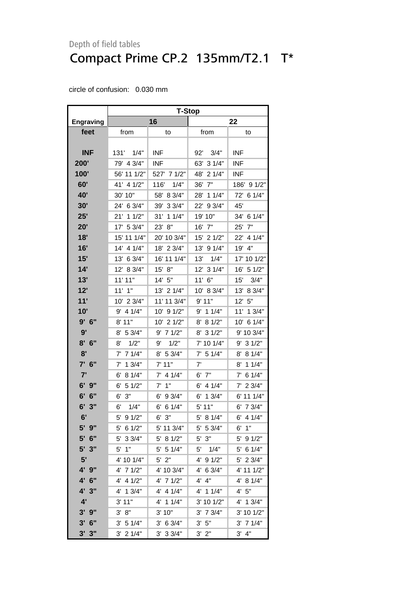# Depth of field tables Compact Prime CP.2 135mm/T2.1 T\*

|                  | <b>T-Stop</b> |               |               |                        |  |  |
|------------------|---------------|---------------|---------------|------------------------|--|--|
| <b>Engraving</b> |               | 16            | 22            |                        |  |  |
| feet             | from          | to            | from          | to                     |  |  |
|                  |               |               |               |                        |  |  |
| <b>INF</b>       | 131' 1/4"     | <b>INF</b>    | 3/4"<br>92'   | INF                    |  |  |
| 200'             | 79' 4 3/4"    | INF           | 63' 3 1/4"    | <b>INF</b>             |  |  |
| 100'             | 56' 11 1/2"   | 527'<br>71/2" | 48'<br>21/4"  | INF                    |  |  |
| 60'              | 41' 4 1/2"    | 116'<br>1/4"  | 36'<br>7"     | 186' 9 1/2"            |  |  |
| 40'              | 30' 10"       | 58'<br>8 3/4" | 11/4"<br>28'  | 72'<br>6 1/4"          |  |  |
| 30'              | 24' 6 3/4"    | 39'<br>33/4"  | 22'<br>93/4"  | 45'                    |  |  |
| 25'              | 11/2"<br>21'  | 31'<br>11/4"  | 19' 10"       | 34' 6 1/4"             |  |  |
| 20'              | 17' 5 3/4"    | 23'<br>8"     | 7"<br>16'     | 25'<br>7"              |  |  |
| 18'              | 15' 11 1/4"   | 20' 10 3/4"   | 15'<br>21/2"  | $22^{\circ}$<br>4 1/4" |  |  |
| 16'              | 4 1/4"<br>14' | 18'<br>23/4"  | 13'<br>91/4"  | 19'<br>4"              |  |  |
| 15'              | 13' 6 3/4"    | 16' 11 1/4"   | 13'<br>1/4"   | 17' 10 1/2"            |  |  |
| 14'              | 12' 8 3/4"    | 15' 8"        | 12' 3 1/4"    | 16' 5 1/2"             |  |  |
| 13'              | 11' 11"       | 14' 5"        | 11' 6"        | 15'<br>3/4"            |  |  |
| 12'              | $11'$ $1"$    | 13' 2 1/4"    | 10' 8 3/4"    | 13'<br>8 3/4"          |  |  |
| 11'              | 10' 2 3/4"    | 11' 11 3/4"   | 9'11"         | 5"<br>12'              |  |  |
| 10'              | 4 1/4"<br>9'  | 10' 9 1/2"    | $9'$ 1 1/4"   | 11'<br>13/4"           |  |  |
| 9'6''            | $8'$ 11"      | 10' 2 1/2"    | 8 1/2"<br>8'  | 10' 6 1/4"             |  |  |
| 9'               | 8' 5 3/4"     | $9'$ 7 1/2"   | 31/2"<br>8'   | 9' 10 3/4"             |  |  |
| 8'<br>6"         | 1/2"<br>8'    | 1/2"<br>9'    | 7' 10 1/4"    | 9' 3 1/2"              |  |  |
| 8'               | 7 1/4"<br>7'  | 8' 5 3/4"     | $7'$ 5 1/4"   | 8 1/4"<br>8'           |  |  |
| 7'<br>6"         | 13/4"<br>7'   | 7' 11"        | 7'            | 11/4"<br>8'            |  |  |
| 7'               | 8 1/4"<br>6'  | $7'$ 4 1/4"   | 7"<br>6'      | 6 1/4"<br>7'           |  |  |
| 6'<br>9"         | 51/2"<br>6'   | 7'<br>1"      | 4 1/4"<br>6'  | 23/4"<br>7'            |  |  |
| 6'<br>6"         | 3"<br>6'      | 6'<br>93/4"   | 13/4"<br>6' . | 6' 11 1/4"             |  |  |
| 6'3''            | 6'<br>1/4"    | 6'<br>6 1/4"  | 5' 11"        | 6' 7 3/4"              |  |  |
| 6'               | 5'<br>91/2"   | 3"<br>6'      | 5' 8 1/4"     | 6'<br>4 1/4"           |  |  |
| $5'$ $9''$       | 5' 6 1/2"     | 5' 11 3/4"    | 5' 5 3/4"     | $6'$ 1"                |  |  |
| 5' 6"            | 33/4"<br>5'   | 5' 8 1/2"     | 3"<br>5'      | $5'$ 9 1/2"            |  |  |
| 5' 3"            | $5'$ 1"       | $5'$ 5 1/4"   | 1/4"<br>5'    | 5' 6 1/4"              |  |  |
| 5'               | 4' 10 1/4"    | $5'$ 2"       | 91/2"<br>4'   | 5' 2 3/4"              |  |  |
| 4' 9"            | 4' 7 1/2"     | 4' 10 3/4"    | 4' 6 3/4"     | 4' 11 1/2"             |  |  |
| 4' 6"            | 4' 4 1/2"     | 4' 7 1/2"     | 4' 4"         | 4' 8 1/4"              |  |  |
| 4' 3"            | 4' 1 3/4"     | 4' 4 1/4"     | 4' 1 1/4"     | 4' 5''                 |  |  |
| 4'               | 3' 11"        | 4' 1 1/4"     | 3' 10 1/2"    | 4' 1 3/4"              |  |  |
| $3'$ $9''$       | 3' 8''        | 3'10"         | $3'$ 7 $3/4"$ | 3' 10 1/2"             |  |  |
| $3'$ 6"          | 3' 51/4"      | 3' 6 3/4"     | $3'$ 5"       | $3'$ 7 1/4"            |  |  |
| $3'$ $3''$       | $3'$ 2 $1/4"$ | $3'$ 3 $3/4"$ | $3'$ $2"$     | $3'$ 4"                |  |  |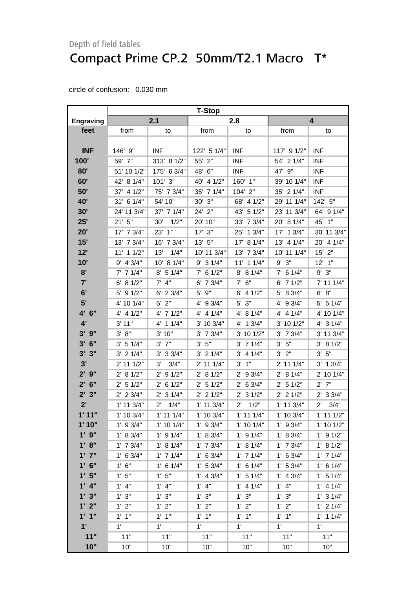### Depth of field tables Compact Prime CP.2 50mm/T2.1 Macro T\*

|                        | <b>T-Stop</b> |                       |               |                        |                |                      |
|------------------------|---------------|-----------------------|---------------|------------------------|----------------|----------------------|
| <b>Engraving</b>       | 2.1           |                       | 2.8           |                        | 4              |                      |
| feet                   | from          | to                    | from          | to                     | from           | to                   |
|                        |               |                       |               |                        |                |                      |
| <b>INF</b>             | 146' 9"       | <b>INF</b>            | 122' 5 1/4"   | <b>INF</b>             | 117' 9 1/2"    | <b>INF</b>           |
| 100'                   | 59' 7"        | 313' 8 1/2"           | 55' 2"        | <b>INF</b>             | 54' 2 1/4"     | <b>INF</b>           |
| 80'                    | 51' 10 1/2"   | 175' 6 3/4"           | 48' 6"        | <b>INF</b>             | 47' 9"         | <b>INF</b>           |
| 60'                    | 42' 8 1/4"    | 101' 3"               | 40' 4 1/2"    | 160' 1"                | 39' 10 1/4"    | <b>INF</b>           |
| 50'                    | 37' 4 1/2"    | 75' 7 3/4"            | 35' 7 1/4"    | 104' 2"                | 35' 2 1/4"     | <b>INF</b>           |
| 40'                    | 31' 6 1/4"    | 54' 10"               | 30' 3"        | 68' 4 1/2"             | 29' 11 1/4"    | 142' 5"              |
| 30'                    | 24' 11 3/4"   | 37' 7 1/4"            | 24' 2"        | 43' 5 1/2"             | 23' 11 3/4"    | 64' 9 1/4"           |
| 25'                    | 21'5''        | 30'<br>1/2"           | 20' 10"       | 33' 7 3/4"             | 20' 8 1/4"     | 45' 1"               |
| 20'                    | 17' 7 3/4"    | 23' 1"                | $17'$ $3''$   | 25' 1 3/4"             | 17' 1 3/4"     | 30' 11 3/4"          |
| 15'                    | 13' 7 3/4"    | 16' 7 3/4"            | 13' 5"        | 17' 8 1/4"             | 13' 4 1/4"     | 20' 4 1/4"           |
| 12'                    | 11' 1 1/2"    | 13'<br>1/4"           | 10' 11 3/4"   | 13' 7 3/4"             | 10' 11 1/4"    | $15'$ 2"             |
| 10'                    | $9'$ 4 $3/4"$ | 10' 8 1/4"            | $9'$ 3 $1/4"$ | $11'$ 1 $1/4"$         | 9' 3''         | $12'$ 1"             |
| 8'                     | $7'$ 7 $1/4"$ | 8' 5 1/4"             | $7'$ 6 1/2"   | 8' 8 1/4"              | $7'$ 6 1/4"    | $9'$ $3"$            |
| 7'                     | 6' 8 1/2"     | $7'$ 4"               | 6' 7 3/4"     | $7'$ 6"                | $6'$ 7 $1/2"$  | 7' 11 1/4"           |
| 6'                     | $5'$ 9 $1/2"$ | $6'$ 2 3/4"           | $5'$ $9''$    | $6'$ 4 $1/2"$          | 5' 8 3/4"      | 6' 8''               |
| 5'                     | 4' 10 1/4"    | $5'$ 2"               | 4' 9 3/4"     | 5' 3"                  | 4' 9 3/4"      | $5'$ 5 1/4"          |
| 4' 6"                  | $4'$ 4 $1/2"$ | 4' 7 1/2"             | $4'$ 4 1/4"   | 4' 8 1/4"              | 4' 4' 1/4"     | 4' 10 1/4"           |
| 4'                     | 3' 11"        | 4' 1 1/4"             | 3' 10 3/4"    | $4'$ 1 3/4"            | 3' 10 1/2"     | 4' 3 1/4"            |
| $3'$ $9''$             | 3' 8''        | 3' 10"                | $3'$ 7 $3/4"$ | 3' 10 1/2"             | $3'$ 7 $3/4"$  | 3' 11 3/4"           |
| $3'$ 6"                | 3' 5 1/4"     | $3'$ $7''$            | $3'$ 5"       | $3'$ 7 $1/4"$          | $3'$ $5"$      | 3' 8 1/2"            |
| 3'<br>3"               | $3'$ 2 $1/4"$ | $3'$ 3 $3/4"$         | $3'$ 2 1/4"   | $3'$ 4 1/4"            | 3'2"           | 5"<br>3'             |
| 3'                     | 2' 11 1/2"    | 3/4"<br>3'            | 2' 11 1/4"    | 1"<br>3'               | 2' 11 1/4"     | $3'$ 1 $3/4"$        |
| 2'9''                  | 2' 8 1/2"     | 91/2"<br>$2^{\prime}$ | 2' 8 1/2"     | 9 3/4"<br>$2^{\prime}$ | 2' 8 1/4"      | 2' 10 1/4"           |
| $2'$ 6"                | $2'$ 5 1/2"   | $2'$ 6 1/2"           | $2'$ 5 1/2"   | $2'$ 6 3/4"            | $2'$ 5 1/2"    | $2'$ $7"$            |
| $2^{\prime}$<br>3"     | $2'$ 2 3/4"   | $2'$ 3 1/4"           | $2'$ 2 1/2"   | $2'$ 3 1/2"            | $2'$ 2 1/2"    | $2'$ 3 3/4"          |
| 2'                     | 1' 11 3/4"    | 1/4"<br>$2^{\prime}$  | 1' 11 3/4"    | 1/2"<br>$2^{\prime}$   | $1'$ 11 $3/4"$ | 3/4"<br>$2^{\prime}$ |
| 1'11"                  | 1' 10 3/4"    | $1'$ 11 $1/4"$        | 1' 10 3/4"    | $1'$ 11 $1/4"$         | 1' 10 3/4"     | $1'$ 11 $1/2"$       |
| 1'10"                  | $1'$ 9 3/4"   | $1'$ 10 $1/4"$        | $1'$ 9 3/4"   | 1' 10 1/4"             | $1'$ 9 3/4"    | $1'$ 10 $1/2"$       |
| $1'$ $9"$              | 1' 8 3/4"     | $1'$ 9 $1/4"$         | 1' 8 3/4"     | $1'$ 9 $1/4"$          | 1' 8 3/4"      | $1'$ 9 $1/2"$        |
| 1' 8''                 | $1'$ 7 $3/4"$ | 1' 8 1/4"             | $1'$ 7 $3/4"$ | 1' 8 1/4"              | $1'$ 7 $3/4"$  | 1' 8 1/2"            |
| $1'$ $7''$             | $1'$ 6 3/4"   | $1'$ 7 $1/4"$         | $1'$ 6 3/4"   | $1'$ 7 $1/4"$          | $1'$ 6 3/4"    | $1'$ 7 $1/4"$        |
| $1'$ 6"                | 1' 6''        | $1'$ 6 $1/4"$         | 1' 53/4"      | $1'$ 6 $1/4"$          | 1' 5 3/4"      | $1'$ 6 $1/4"$        |
| 1'5"                   | 1'5"          | 1'5''                 | $1'$ 4 3/4"   | 1' 5 1/4"              | $1'$ 4 $3/4"$  | $1'$ 5 $1/4"$        |
| 4"                     | $1'$ 4"       | $1'$ 4"               | $1'$ $4"$     | $1'$ 4 $1/4"$          | $1'$ 4"        | $1'$ 4 $1/4"$        |
| 1'3''                  | 1' 3''        | 1'3''                 | 1' 3''        | 1' 3''                 | 1'3"           | $1'$ 3 $1/4"$        |
| 1'2"                   | 1' 2''        | 1'2"                  | 1' 2"         | 1'2"                   | 1'2"           | $1'$ 2 $1/4"$        |
| 1'1''                  | $1'$ $1''$    | $1'$ $1''$            | $1'$ $1''$    | $1'$ $1"$              | $1'$ $1''$     | $1'$ 1 $1/4"$        |
| $\mathbf{1}^{\bullet}$ | 1'            | 1'                    | $1^{\prime}$  | 1'                     | $1^{\circ}$    | $1^{\circ}$          |
| 11"                    | 11"           | 11"                   | 11"           | 11"                    | 11"            | 11"                  |
| 10"                    | 10"           | 10"                   | 10"           | 10"                    | 10"            | 10"                  |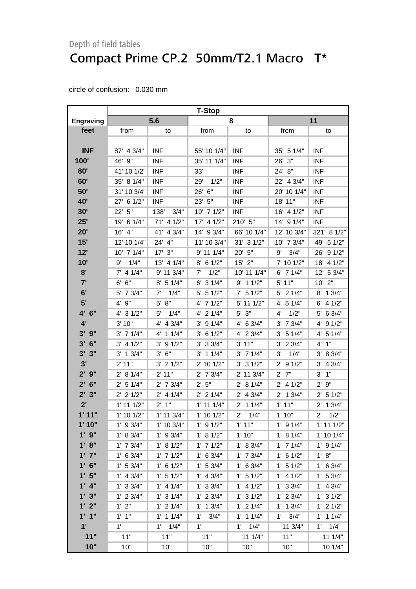# Depth of field tables Compact Prime CP.2 50mm/T2.1 Macro T\*

|                    | <b>T-Stop</b>     |                       |                |                      |               |                    |
|--------------------|-------------------|-----------------------|----------------|----------------------|---------------|--------------------|
| <b>Engraving</b>   | 5.6               |                       | 8              |                      | 11            |                    |
| feet               | from              | to                    | from           | to                   | from          | to                 |
|                    |                   |                       |                |                      |               |                    |
| <b>INF</b>         | 87' 4 3/4"        | <b>INF</b>            | 55' 10 1/4"    | <b>INF</b>           | 35' 5 1/4"    | <b>INF</b>         |
| 100'               | 46' 9"            | <b>INF</b>            | 35' 11 1/4"    | <b>INF</b>           | 26' 3"        | <b>INF</b>         |
| 80'                | 41' 10 1/2"       | <b>INF</b>            | 33'            | <b>INF</b>           | 24' 8"        | <b>INF</b>         |
| 60'                | 35' 8 1/4"        | <b>INF</b>            | 1/2"<br>29'    | <b>INF</b>           | 22' 4 3/4"    | <b>INF</b>         |
| 50'                | 31' 10 3/4"       | <b>INF</b>            | 26' 6"         | <b>INF</b>           | 20' 10 1/4"   | <b>INF</b>         |
| 40'                | 27' 6 1/2"        | <b>INF</b>            | 23' 5"         | <b>INF</b>           | 18' 11"       | <b>INF</b>         |
| 30'                | 22' 5"            | 138'<br>3/4"          | 19' 7 1/2"     | <b>INF</b>           | 16' 4 1/2"    | <b>INF</b>         |
| 25'                | 19' 6 1/4"        | 71' 4 1/2"            | 17' 4 1/2"     | 210' 5"              | 14' 9 1/4"    | <b>INF</b>         |
| 20'                | 16' 4"            | 41' 4 3/4"            | 14' 9 3/4"     | 66' 10 1/4"          | 12' 10 3/4"   | 321' 8 1/2"        |
| 15'                | 12' 10 1/4"       | 24' 4"                | 11' 10 3/4"    | 31' 3 1/2"           | 10' 7 3/4"    | 49' 5 1/2"         |
| 12'                | 10' 7 1/4"        | $17'$ $3''$           | 9' 11 1/4"     | 20' 5"               | 3/4"<br>9'    | 91/2"<br>26'       |
| 10'                | 1/4"<br>9'        | 13' 4 1/4"            | $8'$ 6 1/2"    | $15'$ 2"             | 7' 10 1/2"    | 18' 4 1/2"         |
| 8'                 | $7'$ 4 1/4"       | 9' 11 3/4"            | 1/2"<br>7'     | 10' 11 1/4"          | 6' 7 1/4"     | 12' 5 3/4"         |
| 7'                 | 6"<br>6'          | $8'$ 5 1/4"           | $6'$ 3 $1/4"$  | $9'$ 1 1/2"          | 5' 11"        | $10'$ $2"$         |
| 6'                 | 5' 7 3/4"         | 7'<br>1/4"            | $5'$ 5 1/2"    | 7' 5 1/2"            | $5'$ 2 1/4"   | 8' 1 3/4"          |
| 5'                 | 9"<br>$4^{\circ}$ | $5'$ $8"$             | 4' 7 1/2"      | 5' 11 1/2"           | 4' 5 1/4"     | $6'$ 4 $1/2"$      |
| 4' 6"              | $4'$ 3 $1/2"$     | 5'<br>1/4"            | 4' 2 1/4"      | $5'$ $3"$            | 1/2"<br>4'    | 5' 6 3/4"          |
| 4'                 | 3' 10"            | $4'$ 4 3/4"           | $3'$ 9 1/4"    | 4' 6 3/4"            | $3'$ 7 $3/4"$ | 4' 9 1/2"          |
| $3'$ $9''$         | $3'$ 7 $1/4"$     | $4'$ 1 1/4"           | $3'$ 6 1/2"    | 4' 2 3/4"            | 3' 51/4"      | 4' 5 1/4"          |
| $3'$ 6"            | $3'$ 4 $1/2"$     | 91/2"<br>$3^{\prime}$ | $3'$ 3 $3/4"$  | 3' 11"               | $3'$ 2 $3/4"$ | $4'$ 1"            |
| 3'<br>3"           | $3'$ 1 $3/4"$     | $3'$ 6"               | $3'$ 1 1/4"    | $3'$ 7 1/4"          | 3'<br>1/4"    | 3' 8 3/4"          |
| 3'                 | 2' 11"            | $3'$ 2 $1/2"$         | 2' 10 1/2"     | 31/2"<br>3'          | $2'$ 9 1/2"   | $3'$ 4 $3/4"$      |
| $2'$ $9''$         | 2' 8 1/4"         | 2' 11"                | $2'$ 7 $3/4"$  | 2' 11 3/4"           | $2'$ 7"       | 1"<br>3'           |
| $2'$ 6"            | $2'$ 5 1/4"       | $2'$ 7 $3/4"$         | 2' 5''         | 2' 8 1/4"            | $2'$ 4 1/2"   | 9"<br>$2^{\prime}$ |
| $2^{\prime}$<br>3" | $2'$ 2 1/2"       | $2'$ 4 1/4"           | $2'$ 2 1/4"    | $2'$ 4 3/4"          | $2'$ 1 $3/4"$ | $2'$ 5 1/2"        |
| 2'                 | $1'$ 11 $1/2"$    | $2'$ 1"               | $1'$ 11 $1/4"$ | $2'$ 1 1/4"          | 1'11"         | $2'$ 1 $3/4"$      |
| 1'11"              | 1' 10 1/2"        | 1' 11 3/4"            | $1'$ 10 $1/2"$ | $2^{\prime}$<br>1/4" | 1'10"         | 2'<br>1/2"         |
| 1'10"              | $1'$ 9 $3/4"$     | 1' 10 3/4"            | $1'$ 9 $1/2"$  | 1'11"                | $1'$ 9 $1/4"$ | $1'$ 11 $1/2"$     |
| $1'$ $9"$          | 1' 8 3/4"         | $1'$ 9 $3/4"$         | 1' 8 1/2"      | 1'10"                | 1' 8 1/4"     | $1'$ 10 $1/4"$     |
| 1' 8''             | $1'$ 7 $3/4"$     | 1' 8 1/2"             | $1'$ 7 $1/2"$  | 1' 8 3/4"            | $1'$ 7 $1/4"$ | $1'$ 9 $1/4"$      |
| $1'$ $7''$         | 1' 6 3/4"         | $1'$ 7 $1/2"$         | 1' 6 3/4"      | $1'$ 7 $3/4"$        | $1'$ 6 $1/2"$ | 1' 8''             |
| $1'$ 6"            | 1' 53/4"          | $1'$ 6 $1/2"$         | 1' 53/4"       | $1'$ 6 3/4"          | 1' 5 1/2"     | $1'$ 6 3/4"        |
| 1'5"               | $1'$ 4 $3/4"$     | $1'$ 5 $1/2"$         | $1'$ 4 3/4"    | $1'$ 5 $1/2"$        | $1'$ 4 $1/2"$ | 1' 5 3/4"          |
| $1'$ 4"            | 1' 3 3/4"         | $1'$ 4 $1/4"$         | $1'$ 3 3/4"    | $1'$ 4 $1/2"$        | 1' 3 3/4"     | $1'$ 4 3/4"        |
| 1'3"               | $1'$ 2 $3/4"$     | $1'$ 3 $1/4"$         | $1'$ 2 $3/4"$  | 1' 3 1/2"            | $1'$ 2 $3/4"$ | $1'$ 3 $1/2"$      |
| 1'2"               | 1'2"              | $1'$ 2 $1/4"$         | $1'$ 1 $3/4"$  | $1'$ 2 $1/4"$        | $1'$ 1 $3/4"$ | $1'$ 2 $1/2"$      |
| 1'1''              | $1'$ $1''$        | $1'$ 1 $1/4"$         | 3/4"<br>1'     | $1'$ 1 $1/4"$        | $1'$ $3/4"$   | $1'$ 1 $1/4"$      |
| 1'                 | 1'                | 1/4"<br>1'            | $1^{\prime}$   | 1/4"<br>1'           | 11 3/4"       | 1/4"<br>1'         |
| 11"                | 11"               | 11"                   | 11"            | 11 1/4"              | 11"           | 11 1/4"            |
| 10"                | 10"               | 10"                   | 10"            | 10"                  | 10"           | 10 1/4"            |